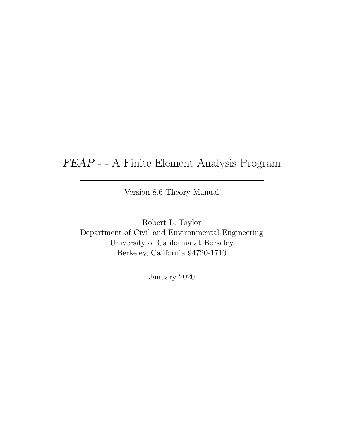## FEAP - - A Finite Element Analysis Program

Version 8.6 Theory Manual

Robert L. Taylor Department of Civil and Environmental Engineering University of California at Berkeley Berkeley, California 94720-1710

January 2020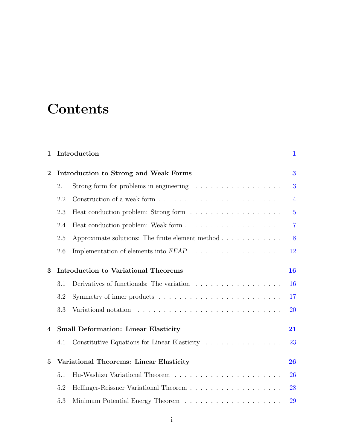# **Contents**

| 1                |                                             | Introduction                                                                   |                |
|------------------|---------------------------------------------|--------------------------------------------------------------------------------|----------------|
| $\overline{2}$   | Introduction to Strong and Weak Forms       |                                                                                |                |
|                  | 2.1                                         | Strong form for problems in engineering $\ldots \ldots \ldots \ldots \ldots$   | 3              |
|                  | 2.2                                         |                                                                                | $\overline{4}$ |
|                  | 2.3                                         |                                                                                | $\overline{5}$ |
|                  | 2.4                                         |                                                                                | $\overline{7}$ |
|                  | 2.5                                         | Approximate solutions: The finite element method $\ldots \ldots \ldots \ldots$ | 8              |
|                  | 2.6                                         |                                                                                | 12             |
| 3                | <b>Introduction to Variational Theorems</b> |                                                                                |                |
|                  | 3.1                                         | Derivatives of functionals: The variation                                      | 16             |
|                  | 3.2                                         |                                                                                | 17             |
|                  | 3.3                                         |                                                                                | <b>20</b>      |
| $\boldsymbol{4}$ |                                             | <b>Small Deformation: Linear Elasticity</b>                                    | 21             |
|                  | 4.1                                         | Constitutive Equations for Linear Elasticity                                   | 23             |
| $\overline{5}$   | Variational Theorems: Linear Elasticity     |                                                                                | 26             |
|                  | 5.1                                         |                                                                                | 26             |
|                  | 5.2                                         |                                                                                | 28             |
|                  | 5.3                                         |                                                                                | 29             |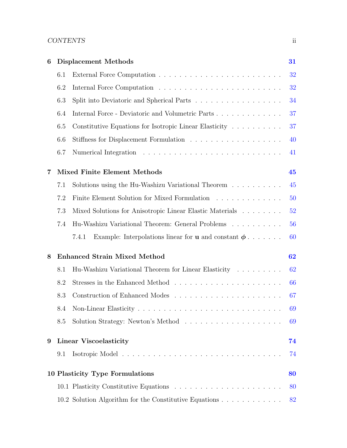#### CONTENTS ii

| 6 | <b>Displacement Methods</b>         |                                                                                                                                                                                                                                                         |    |  |  |  |  |
|---|-------------------------------------|---------------------------------------------------------------------------------------------------------------------------------------------------------------------------------------------------------------------------------------------------------|----|--|--|--|--|
|   | 6.1                                 |                                                                                                                                                                                                                                                         |    |  |  |  |  |
|   | 6.2                                 |                                                                                                                                                                                                                                                         | 32 |  |  |  |  |
|   | 6.3                                 |                                                                                                                                                                                                                                                         |    |  |  |  |  |
|   | 6.4                                 | Internal Force - Deviatoric and Volumetric Parts                                                                                                                                                                                                        |    |  |  |  |  |
|   | 6.5                                 | Constitutive Equations for Isotropic Linear Elasticity                                                                                                                                                                                                  | 37 |  |  |  |  |
|   | 6.6                                 |                                                                                                                                                                                                                                                         | 40 |  |  |  |  |
|   | 6.7                                 |                                                                                                                                                                                                                                                         | 41 |  |  |  |  |
| 7 | <b>Mixed Finite Element Methods</b> |                                                                                                                                                                                                                                                         |    |  |  |  |  |
|   | 7.1                                 | Solutions using the Hu-Washizu Variational Theorem                                                                                                                                                                                                      | 45 |  |  |  |  |
|   | 7.2                                 | Finite Element Solution for Mixed Formulation                                                                                                                                                                                                           | 50 |  |  |  |  |
|   | 7.3                                 | Mixed Solutions for Anisotropic Linear Elastic Materials                                                                                                                                                                                                | 52 |  |  |  |  |
|   | 7.4                                 | Hu-Washizu Variational Theorem: General Problems                                                                                                                                                                                                        | 56 |  |  |  |  |
|   |                                     | Example: Interpolations linear for <b>u</b> and constant $\phi$<br>7.4.1                                                                                                                                                                                | 60 |  |  |  |  |
| 8 |                                     | <b>Enhanced Strain Mixed Method</b>                                                                                                                                                                                                                     | 62 |  |  |  |  |
|   | 8.1                                 | Hu-Washizu Variational Theorem for Linear Elasticity                                                                                                                                                                                                    | 62 |  |  |  |  |
|   | 8.2                                 |                                                                                                                                                                                                                                                         | 66 |  |  |  |  |
|   | 8.3                                 |                                                                                                                                                                                                                                                         | 67 |  |  |  |  |
|   | 8.4                                 | Non-Linear Elasticity<br>and a complete that the complete the complete theory of the complete theory of the complete theory of the complete theory of the complete theory of the complete theory of the complete theory of the complete theory of the c | 69 |  |  |  |  |
|   | 8.5                                 |                                                                                                                                                                                                                                                         | 69 |  |  |  |  |
| 9 | <b>Linear Viscoelasticity</b>       |                                                                                                                                                                                                                                                         |    |  |  |  |  |
|   | 9.1                                 |                                                                                                                                                                                                                                                         | 74 |  |  |  |  |
|   | 10 Plasticity Type Formulations     |                                                                                                                                                                                                                                                         |    |  |  |  |  |
|   |                                     |                                                                                                                                                                                                                                                         | 80 |  |  |  |  |
|   |                                     | 10.2 Solution Algorithm for the Constitutive Equations                                                                                                                                                                                                  | 82 |  |  |  |  |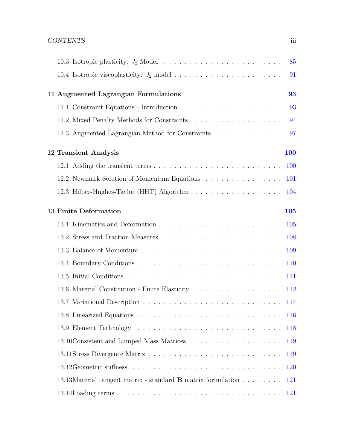|                                                                     | 85         |
|---------------------------------------------------------------------|------------|
|                                                                     | 91         |
| 11 Augmented Lagrangian Formulations                                | 93         |
|                                                                     | 93         |
|                                                                     | 94         |
| 11.3 Augmented Lagrangian Method for Constraints                    | 97         |
| 12 Transient Analysis                                               | 100        |
|                                                                     |            |
| 12.2 Newmark Solution of Momentum Equations 101                     |            |
| 12.3 Hilber-Hughes-Taylor (HHT) Algorithm 104                       |            |
| <b>13 Finite Deformation</b>                                        | 105        |
|                                                                     |            |
|                                                                     |            |
|                                                                     |            |
|                                                                     | <b>110</b> |
|                                                                     |            |
|                                                                     |            |
|                                                                     |            |
|                                                                     |            |
|                                                                     | <b>118</b> |
|                                                                     | 119        |
|                                                                     | 119        |
|                                                                     | 120        |
| 13.13Material tangent matrix - standard <b>B</b> matrix formulation | 121        |
|                                                                     | <b>121</b> |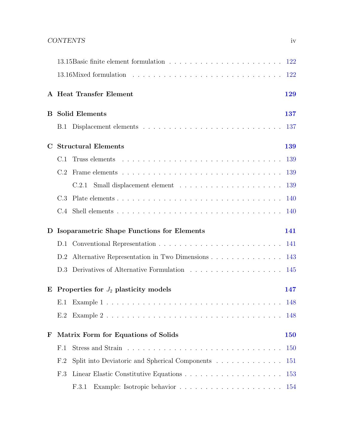|             |                                                   | A Heat Transfer Element                              | 129        |  |  |
|-------------|---------------------------------------------------|------------------------------------------------------|------------|--|--|
|             |                                                   | <b>B</b> Solid Elements                              | 137        |  |  |
|             |                                                   |                                                      | 137        |  |  |
| $\mathbf C$ | <b>Structural Elements</b>                        |                                                      |            |  |  |
|             | C.1                                               |                                                      | 139        |  |  |
|             | C.2                                               |                                                      |            |  |  |
|             |                                                   |                                                      | 139        |  |  |
|             | C.3                                               |                                                      | 140        |  |  |
|             |                                                   |                                                      |            |  |  |
| D           | <b>Isoparametric Shape Functions for Elements</b> |                                                      |            |  |  |
|             |                                                   |                                                      |            |  |  |
|             |                                                   |                                                      | 141        |  |  |
|             |                                                   | D.2 Alternative Representation in Two Dimensions 143 |            |  |  |
|             |                                                   |                                                      | 145        |  |  |
| E           |                                                   | Properties for $J_2$ plasticity models               | 147        |  |  |
|             |                                                   |                                                      |            |  |  |
|             | E.2                                               |                                                      |            |  |  |
| $\mathbf F$ |                                                   | Matrix Form for Equations of Solids                  | 150        |  |  |
|             | F.1                                               |                                                      | <b>150</b> |  |  |
|             | F.2                                               | Split into Deviatoric and Spherical Components       | <b>151</b> |  |  |
|             | F.3                                               |                                                      | 153        |  |  |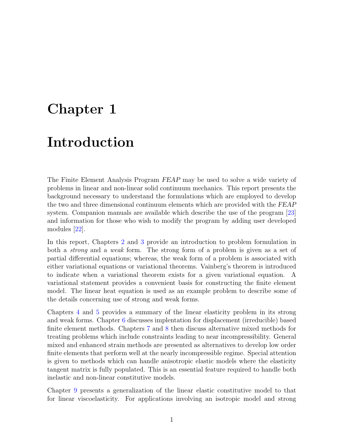## <span id="page-5-0"></span>Chapter 1

# Introduction

The Finite Element Analysis Program FEAP may be used to solve a wide variety of problems in linear and non-linear solid continuum mechanics. This report presents the background necessary to understand the formulations which are employed to develop the two and three dimensional continuum elements which are provided with the FEAP system. Companion manuals are available which describe the use of the program [\[23\]](#page-131-0) and information for those who wish to modify the program by adding user developed modules [\[22\]](#page-131-1).

In this report, Chapters [2](#page-7-0) and [3](#page-20-0) provide an introduction to problem formulation in both a strong and a weak form. The strong form of a problem is given as a set of partial differential equations; whereas, the weak form of a problem is associated with either variational equations or variational theorems. Vainberg's theorem is introduced to indicate when a variational theorem exists for a given variational equation. A variational statement provides a convenient basis for constructing the finite element model. The linear heat equation is used as an example problem to describe some of the details concerning use of strong and weak forms.

Chapters [4](#page-25-0) and [5](#page-30-0) provides a summary of the linear elasticity problem in its strong and weak forms. Chapter [6](#page-35-0) discusses implentation for displacement (irreducible) based finite element methods. Chapters [7](#page-49-0) and [8](#page-66-0) then discuss alternative mixed methods for treating problems which include constraints leading to near incompressibility. General mixed and enhanced strain methods are presented as alternatives to develop low order finite elements that perform well at the nearly incompressible regime. Special attention is given to methods which can handle anisotropic elastic models where the elasticity tangent matrix is fully populated. This is an essential feature required to handle both inelastic and non-linear constitutive models.

Chapter [9](#page-78-0) presents a generalization of the linear elastic constitutive model to that for linear viscoelasticity. For applications involving an isotropic model and strong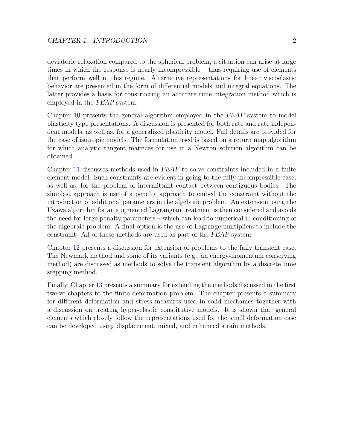deviatoric relaxation compared to the spherical problem, a situation can arise at large times in which the response is nearly incompressible – thus requiring use of elements that perform well in this regime. Alternative representations for linear viscoelastic behavior are presented in the form of differential models and integral equations. The latter provides a basis for constructing an accurate time integration method which is employed in the FEAP system.

Chapter [10](#page-84-0) presents the general algorithm employed in the FEAP system to model plasticity type presentations. A discussion is presented for both rate and rate independent models, as well as, for a generalized plasticity model. Full details are provided for the case of isotropic models. The formulation used is based on a return map algorithm for which analytic tangent matrices for use in a Newton solution algorithm can be obtained.

Chapter [11](#page-97-0) discusses methods used in FEAP to solve constraints included in a finite element model. Such constraints are evident in going to the fully incompressible case, as well as, for the problem of intermittant contact between contiguous bodies. The simplest approach is use of a penalty approach to embed the constraint without the introduction of additional parameters in the algebraic problem. An extension using the Uzawa algorithm for an augmented Lagrangian treatment is then considered and avoids the need for large penalty parameters – which can lead to numerical ill-conditioning of the algebraic problem. A final option is the use of Lagrange multipliers to include the constraint. All of these methods are used as part of the FEAP system.

Chapter [12](#page-104-0) presents a discussion for extension of problems to the fully transient case. The Newmark method and some of its variants (e.g., an energy-momentum conserving method) are discussed as methods to solve the transient algorithm by a discrete time stepping method.

Finally, Chapter [13](#page-109-0) presents a summary for extending the methods discussed in the first twelve chapters to the finite deformation problem. The chapter presents a summary for different deformation and stress measures used in solid mechanics together with a discussion on treating hyper-elastic constitutive models. It is shown that general elements which closely follow the representations used for the small deformation case can be developed using displacement, mixed, and enhanced strain methods.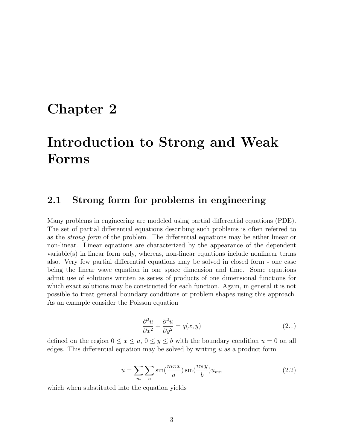## <span id="page-7-0"></span>Chapter 2

# Introduction to Strong and Weak Forms

#### <span id="page-7-1"></span>2.1 Strong form for problems in engineering

Many problems in engineering are modeled using partial differential equations (PDE). The set of partial differential equations describing such problems is often referred to as the strong form of the problem. The differential equations may be either linear or non-linear. Linear equations are characterized by the appearance of the dependent variable(s) in linear form only, whereas, non-linear equations include nonlinear terms also. Very few partial differential equations may be solved in closed form - one case being the linear wave equation in one space dimension and time. Some equations admit use of solutions written as series of products of one dimensional functions for which exact solutions may be constructed for each function. Again, in general it is not possible to treat general boundary conditions or problem shapes using this approach. As an example consider the Poisson equation

$$
\frac{\partial^2 u}{\partial x^2} + \frac{\partial^2 u}{\partial y^2} = q(x, y)
$$
\n(2.1)

defined on the region  $0 \le x \le a, 0 \le y \le b$  with the boundary condition  $u = 0$  on all edges. This differential equation may be solved by writing  $u$  as a product form

$$
u = \sum_{m} \sum_{n} \sin(\frac{m\pi x}{a}) \sin(\frac{n\pi y}{b}) u_{mn}
$$
 (2.2)

which when substituted into the equation yields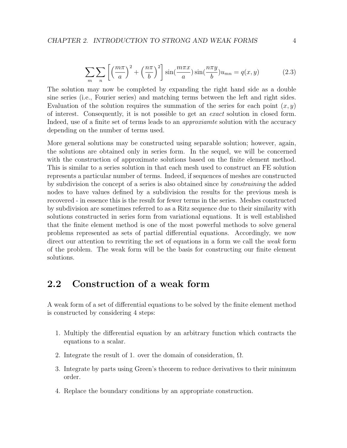$$
\sum_{m} \sum_{n} \left[ \left( \frac{m\pi}{a} \right)^2 + \left( \frac{n\pi}{b} \right)^2 \right] \sin\left( \frac{m\pi x}{a} \right) \sin\left( \frac{n\pi y}{b} \right) u_{mn} = q(x, y) \tag{2.3}
$$

The solution may now be completed by expanding the right hand side as a double sine series (i.e., Fourier series) and matching terms between the left and right sides. Evaluation of the solution requires the summation of the series for each point  $(x, y)$ of interest. Consequently, it is not possible to get an exact solution in closed form. Indeed, use of a finite set of terms leads to an *approxiamte* solution with the accuracy depending on the number of terms used.

More general solutions may be constructed using separable solution; however, again, the solutions are obtained only in series form. In the sequel, we will be concerned with the construction of approximate solutions based on the finite element method. This is similar to a series solution in that each mesh used to construct an FE solution represents a particular number of terms. Indeed, if sequences of meshes are constructed by subdivision the concept of a series is also obtained since by constraining the added nodes to have values defined by a subdivision the results for the previous mesh is recovered - in essence this is the result for fewer terms in the series. Meshes constructed by subdivision are sometimes referred to as a Ritz sequence due to their similarity with solutions constructed in series form from variational equations. It is well established that the finite element method is one of the most powerful methods to solve general problems represented as sets of partial differential equations. Accordingly, we now direct our attention to rewriting the set of equations in a form we call the weak form of the problem. The weak form will be the basis for constructing our finite element solutions.

### <span id="page-8-0"></span>2.2 Construction of a weak form

A weak form of a set of differential equations to be solved by the finite element method is constructed by considering 4 steps:

- 1. Multiply the differential equation by an arbitrary function which contracts the equations to a scalar.
- 2. Integrate the result of 1. over the domain of consideration,  $\Omega$ .
- 3. Integrate by parts using Green's theorem to reduce derivatives to their minimum order.
- 4. Replace the boundary conditions by an appropriate construction.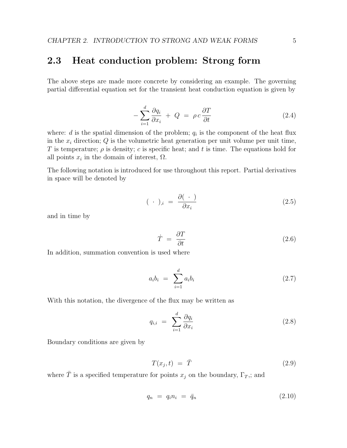### <span id="page-9-0"></span>2.3 Heat conduction problem: Strong form

The above steps are made more concrete by considering an example. The governing partial differential equation set for the transient heat conduction equation is given by

<span id="page-9-1"></span>
$$
-\sum_{i=1}^{d} \frac{\partial q_i}{\partial x_i} + Q = \rho c \frac{\partial T}{\partial t}
$$
 (2.4)

where:  $d$  is the spatial dimension of the problem;  $q_i$  is the component of the heat flux in the  $x_i$  direction;  $Q$  is the volumetric heat generation per unit volume per unit time, T is temperature;  $\rho$  is density; c is specific heat; and t is time. The equations hold for all points  $x_i$  in the domain of interest,  $\Omega$ .

The following notation is introduced for use throughout this report. Partial derivatives in space will be denoted by

$$
(\ \cdot \ )_{,i} \ = \ \frac{\partial (\ \cdot \ )}{\partial x_i} \tag{2.5}
$$

and in time by

$$
\dot{T} = \frac{\partial T}{\partial t} \tag{2.6}
$$

In addition, summation convention is used where

$$
a_i b_i = \sum_{i=1}^d a_i b_i \tag{2.7}
$$

With this notation, the divergence of the flux may be written as

$$
q_{i,i} = \sum_{i=1}^{d} \frac{\partial q_i}{\partial x_i} \tag{2.8}
$$

Boundary conditions are given by

$$
T(x_j, t) = \bar{T} \tag{2.9}
$$

where  $\bar{T}$  is a specified temperature for points  $x_j$  on the boundary,  $\Gamma_T$ ,; and

<span id="page-9-2"></span>
$$
q_n = q_i n_i = \bar{q}_n \tag{2.10}
$$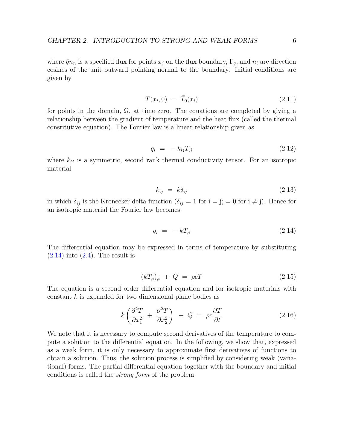where  $\bar{q}n_n$  is a specified flux for points  $x_j$  on the flux boundary,  $\Gamma_q$ , and  $n_i$  are direction cosines of the unit outward pointing normal to the boundary. Initial conditions are given by

$$
T(x_i, 0) = \bar{T}_0(x_i)
$$
\n(2.11)

for points in the domain,  $\Omega$ , at time zero. The equations are completed by giving a relationship between the gradient of temperature and the heat flux (called the thermal constitutive equation). The Fourier law is a linear relationship given as

$$
q_i = -k_{ij}T_{,j} \tag{2.12}
$$

where  $k_{ij}$  is a symmetric, second rank thermal conductivity tensor. For an isotropic material

$$
k_{ij} = k\delta_{ij} \tag{2.13}
$$

in which  $\delta_{ij}$  is the Kronecker delta function  $(\delta_{ij} = 1$  for  $i = j; = 0$  for  $i \neq j$ ). Hence for an isotropic material the Fourier law becomes

<span id="page-10-0"></span>
$$
q_i = -kT_{,i} \tag{2.14}
$$

The differential equation may be expressed in terms of temperature by substituting  $(2.14)$  into  $(2.4)$ . The result is

$$
(kT_{,i})_{,i} + Q = \rho c\dot{T} \tag{2.15}
$$

The equation is a second order differential equation and for isotropic materials with constant k is expanded for two dimensional plane bodies as

$$
k\left(\frac{\partial^2 T}{\partial x_1^2} + \frac{\partial^2 T}{\partial x_2^2}\right) + Q = \rho c \frac{\partial T}{\partial t}
$$
 (2.16)

We note that it is necessary to compute second derivatives of the temperature to compute a solution to the differential equation. In the following, we show that, expressed as a weak form, it is only necessary to approximate first derivatives of functions to obtain a solution. Thus, the solution process is simplified by considering weak (variational) forms. The partial differential equation together with the boundary and initial conditions is called the strong form of the problem.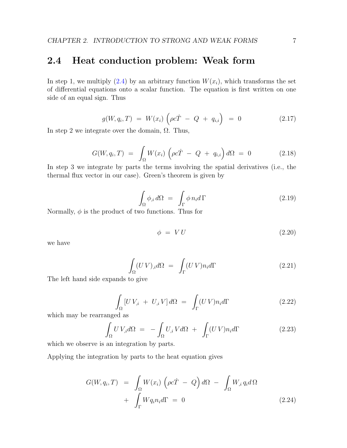### <span id="page-11-0"></span>2.4 Heat conduction problem: Weak form

In step 1, we multiply  $(2.4)$  by an arbitrary function  $W(x_i)$ , which transforms the set of differential equations onto a scalar function. The equation is first written on one side of an equal sign. Thus

$$
g(W, q_i, T) = W(x_i) \left( \rho c \dot{T} - Q + q_{i,i} \right) = 0 \qquad (2.17)
$$

In step 2 we integrate over the domain,  $\Omega$ . Thus,

$$
G(W, q_i, T) = \int_{\Omega} W(x_i) \left( \rho c \dot{T} - Q + q_{i,i} \right) d\Omega = 0 \qquad (2.18)
$$

In step 3 we integrate by parts the terms involving the spatial derivatives (i.e., the thermal flux vector in our case). Green's theorem is given by

$$
\int_{\Omega} \phi_{,i} d\Omega = \int_{\Gamma} \phi \, n_i d\Gamma \tag{2.19}
$$

Normally,  $\phi$  is the product of two functions. Thus for

$$
\phi = V U \tag{2.20}
$$

we have

$$
\int_{\Omega} (UV)_{,i} d\Omega = \int_{\Gamma} (UV) n_i d\Gamma \tag{2.21}
$$

The left hand side expands to give

$$
\int_{\Omega} \left[ U V_{,i} + U_{,i} V \right] d\Omega = \int_{\Gamma} (U V) n_i d\Gamma \tag{2.22}
$$

which may be rearranged as

$$
\int_{\Omega} U V_{,i} d\Omega = - \int_{\Omega} U_{,i} V d\Omega + \int_{\Gamma} (U V) n_{i} d\Gamma \tag{2.23}
$$

which we observe is an integration by parts.

Applying the integration by parts to the heat equation gives

<span id="page-11-1"></span>
$$
G(W, q_i, T) = \int_{\Omega} W(x_i) \left( \rho c \dot{T} - Q \right) d\Omega - \int_{\Omega} W_{,i} q_i d\Omega
$$
  
+ 
$$
\int_{\Gamma} W q_i n_i d\Gamma = 0
$$
 (2.24)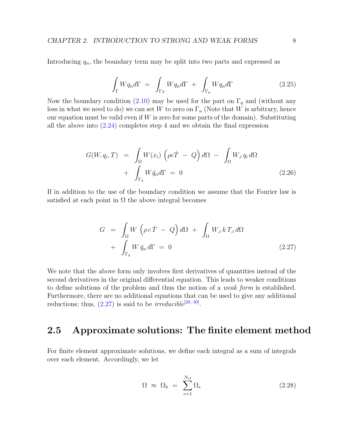Introducing  $q_n$ , the boundary term may be split into two parts and expressed as

$$
\int_{\Gamma} W q_n d\Gamma = \int_{\Gamma_T} W q_n d\Gamma + \int_{\Gamma_q} W q_n d\Gamma \tag{2.25}
$$

Now the boundary condition [\(2.10\)](#page-9-2) may be used for the part on  $\Gamma_q$  and (without any loss in what we need to do) we can set W to zero on  $\Gamma_u$  (Note that W is arbitrary, hence our equation must be valid even if  $W$  is zero for some parts of the domain). Substituting all the above into [\(2.24\)](#page-11-1) completes step 4 and we obtain the final expression

$$
G(W, q_i, T) = \int_{\Omega} W(x_i) \left( \rho c \dot{T} - Q \right) d\Omega - \int_{\Omega} W_{,i} q_i d\Omega
$$
  
+ 
$$
\int_{\Gamma_q} W \bar{q}_n d\Gamma = 0
$$
 (2.26)

If in addition to the use of the boundary condition we assume that the Fourier law is satisfied at each point in  $\Omega$  the above integral becomes

<span id="page-12-1"></span>
$$
G = \int_{\Omega} W \left( \rho c \dot{T} - Q \right) d\Omega + \int_{\Omega} W_{,i} k T_{,i} d\Omega
$$
  
+ 
$$
\int_{\Gamma_q} W \bar{q}_n d\Gamma = 0
$$
 (2.27)

We note that the above form only involves first derivatives of quantities instead of the second derivatives in the original differential equation. This leads to weaker conditions to define solutions of the problem and thus the notion of a weak form is established. Furthermore, there are no additional equations that can be used to give any additional reductions; thus,  $(2.27)$  is said to be *irreducible*<sup>[\[29,](#page-132-0) [30\]](#page-132-1)</sup>.

### <span id="page-12-0"></span>2.5 Approximate solutions: The finite element method

For finite element approximate solutions, we define each integral as a sum of integrals over each element. Accordingly, we let

$$
\Omega \approx \Omega_h = \sum_{e=1}^{N_{el}} \Omega_e \tag{2.28}
$$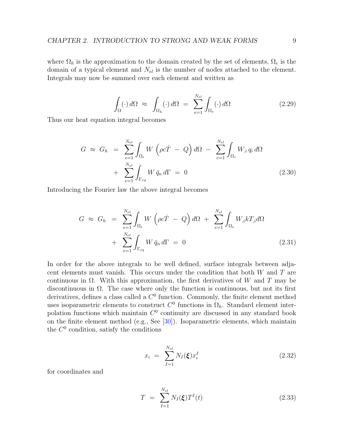where  $\Omega_h$  is the approximation to the domain created by the set of elements,  $\Omega_e$  is the domain of a typical element and  $N_{el}$  is the number of nodes attached to the element. Integrals may now be summed over each element and written as

$$
\int_{\Omega} (\cdot) d\Omega \approx \int_{\Omega_h} (\cdot) d\Omega = \sum_{e=1}^{N_{el}} \int_{\Omega_e} (\cdot) d\Omega \qquad (2.29)
$$

Thus our heat equation integral becomes

$$
G \approx G_h = \sum_{e=1}^{N_{el}} \int_{\Omega_e} W \left( \rho c \dot{T} - Q \right) d\Omega - \sum_{e=1}^{N_{el}} \int_{\Omega_e} W_{,i} q_i d\Omega
$$
  
+ 
$$
\sum_{e=1}^{N_{el}} \int_{\Gamma_{eq}} W \bar{q}_n d\Gamma = 0
$$
 (2.30)

Introducing the Fourier law the above integral becomes

$$
G \approx G_h = \sum_{e=1}^{N_{el}} \int_{\Omega_e} W \left( \rho c \dot{T} - Q \right) d\Omega + \sum_{e=1}^{N_{el}} \int_{\Omega_e} W_{,i} k T_{,i} d\Omega
$$
  
+ 
$$
\sum_{e=1}^{N_{el}} \int_{\Gamma_{eq}} W \bar{q}_n d\Gamma = 0
$$
 (2.31)

In order for the above integrals to be well defined, surface integrals between adjacent elements must vanish. This occurs under the condition that both W and T are continuous in  $\Omega$ . With this approximation, the first derivatives of W and T may be discontinuous in  $\Omega$ . The case where only the function is continuous, but not its first derivatives, defines a class called a  $C<sup>0</sup>$  function. Commonly, the finite element method uses isoparametric elements to construct  $C^0$  functions in  $\Omega_h$ . Standard element interpolation functions which maintain  $C^0$  continuity are discussed in any standard book on the finite element method (e.g., See [\[30\]](#page-132-1)). Isoparametric elements, which maintain the  $C^0$  condition, satisfy the conditions

$$
x_i = \sum_{I=1}^{N_{el}} N_I(\xi) x_i^I
$$
 (2.32)

for coordinates and

$$
T = \sum_{I=1}^{N_{el}} N_I(\xi) T^I(t)
$$
\n(2.33)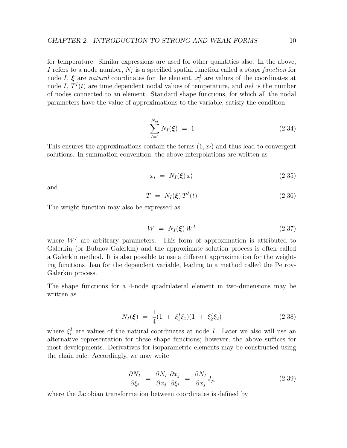for temperature. Similar expressions are used for other quantities also. In the above, I refers to a node number,  $N_I$  is a specified spatial function called a *shape function* for node I,  $\xi$  are natural coordinates for the element,  $x_i^I$  are values of the coordinates at node I,  $T^{I}(t)$  are time dependent nodal values of temperature, and nel is the number of nodes connected to an element. Standard shape functions, for which all the nodal parameters have the value of approximations to the variable, satisfy the condition

$$
\sum_{I=1}^{N_{el}} N_I(\xi) = 1 \tag{2.34}
$$

This ensures the approximations contain the terms  $(1, x_i)$  and thus lead to convergent solutions. In summation convention, the above interpolations are written as

$$
x_i = N_I(\xi) x_i^I \tag{2.35}
$$

and

$$
T = N_I(\xi) T^I(t) \tag{2.36}
$$

The weight function may also be expressed as

$$
W = N_I(\xi) W^I \tag{2.37}
$$

where  $W<sup>I</sup>$  are arbitrary parameters. This form of approximation is attributed to Galerkin (or Bubnov-Galerkin) and the approximate solution process is often called a Galerkin method. It is also possible to use a different approximation for the weighting functions than for the dependent variable, leading to a method called the Petrov-Galerkin process.

The shape functions for a 4-node quadrilateral element in two-dimensions may be written as

$$
N_I(\xi) = \frac{1}{4}(1 + \xi_1^I \xi_1)(1 + \xi_2^I \xi_2)
$$
\n(2.38)

where  $\xi_i^I$  are values of the natural coordinates at node I. Later we also will use an alternative representation for these shape functions; however, the above suffices for most developments. Derivatives for isoparametric elements may be constructed using the chain rule. Accordingly, we may write

$$
\frac{\partial N_I}{\partial \xi_i} = \frac{\partial N_I}{\partial x_j} \frac{\partial x_j}{\partial \xi_i} = \frac{\partial N_I}{\partial x_j} J_{ji}
$$
\n(2.39)

where the Jacobian transformation between coordinates is defined by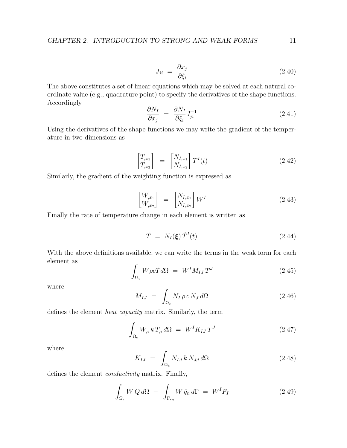$$
J_{ji} = \frac{\partial x_j}{\partial \xi_i} \tag{2.40}
$$

The above constitutes a set of linear equations which may be solved at each natural coordinate value (e.g., quadrature point) to specify the derivatives of the shape functions. Accordingly

$$
\frac{\partial N_I}{\partial x_j} = \frac{\partial N_I}{\partial \xi_i} J_{ji}^{-1} \tag{2.41}
$$

Using the derivatives of the shape functions we may write the gradient of the temperature in two dimensions as

$$
\begin{bmatrix} T_{,x_1} \\ T_{,x_2} \end{bmatrix} = \begin{bmatrix} N_{I,x_1} \\ N_{I,x_2} \end{bmatrix} T^I(t) \qquad (2.42)
$$

Similarly, the gradient of the weighting function is expressed as

$$
\begin{bmatrix} W_{,x_1} \\ W_{,x_2} \end{bmatrix} = \begin{bmatrix} N_{I,x_1} \\ N_{I,x_2} \end{bmatrix} W^I
$$
 (2.43)

Finally the rate of temperature change in each element is written as

$$
\dot{T} = N_I(\boldsymbol{\xi}) \dot{T}^I(t) \tag{2.44}
$$

With the above definitions available, we can write the terms in the weak form for each element as

$$
\int_{\Omega_e} W \rho c \dot{T} d\Omega = W^I M_{IJ} \dot{T}^J \qquad (2.45)
$$

where

$$
M_{IJ} = \int_{\Omega_e} N_I \, \rho \, c \, N_J \, d\Omega \tag{2.46}
$$

defines the element heat capacity matrix. Similarly, the term

$$
\int_{\Omega_e} W_{,i} k T_{,i} d\Omega = W^I K_{IJ} T^J \qquad (2.47)
$$

where

$$
K_{IJ} = \int_{\Omega_e} N_{I,i} k N_{J,i} d\Omega \qquad (2.48)
$$

defines the element conductivity matrix. Finally,

$$
\int_{\Omega_e} W \, Q \, d\Omega \ - \ \int_{\Gamma_{eq}} W \, \bar{q}_n \, d\Gamma \ = \ W^I F_I \tag{2.49}
$$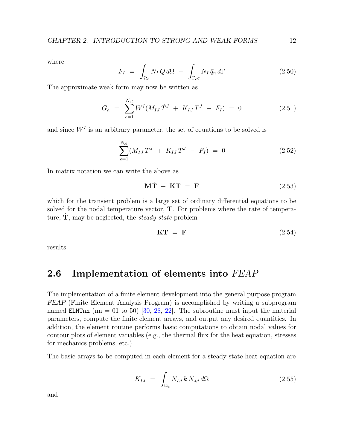where

$$
F_I = \int_{\Omega_e} N_I Q \, d\Omega - \int_{\Gamma_{eq}} N_I \, \bar{q}_n \, d\Gamma \tag{2.50}
$$

The approximate weak form may now be written as

$$
G_h = \sum_{e=1}^{N_{el}} W^I (M_{IJ} \dot{T}^J + K_{IJ} T^J - F_I) = 0 \qquad (2.51)
$$

and since  $W<sup>I</sup>$  is an arbitrary parameter, the set of equations to be solved is

$$
\sum_{e=1}^{N_{el}} (M_{IJ} \dot{T}^J + K_{IJ} T^J - F_I) = 0 \qquad (2.52)
$$

In matrix notation we can write the above as

$$
\mathbf{M}\dot{\mathbf{T}} + \mathbf{K}\mathbf{T} = \mathbf{F} \tag{2.53}
$$

which for the transient problem is a large set of ordinary differential equations to be solved for the nodal temperature vector, T. For problems where the rate of temperature,  $\dot{T}$ , may be neglected, the *steady state* problem

$$
\mathbf{KT} = \mathbf{F} \tag{2.54}
$$

results.

### <span id="page-16-0"></span>2.6 Implementation of elements into FEAP

The implementation of a finite element development into the general purpose program FEAP (Finite Element Analysis Program) is accomplished by writing a subprogram named ELMTnn (nn = 01 to 50) [\[30,](#page-132-1) [28,](#page-132-2) [22\]](#page-131-1). The subroutine must input the material parameters, compute the finite element arrays, and output any desired quantities. In addition, the element routine performs basic computations to obtain nodal values for contour plots of element variables (e.g., the thermal flux for the heat equation, stresses for mechanics problems, etc.).

The basic arrays to be computed in each element for a steady state heat equation are

$$
K_{IJ} = \int_{\Omega_e} N_{I,i} k N_{J,i} d\Omega \qquad (2.55)
$$

and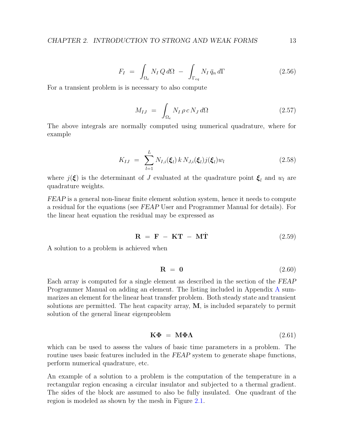$$
F_I = \int_{\Omega_e} N_I Q \, d\Omega - \int_{\Gamma_{eq}} N_I \, \bar{q}_n \, d\Gamma \tag{2.56}
$$

For a transient problem is is necessary to also compute

$$
M_{IJ} = \int_{\Omega_e} N_I \rho c N_J d\Omega \qquad (2.57)
$$

The above integrals are normally computed using numerical quadrature, where for example

$$
K_{IJ} = \sum_{l=1}^{L} N_{I,i}(\xi_l) k N_{J,i}(\xi_l) j(\xi_l) w_l
$$
 (2.58)

where  $j(\xi)$  is the determinant of J evaluated at the quadrature point  $\xi_l$  and  $w_l$  are quadrature weights.

FEAP is a general non-linear finite element solution system, hence it needs to compute a residual for the equations (see FEAP User and Programmer Manual for details). For the linear heat equation the residual may be expressed as

$$
\mathbf{R} = \mathbf{F} - \mathbf{K}\mathbf{T} - \mathbf{M}\dot{\mathbf{T}} \tag{2.59}
$$

A solution to a problem is achieved when

$$
\mathbf{R} = \mathbf{0} \tag{2.60}
$$

Each array is computed for a single element as described in the section of the FEAP Programmer Manual on adding an element. The listing included in Appendix [A](#page-133-0) summarizes an element for the linear heat transfer problem. Both steady state and transient solutions are permitted. The heat capacity array, M, is included separately to permit solution of the general linear eigenproblem

$$
\mathbf{K}\mathbf{\Phi} = \mathbf{M}\mathbf{\Phi}\mathbf{\Lambda} \tag{2.61}
$$

which can be used to assess the values of basic time parameters in a problem. The routine uses basic features included in the FEAP system to generate shape functions, perform numerical quadrature, etc.

An example of a solution to a problem is the computation of the temperature in a rectangular region encasing a circular insulator and subjected to a thermal gradient. The sides of the block are assumed to also be fully insulated. One quadrant of the region is modeled as shown by the mesh in Figure [2.1.](#page-18-0)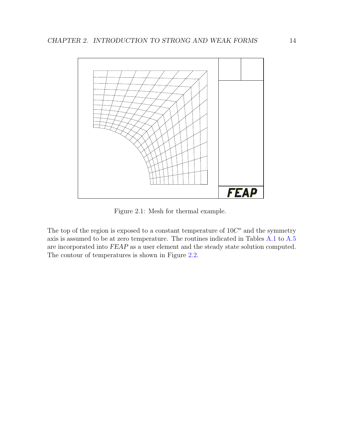

<span id="page-18-0"></span>Figure 2.1: Mesh for thermal example.

The top of the region is exposed to a constant temperature of  $10C<sup>o</sup>$  and the symmetry axis is assumed to be at zero temperature. The routines indicated in Tables [A.1](#page-134-0) to [A.5](#page-138-0) are incorporated into FEAP as a user element and the steady state solution computed. The contour of temperatures is shown in Figure [2.2.](#page-19-0)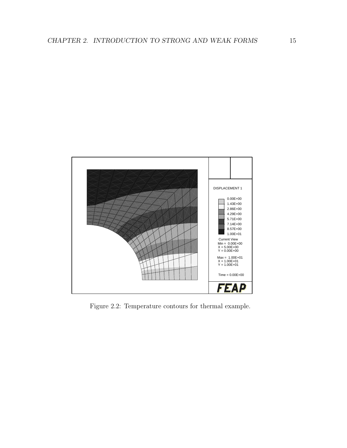

<span id="page-19-0"></span>Figure 2.2: Temperature contours for thermal example.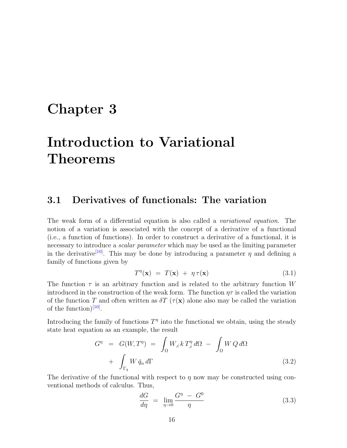# <span id="page-20-0"></span>Chapter 3

# Introduction to Variational Theorems

#### <span id="page-20-1"></span>3.1 Derivatives of functionals: The variation

The weak form of a differential equation is also called a variational equation. The notion of a variation is associated with the concept of a derivative of a functional (i.e., a function of functions). In order to construct a derivative of a functional, it is necessary to introduce a scalar parameter which may be used as the limiting parameter in the derivative<sup>[\[10\]](#page-130-0)</sup>. This may be done by introducing a parameter  $\eta$  and defining a family of functions given by

<span id="page-20-2"></span>
$$
T^{\eta}(\mathbf{x}) = T(\mathbf{x}) + \eta \tau(\mathbf{x}) \tag{3.1}
$$

The function  $\tau$  is an arbitrary function and is related to the arbitrary function W introduced in the construction of the weak form. The function  $\eta\tau$  is called the variation of the function T and often written as  $\delta T$  ( $\tau(\mathbf{x})$ ) alone also may be called the variation of the function) $[10]$ .

Introducing the family of functions  $T<sup>\eta</sup>$  into the functional we obtain, using the steady state heat equation as an example, the result

<span id="page-20-4"></span>
$$
G^{\eta} = G(W, T^{\eta}) = \int_{\Omega} W_{,i} k T_{,i}^{\eta} d\Omega - \int_{\Omega} W Q d\Omega
$$

$$
+ \int_{\Gamma_q} W \bar{q}_n d\Gamma \qquad (3.2)
$$

The derivative of the functional with respect to  $\eta$  now may be constructed using conventional methods of calculus. Thus,

<span id="page-20-3"></span>
$$
\frac{dG}{d\eta} = \lim_{\eta \to 0} \frac{G^{\eta} - G^0}{\eta} \tag{3.3}
$$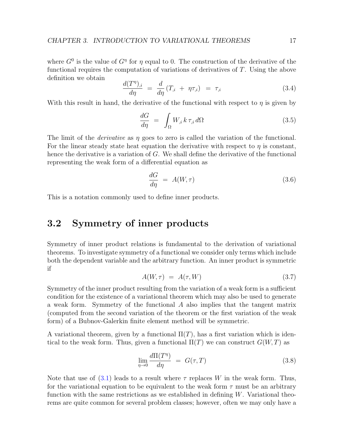where  $G^0$  is the value of  $G^{\eta}$  for  $\eta$  equal to 0. The construction of the derivative of the functional requires the computation of variations of derivatives of T. Using the above definition we obtain

$$
\frac{d(T^{\eta})_{,i}}{d\eta} = \frac{d}{d\eta} (T_{,i} + \eta \tau_{,i}) = \tau_{,i} \tag{3.4}
$$

With this result in hand, the derivative of the functional with respect to  $\eta$  is given by

$$
\frac{dG}{d\eta} = \int_{\Omega} W_{,i} k \,\tau_{,i} \,d\Omega \tag{3.5}
$$

The limit of the *derivative* as  $\eta$  goes to zero is called the variation of the functional. For the linear steady state heat equation the derivative with respect to  $\eta$  is constant, hence the derivative is a variation of  $G$ . We shall define the derivative of the functional representing the weak form of a differential equation as

$$
\frac{dG}{d\eta} = A(W, \tau) \tag{3.6}
$$

This is a notation commonly used to define inner products.

#### <span id="page-21-0"></span>3.2 Symmetry of inner products

Symmetry of inner product relations is fundamental to the derivation of variational theorems. To investigate symmetry of a functional we consider only terms which include both the dependent variable and the arbitrary function. An inner product is symmetric if

$$
A(W,\tau) = A(\tau,W) \tag{3.7}
$$

Symmetry of the inner product resulting from the variation of a weak form is a sufficient condition for the existence of a variational theorem which may also be used to generate a weak form. Symmetry of the functional A also implies that the tangent matrix (computed from the second variation of the theorem or the first variation of the weak form) of a Bubnov-Galerkin finite element method will be symmetric.

A variational theorem, given by a functional  $\Pi(T)$ , has a first variation which is identical to the weak form. Thus, given a functional  $\Pi(T)$  we can construct  $G(W,T)$  as

<span id="page-21-1"></span>
$$
\lim_{\eta \to 0} \frac{d\Pi(T^{\eta})}{d\eta} = G(\tau, T) \tag{3.8}
$$

Note that use of  $(3.1)$  leads to a result where  $\tau$  replaces W in the weak form. Thus, for the variational equation to be equivalent to the weak form  $\tau$  must be an arbitrary function with the same restrictions as we established in defining  $W$ . Variational theorems are quite common for several problem classes; however, often we may only have a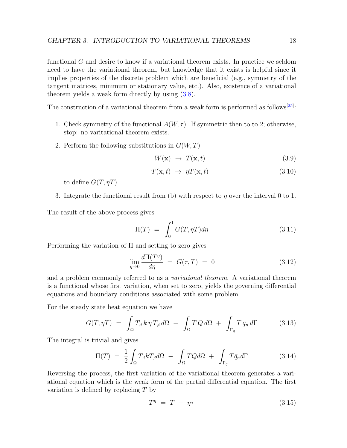functional G and desire to know if a variational theorem exists. In practice we seldom need to have the variational theorem, but knowledge that it exists is helpful since it implies properties of the discrete problem which are beneficial (e.g., symmetry of the tangent matrices, minimum or stationary value, etc.). Also, existence of a variational theorem yields a weak form directly by using [\(3.8\)](#page-21-1).

The construction of a variational theorem from a weak form is performed as follows<sup>[\[25\]](#page-132-3)</sup>:

- 1. Check symmetry of the functional  $A(W, \tau)$ . If symmetric then to to 2; otherwise, stop: no varitational theorem exists.
- 2. Perform the following substitutions in  $G(W, T)$

$$
W(\mathbf{x}) \rightarrow T(\mathbf{x}, t) \tag{3.9}
$$

$$
T(\mathbf{x},t) \rightarrow \eta T(\mathbf{x},t) \tag{3.10}
$$

to define  $G(T, \eta T)$ 

3. Integrate the functional result from (b) with respect to  $\eta$  over the interval 0 to 1.

The result of the above process gives

$$
\Pi(T) = \int_0^1 G(T, \eta T) d\eta \tag{3.11}
$$

Performing the variation of Π and setting to zero gives

<span id="page-22-0"></span>
$$
\lim_{\eta \to 0} \frac{d\Pi(T^{\eta})}{d\eta} = G(\tau, T) = 0 \tag{3.12}
$$

and a problem commonly referred to as a variational theorem. A variational theorem is a functional whose first variation, when set to zero, yields the governing differential equations and boundary conditions associated with some problem.

For the steady state heat equation we have

$$
G(T, \eta T) = \int_{\Omega} T_{,i} k \eta T_{,i} d\Omega - \int_{\Omega} T Q d\Omega + \int_{\Gamma_q} T \bar{q}_n d\Gamma \qquad (3.13)
$$

The integral is trivial and gives

<span id="page-22-1"></span>
$$
\Pi(T) = \frac{1}{2} \int_{\Omega} T_{,i} k T_{,i} d\Omega - \int_{\Omega} T Q d\Omega + \int_{\Gamma_q} T \bar{q}_n d\Gamma \tag{3.14}
$$

Reversing the process, the first variation of the variational theorem generates a variational equation which is the weak form of the partial differential equation. The first variation is defined by replacing T by

$$
T^{\eta} = T + \eta \tau \tag{3.15}
$$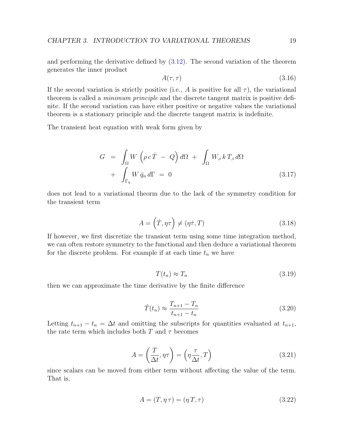and performing the derivative defined by [\(3.12\)](#page-22-0). The second variation of the theorem generates the inner product

$$
A(\tau, \tau) \tag{3.16}
$$

If the second variation is strictly positive (i.e., A is positive for all  $\tau$ ), the variational theorem is called a *minimum principle* and the discrete tangent matrix is positive definite. If the second variation can have either positive or negative values the variational theorem is a stationary principle and the discrete tangent matrix is indefinite.

The transient heat equation with weak form given by

$$
G = \int_{\Omega} W \left( \rho c \dot{T} - Q \right) d\Omega + \int_{\Omega} W_{,i} k T_{,i} d\Omega
$$

$$
+ \int_{\Gamma_q} W \bar{q}_n d\Gamma = 0 \qquad (3.17)
$$

does not lead to a variational theorm due to the lack of the symmetry condition for the transient term

$$
A = \left(\dot{T}, \eta \tau\right) \neq \left(\eta \dot{\tau}, T\right) \tag{3.18}
$$

If however, we first discretize the transient term using some time integration method, we can often restore symmetry to the functional and then deduce a variational theorem for the discrete problem. For example if at each time  $t_n$  we have

$$
T(t_n) \approx T_n \tag{3.19}
$$

then we can approximate the time derivative by the finite difference

$$
\dot{T}(t_n) \approx \frac{T_{n+1} - T_n}{t_{n+1} - t_n} \tag{3.20}
$$

Letting  $t_{n+1} - t_n = \Delta t$  and omitting the subscripts for quantities evaluated at  $t_{n+1}$ , the rate term which includes both T and  $\tau$  becomes

$$
A = \left(\frac{T}{\Delta t}, \eta \tau\right) = \left(\eta \frac{\tau}{\Delta t}, T\right) \tag{3.21}
$$

since scalars can be moved from either term without affecting the value of the term. That is,

$$
A = (T, \eta \tau) = (\eta T, \tau) \tag{3.22}
$$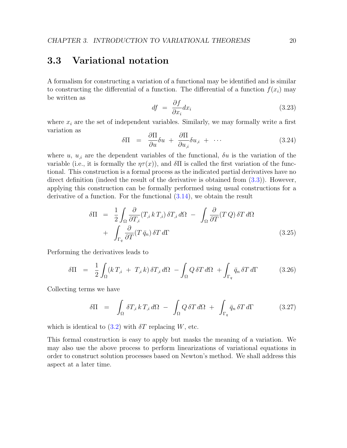### <span id="page-24-0"></span>3.3 Variational notation

A formalism for constructing a variation of a functional may be identified and is similar to constructing the differential of a function. The differential of a function  $f(x_i)$  may be written as

<span id="page-24-1"></span>
$$
df = \frac{\partial f}{\partial x_i} dx_i \tag{3.23}
$$

where  $x_i$  are the set of independent variables. Similarly, we may formally write a first variation as

$$
\delta \Pi = \frac{\partial \Pi}{\partial u} \delta u + \frac{\partial \Pi}{\partial u_{,i}} \delta u_{,i} + \cdots \qquad (3.24)
$$

where u,  $u_i$  are the dependent variables of the functional,  $\delta u$  is the variation of the variable (i.e., it is formally the  $\eta\tau(x)$ ), and  $\delta\Pi$  is called the first variation of the functional. This construction is a formal process as the indicated partial derivatives have no direct definition (indeed the result of the derivative is obtained from [\(3.3\)](#page-20-3)). However, applying this construction can be formally performed using usual constructions for a derivative of a function. For the functional [\(3.14\)](#page-22-1), we obtain the result

$$
\delta\Pi = \frac{1}{2} \int_{\Omega} \frac{\partial}{\partial T_{,i}} (T_{,i} k T_{,i}) \, \delta T_{,i} \, d\Omega - \int_{\Omega} \frac{\partial}{\partial T} (T Q) \, \delta T \, d\Omega
$$

$$
+ \int_{\Gamma_q} \frac{\partial}{\partial T} (T \, \bar{q}_n) \, \delta T \, d\Gamma \tag{3.25}
$$

Performing the derivatives leads to

$$
\delta \Pi = \frac{1}{2} \int_{\Omega} (k \, T_{,i} + T_{,i} \, k) \, \delta T_{,i} \, d\Omega - \int_{\Omega} Q \, \delta T \, d\Omega + \int_{\Gamma_q} \bar{q}_n \, \delta T \, d\Gamma \tag{3.26}
$$

Collecting terms we have

$$
\delta \Pi = \int_{\Omega} \delta T_{,i} k T_{,i} d\Omega - \int_{\Omega} Q \, \delta T d\Omega + \int_{\Gamma_q} \bar{q}_n \, \delta T d\Gamma \tag{3.27}
$$

which is identical to  $(3.2)$  with  $\delta T$  replacing W, etc.

This formal construction is easy to apply but masks the meaning of a variation. We may also use the above process to perform linearizations of variational equations in order to construct solution processes based on Newton's method. We shall address this aspect at a later time.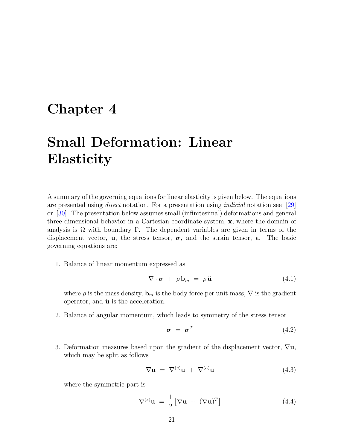## <span id="page-25-0"></span>Chapter 4

# Small Deformation: Linear **Elasticity**

A summary of the governing equations for linear elasticity is given below. The equations are presented using *direct* notation. For a presentation using *indicial* notation see [\[29\]](#page-132-0) or [\[30\]](#page-132-1). The presentation below assumes small (infinitesimal) deformations and general three dimensional behavior in a Cartesian coordinate system, x, where the domain of analysis is  $\Omega$  with boundary  $\Gamma$ . The dependent variables are given in terms of the displacement vector, **u**, the stress tensor,  $\sigma$ , and the strain tensor,  $\epsilon$ . The basic governing equations are:

1. Balance of linear momentum expressed as

<span id="page-25-1"></span>
$$
\nabla \cdot \boldsymbol{\sigma} + \rho \mathbf{b}_m = \rho \ddot{\mathbf{u}} \tag{4.1}
$$

where  $\rho$  is the mass density,  $\mathbf{b}_m$  is the body force per unit mass,  $\nabla$  is the gradient operator, and  $\ddot{\mathbf{u}}$  is the acceleration.

2. Balance of angular momentum, which leads to symmetry of the stress tensor

$$
\boldsymbol{\sigma} = \boldsymbol{\sigma}^T \tag{4.2}
$$

3. Deformation measures based upon the gradient of the displacement vector,  $\nabla$ **u**, which may be split as follows

$$
\nabla \mathbf{u} = \nabla^{(s)} \mathbf{u} + \nabla^{(a)} \mathbf{u} \tag{4.3}
$$

where the symmetric part is

$$
\nabla^{(s)} \mathbf{u} = \frac{1}{2} [\nabla \mathbf{u} + (\nabla \mathbf{u})^T]
$$
(4.4)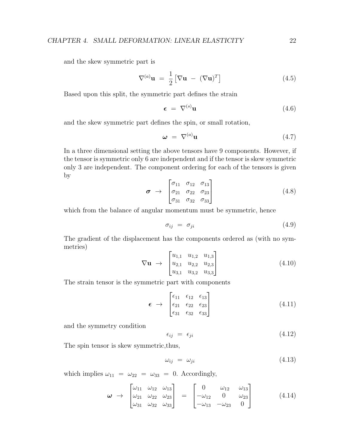and the skew symmetric part is

$$
\nabla^{(a)} \mathbf{u} = \frac{1}{2} [\nabla \mathbf{u} - (\nabla \mathbf{u})^T]
$$
(4.5)

Based upon this split, the symmetric part defines the strain

<span id="page-26-0"></span>
$$
\boldsymbol{\epsilon} = \nabla^{(s)} \mathbf{u} \tag{4.6}
$$

and the skew symmetric part defines the spin, or small rotation,

$$
\mathbf{\omega} = \nabla^{(a)} \mathbf{u} \tag{4.7}
$$

In a three dimensional setting the above tensors have 9 components. However, if the tensor is symmetric only 6 are independent and if the tensor is skew symmetric only 3 are independent. The component ordering for each of the tensors is given by

$$
\boldsymbol{\sigma} \rightarrow \begin{bmatrix} \sigma_{11} & \sigma_{12} & \sigma_{13} \\ \sigma_{21} & \sigma_{22} & \sigma_{23} \\ \sigma_{31} & \sigma_{32} & \sigma_{33} \end{bmatrix} \tag{4.8}
$$

which from the balance of angular momentum must be symmetric, hence

$$
\sigma_{ij} = \sigma_{ji} \tag{4.9}
$$

The gradient of the displacement has the components ordered as (with no symmetries)

$$
\nabla \mathbf{u} \rightarrow \begin{bmatrix} u_{1,1} & u_{1,2} & u_{1,3} \\ u_{2,1} & u_{2,2} & u_{2,3} \\ u_{3,1} & u_{3,2} & u_{3,3} \end{bmatrix}
$$
(4.10)

The strain tensor is the symmetric part with components

$$
\boldsymbol{\epsilon} \rightarrow \begin{bmatrix} \epsilon_{11} & \epsilon_{12} & \epsilon_{13} \\ \epsilon_{21} & \epsilon_{22} & \epsilon_{23} \\ \epsilon_{31} & \epsilon_{32} & \epsilon_{33} \end{bmatrix} \tag{4.11}
$$

and the symmetry condition

$$
\epsilon_{ij} = \epsilon_{ji} \tag{4.12}
$$

The spin tensor is skew symmetric,thus,

$$
\omega_{ij} = \omega_{ji} \tag{4.13}
$$

which implies  $\omega_{11} = \omega_{22} = \omega_{33} = 0$ . Accordingly,

$$
\boldsymbol{\omega} \rightarrow \begin{bmatrix} \omega_{11} & \omega_{12} & \omega_{13} \\ \omega_{21} & \omega_{22} & \omega_{23} \\ \omega_{31} & \omega_{32} & \omega_{33} \end{bmatrix} = \begin{bmatrix} 0 & \omega_{12} & \omega_{13} \\ -\omega_{12} & 0 & \omega_{23} \\ -\omega_{13} & -\omega_{23} & 0 \end{bmatrix}
$$
(4.14)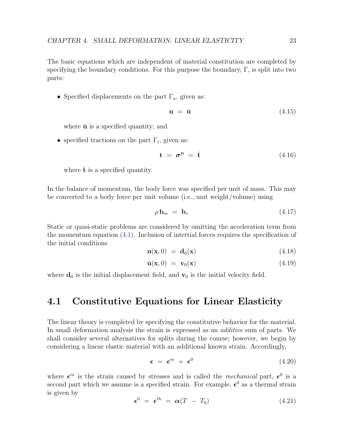The basic equations which are independent of material constitution are completed by specifying the boundary conditions. For this purpose the boundary,  $\Gamma$ , is split into two parts:

• Specified displacements on the part  $\Gamma_u$ , given as:

<span id="page-27-1"></span>
$$
\mathbf{u} = \bar{\mathbf{u}} \tag{4.15}
$$

where  $\bar{u}$  is a specified quantity; and

• specified tractions on the part  $\Gamma_t$ , given as:

<span id="page-27-2"></span>
$$
\mathbf{t} = \boldsymbol{\sigma}^{\mathbf{n}} = \bar{\mathbf{t}} \tag{4.16}
$$

where  $\bar{t}$  is a specified quantity.

In the balance of momentum, the body force was specified per unit of mass. This may be converted to a body force per unit volume (i.e., unit weight/volume) using

$$
\rho \mathbf{b}_m = \mathbf{b}_v \tag{4.17}
$$

Static or quasi-static problems are considered by omitting the acceleration term from the momentum equation  $(4.1)$ . Inclusion of intertial forces requires the specification of the initial conditions

$$
\mathbf{u}(\mathbf{x},0) = \mathbf{d}_0(\mathbf{x}) \tag{4.18}
$$

$$
\dot{\mathbf{u}}(\mathbf{x},0) = \mathbf{v}_0(\mathbf{x}) \tag{4.19}
$$

where  $\mathbf{d}_0$  is the initial displacement field, and  $\mathbf{v}_0$  is the initial velocity field.

#### <span id="page-27-0"></span>4.1 Constitutive Equations for Linear Elasticity

The linear theory is completed by specifying the constitutive behavior for the material. In small deformation analysis the strain is expressed as an additive sum of parts. We shall consider several alternatives for splits during the course; however, we begin by considering a linear elastic material with an additional known strain. Accordingly,

$$
\epsilon = \epsilon^m + \epsilon^0 \tag{4.20}
$$

where  $\epsilon^m$  is the strain caused by stresses and is called the *mechanical* part,  $\epsilon^0$  is a second part which we assume is a specified strain. For example,  $\epsilon^0$  as a thermal strain is given by

$$
\epsilon^0 = \epsilon^{th} = \alpha (T - T_0) \tag{4.21}
$$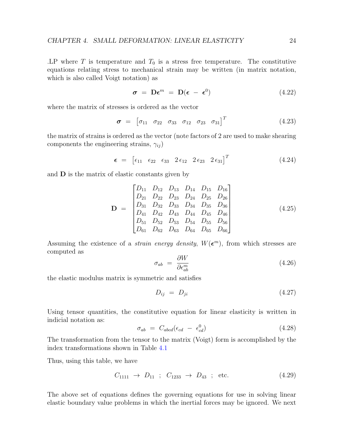. LP where  $T$  is temperature and  $T_0$  is a stress free temperature. The constitutive equations relating stress to mechanical strain may be written (in matrix notation, which is also called Voigt notation) as

$$
\sigma = \mathbf{D}\boldsymbol{\epsilon}^m = \mathbf{D}(\boldsymbol{\epsilon} - \boldsymbol{\epsilon}^0) \tag{4.22}
$$

where the matrix of stresses is ordered as the vector

$$
\boldsymbol{\sigma} = [\sigma_{11} \quad \sigma_{22} \quad \sigma_{33} \quad \sigma_{12} \quad \sigma_{23} \quad \sigma_{31}]^{T} \tag{4.23}
$$

the matrix of strains is ordered as the vector (note factors of 2 are used to make shearing components the engineering strains,  $\gamma_{ij}$ )

$$
\epsilon = \begin{bmatrix} \epsilon_{11} & \epsilon_{22} & \epsilon_{33} & 2\epsilon_{12} & 2\epsilon_{23} & 2\epsilon_{31} \end{bmatrix}^T \tag{4.24}
$$

and  **is the matrix of elastic constants given by** 

$$
\mathbf{D} = \begin{bmatrix} D_{11} & D_{12} & D_{13} & D_{14} & D_{15} & D_{16} \\ D_{21} & D_{22} & D_{23} & D_{24} & D_{25} & D_{26} \\ D_{31} & D_{32} & D_{33} & D_{34} & D_{35} & D_{36} \\ D_{41} & D_{42} & D_{43} & D_{44} & D_{45} & D_{46} \\ D_{51} & D_{52} & D_{53} & D_{54} & D_{55} & D_{56} \\ D_{61} & D_{62} & D_{63} & D_{64} & D_{65} & D_{66} \end{bmatrix} \tag{4.25}
$$

Assuming the existence of a *strain energy density*,  $W(\epsilon^m)$ , from which stresses are computed as

$$
\sigma_{ab} = \frac{\partial W}{\partial \epsilon_{ab}^m} \tag{4.26}
$$

the elastic modulus matrix is symmetric and satisfies

$$
D_{ij} = D_{ji} \tag{4.27}
$$

Using tensor quantities, the constitutive equation for linear elasticity is written in indicial notation as:

$$
\sigma_{ab} = C_{abcd}(\epsilon_{cd} - \epsilon_{cd}^0) \tag{4.28}
$$

The transformation from the tensor to the matrix (Voigt) form is accomplished by the index transformations shown in Table [4.1](#page-29-0)

Thus, using this table, we have

$$
C_{1111} \rightarrow D_{11} \ ; \ C_{1233} \rightarrow D_{43} \ ; \ \text{etc.} \tag{4.29}
$$

The above set of equations defines the governing equations for use in solving linear elastic boundary value problems in which the inertial forces may be ignored. We next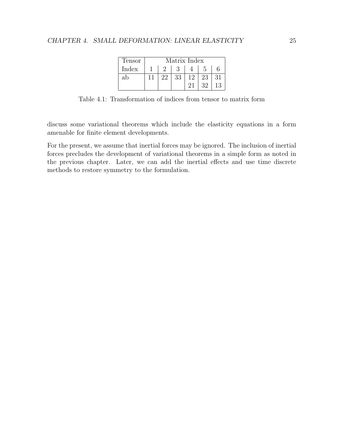| Tensor |    | Matrix Index |    |    |    |
|--------|----|--------------|----|----|----|
| Index  |    |              |    |    |    |
| ab     | 22 | 33           | 12 | 23 | 31 |
|        |    |              | 21 | 32 | 13 |

<span id="page-29-0"></span>Table 4.1: Transformation of indices from tensor to matrix form

discuss some variational theorems which include the elasticity equations in a form amenable for finite element developments.

For the present, we assume that inertial forces may be ignored. The inclusion of inertial forces precludes the development of variational theorems in a simple form as noted in the previous chapter. Later, we can add the inertial effects and use time discrete methods to restore symmetry to the formulation.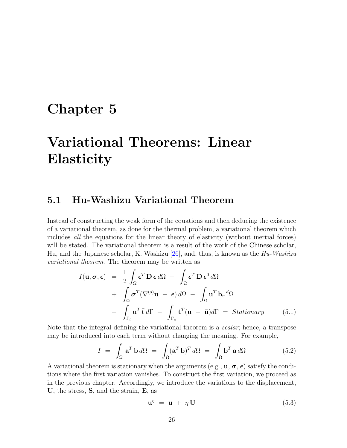## <span id="page-30-0"></span>Chapter 5

# Variational Theorems: Linear **Elasticity**

### <span id="page-30-1"></span>5.1 Hu-Washizu Variational Theorem

Instead of constructing the weak form of the equations and then deducing the existence of a variational theorem, as done for the thermal problem, a variational theorem which includes all the equations for the linear theory of elasticity (without inertial forces) will be stated. The variational theorem is a result of the work of the Chinese scholar, Hu, and the Japanese scholar, K. Washizu [\[26\]](#page-132-4), and, thus, is known as the  $Hu$ -Washizu variational theorem. The theorem may be written as

$$
I(\mathbf{u}, \boldsymbol{\sigma}, \boldsymbol{\epsilon}) = \frac{1}{2} \int_{\Omega} \boldsymbol{\epsilon}^{T} \mathbf{D} \boldsymbol{\epsilon} d\Omega - \int_{\Omega} \boldsymbol{\epsilon}^{T} \mathbf{D} \boldsymbol{\epsilon}^{0} d\Omega
$$
  
+ 
$$
\int_{\Omega} \boldsymbol{\sigma}^{T} (\nabla^{(s)} \mathbf{u} - \boldsymbol{\epsilon}) d\Omega - \int_{\Omega} \mathbf{u}^{T} \mathbf{b}_{v} d\Omega
$$
  
- 
$$
\int_{\Gamma_{t}} \mathbf{u}^{T} \mathbf{\bar{t}} d\Gamma - \int_{\Gamma_{u}} \mathbf{t}^{T} (\mathbf{u} - \mathbf{\bar{u}}) d\Gamma = Stationary
$$
 (5.1)

Note that the integral defining the variational theorem is a *scalar*; hence, a transpose may be introduced into each term without changing the meaning. For example,

$$
I = \int_{\Omega} \mathbf{a}^T \mathbf{b} d\Omega = \int_{\Omega} (\mathbf{a}^T \mathbf{b})^T d\Omega = \int_{\Omega} \mathbf{b}^T \mathbf{a} d\Omega \qquad (5.2)
$$

A variational theorem is stationary when the arguments (e.g.,  $\mathbf{u}, \sigma$ ,  $\boldsymbol{\epsilon}$ ) satisfy the conditions where the first variation vanishes. To construct the first variation, we proceed as in the previous chapter. Accordingly, we introduce the variations to the displacement, U, the stress, S, and the strain, E, as

$$
\mathbf{u}^{\eta} = \mathbf{u} + \eta \mathbf{U} \tag{5.3}
$$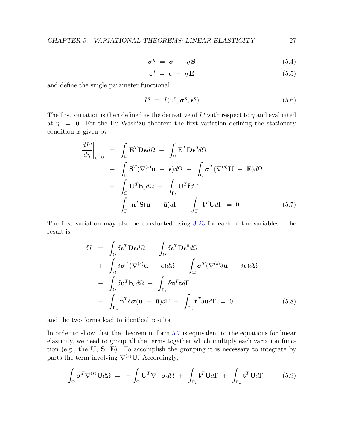$$
\boldsymbol{\sigma}^{\eta} = \boldsymbol{\sigma} + \eta \mathbf{S} \tag{5.4}
$$

$$
\boldsymbol{\epsilon}^{\eta} = \boldsymbol{\epsilon} + \eta \mathbf{E} \tag{5.5}
$$

and define the single parameter functional

$$
I^{\eta} = I(\mathbf{u}^{\eta}, \boldsymbol{\sigma}^{\eta}, \boldsymbol{\epsilon}^{\eta}) \tag{5.6}
$$

The first variation is then defined as the derivative of  $I<sup>\eta</sup>$  with respect to  $\eta$  and evaluated at  $\eta = 0$ . For the Hu-Washizu theorem the first variation defining the stationary condition is given by

<span id="page-31-0"></span>
$$
\frac{dI^{\eta}}{d\eta}\Big|_{\eta=0} = \int_{\Omega} \mathbf{E}^{T} \mathbf{D} \epsilon d\Omega - \int_{\Omega} \mathbf{E}^{T} \mathbf{D} \epsilon^{0} d\Omega \n+ \int_{\Omega} \mathbf{S}^{T} (\nabla^{(s)} \mathbf{u} - \epsilon) d\Omega + \int_{\Omega} \boldsymbol{\sigma}^{T} (\nabla^{(s)} \mathbf{U} - \mathbf{E}) d\Omega \n- \int_{\Omega} \mathbf{U}^{T} \mathbf{b}_{v} d\Omega - \int_{\Gamma_{t}} \mathbf{U}^{T} \mathbf{\tilde{t}} d\Gamma \n- \int_{\Gamma_{u}} \mathbf{n}^{T} \mathbf{S} (\mathbf{u} - \bar{\mathbf{u}}) d\Gamma - \int_{\Gamma_{u}} \mathbf{t}^{T} \mathbf{U} d\Gamma = 0
$$
\n(5.7)

The first variation may also be constucted using [3.23](#page-24-1) for each of the variables. The result is

$$
\delta I = \int_{\Omega} \delta \boldsymbol{\epsilon}^{T} \mathbf{D} \boldsymbol{\epsilon} d\Omega - \int_{\Omega} \delta \boldsymbol{\epsilon}^{T} \mathbf{D} \boldsymbol{\epsilon}^{0} d\Omega
$$
  
+ 
$$
\int_{\Omega} \delta \boldsymbol{\sigma}^{T} (\nabla^{(s)} \mathbf{u} - \boldsymbol{\epsilon}) d\Omega + \int_{\Omega} \boldsymbol{\sigma}^{T} (\nabla^{(s)} \delta \mathbf{u} - \delta \boldsymbol{\epsilon}) d\Omega
$$
  
- 
$$
\int_{\Omega} \delta \mathbf{u}^{T} \mathbf{b}_{v} d\Omega - \int_{\Gamma_{t}} \delta \mathbf{u}^{T} \bar{\mathbf{t}} d\Gamma
$$
  
- 
$$
\int_{\Gamma_{u}} \mathbf{n}^{T} \delta \boldsymbol{\sigma} (\mathbf{u} - \bar{\mathbf{u}}) d\Gamma - \int_{\Gamma_{u}} \mathbf{t}^{T} \delta \mathbf{u} d\Gamma = 0
$$
(5.8)

and the two forms lead to identical results.

In order to show that the theorem in form [5.7](#page-31-0) is equivalent to the equations for linear elasticity, we need to group all the terms together which multiply each variation function (e.g., the  $U$ ,  $S$ ,  $E$ ). To accomplish the grouping it is necessary to integrate by parts the term involving  $\nabla^{(s)}$ U. Accordingly,

$$
\int_{\Omega} \boldsymbol{\sigma}^T \nabla^{(s)} \mathbf{U} d\Omega = - \int_{\Omega} \mathbf{U}^T \nabla \cdot \boldsymbol{\sigma} d\Omega + \int_{\Gamma_t} \mathbf{t}^T \mathbf{U} d\Gamma + \int_{\Gamma_u} \mathbf{t}^T \mathbf{U} d\Gamma \qquad (5.9)
$$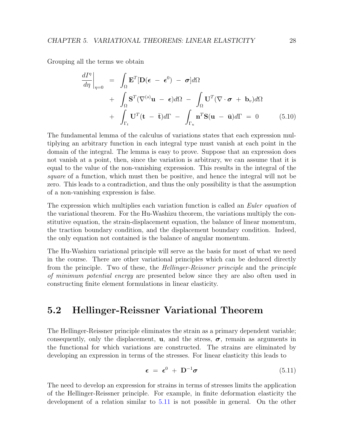Grouping all the terms we obtain

$$
\frac{dI^{\eta}}{d\eta}\Big|_{\eta=0} = \int_{\Omega} \mathbf{E}^{T}[\mathbf{D}(\boldsymbol{\epsilon} - \boldsymbol{\epsilon}^{0}) - \boldsymbol{\sigma}] d\Omega \n+ \int_{\Omega} \mathbf{S}^{T}(\nabla^{(s)}\mathbf{u} - \boldsymbol{\epsilon}) d\Omega - \int_{\Omega} \mathbf{U}^{T}(\nabla \cdot \boldsymbol{\sigma} + \mathbf{b}_{v}) d\Omega \n+ \int_{\Gamma_{t}} \mathbf{U}^{T}(\mathbf{t} - \bar{\mathbf{t}}) d\Gamma - \int_{\Gamma_{u}} \mathbf{n}^{T} \mathbf{S}(\mathbf{u} - \bar{\mathbf{u}}) d\Gamma = 0
$$
\n(5.10)

The fundamental lemma of the calculus of variations states that each expression multiplying an arbitrary function in each integral type must vanish at each point in the domain of the integral. The lemma is easy to prove. Suppose that an expression does not vanish at a point, then, since the variation is arbitrary, we can assume that it is equal to the value of the non-vanishing expression. This results in the integral of the square of a function, which must then be positive, and hence the integral will not be zero. This leads to a contradiction, and thus the only possibility is that the assumption of a non-vanishing expression is false.

The expression which multiplies each variation function is called an *Euler equation* of the variational theorem. For the Hu-Washizu theorem, the variations multiply the constitutive equation, the strain-displacement equation, the balance of linear momentum, the traction boundary condition, and the displacement boundary condition. Indeed, the only equation not contained is the balance of angular momentum.

The Hu-Washizu variational principle will serve as the basis for most of what we need in the course. There are other variational principles which can be deduced directly from the principle. Two of these, the Hellinger-Reissner principle and the principle of minimum potential energy are presented below since they are also often used in constructing finite element formulations in linear elasticity.

### <span id="page-32-0"></span>5.2 Hellinger-Reissner Variational Theorem

The Hellinger-Reissner principle eliminates the strain as a primary dependent variable; consequently, only the displacement, **u**, and the stress,  $\sigma$ , remain as arguments in the functional for which variations are constructed. The strains are eliminated by developing an expression in terms of the stresses. For linear elasticity this leads to

<span id="page-32-1"></span>
$$
\boldsymbol{\epsilon} = \boldsymbol{\epsilon}^0 + \mathbf{D}^{-1} \boldsymbol{\sigma} \tag{5.11}
$$

The need to develop an expression for strains in terms of stresses limits the application of the Hellinger-Reissner principle. For example, in finite deformation elasticity the development of a relation similar to [5.11](#page-32-1) is not possible in general. On the other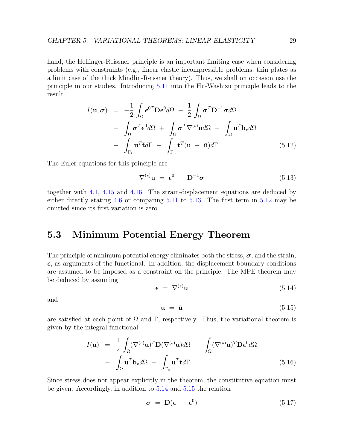hand, the Hellinger-Reissner principle is an important limiting case when considering problems with constraints (e.g., linear elastic incompressible problems, thin plates as a limit case of the thick Mindlin-Reissner theory). Thus, we shall on occasion use the principle in our studies. Introducing [5.11](#page-32-1) into the Hu-Washizu principle leads to the result

<span id="page-33-2"></span>
$$
I(\mathbf{u}, \boldsymbol{\sigma}) = -\frac{1}{2} \int_{\Omega} \boldsymbol{\epsilon}^{0T} \mathbf{D} \boldsymbol{\epsilon}^{0} d\Omega - \frac{1}{2} \int_{\Omega} \boldsymbol{\sigma}^{T} \mathbf{D}^{-1} \boldsymbol{\sigma} d\Omega - \int_{\Omega} \boldsymbol{\sigma}^{T} \boldsymbol{\epsilon}^{0} d\Omega + \int_{\Omega} \boldsymbol{\sigma}^{T} \nabla^{(s)} \mathbf{u} d\Omega - \int_{\Omega} \mathbf{u}^{T} \mathbf{b}_{v} d\Omega - \int_{\Gamma_{t}} \mathbf{u}^{T} \mathbf{\bar{t}} d\Gamma - \int_{\Gamma_{u}} \mathbf{t}^{T} (\mathbf{u} - \bar{\mathbf{u}}) d\Gamma
$$
(5.12)

The Euler equations for this principle are

<span id="page-33-1"></span>
$$
\nabla^{(s)} \mathbf{u} = \boldsymbol{\epsilon}^0 + \mathbf{D}^{-1} \boldsymbol{\sigma} \tag{5.13}
$$

together with [4.1,](#page-25-1) [4.15](#page-27-1) and [4.16.](#page-27-2) The strain-displacement equations are deduced by either directly stating [4.6](#page-26-0) or comparing [5.11](#page-32-1) to [5.13.](#page-33-1) The first term in [5.12](#page-33-2) may be omitted since its first variation is zero.

### <span id="page-33-0"></span>5.3 Minimum Potential Energy Theorem

The principle of minimum potential energy eliminates both the stress,  $\sigma$ , and the strain,  $\epsilon$ , as arguments of the functional. In addition, the displacement boundary conditions are assumed to be imposed as a constraint on the principle. The MPE theorem may be deduced by assuming

<span id="page-33-3"></span>
$$
\epsilon = \nabla^{(s)} \mathbf{u} \tag{5.14}
$$

and

<span id="page-33-4"></span>
$$
\mathbf{u} = \bar{\mathbf{u}} \tag{5.15}
$$

are satisfied at each point of  $\Omega$  and  $\Gamma$ , respectively. Thus, the variational theorem is given by the integral functional

$$
I(\mathbf{u}) = \frac{1}{2} \int_{\Omega} (\nabla^{(s)} \mathbf{u})^T \mathbf{D} (\nabla^{(s)} \mathbf{u}) d\Omega - \int_{\Omega} (\nabla^{(s)} \mathbf{u})^T \mathbf{D} \boldsymbol{\epsilon}^0 d\Omega
$$

$$
- \int_{\Omega} \mathbf{u}^T \mathbf{b}_v d\Omega - \int_{\Gamma_t} \mathbf{u}^T \mathbf{\bar{t}} d\Gamma \qquad (5.16)
$$

Since stress does not appear explicitly in the theorem, the constitutive equation must be given. Accordingly, in addition to [5.14](#page-33-3) and [5.15](#page-33-4) the relation

$$
\sigma = D(\epsilon - \epsilon^0) \tag{5.17}
$$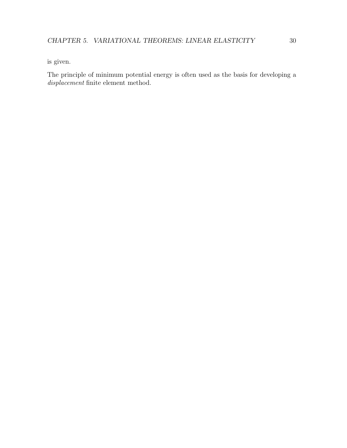is given.

The principle of minimum potential energy is often used as the basis for developing a displacement finite element method.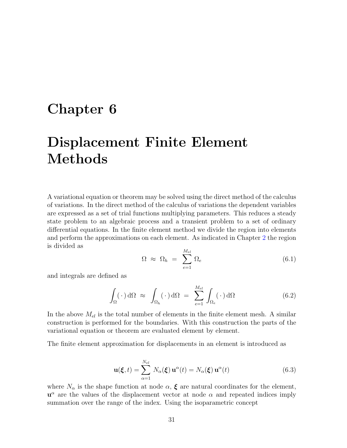## <span id="page-35-0"></span>Chapter 6

# Displacement Finite Element Methods

A variational equation or theorem may be solved using the direct method of the calculus of variations. In the direct method of the calculus of variations the dependent variables are expressed as a set of trial functions multiplying parameters. This reduces a steady state problem to an algebraic process and a transient problem to a set of ordinary differential equations. In the finite element method we divide the region into elements and perform the approximations on each element. As indicated in Chapter [2](#page-7-0) the region is divided as

$$
\Omega \approx \Omega_h = \sum_{e=1}^{M_{el}} \Omega_e \tag{6.1}
$$

and integrals are defined as

$$
\int_{\Omega} (\cdot) \, d\Omega \approx \int_{\Omega_h} (\cdot) \, d\Omega = \sum_{e=1}^{M_{el}} \int_{\Omega_e} (\cdot) \, d\Omega \tag{6.2}
$$

In the above  $M_{el}$  is the total number of elements in the finite element mesh. A similar construction is performed for the boundaries. With this construction the parts of the variational equation or theorem are evaluated element by element.

The finite element approximation for displacements in an element is introduced as

$$
\mathbf{u}(\boldsymbol{\xi},t) = \sum_{\alpha=1}^{N_{el}} N_{\alpha}(\boldsymbol{\xi}) \mathbf{u}^{\alpha}(t) = N_{\alpha}(\boldsymbol{\xi}) \mathbf{u}^{\alpha}(t)
$$
(6.3)

where  $N_{\alpha}$  is the shape function at node  $\alpha$ ,  $\xi$  are natural coordinates for the element,  $u^{\alpha}$  are the values of the displacement vector at node  $\alpha$  and repeated indices imply summation over the range of the index. Using the isoparametric concept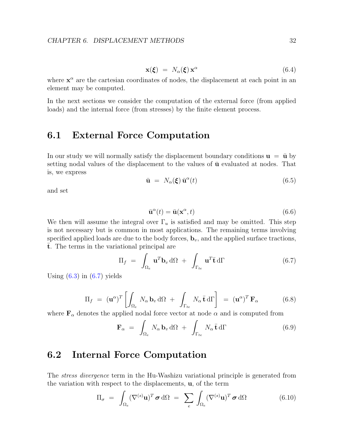$$
\mathbf{x}(\boldsymbol{\xi}) = N_{\alpha}(\boldsymbol{\xi}) \mathbf{x}^{\alpha} \tag{6.4}
$$

where  $x^{\alpha}$  are the cartesian coordinates of nodes, the displacement at each point in an element may be computed.

In the next sections we consider the computation of the external force (from applied loads) and the internal force (from stresses) by the finite element process.

#### 6.1 External Force Computation

In our study we will normally satisfy the displacement boundary conditions  $\mathbf{u} = \bar{\mathbf{u}}$  by setting nodal values of the displacement to the values of  $\bar{u}$  evaluated at nodes. That is, we express

$$
\bar{\mathbf{u}} = N_{\alpha}(\xi) \bar{\mathbf{u}}^{\alpha}(t) \tag{6.5}
$$

and set

$$
\bar{\mathbf{u}}^{\alpha}(t) = \bar{\mathbf{u}}(\mathbf{x}^{\alpha}, t) \tag{6.6}
$$

We then will assume the integral over  $\Gamma_u$  is satisfied and may be omitted. This step is not necessary but is common in most applications. The remaining terms involving specified applied loads are due to the body forces,  $\mathbf{b}_v$ , and the applied surface tractions,  $\overline{t}$ . The terms in the variational principal are

<span id="page-36-0"></span>
$$
\Pi_f = \int_{\Omega_e} \mathbf{u}^T \mathbf{b}_v \, d\Omega + \int_{\Gamma_{te}} \mathbf{u}^T \mathbf{\bar{t}} \, d\Gamma \tag{6.7}
$$

Using  $(6.3)$  in  $(6.7)$  yields

$$
\Pi_f = (\mathbf{u}^{\alpha})^T \left[ \int_{\Omega_e} N_{\alpha} \mathbf{b}_v \, d\Omega + \int_{\Gamma_{te}} N_{\alpha} \bar{\mathbf{t}} \, d\Gamma \right] = (\mathbf{u}^{\alpha})^T \mathbf{F}_{\alpha}
$$
(6.8)

where  $\mathbf{F}_{\alpha}$  denotes the applied nodal force vector at node  $\alpha$  and is computed from

$$
\mathbf{F}_{\alpha} = \int_{\Omega_e} N_{\alpha} \, \mathbf{b}_v \, d\Omega + \int_{\Gamma_{te}} N_{\alpha} \, \mathbf{\bar{t}} \, d\Gamma \tag{6.9}
$$

#### <span id="page-36-1"></span>6.2 Internal Force Computation

The stress divergence term in the Hu-Washizu variational principle is generated from the variation with respect to the displacements, u, of the term

$$
\Pi_{\sigma} = \int_{\Omega_e} (\nabla^{(s)} \mathbf{u})^T \, \sigma \, d\Omega = \sum_e \int_{\Omega_e} (\nabla^{(s)} \mathbf{u})^T \, \sigma \, d\Omega \tag{6.10}
$$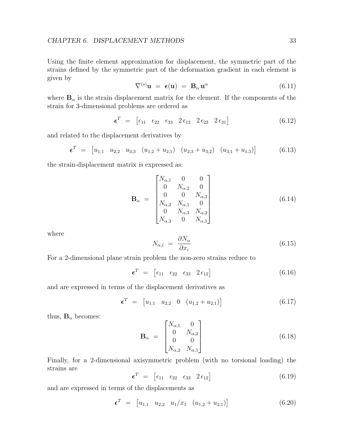Using the finite element approximation for displacement, the symmetric part of the strains defined by the symmetric part of the deformation gradient in each element is given by

$$
\nabla^{(s)} \mathbf{u} = \epsilon(\mathbf{u}) = \mathbf{B}_{\alpha} \mathbf{u}^{\alpha} \tag{6.11}
$$

where  $B_{\alpha}$  is the strain displacement matrix for the element. If the components of the strain for 3-dimensional problems are ordered as

$$
\boldsymbol{\epsilon}^T = \begin{bmatrix} \epsilon_{11} & \epsilon_{22} & \epsilon_{33} & 2\epsilon_{12} & 2\epsilon_{23} & 2\epsilon_{31} \end{bmatrix} \tag{6.12}
$$

and related to the displacement derivatives by

$$
\boldsymbol{\epsilon}^T = \begin{bmatrix} u_{1,1} & u_{2,2} & u_{3,3} & (u_{1,2} + u_{2,1}) & (u_{2,3} + u_{3,2}) & (u_{3,1} + u_{1,3}) \end{bmatrix} \tag{6.13}
$$

the strain-displacement matrix is expressed as:

$$
\mathbf{B}_{\alpha} = \begin{bmatrix} N_{\alpha,1} & 0 & 0 \\ 0 & N_{\alpha,2} & 0 \\ 0 & 0 & N_{\alpha,3} \\ N_{\alpha,2} & N_{\alpha,1} & 0 \\ 0 & N_{\alpha,3} & N_{\alpha,2} \\ N_{\alpha,3} & 0 & N_{\alpha,1} \end{bmatrix}
$$
(6.14)

where

$$
N_{\alpha,i} = \frac{\partial N_{\alpha}}{\partial x_i} \tag{6.15}
$$

For a 2-dimensional plane strain problem the non-zero strains reduce to

$$
\boldsymbol{\epsilon}^T = \begin{bmatrix} \epsilon_{11} & \epsilon_{22} & \epsilon_{33} & 2 \epsilon_{12} \end{bmatrix} \tag{6.16}
$$

and are expressed in terms of the displacement derivatives as

$$
\boldsymbol{\epsilon}^T = \begin{bmatrix} u_{1,1} & u_{2,2} & 0 & (u_{1,2} + u_{2,1}) \end{bmatrix} \tag{6.17}
$$

thus,  $B_{\alpha}$  becomes:

$$
\mathbf{B}_{\alpha} = \begin{bmatrix} N_{\alpha,1} & 0 \\ 0 & N_{\alpha,2} \\ 0 & 0 \\ N_{\alpha,2} & N_{\alpha,1} \end{bmatrix}
$$
 (6.18)

Finally, for a 2-dimensional axisymmetric problem (with no torsional loading) the strains are

$$
\boldsymbol{\epsilon}^T = \begin{bmatrix} \epsilon_{11} & \epsilon_{22} & \epsilon_{33} & 2 \epsilon_{12} \end{bmatrix} \tag{6.19}
$$

and are expressed in terms of the displacements as

$$
\boldsymbol{\epsilon}^T = \begin{bmatrix} u_{1,1} & u_{2,2} & u_1/x_1 & (u_{1,2} + u_{2,1}) \end{bmatrix} \tag{6.20}
$$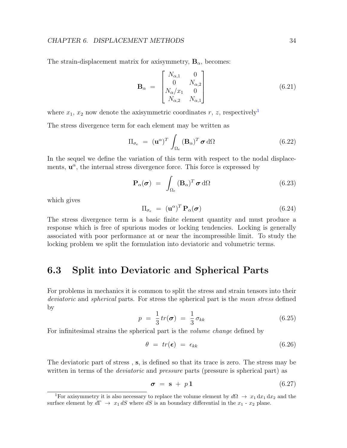The strain-displacement matrix for axisymmetry,  $\mathbf{B}_{\alpha}$ , becomes:

$$
\mathbf{B}_{\alpha} = \begin{bmatrix} N_{\alpha,1} & 0 \\ 0 & N_{\alpha,2} \\ N_{\alpha}/x_1 & 0 \\ N_{\alpha,2} & N_{\alpha,1} \end{bmatrix}
$$
 (6.21)

where  $x_1, x_2$  $x_1, x_2$  $x_1, x_2$  now denote the axisymmetric coordinates r, z, respectively<sup>1</sup>

The stress divergence term for each element may be written as

$$
\Pi_{\sigma_e} = (\mathbf{u}^{\alpha})^T \int_{\Omega_e} (\mathbf{B}_{\alpha})^T \boldsymbol{\sigma} \, d\Omega \qquad (6.22)
$$

In the sequel we define the variation of this term with respect to the nodal displacements,  $\mathbf{u}^{\alpha}$ , the internal stress divergence force. This force is expressed by

$$
\mathbf{P}_{\alpha}(\boldsymbol{\sigma}) = \int_{\Omega_e} (\mathbf{B}_{\alpha})^T \boldsymbol{\sigma} \, d\Omega \qquad (6.23)
$$

which gives

$$
\Pi_{\sigma_e} = (\mathbf{u}^{\alpha})^T \mathbf{P}_{\alpha}(\boldsymbol{\sigma}) \tag{6.24}
$$

The stress divergence term is a basic finite element quantity and must produce a response which is free of spurious modes or locking tendencies. Locking is generally associated with poor performance at or near the incompressible limit. To study the locking problem we split the formulation into deviatoric and volumetric terms.

#### 6.3 Split into Deviatoric and Spherical Parts

For problems in mechanics it is common to split the stress and strain tensors into their deviatoric and spherical parts. For stress the spherical part is the mean stress defined by

$$
p = \frac{1}{3}tr(\boldsymbol{\sigma}) = \frac{1}{3}\sigma_{kk} \tag{6.25}
$$

For infinitesimal strains the spherical part is the volume change defined by

$$
\theta = tr(\epsilon) = \epsilon_{kk} \tag{6.26}
$$

The deviatoric part of stress , s, is defined so that its trace is zero. The stress may be written in terms of the *deviatoric* and *pressure* parts (pressure is spherical part) as

$$
\sigma = \mathbf{s} + p\mathbf{1} \tag{6.27}
$$

<span id="page-38-0"></span><sup>&</sup>lt;sup>1</sup>For axisymmetry it is also necessary to replace the volume element by  $d\Omega \to x_1 dx_1 dx_2$  and the surface element by  $d\Gamma \to x_1 dS$  where dS is an boundary differential in the  $x_1$  -  $x_2$  plane.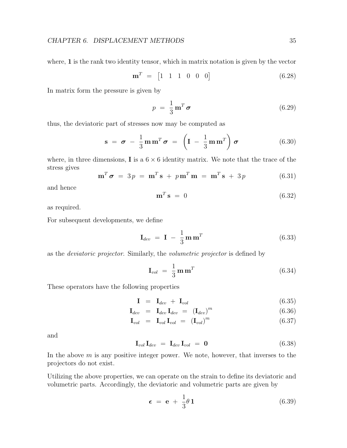where, 1 is the rank two identity tensor, which in matrix notation is given by the vector

$$
\mathbf{m}^T = [1 \ 1 \ 1 \ 0 \ 0 \ 0] \tag{6.28}
$$

In matrix form the pressure is given by

$$
p = \frac{1}{3} \mathbf{m}^T \boldsymbol{\sigma} \tag{6.29}
$$

thus, the deviatoric part of stresses now may be computed as

$$
\mathbf{s} = \boldsymbol{\sigma} - \frac{1}{3} \mathbf{m} \mathbf{m}^T \boldsymbol{\sigma} = \left( \mathbf{I} - \frac{1}{3} \mathbf{m} \mathbf{m}^T \right) \boldsymbol{\sigma} \tag{6.30}
$$

where, in three dimensions, **I** is a  $6 \times 6$  identity matrix. We note that the trace of the stress gives

$$
\mathbf{m}^T \boldsymbol{\sigma} = 3 p = \mathbf{m}^T \mathbf{s} + p \mathbf{m}^T \mathbf{m} = \mathbf{m}^T \mathbf{s} + 3 p \tag{6.31}
$$

and hence

$$
\mathbf{m}^T \mathbf{s} = 0 \tag{6.32}
$$

as required.

For subsequent developments, we define

$$
\mathbf{I}_{dev} = \mathbf{I} - \frac{1}{3} \mathbf{m} \mathbf{m}^T
$$
 (6.33)

as the deviatoric projector. Similarly, the volumetric projector is defined by

$$
\mathbf{I}_{vol} = \frac{1}{3} \mathbf{m} \mathbf{m}^T
$$
 (6.34)

These operators have the following properties

$$
\mathbf{I} = \mathbf{I}_{dev} + \mathbf{I}_{vol} \tag{6.35}
$$

$$
\mathbf{I}_{dev} = \mathbf{I}_{dev} \mathbf{I}_{dev} = (\mathbf{I}_{dev})^m \tag{6.36}
$$

$$
\mathbf{I}_{vol} = \mathbf{I}_{vol} \mathbf{I}_{vol} = (\mathbf{I}_{vol})^m \tag{6.37}
$$

and

$$
\mathbf{I}_{vol}\,\mathbf{I}_{dev} = \mathbf{I}_{dev}\,\mathbf{I}_{vol} = \mathbf{0} \tag{6.38}
$$

In the above  $m$  is any positive integer power. We note, however, that inverses to the projectors do not exist.

Utilizing the above properties, we can operate on the strain to define its deviatoric and volumetric parts. Accordingly, the deviatoric and volumetric parts are given by

<span id="page-39-0"></span>
$$
\epsilon = e + \frac{1}{3}\theta \mathbf{1} \tag{6.39}
$$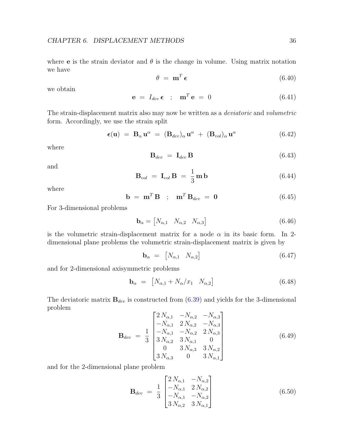where **e** is the strain deviator and  $\theta$  is the change in volume. Using matrix notation we have

$$
\theta = \mathbf{m}^T \boldsymbol{\epsilon} \tag{6.40}
$$

we obtain

$$
\mathbf{e} = I_{dev} \, \boldsymbol{\epsilon} \quad ; \quad \mathbf{m}^T \, \mathbf{e} = 0 \tag{6.41}
$$

The strain-displacement matrix also may now be written as a deviatoric and volumetric form. Accordingly, we use the strain split

$$
\epsilon(\mathbf{u}) = \mathbf{B}_{\alpha} \mathbf{u}^{\alpha} = (\mathbf{B}_{dev})_{\alpha} \mathbf{u}^{\alpha} + (\mathbf{B}_{vol})_{\alpha} \mathbf{u}^{\alpha} \qquad (6.42)
$$

where

$$
\mathbf{B}_{dev} = \mathbf{I}_{dev} \mathbf{B} \tag{6.43}
$$

and

$$
\mathbf{B}_{vol} = \mathbf{I}_{vol} \mathbf{B} = \frac{1}{3} \mathbf{m} \mathbf{b} \tag{6.44}
$$

where

$$
\mathbf{b} = \mathbf{m}^T \mathbf{B} \quad ; \quad \mathbf{m}^T \mathbf{B}_{dev} = \mathbf{0} \tag{6.45}
$$

For 3-dimensional problems

$$
\mathbf{b}_{\alpha} = \begin{bmatrix} N_{\alpha,1} & N_{\alpha,2} & N_{\alpha,3} \end{bmatrix} \tag{6.46}
$$

is the volumetric strain-displacement matrix for a node  $\alpha$  in its basic form. In 2dimensional plane problems the volumetric strain-displacement matrix is given by

$$
\mathbf{b}_{\alpha} = [N_{\alpha,1} \quad N_{\alpha,2}] \tag{6.47}
$$

and for 2-dimensional axisymmetric problems

$$
\mathbf{b}_{\alpha} = [N_{\alpha,1} + N_{\alpha}/x_1 \quad N_{\alpha,2}] \tag{6.48}
$$

The deviatoric matrix  $\mathbf{B}_{dev}$  is constructed from [\(6.39\)](#page-39-0) and yields for the 3-dimensional problem

$$
\mathbf{B}_{dev} = \frac{1}{3} \begin{bmatrix} 2N_{\alpha,1} & -N_{\alpha,2} & -N_{\alpha,3} \\ -N_{\alpha,1} & 2N_{\alpha,2} & -N_{\alpha,3} \\ -N_{\alpha,1} & -N_{\alpha,2} & 2N_{\alpha,3} \\ 3N_{\alpha,2} & 3N_{\alpha,1} & 0 \\ 0 & 3N_{\alpha,3} & 3N_{\alpha,2} \\ 3N_{\alpha,3} & 0 & 3N_{\alpha,1} \end{bmatrix}
$$
(6.49)

and for the 2-dimensional plane problem

$$
\mathbf{B}_{dev} = \frac{1}{3} \begin{bmatrix} 2N_{\alpha,1} & -N_{\alpha,2} \\ -N_{\alpha,1} & 2N_{\alpha,2} \\ -N_{\alpha,1} & -N_{\alpha,2} \\ 3N_{\alpha,2} & 3N_{\alpha,1} \end{bmatrix}
$$
(6.50)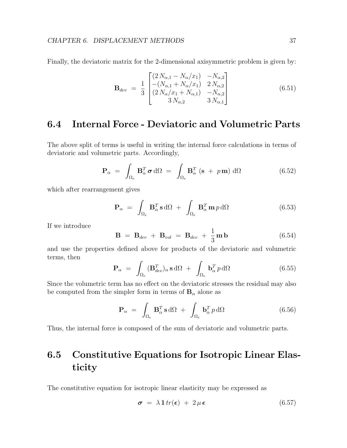Finally, the deviatoric matrix for the 2-dimensional axisymmetric problem is given by:

$$
\mathbf{B}_{dev} = \frac{1}{3} \begin{bmatrix} (2N_{\alpha,1} - N_{\alpha}/x_1) & -N_{\alpha,2} \\ -(N_{\alpha,1} + N_{\alpha}/x_1) & 2N_{\alpha,2} \\ (2N_{\alpha}/x_1 + N_{\alpha,1}) & -N_{\alpha,2} \\ 3N_{\alpha,2} & 3N_{\alpha,1} \end{bmatrix}
$$
(6.51)

### 6.4 Internal Force - Deviatoric and Volumetric Parts

The above split of terms is useful in writing the internal force calculations in terms of deviatoric and volumetric parts. Accordingly,

$$
\mathbf{P}_{\alpha} = \int_{\Omega_e} \mathbf{B}_{\alpha}^T \boldsymbol{\sigma} \, d\Omega = \int_{\Omega_e} \mathbf{B}_{\alpha}^T (\mathbf{s} + p \mathbf{m}) \, d\Omega \tag{6.52}
$$

which after rearrangement gives

$$
\mathbf{P}_{\alpha} = \int_{\Omega_e} \mathbf{B}_{\alpha}^T \mathbf{s} \, d\Omega + \int_{\Omega_e} \mathbf{B}_{\alpha}^T \mathbf{m} \, p \, d\Omega \tag{6.53}
$$

If we introduce

$$
\mathbf{B} = \mathbf{B}_{dev} + \mathbf{B}_{vol} = \mathbf{B}_{dev} + \frac{1}{3}\mathbf{m}\,\mathbf{b}
$$
 (6.54)

and use the properties defined above for products of the deviatoric and volumetric terms, then

$$
\mathbf{P}_{\alpha} = \int_{\Omega_e} (\mathbf{B}_{dev}^T)_{\alpha} \, \mathbf{s} \, d\Omega \; + \; \int_{\Omega_e} \mathbf{b}_{\alpha}^T \, p \, d\Omega \tag{6.55}
$$

Since the volumetric term has no effect on the deviatoric stresses the residual may also be computed from the simpler form in terms of  $B_{\alpha}$  alone as

$$
\mathbf{P}_{\alpha} = \int_{\Omega_e} \mathbf{B}_{\alpha}^T \mathbf{s} \, d\Omega + \int_{\Omega_e} \mathbf{b}_{\alpha}^T p \, d\Omega \tag{6.56}
$$

Thus, the internal force is composed of the sum of deviatoric and volumetric parts.

### 6.5 Constitutive Equations for Isotropic Linear Elasticity

The constitutive equation for isotropic linear elasticity may be expressed as

$$
\boldsymbol{\sigma} = \lambda \mathbf{1} \operatorname{tr}(\boldsymbol{\epsilon}) + 2 \mu \boldsymbol{\epsilon} \tag{6.57}
$$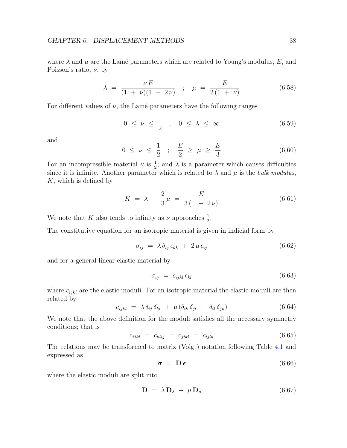where  $\lambda$  and  $\mu$  are the Lamé parameters which are related to Young's modulus, E, and Poisson's ratio,  $\nu$ , by

$$
\lambda = \frac{\nu E}{(1 + \nu)(1 - 2\nu)} \quad ; \quad \mu = \frac{E}{2(1 + \nu)} \tag{6.58}
$$

For different values of  $\nu$ , the Lamé parameters have the following ranges

$$
0 \leq \nu \leq \frac{1}{2} \quad ; \quad 0 \leq \lambda \leq \infty \tag{6.59}
$$

and

$$
0 \le \nu \le \frac{1}{2} \quad ; \quad \frac{E}{2} \ge \mu \ge \frac{E}{3} \tag{6.60}
$$

For an incompressible material  $\nu$  is  $\frac{1}{2}$ ; and  $\lambda$  is a parameter which causes difficulties since it is infinite. Another parameter which is related to  $\lambda$  and  $\mu$  is the *bulk modulus*,  $K$ , which is defined by

$$
K = \lambda + \frac{2}{3}\mu = \frac{E}{3(1 - 2\nu)}
$$
\n(6.61)

We note that K also tends to infinity as  $\nu$  approaches  $\frac{1}{2}$ .

The constitutive equation for an isotropic material is given in indicial form by

$$
\sigma_{ij} = \lambda \, \delta_{ij} \, \epsilon_{kk} + 2 \, \mu \, \epsilon_{ij} \tag{6.62}
$$

and for a general linear elastic material by

$$
\sigma_{ij} = c_{ijkl} \,\epsilon_{kl} \tag{6.63}
$$

where  $c_{ijkl}$  are the elastic moduli. For an isotropic material the elastic moduli are then related by

$$
c_{ijkl} = \lambda \, \delta_{ij} \, \delta_{kl} + \mu \, (\delta_{ik} \, \delta_{jl} + \delta_{il} \, \delta_{jk}) \tag{6.64}
$$

We note that the above definition for the moduli satisfies all the necessary symmetry conditions; that is

$$
c_{ijkl} = c_{klij} = c_{jikl} = c_{ijlk} \tag{6.65}
$$

The relations may be transformed to matrix (Voigt) notation following Table [4.1](#page-29-0) and expressed as

$$
\boldsymbol{\sigma} = \mathbf{D} \boldsymbol{\epsilon} \tag{6.66}
$$

where the elastic moduli are split into

$$
\mathbf{D} = \lambda \mathbf{D}_{\lambda} + \mu \mathbf{D}_{\mu} \tag{6.67}
$$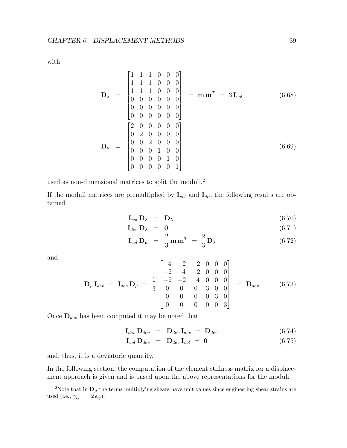with

$$
\mathbf{D}_{\lambda} = \begin{bmatrix} 1 & 1 & 1 & 0 & 0 & 0 \\ 1 & 1 & 1 & 0 & 0 & 0 \\ 1 & 1 & 1 & 0 & 0 & 0 \\ 0 & 0 & 0 & 0 & 0 & 0 \\ 0 & 0 & 0 & 0 & 0 & 0 \\ 0 & 0 & 0 & 0 & 0 & 0 \\ 0 & 2 & 0 & 0 & 0 & 0 \\ 0 & 0 & 2 & 0 & 0 & 0 \\ 0 & 0 & 0 & 1 & 0 & 0 \\ 0 & 0 & 0 & 0 & 1 & 0 \\ 0 & 0 & 0 & 0 & 0 & 1 \end{bmatrix}
$$
(6.69)

used as non-dimensional matrices to split the moduli.<sup>[2](#page-43-0)</sup>

If the moduli matrices are premultiplied by  $I_{vol}$  and  $I_{dev}$  the following results are obtained

$$
\mathbf{I}_{vol}\,\mathbf{D}_{\lambda} = \mathbf{D}_{\lambda} \tag{6.70}
$$

$$
\mathbf{I}_{dev}\,\mathbf{D}_{\lambda} = \mathbf{0} \tag{6.71}
$$

$$
\mathbf{I}_{vol}\,\mathbf{D}_{\mu} = \frac{2}{3}\,\mathbf{m}\,\mathbf{m}^T = \frac{2}{3}\,\mathbf{D}_{\lambda} \tag{6.72}
$$

and

$$
\mathbf{D}_{\mu}\mathbf{I}_{dev} = \mathbf{I}_{dev}\mathbf{D}_{\mu} = \frac{1}{3} \begin{bmatrix} 4 & -2 & -2 & 0 & 0 & 0 \\ -2 & 4 & -2 & 0 & 0 & 0 \\ -2 & -2 & 4 & 0 & 0 & 0 \\ 0 & 0 & 0 & 3 & 0 & 0 \\ 0 & 0 & 0 & 0 & 3 & 0 \\ 0 & 0 & 0 & 0 & 0 & 3 \end{bmatrix} = \mathbf{D}_{dev}
$$
(6.73)

Once  $\mathbf{D}_{dev}$  has been computed it may be noted that

$$
\mathbf{I}_{dev} \mathbf{D}_{dev} = \mathbf{D}_{dev} \mathbf{I}_{dev} = \mathbf{D}_{dev} \tag{6.74}
$$

$$
\mathbf{I}_{vol}\,\mathbf{D}_{dev} = \mathbf{D}_{dev}\,\mathbf{I}_{vol} = \mathbf{0} \tag{6.75}
$$

and, thus, it is a deviatoric quantity.

In the following section, the computation of the element stiffness matrix for a displacement approach is given and is based upon the above representations for the moduli.

<span id="page-43-0"></span><sup>&</sup>lt;sup>2</sup>Note that in  $\mathbf{D}_{\mu}$  the terms multiplying shears have unit values since engineering shear strains are used (i.e.,  $\gamma_{ij} = 2 \epsilon_{ij}$ ).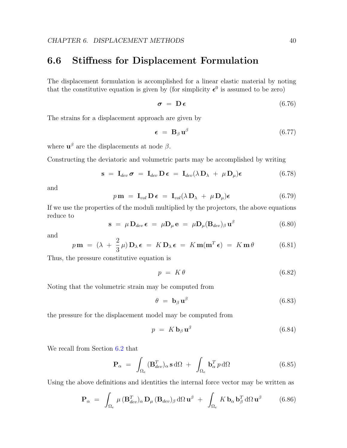#### 6.6 Stiffness for Displacement Formulation

The displacement formulation is accomplished for a linear elastic material by noting that the constitutive equation is given by (for simplicity  $\epsilon^0$  is assumed to be zero)

$$
\boldsymbol{\sigma} = \mathbf{D} \,\boldsymbol{\epsilon} \tag{6.76}
$$

The strains for a displacement approach are given by

$$
\epsilon = \mathbf{B}_{\beta} \mathbf{u}^{\beta} \tag{6.77}
$$

where  $\mathbf{u}^{\beta}$  are the displacements at node  $\beta$ .

Constructing the deviatoric and volumetric parts may be accomplished by writing

$$
\mathbf{s} = \mathbf{I}_{dev} \boldsymbol{\sigma} = \mathbf{I}_{dev} \mathbf{D} \boldsymbol{\epsilon} = \mathbf{I}_{dev} (\lambda \mathbf{D}_{\lambda} + \mu \mathbf{D}_{\mu}) \boldsymbol{\epsilon} \qquad (6.78)
$$

and

$$
p \mathbf{m} = \mathbf{I}_{vol} \mathbf{D} \boldsymbol{\epsilon} = \mathbf{I}_{vol} (\lambda \mathbf{D}_{\lambda} + \mu \mathbf{D}_{\mu}) \boldsymbol{\epsilon}
$$
 (6.79)

If we use the properties of the moduli multiplied by the projectors, the above equations reduce to

$$
\mathbf{s} = \mu \, \mathbf{D}_{dev} \, \boldsymbol{\epsilon} = \mu \mathbf{D}_{\mu} \, \mathbf{e} = \mu \mathbf{D}_{\mu} (\mathbf{B}_{dev})_{\beta} \, \mathbf{u}^{\beta} \tag{6.80}
$$

and

$$
p \mathbf{m} = (\lambda + \frac{2}{3}\mu) \mathbf{D}_{\lambda} \boldsymbol{\epsilon} = K \mathbf{D}_{\lambda} \boldsymbol{\epsilon} = K \mathbf{m} (\mathbf{m}^T \boldsymbol{\epsilon}) = K \mathbf{m} \theta \qquad (6.81)
$$

Thus, the pressure constitutive equation is

$$
p = K\theta \tag{6.82}
$$

Noting that the volumetric strain may be computed from

$$
\theta = \mathbf{b}_{\beta} \mathbf{u}^{\beta} \tag{6.83}
$$

the pressure for the displacement model may be computed from

$$
p = K \mathbf{b}_{\beta} \mathbf{u}^{\beta} \tag{6.84}
$$

We recall from Section [6.2](#page-36-1) that

$$
\mathbf{P}_{\alpha} = \int_{\Omega_e} (\mathbf{B}_{dev}^T)_{\alpha} \, \mathbf{s} \, d\Omega \; + \; \int_{\Omega_e} \mathbf{b}_{\alpha}^T \, p \, d\Omega \tag{6.85}
$$

Using the above definitions and identities the internal force vector may be written as

$$
\mathbf{P}_{\alpha} = \int_{\Omega_e} \mu \, (\mathbf{B}_{dev}^T)_{\alpha} \, \mathbf{D}_{\mu} \, (\mathbf{B}_{dev})_{\beta} \, d\Omega \, \mathbf{u}^{\beta} + \int_{\Omega_e} K \, \mathbf{b}_{\alpha} \, \mathbf{b}_{\beta}^T \, d\Omega \, \mathbf{u}^{\beta} \tag{6.86}
$$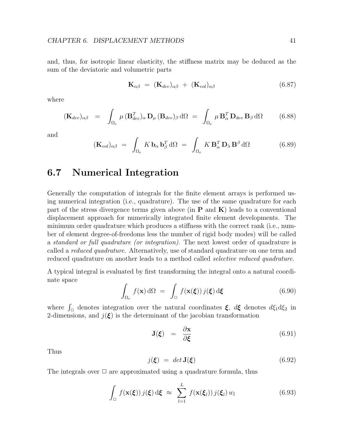and, thus, for isotropic linear elasticity, the stiffness matrix may be deduced as the sum of the deviatoric and volumetric parts

$$
\mathbf{K}_{\alpha\beta} = (\mathbf{K}_{dev})_{\alpha\beta} + (\mathbf{K}_{vol})_{\alpha\beta} \tag{6.87}
$$

where

$$
(\mathbf{K}_{dev})_{\alpha\beta} = \int_{\Omega_e} \mu (\mathbf{B}_{dev}^T)_{\alpha} \mathbf{D}_{\mu} (\mathbf{B}_{dev})_{\beta} d\Omega = \int_{\Omega_e} \mu \mathbf{B}_{\alpha}^T \mathbf{D}_{dev} \mathbf{B}_{\beta} d\Omega
$$
 (6.88)

and

$$
(\mathbf{K}_{vol})_{\alpha\beta} = \int_{\Omega_e} K \, \mathbf{b}_{\alpha} \, \mathbf{b}_{\beta}^T \, d\Omega = \int_{\Omega_e} K \, \mathbf{B}_{\alpha}^T \, \mathbf{D}_{\lambda} \, \mathbf{B}^{\beta} \, d\Omega \tag{6.89}
$$

#### 6.7 Numerical Integration

Generally the computation of integrals for the finite element arrays is performed using numerical integration (i.e., quadrature). The use of the same quadrature for each part of the stress divergence terms given above (in  $P$  and  $K$ ) leads to a conventional displacement approach for numerically integrated finite element developments. The minimum order quadrature which produces a stiffness with the correct rank (i.e., number of element degree-of-freedoms less the number of rigid body modes) will be called a standard or full quadrature (or integration). The next lowest order of quadrature is called a reduced quadrature. Alternatively, use of standard quadrature on one term and reduced quadrature on another leads to a method called *selective reduced quadrature*.

A typical integral is evaluated by first transforming the integral onto a natural coordinate space

$$
\int_{\Omega_e} f(\mathbf{x}) \, d\Omega = \int_{\square} f(\mathbf{x}(\xi)) \, j(\xi) \, d\xi \tag{6.90}
$$

where  $\int_{\Box}$  denotes integration over the natural coordinates  $\xi$ ,  $d\xi$  denotes  $d\xi_1 d\xi_2$  in 2-dimensions, and  $j(\xi)$  is the determinant of the jacobian transformation

$$
\mathbf{J}(\boldsymbol{\xi}) = \frac{\partial \mathbf{x}}{\partial \boldsymbol{\xi}} \tag{6.91}
$$

Thus

$$
j(\xi) = det \mathbf{J}(\xi) \tag{6.92}
$$

The integrals over  $\Box$  are approximated using a quadrature formula, thus

$$
\int_{\Box} f(\mathbf{x}(\boldsymbol{\xi})) j(\boldsymbol{\xi}) d\boldsymbol{\xi} \approx \sum_{l=1}^{L} f(\mathbf{x}(\boldsymbol{\xi}_{l})) j(\boldsymbol{\xi}_{l}) w_{l}
$$
(6.93)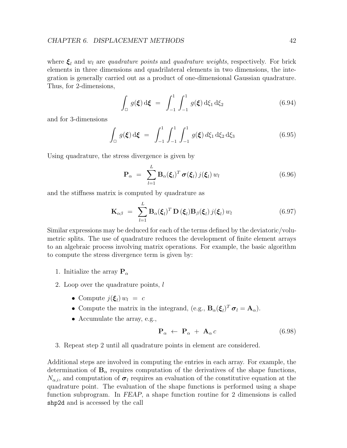where  $\xi_l$  and  $w_l$  are quadrature points and quadrature weights, respectively. For brick elements in three dimensions and quadrilateral elements in two dimensions, the integration is generally carried out as a product of one-dimensional Gaussian quadrature. Thus, for 2-dimensions,

$$
\int_{\Box} g(\xi) d\xi = \int_{-1}^{1} \int_{-1}^{1} g(\xi) d\xi_1 d\xi_2
$$
\n(6.94)

and for 3-dimensions

$$
\int_{\Box} g(\xi) d\xi = \int_{-1}^{1} \int_{-1}^{1} \int_{-1}^{1} g(\xi) d\xi_1 d\xi_2 d\xi_3
$$
\n(6.95)

Using quadrature, the stress divergence is given by

$$
\mathbf{P}_{\alpha} = \sum_{l=1}^{L} \mathbf{B}_{\alpha}(\boldsymbol{\xi}_{l})^{T} \boldsymbol{\sigma}(\boldsymbol{\xi}_{l}) j(\boldsymbol{\xi}_{l}) w_{l}
$$
(6.96)

and the stiffness matrix is computed by quadrature as

$$
\mathbf{K}_{\alpha\beta} = \sum_{l=1}^{L} \mathbf{B}_{\alpha}(\boldsymbol{\xi}_{l})^{T} \mathbf{D}(\boldsymbol{\xi}_{l}) \mathbf{B}_{\beta}(\boldsymbol{\xi}_{l}) j(\boldsymbol{\xi}_{l}) w_{l}
$$
(6.97)

Similar expressions may be deduced for each of the terms defined by the deviatoric/volumetric splits. The use of quadrature reduces the development of finite element arrays to an algebraic process involving matrix operations. For example, the basic algorithm to compute the stress divergence term is given by:

- 1. Initialize the array  $P_\alpha$
- 2. Loop over the quadrature points, l
	- Compute  $j(\boldsymbol{\xi}_l) w_l = c$
	- Compute the matrix in the integrand, (e.g.,  $B_{\alpha}(\xi_l)^T \sigma_l = A_{\alpha}$ ).
	- Accumulate the array, e.g.,

$$
\mathbf{P}_{\alpha} \leftarrow \mathbf{P}_{\alpha} + \mathbf{A}_{\alpha} c \tag{6.98}
$$

3. Repeat step 2 until all quadrature points in element are considered.

Additional steps are involved in computing the entries in each array. For example, the determination of  $B_{\alpha}$  requires computation of the derivatives of the shape functions,  $N_{\alpha,i}$ , and computation of  $\sigma_l$  requires an evaluation of the constitutive equation at the quadrature point. The evaluation of the shape functions is performed using a shape function subprogram. In FEAP, a shape function routine for 2 dimensions is called shp2d and is accessed by the call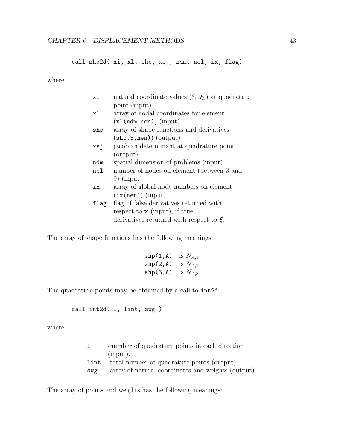call shp2d( xi, xl, shp, xsj, ndm, nel, ix, flag)

where

| хi   | natural coordinate values $(\xi_1, \xi_2)$ at quadrature |
|------|----------------------------------------------------------|
|      | point (input)                                            |
| хl   | array of nodal coordinates for element                   |
|      | $(x1(ndm, nen))$ (input)                                 |
| shp  | array of shape functions and derivatives                 |
|      | $(\text{shp}(3, \text{nen}))$ (output)                   |
| xsj  | jacobian determinant at quadrature point                 |
|      | (output)                                                 |
| ndm  | spatial dimension of problems (input)                    |
| nel  | number of nodes on element (between 3 and                |
|      | $9)$ (input)                                             |
| iх   | array of global node numbers on element                  |
|      | $(ix(nen))$ (input)                                      |
| flag | flag, if false derivatives returned with                 |
|      | respect to $\bf{x}$ (input); if true                     |
|      | derivatives returned with respect to $\xi$ .             |
|      |                                                          |

The array of shape functions has the following meanings:

| $\operatorname{shp}(1,\Lambda)$ | is $N_{A,1}$ |
|---------------------------------|--------------|
| $\text{shp}(2,\text{A})$        | is $N_{A,2}$ |
| $\text{shp}(3, A)$              | is $N_{A,3}$ |

The quadrature points may be obtained by a call to int2d:

call int2d( l, lint, swg )

where

| 1   | -number of quadrature points in each direction           |
|-----|----------------------------------------------------------|
|     | $(\text{input})$ .                                       |
|     | <b>lint</b> -total number of quadrature points (output). |
| swg | -array of natural coordinates and weights (output).      |

The array of points and weights has the following meanings: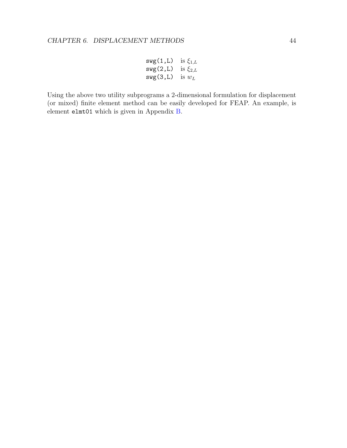$$
swg(1,L) \text{ is } \xi_{1,L}
$$
  
\n
$$
swg(2,L) \text{ is } \xi_{2,L}
$$
  
\n
$$
swg(3,L) \text{ is } w_L
$$

Using the above two utility subprograms a 2-dimensional formulation for displacement (or mixed) finite element method can be easily developed for FEAP. An example, is element elmt01 which is given in Appendix [B.](#page-141-0)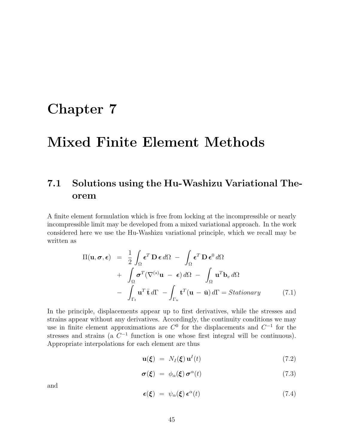## Chapter 7

## Mixed Finite Element Methods

### 7.1 Solutions using the Hu-Washizu Variational Theorem

A finite element formulation which is free from locking at the incompressible or nearly incompressible limit may be developed from a mixed variational approach. In the work considered here we use the Hu-Washizu variational principle, which we recall may be written as

<span id="page-49-0"></span>
$$
\Pi(\mathbf{u}, \boldsymbol{\sigma}, \boldsymbol{\epsilon}) = \frac{1}{2} \int_{\Omega} \boldsymbol{\epsilon}^{T} \mathbf{D} \boldsymbol{\epsilon} d\Omega - \int_{\Omega} \boldsymbol{\epsilon}^{T} \mathbf{D} \boldsymbol{\epsilon}^{0} d\Omega \n+ \int_{\Omega} \boldsymbol{\sigma}^{T} (\nabla^{(s)} \mathbf{u} - \boldsymbol{\epsilon}) d\Omega - \int_{\Omega} \mathbf{u}^{T} \mathbf{b}_{v} d\Omega \n- \int_{\Gamma_{t}} \mathbf{u}^{T} \bar{\mathbf{t}} d\Gamma - \int_{\Gamma_{u}} \mathbf{t}^{T} (\mathbf{u} - \bar{\mathbf{u}}) d\Gamma = \text{Stationary}
$$
\n(7.1)

In the principle, displacements appear up to first derivatives, while the stresses and strains appear without any derivatives. Accordingly, the continuity conditions we may use in finite element approximations are  $C^0$  for the displacements and  $C^{-1}$  for the stresses and strains (a  $C^{-1}$  function is one whose first integral will be continuous). Appropriate interpolations for each element are thus

$$
\mathbf{u}(\boldsymbol{\xi}) = N_I(\boldsymbol{\xi}) \mathbf{u}^I(t) \tag{7.2}
$$

$$
\boldsymbol{\sigma}(\boldsymbol{\xi}) = \phi_{\alpha}(\boldsymbol{\xi}) \boldsymbol{\sigma}^{\alpha}(t) \tag{7.3}
$$

and

$$
\epsilon(\xi) = \psi_{\alpha}(\xi) \epsilon^{\alpha}(t) \tag{7.4}
$$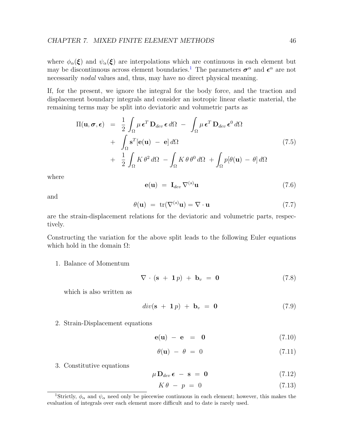where  $\phi_{\alpha}(\xi)$  and  $\psi_{\alpha}(\xi)$  are interpolations which are continuous in each element but may be discontinuous across element boundaries.<sup>[1](#page-50-0)</sup> The parameters  $\sigma^{\alpha}$  and  $\epsilon^{\alpha}$  are not necessarily nodal values and, thus, may have no direct physical meaning.

If, for the present, we ignore the integral for the body force, and the traction and displacement boundary integrals and consider an isotropic linear elastic material, the remaining terms may be split into deviatoric and volumetric parts as

<span id="page-50-1"></span>
$$
\Pi(\mathbf{u}, \boldsymbol{\sigma}, \boldsymbol{\epsilon}) = \frac{1}{2} \int_{\Omega} \mu \boldsymbol{\epsilon}^{T} \mathbf{D}_{dev} \boldsymbol{\epsilon} d\Omega - \int_{\Omega} \mu \boldsymbol{\epsilon}^{T} \mathbf{D}_{dev} \boldsymbol{\epsilon}^{0} d\Omega + \int_{\Omega} \mathbf{s}^{T} [\mathbf{e}(\mathbf{u}) - \mathbf{e}] d\Omega + \frac{1}{2} \int_{\Omega} K \theta^{2} d\Omega - \int_{\Omega} K \theta \theta^{0} d\Omega + \int_{\Omega} p[\theta(\mathbf{u}) - \theta] d\Omega
$$
\n(7.5)

where

$$
\mathbf{e}(\mathbf{u}) = \mathbf{I}_{dev} \nabla^{(s)} \mathbf{u} \tag{7.6}
$$

and

$$
\theta(\mathbf{u}) = \text{tr}(\nabla^{(s)}\mathbf{u}) = \nabla \cdot \mathbf{u} \tag{7.7}
$$

are the strain-displacement relations for the deviatoric and volumetric parts, respectively.

Constructing the variation for the above split leads to the following Euler equations which hold in the domain  $\Omega$ :

1. Balance of Momentum

$$
\nabla \cdot (\mathbf{s} + \mathbf{1}p) + \mathbf{b}_v = \mathbf{0} \tag{7.8}
$$

which is also written as

$$
div(\mathbf{s} + \mathbf{1}p) + \mathbf{b}_v = \mathbf{0} \tag{7.9}
$$

2. Strain-Displacement equations

$$
\mathbf{e}(\mathbf{u}) - \mathbf{e} = \mathbf{0} \tag{7.10}
$$

$$
\theta(\mathbf{u}) - \theta = 0 \tag{7.11}
$$

3. Constitutive equations

$$
\mu \mathbf{D}_{dev} \epsilon - \mathbf{s} = \mathbf{0} \tag{7.12}
$$

<span id="page-50-2"></span>
$$
K\theta - p = 0 \tag{7.13}
$$

<span id="page-50-0"></span><sup>&</sup>lt;sup>1</sup>Strictly,  $\phi_{\alpha}$  and  $\psi_{\alpha}$  need only be piecewise continuous in each element; however, this makes the evaluation of integrals over each element more difficult and to date is rarely used.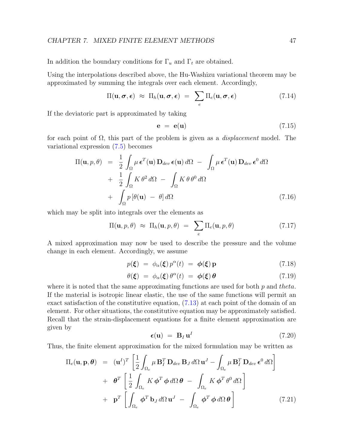In addition the boundary conditions for  $\Gamma_u$  and  $\Gamma_t$  are obtained.

Using the interpolations described above, the Hu-Washizu variational theorem may be approximated by summing the integrals over each element. Accordingly,

$$
\Pi(\mathbf{u},\boldsymbol{\sigma},\boldsymbol{\epsilon}) \approx \Pi_h(\mathbf{u},\boldsymbol{\sigma},\boldsymbol{\epsilon}) = \sum_e \Pi_e(\mathbf{u},\boldsymbol{\sigma},\boldsymbol{\epsilon}) \qquad (7.14)
$$

If the deviatoric part is approximated by taking

$$
\mathbf{e} = \mathbf{e}(\mathbf{u}) \tag{7.15}
$$

for each point of  $\Omega$ , this part of the problem is given as a *displacement* model. The variational expression [\(7.5\)](#page-50-1) becomes

<span id="page-51-0"></span>
$$
\Pi(\mathbf{u}, p, \theta) = \frac{1}{2} \int_{\Omega} \mu \,\boldsymbol{\epsilon}^{T}(\mathbf{u}) \, \mathbf{D}_{dev} \, \boldsymbol{\epsilon}(\mathbf{u}) \, d\Omega - \int_{\Omega} \mu \, \boldsymbol{\epsilon}^{T}(\mathbf{u}) \, \mathbf{D}_{dev} \, \boldsymbol{\epsilon}^{0} \, d\Omega
$$

$$
+ \frac{1}{2} \int_{\Omega} K \, \theta^{2} \, d\Omega - \int_{\Omega} K \, \theta \, \theta^{0} \, d\Omega
$$

$$
+ \int_{\Omega} p \left[ \theta(\mathbf{u}) - \theta \right] d\Omega \tag{7.16}
$$

which may be split into integrals over the elements as

$$
\Pi(\mathbf{u},p,\theta) \approx \Pi_h(\mathbf{u},p,\theta) = \sum_e \Pi_e(\mathbf{u},p,\theta) \tag{7.17}
$$

A mixed approximation may now be used to describe the pressure and the volume change in each element. Accordingly, we assume

<span id="page-51-1"></span>
$$
p(\xi) = \phi_{\alpha}(\xi) p^{\alpha}(t) = \phi(\xi) \mathbf{p}
$$
\n(7.18)

<span id="page-51-2"></span>
$$
\theta(\xi) = \phi_{\alpha}(\xi) \theta^{\alpha}(t) = \phi(\xi) \theta \tag{7.19}
$$

where it is noted that the same approximating functions are used for both  $p$  and theta. If the material is isotropic linear elastic, the use of the same functions will permit an exact satisfaction of the constitutive equation, [\(7.13\)](#page-50-2) at each point of the domain of an element. For other situations, the constitutive equation may be approximately satisfied. Recall that the strain-displacement equations for a finite element approximation are given by

$$
\epsilon(\mathbf{u}) = \mathbf{B}_I \mathbf{u}^I \tag{7.20}
$$

Thus, the finite element approximation for the mixed formulation may be written as

$$
\Pi_e(\mathbf{u}, \mathbf{p}, \boldsymbol{\theta}) = (\mathbf{u}^I)^T \left[ \frac{1}{2} \int_{\Omega_e} \mu \mathbf{B}_I^T \mathbf{D}_{dev} \mathbf{B}_J d\Omega \mathbf{u}^J - \int_{\Omega_e} \mu \mathbf{B}_I^T \mathbf{D}_{dev} \boldsymbol{\epsilon}^0 d\Omega \right] + \boldsymbol{\theta}^T \left[ \frac{1}{2} \int_{\Omega_e} K \boldsymbol{\phi}^T \boldsymbol{\phi} d\Omega \boldsymbol{\theta} - \int_{\Omega_e} K \boldsymbol{\phi}^T \boldsymbol{\theta}^0 d\Omega \right] + \mathbf{p}^T \left[ \int_{\Omega_e} \boldsymbol{\phi}^T \mathbf{b}_J d\Omega \mathbf{u}^J - \int_{\Omega_e} \boldsymbol{\phi}^T \boldsymbol{\phi} d\Omega \boldsymbol{\theta} \right]
$$
(7.21)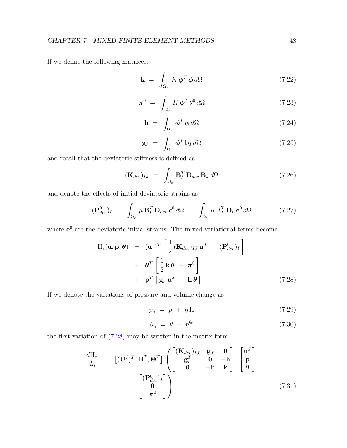If we define the following matrices:

$$
\mathbf{k} = \int_{\Omega_e} K \, \boldsymbol{\phi}^T \, \boldsymbol{\phi} \, d\Omega \tag{7.22}
$$

$$
\boldsymbol{\pi}^0 = \int_{\Omega_e} K \boldsymbol{\phi}^T \theta^0 d\Omega \qquad (7.23)
$$

<span id="page-52-1"></span>
$$
\mathbf{h} = \int_{\Omega_e} \phi^T \phi \, d\Omega \tag{7.24}
$$

<span id="page-52-2"></span>
$$
\mathbf{g}_I = \int_{\Omega_e} \boldsymbol{\phi}^T \, \mathbf{b}_I \, d\Omega \tag{7.25}
$$

and recall that the deviatoric stiffness is defined as

$$
(\mathbf{K}_{dev})_{IJ} = \int_{\Omega_e} \mathbf{B}_I^T \mathbf{D}_{dev} \mathbf{B}_J d\Omega \qquad (7.26)
$$

and denote the effects of initial deviatoric strains as

$$
(\mathbf{P}_{dev}^0)_I = \int_{\Omega_e} \mu \, \mathbf{B}_I^T \, \mathbf{D}_{dev} \, \boldsymbol{\epsilon}^0 \, d\Omega = \int_{\Omega_e} \mu \, \mathbf{B}_I^T \, \mathbf{D}_\mu \, \mathbf{e}^0 \, d\Omega \tag{7.27}
$$

where  $e^{0}$  are the deviatoric initial strains. The mixed variational terms become

<span id="page-52-0"></span>
$$
\Pi_e(\mathbf{u}, \mathbf{p}, \boldsymbol{\theta}) = (\mathbf{u}^I)^T \left[ \frac{1}{2} (\mathbf{K}_{dev})_{IJ} \mathbf{u}^J - (\mathbf{P}_{dev}^0)_I \right] \n+ \boldsymbol{\theta}^T \left[ \frac{1}{2} \mathbf{k} \boldsymbol{\theta} - \boldsymbol{\pi}^0 \right] \n+ \mathbf{p}^T \left[ \mathbf{g}_J \mathbf{u}^J - \mathbf{h} \boldsymbol{\theta} \right]
$$
\n(7.28)

If we denote the variations of pressure and volume change as

$$
p_{\eta} = p + \eta \Pi \tag{7.29}
$$

$$
\theta_{\eta} = \theta + \eta^{\Theta} \tag{7.30}
$$

the first variation of [\(7.28\)](#page-52-0) may be written in the matrix form

$$
\frac{d\Pi_e}{d\eta} = \left[ (\mathbf{U}^I)^T, \mathbf{\Pi}^T, \Theta^T \right] \begin{pmatrix} [\mathbf{K}_{dev})_{IJ} & \mathbf{g}_J & \mathbf{0} \\ \mathbf{g}_I^T & \mathbf{0} & -\mathbf{h} \\ \mathbf{0} & -\mathbf{h} & \mathbf{k} \end{pmatrix} \begin{bmatrix} \mathbf{u}^J \\ \mathbf{p} \\ \mathbf{\theta} \end{bmatrix}
$$
\n
$$
- \begin{bmatrix} (\mathbf{P}_{dev}^0)_I \\ \mathbf{0} \\ \pi^0 \end{bmatrix}
$$
\n(7.31)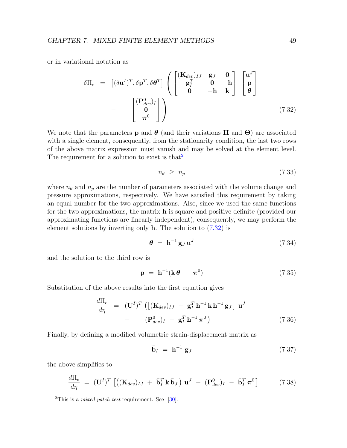or in variational notation as

<span id="page-53-1"></span>
$$
\delta\Pi_e = [(\delta \mathbf{u}^I)^T, \delta \mathbf{p}^T, \delta \boldsymbol{\theta}^T] \begin{pmatrix} [\mathbf{K}_{dev}]_{IJ} & \mathbf{g}_J & \mathbf{0} \\ \mathbf{g}_I^T & \mathbf{0} & -\mathbf{h} \\ \mathbf{0} & -\mathbf{h} & \mathbf{k} \end{pmatrix} \begin{bmatrix} \mathbf{u}^J \\ \mathbf{p} \\ \boldsymbol{\theta} \end{bmatrix}
$$

$$
- \begin{bmatrix} [\mathbf{P}_{dev}^0]_I \\ \mathbf{0} \\ \pi^0 \end{bmatrix}
$$
(7.32)

We note that the parameters **p** and  $\boldsymbol{\theta}$  (and their variations  $\Pi$  and  $\boldsymbol{\Theta}$ ) are associated with a single element, consequently, from the stationarity condition, the last two rows of the above matrix expression must vanish and may be solved at the element level. The requirement for a solution to exist is that  $2^2$  $2^2$ 

$$
n_{\theta} \geq n_p \tag{7.33}
$$

where  $n_{\theta}$  and  $n_p$  are the number of parameters associated with the volume change and pressure approximations, respectively. We have satisfied this requirement by taking an equal number for the two approximations. Also, since we used the same functions for the two approximations, the matrix h is square and positive definite (provided our approximating functions are linearly independent), consequently, we may perform the element solutions by inverting only **. The solution to**  $(7.32)$  **is** 

$$
\boldsymbol{\theta} = \mathbf{h}^{-1} \mathbf{g}_J \mathbf{u}^J \tag{7.34}
$$

and the solution to the third row is

$$
\mathbf{p} = \mathbf{h}^{-1}(\mathbf{k}\,\boldsymbol{\theta} - \boldsymbol{\pi}^0) \tag{7.35}
$$

Substitution of the above results into the first equation gives

$$
\frac{d\Pi_e}{d\eta} = (\mathbf{U}^I)^T \left( \left[ (\mathbf{K}_{dev})_{IJ} + \mathbf{g}_I^T \mathbf{h}^{-1} \mathbf{k} \mathbf{h}^{-1} \mathbf{g}_J \right] \mathbf{u}^J - (\mathbf{P}_{dev}^0)_I - \mathbf{g}_I^T \mathbf{h}^{-1} \boldsymbol{\pi}^0 \right)
$$
\n(7.36)

Finally, by defining a modified volumetric strain-displacement matrix as

$$
\bar{\mathbf{b}}_I = \mathbf{h}^{-1} \mathbf{g}_J \tag{7.37}
$$

the above simplifies to

$$
\frac{d\Pi_e}{d\eta} = (\mathbf{U}^I)^T \left[ \left( (\mathbf{K}_{dev})_{IJ} + \bar{\mathbf{b}}_I^T \mathbf{k} \bar{\mathbf{b}}_J \right) \mathbf{u}^J - (\mathbf{P}_{dev}^0)_I - \bar{\mathbf{b}}_I^T \boldsymbol{\pi}^0 \right]
$$
(7.38)

<span id="page-53-0"></span><sup>&</sup>lt;sup>2</sup>This is a *mixed patch test* requirement. See [\[30\]](#page-132-0).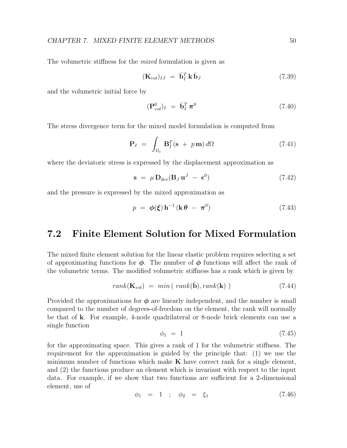The volumetric stiffness for the *mixed* formulation is given as

$$
(\mathbf{K}_{vol})_{IJ} = \bar{\mathbf{b}}_I^T \mathbf{k} \bar{\mathbf{b}}_J \tag{7.39}
$$

and the volumetric initial force by

$$
(\mathbf{P}_{vol}^0)_I = \bar{\mathbf{b}}_I^T \boldsymbol{\pi}^0 \tag{7.40}
$$

The stress divergence term for the mixed model formulation is computed from

$$
\mathbf{P}_I = \int_{\Omega_e} \mathbf{B}_I^T (\mathbf{s} + p \mathbf{m}) \, d\Omega \tag{7.41}
$$

where the deviatoric stress is expressed by the displacement approximation as

$$
\mathbf{s} = \mu \, \mathbf{D}_{dev} (\mathbf{B}_J \, \mathbf{u}^J \, - \, \boldsymbol{\epsilon}^0) \tag{7.42}
$$

and the pressure is expressed by the mixed approximation as

$$
p = \phi(\xi) \mathbf{h}^{-1} (\mathbf{k} \theta - \boldsymbol{\pi}^0) \tag{7.43}
$$

#### 7.2 Finite Element Solution for Mixed Formulation

The mixed finite element solution for the linear elastic problem requires selecting a set of approximating functions for  $\phi$ . The number of  $\phi$  functions will affect the rank of the volumetric terms. The modified volumetric stiffness has a rank which is given by

$$
rank(\mathbf{K}_{vol}) = min(\ rank(\bar{\mathbf{b}}), rank(\mathbf{k})) \qquad (7.44)
$$

Provided the approximations for  $\phi$  are linearly independent, and the number is small compared to the number of degrees-of-freedom on the element, the rank will normally be that of k. For example, 4-node quadrilateral or 8-node brick elements can use a single function

$$
\phi_1 = 1 \tag{7.45}
$$

for the approximating space. This gives a rank of 1 for the volumetric stiffness. The requirement for the approximation is guided by the principle that: (1) we use the minimum number of functions which make  $K$  have correct rank for a single element, and (2) the functions produce an element which is invariant with respect to the input data. For example, if we show that two functions are sufficient for a 2-dimensional element, use of

$$
\phi_1 = 1 \quad ; \quad \phi_2 = \xi_1 \tag{7.46}
$$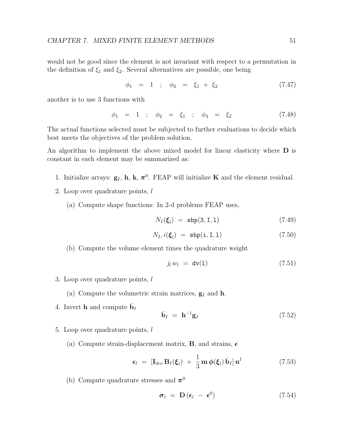would not be good since the element is not invariant with respect to a permutation in the definition of  $\xi_1$  and  $\xi_2$ . Several alternatives are possible, one being

$$
\phi_1 = 1 \quad ; \quad \phi_2 = \xi_1 + \xi_2 \tag{7.47}
$$

another is to use 3 functions with

$$
\phi_1 = 1 \quad ; \quad \phi_2 = \xi_1 \quad ; \quad \phi_3 = \xi_2 \tag{7.48}
$$

The actual functions selected must be subjected to further evaluations to decide which best meets the objectives of the problem solution.

An algorithm to implement the above mixed model for linear elasticity where  $\bf{D}$  is constant in each element may be summarized as:

- 1. Initialize arrays:  $g_I$ , h, k,  $\pi^0$ . FEAP will initialize **K** and the element residual.
- 2. Loop over quadrature points, l
	- (a) Compute shape functions: In 2-d problems FEAP uses,

$$
N_I(\boldsymbol{\xi}_l) = \mathrm{shp}(3, \mathrm{I}, 1) \tag{7.49}
$$

$$
N_I, i(\xi_l) = \text{shp}(i, I, 1) \tag{7.50}
$$

(b) Compute the volume element times the quadrature weight

$$
j_l w_l = \text{dv}(1) \tag{7.51}
$$

3. Loop over quadrature points,  $l$ 

(a) Compute the volumetric strain matrices,  $\mathbf{g}_I$  and **h**.

4. Invert **h** and compute  $\bar{\mathbf{b}}_I$ 

$$
\bar{\mathbf{b}}_I = \mathbf{h}^{-1} \mathbf{g}_I \tag{7.52}
$$

- 5. Loop over quadrature points, l
	- (a) Compute strain-displacement matrix, **B**, and strains,  $\epsilon$

$$
\epsilon_l = \left[ \mathbf{I}_{dev} \, \mathbf{B}_I(\boldsymbol{\xi}_l) \; + \; \frac{1}{3} \, \mathbf{m} \, \boldsymbol{\phi}(\boldsymbol{\xi}_l) \, \bar{\mathbf{b}}_I \right] \mathbf{u}^I \tag{7.53}
$$

(b) Compute quadrature stresses and  $\pi^0$ 

$$
\boldsymbol{\sigma}_l = \mathbf{D} (\boldsymbol{\epsilon}_l - \boldsymbol{\epsilon}^0) \tag{7.54}
$$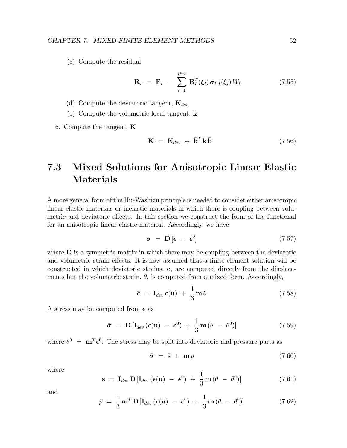(c) Compute the residual

$$
\mathbf{R}_I = \mathbf{F}_I - \sum_{l=1}^{lint} \mathbf{B}_I^T(\boldsymbol{\xi}_l) \boldsymbol{\sigma}_l \, j(\boldsymbol{\xi}_l) \, W_l \tag{7.55}
$$

(d) Compute the deviatoric tangent,  $\mathbf{K}_{dev}$ 

(e) Compute the volumetric local tangent, k

6. Compute the tangent,  $\bf{K}$ 

$$
\mathbf{K} = \mathbf{K}_{dev} + \bar{\mathbf{b}}^T \mathbf{k} \bar{\mathbf{b}} \tag{7.56}
$$

### 7.3 Mixed Solutions for Anisotropic Linear Elastic Materials

A more general form of the Hu-Washizu principle is needed to consider either anisotropic linear elastic materials or inelastic materials in which there is coupling between volumetric and deviatoric effects. In this section we construct the form of the functional for an anisotropic linear elastic material. Accordingly, we have

$$
\sigma = \mathbf{D} \left[ \boldsymbol{\epsilon} - \boldsymbol{\epsilon}^0 \right] \tag{7.57}
$$

where  **is a symmetric matrix in which there may be coupling between the deviatoric** and volumetric strain effects. It is now assumed that a finite element solution will be constructed in which deviatoric strains, e, are computed directly from the displacements but the volumetric strain,  $\theta$ , is computed from a mixed form. Accordingly,

$$
\bar{\epsilon} = \mathbf{I}_{dev} \, \epsilon(\mathbf{u}) + \frac{1}{3} \, \mathbf{m} \, \theta \tag{7.58}
$$

A stress may be computed from  $\bar{\epsilon}$  as

$$
\bar{\boldsymbol{\sigma}} = \mathbf{D} \left[ \mathbf{I}_{dev} \left( \boldsymbol{\epsilon}(\mathbf{u}) - \boldsymbol{\epsilon}^0 \right) + \frac{1}{3} \mathbf{m} \left( \theta - \theta^0 \right) \right] \tag{7.59}
$$

where  $\theta^0 = m^T \epsilon^0$ . The stress may be split into deviatoric and pressure parts as

$$
\bar{\boldsymbol{\sigma}} = \bar{\mathbf{s}} + \mathbf{m}\bar{p} \tag{7.60}
$$

where

<span id="page-56-0"></span>
$$
\bar{\mathbf{s}} = \mathbf{I}_{dev} \mathbf{D} [\mathbf{I}_{dev}(\boldsymbol{\epsilon}(\mathbf{u}) - \boldsymbol{\epsilon}^0) + \frac{1}{3} \mathbf{m} (\theta - \theta^0)] \qquad (7.61)
$$

and

<span id="page-56-1"></span>
$$
\bar{p} = \frac{1}{3} \mathbf{m}^T \mathbf{D} \left[ \mathbf{I}_{dev} \left( \boldsymbol{\epsilon}(\mathbf{u}) - \boldsymbol{\epsilon}^0 \right) + \frac{1}{3} \mathbf{m} \left( \theta - \theta^0 \right) \right]
$$
(7.62)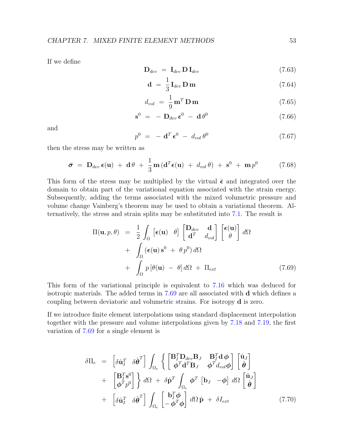If we define

$$
\mathbf{D}_{dev} = \mathbf{I}_{dev} \mathbf{D} \mathbf{I}_{dev} \tag{7.63}
$$

$$
\mathbf{d} = \frac{1}{3} \mathbf{I}_{dev} \mathbf{D} \mathbf{m} \tag{7.64}
$$

$$
d_{vol} = \frac{1}{9} \mathbf{m}^T \mathbf{D} \mathbf{m}
$$
 (7.65)

$$
\mathbf{s}^0 = -\mathbf{D}_{dev}\,\boldsymbol{\epsilon}^0 - \mathbf{d}\,\theta^0 \tag{7.66}
$$

and

$$
p^0 = -\mathbf{d}^T \boldsymbol{\epsilon}^0 - d_{vol} \theta^0 \qquad (7.67)
$$

then the stress may be written as

$$
\bar{\boldsymbol{\sigma}} = \mathbf{D}_{dev} \boldsymbol{\epsilon}(\mathbf{u}) + \mathbf{d}\theta + \frac{1}{3} \mathbf{m} (\mathbf{d}^T \boldsymbol{\epsilon}(\mathbf{u}) + d_{vol} \theta) + \mathbf{s}^0 + \mathbf{m} p^0 \qquad (7.68)
$$

This form of the stress may be multiplied by the virtual  $\bar{\epsilon}$  and integrated over the domain to obtain part of the variational equation associated with the strain energy. Subsequently, adding the terms associated with the mixed volumetric pressure and volume change Vainberg's theorem may be used to obtain a variational theorem. Alternatively, the stress and strain splits may be substituted into [7.1.](#page-49-0) The result is

<span id="page-57-0"></span>
$$
\Pi(\mathbf{u}, p, \theta) = \frac{1}{2} \int_{\Omega} \left[ \epsilon(\mathbf{u}) \theta \right] \begin{bmatrix} \mathbf{D}_{dev} & \mathbf{d} \\ \mathbf{d}^T & d_{vol} \end{bmatrix} \begin{bmatrix} \epsilon(\mathbf{u}) \\ \theta \end{bmatrix} d\Omega + \int_{\Omega} (\epsilon(\mathbf{u}) \mathbf{s}^0 + \theta p^0) d\Omega + \int_{\Omega} p[\theta(\mathbf{u}) - \theta] d\Omega + \Pi_{ext}
$$
(7.69)

This form of the variational principle is equivalent to [7.16](#page-51-0) which was deduced for isotropic materials. The added terms in [7.69](#page-57-0) are all associated with d which defines a coupling between deviatoric and volumetric strains. For isotropy d is zero.

If we introduce finite element interpolations using standard displacement interpolation together with the pressure and volume interpolations given by [7.18](#page-51-1) and [7.19,](#page-51-2) the first variation of [7.69](#page-57-0) for a single element is

<span id="page-57-1"></span>
$$
\delta\Pi_e = \begin{bmatrix} \delta \hat{\mathbf{u}}_I^T & \delta \hat{\boldsymbol{\theta}}^T \end{bmatrix} \int_{\Omega_e} \left\{ \begin{bmatrix} \mathbf{B}_I^T \mathbf{D}_{dev} \mathbf{B}_J & \mathbf{B}_I^T \mathbf{d} \boldsymbol{\phi} \\ \boldsymbol{\phi}^T \mathbf{d}^T \mathbf{B}_J & \boldsymbol{\phi}^T d_{vol} \boldsymbol{\phi} \end{bmatrix} \begin{bmatrix} \hat{\mathbf{u}}_J \\ \hat{\boldsymbol{\theta}} \end{bmatrix} + \begin{bmatrix} \mathbf{B}_I^T \mathbf{s}^0 \\ \boldsymbol{\phi}^T p^0 \end{bmatrix} \right\} d\Omega + \delta \hat{\mathbf{p}}^T \int_{\Omega_e} \boldsymbol{\phi}^T \begin{bmatrix} \mathbf{b}_J & -\boldsymbol{\phi} \end{bmatrix} d\Omega \begin{bmatrix} \hat{\mathbf{u}}_J \\ \hat{\boldsymbol{\theta}} \end{bmatrix} + \begin{bmatrix} \delta \hat{\mathbf{u}}_I^T & \delta \hat{\boldsymbol{\theta}}^T \end{bmatrix} \int_{\Omega_e} \begin{bmatrix} \mathbf{b}_I^T \boldsymbol{\phi} \\ -\boldsymbol{\phi}^T \boldsymbol{\phi} \end{bmatrix} d\Omega \hat{\mathbf{p}} + \delta I_{ext} \qquad (7.70)
$$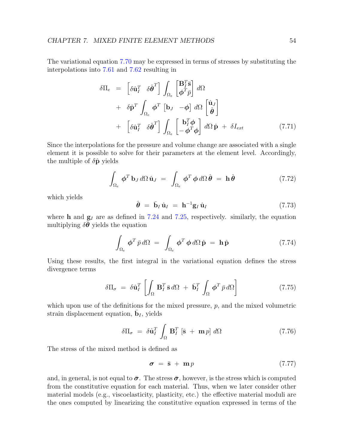The variational equation [7.70](#page-57-1) may be expressed in terms of stresses by substituting the interpolations into [7.61](#page-56-0) and [7.62](#page-56-1) resulting in

$$
\delta\Pi_e = \begin{bmatrix} \delta \hat{\mathbf{u}}_I^T & \delta \hat{\boldsymbol{\theta}}^T \end{bmatrix} \int_{\Omega_e} \begin{bmatrix} \mathbf{B}_I^T \bar{\mathbf{s}} \\ \boldsymbol{\phi}^T \bar{p} \end{bmatrix} d\Omega \n+ \delta \hat{\mathbf{p}}^T \int_{\Omega_e} \boldsymbol{\phi}^T \begin{bmatrix} \mathbf{b}_J & -\boldsymbol{\phi} \end{bmatrix} d\Omega \begin{bmatrix} \hat{\mathbf{u}}_J \\ \hat{\boldsymbol{\theta}} \end{bmatrix} \n+ \begin{bmatrix} \delta \hat{\mathbf{u}}_I^T & \delta \hat{\boldsymbol{\theta}}^T \end{bmatrix} \int_{\Omega_e} \begin{bmatrix} \mathbf{b}_I^T \boldsymbol{\phi} \\ -\boldsymbol{\phi}^T \boldsymbol{\phi} \end{bmatrix} d\Omega \hat{\mathbf{p}} + \delta I_{ext}
$$
\n(7.71)

Since the interpolations for the pressure and volume change are associated with a single element it is possible to solve for their parameters at the element level. Accordingly, the multiple of  $\delta \hat{\mathbf{p}}$  yields

<span id="page-58-0"></span>
$$
\int_{\Omega_e} \boldsymbol{\phi}^T \mathbf{b}_J d\Omega \, \hat{\mathbf{u}}_J = \int_{\Omega_e} \boldsymbol{\phi}^T \boldsymbol{\phi} d\Omega \, \hat{\boldsymbol{\theta}} = \mathbf{h} \, \hat{\boldsymbol{\theta}} \tag{7.72}
$$

which yields

$$
\hat{\boldsymbol{\theta}} = \bar{\mathbf{b}}_I \hat{\mathbf{u}}_I = \mathbf{h}^{-1} \mathbf{g}_I \hat{\mathbf{u}}_I \tag{7.73}
$$

where **h** and  $g_I$  are as defined in [7.24](#page-52-1) and [7.25,](#page-52-2) respectively. similarly, the equation multiplying  $\delta\theta$  yields the equation

<span id="page-58-1"></span>
$$
\int_{\Omega_e} \phi^T \bar{p} d\Omega = \int_{\Omega_e} \phi^T \phi d\Omega \hat{\mathbf{p}} = \mathbf{h} \hat{\mathbf{p}} \qquad (7.74)
$$

Using these results, the first integral in the variational equation defines the stress divergence terms

$$
\delta \Pi_{\sigma} = \delta \hat{\mathbf{u}}_I^T \left[ \int_{\Omega} \mathbf{B}_I^T \bar{\mathbf{s}} \, d\Omega + \bar{\mathbf{b}}_I^T \int_{\Omega} \phi^T \bar{p} \, d\Omega \right] \tag{7.75}
$$

which upon use of the definitions for the mixed pressure,  $p$ , and the mixed volumetric strain displacement equation,  $\bar{\mathbf{b}}_I$ , yields

$$
\delta \Pi_{\sigma} = \delta \hat{\mathbf{u}}_I^T \int_{\Omega} \mathbf{B}_I^T \left[ \bar{\mathbf{s}} + \mathbf{m} p \right] d\Omega \tag{7.76}
$$

The stress of the mixed method is defined as

$$
\sigma = \bar{s} + m p \tag{7.77}
$$

and, in general, is not equal to  $\bar{\sigma}$ . The stress  $\bar{\sigma}$ , however, is the stress which is computed from the constitutive equation for each material. Thus, when we later consider other material models (e.g., viscoelasticity, plasticity, etc.) the effective material moduli are the ones computed by linearizing the constitutive equation expressed in terms of the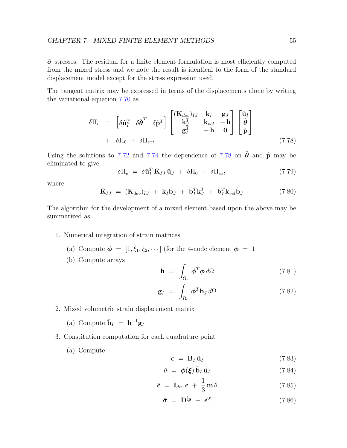$\bar{\sigma}$  stresses. The residual for a finite element formulation is most efficiently computed from the mixed stress and we note the result is identical to the form of the standard displacement model except for the stress expression used.

The tangent matrix may be expressed in terms of the displacements alone by writing the variational equation [7.70](#page-57-1) as

<span id="page-59-0"></span>
$$
\delta\Pi_e = \begin{bmatrix} \delta \hat{\mathbf{u}}_I^T & \delta \hat{\boldsymbol{\theta}}^T & \delta \hat{\mathbf{p}}^T \end{bmatrix} \begin{bmatrix} (\mathbf{K}_{dev})_{IJ} & \mathbf{k}_I & \mathbf{g}_J \\ \mathbf{k}_J^T & \mathbf{k}_{vol} & -\mathbf{h} \\ \mathbf{g}_I^T & -\mathbf{h} & \mathbf{0} \end{bmatrix} \begin{bmatrix} \hat{\mathbf{u}}_I \\ \hat{\boldsymbol{\theta}} \\ \hat{\mathbf{p}} \end{bmatrix} + \delta\Pi_0 + \delta\Pi_{ext} \qquad (7.78)
$$

Using the solutions to [7.72](#page-58-0) and [7.74](#page-58-1) the dependence of [7.78](#page-59-0) on  $\hat{\theta}$  and  $\hat{\rho}$  may be eliminated to give

$$
\delta\Pi_e = \delta \hat{\mathbf{u}}_I^T \bar{\mathbf{K}}_{IJ} \hat{\mathbf{u}}_J + \delta\Pi_0 + \delta\Pi_{ext} \tag{7.79}
$$

where

$$
\bar{\mathbf{K}}_{IJ} = (\mathbf{K}_{dev})_{IJ} + \mathbf{k}_I \bar{\mathbf{b}}_J + \bar{\mathbf{b}}_I^T \mathbf{k}_J^T + \bar{\mathbf{b}}_I^T \mathbf{k}_{vol} \bar{\mathbf{b}}_J \qquad (7.80)
$$

The algorithm for the development of a mixed element based upon the above may be summarized as:

- 1. Numerical integration of strain matrices
	- (a) Compute  $\phi = [1, \xi_1, \xi_2, \cdots]$  (for the 4-node element  $\phi = 1$
	- (b) Compute arrays

$$
\mathbf{h} = \int_{\Omega_e} \boldsymbol{\phi}^T \boldsymbol{\phi} \, d\Omega \tag{7.81}
$$

$$
\mathbf{g}_I = \int_{\Omega_e} \boldsymbol{\phi}^T \mathbf{b}_J \, d\Omega \tag{7.82}
$$

- 2. Mixed volumetric strain displacement matrix
	- (a) Compute  $\bar{\mathbf{b}}_I = \mathbf{h}^{-1} \mathbf{g}_I$
- 3. Constitution computation for each quadrature point
	- (a) Compute

$$
\epsilon = \mathbf{B}_I \hat{\mathbf{u}}_I \tag{7.83}
$$

$$
\theta = \phi(\xi) \bar{\mathbf{b}}_I \hat{\mathbf{u}}_I \tag{7.84}
$$

$$
\bar{\epsilon} = \mathbf{I}_{dev} \epsilon + \frac{1}{3} \mathbf{m} \theta \tag{7.85}
$$

$$
\bar{\boldsymbol{\sigma}} = \mathbf{D}^{\left[} \bar{\boldsymbol{\epsilon}} - \boldsymbol{\epsilon}^{0} \right] \tag{7.86}
$$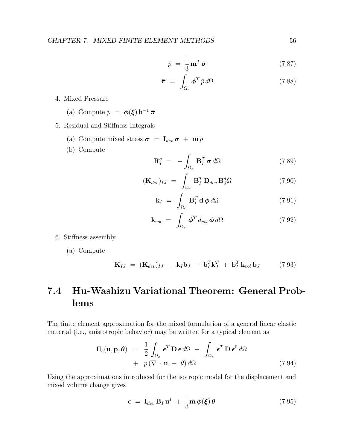$$
\bar{p} = \frac{1}{3} \mathbf{m}^T \bar{\boldsymbol{\sigma}} \tag{7.87}
$$

$$
\bar{\boldsymbol{\pi}} = \int_{\Omega_e} \boldsymbol{\phi}^T \, \bar{p} \, d\Omega \tag{7.88}
$$

- 4. Mixed Pressure
	- (a) Compute  $p = \phi(\xi) h^{-1} \bar{\pi}$
- 5. Residual and Stiffness Integrals
	- (a) Compute mixed stress  $\boldsymbol{\sigma} = \mathbf{I}_{dev} \boldsymbol{\bar{\sigma}} + \mathbf{m} p$
	- (b) Compute

$$
\mathbf{R}_I^{\sigma} = -\int_{\Omega_e} \mathbf{B}_I^T \boldsymbol{\sigma} d\Omega \qquad (7.89)
$$

$$
(\mathbf{K}_{dev})_{IJ} = \int_{\Omega_e} \mathbf{B}_I^T \mathbf{D}_{dev} \mathbf{B}_J^d \Omega \qquad (7.90)
$$

$$
\mathbf{k}_I = \int_{\Omega_e} \mathbf{B}_I^T \, \mathbf{d} \, \boldsymbol{\phi} \, d\Omega \tag{7.91}
$$

$$
\mathbf{k}_{vol} = \int_{\Omega_e} \boldsymbol{\phi}^T d_{vol} \boldsymbol{\phi} d\Omega \qquad (7.92)
$$

6. Stiffness assembly

(a) Compute

$$
\bar{\mathbf{K}}_{IJ} = (\mathbf{K}_{dev})_{IJ} + \mathbf{k}_I \bar{\mathbf{b}}_J + \bar{\mathbf{b}}_I^T \mathbf{k}_J^T + \bar{\mathbf{b}}_I^T \mathbf{k}_{vol} \bar{\mathbf{b}}_J \qquad (7.93)
$$

## 7.4 Hu-Washizu Variational Theorem: General Problems

The finite element approximation for the mixed formulation of a general linear elastic material (i.e., anistotropic behavior) may be written for a typical element as

$$
\Pi_e(\mathbf{u}, \mathbf{p}, \boldsymbol{\theta}) = \frac{1}{2} \int_{\Omega_e} \boldsymbol{\epsilon}^T \mathbf{D} \boldsymbol{\epsilon} d\Omega - \int_{\Omega_e} \boldsymbol{\epsilon}^T \mathbf{D} \boldsymbol{\epsilon}^0 d\Omega \n+ p (\nabla \cdot \mathbf{u} - \boldsymbol{\theta}) d\Omega
$$
\n(7.94)

Using the approximations introduced for the isotropic model for the displacement and mixed volume change gives

$$
\epsilon = \mathbf{I}_{dev} \mathbf{B}_I \mathbf{u}^I + \frac{1}{3} \mathbf{m} \phi(\xi) \theta \qquad (7.95)
$$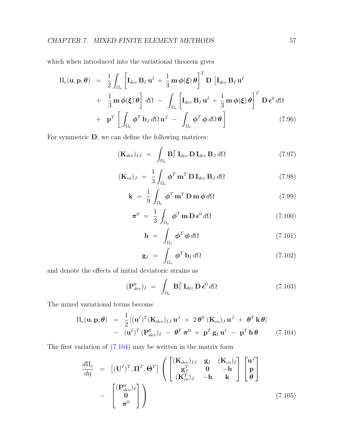which when introduced into the variational theorem gives

$$
\Pi_{e}(\mathbf{u}, \mathbf{p}, \boldsymbol{\theta}) = \frac{1}{2} \int_{\Omega_{e}} \left[ \mathbf{I}_{dev} \mathbf{B}_{I} \mathbf{u}^{I} + \frac{1}{3} \mathbf{m} \phi(\boldsymbol{\xi}) \boldsymbol{\theta} \right]^{T} \mathbf{D} \left[ \mathbf{I}_{dev} \mathbf{B}_{I} \mathbf{u}^{I} \right] \n+ \frac{1}{3} \mathbf{m} \phi(\boldsymbol{\xi}) \boldsymbol{\theta} \right] d\Omega - \int_{\Omega_{e}} \left[ \mathbf{I}_{dev} \mathbf{B}_{I} \mathbf{u}^{I} + \frac{1}{3} \mathbf{m} \phi(\boldsymbol{\xi}) \boldsymbol{\theta} \right]^{T} \mathbf{D} \boldsymbol{\epsilon}^{0} d\Omega \n+ \mathbf{p}^{T} \left[ \int_{\Omega_{e}} \boldsymbol{\phi}^{T} \mathbf{b}_{J} d\Omega \mathbf{u}^{J} - \int_{\Omega_{e}} \boldsymbol{\phi}^{T} \boldsymbol{\phi} d\Omega \boldsymbol{\theta} \right]
$$
\n(7.96)

For symmetric D, we can define the following matrices:

$$
(\mathbf{K}_{dev})_{IJ} = \int_{\Omega_e} \mathbf{B}_I^T \, \mathbf{I}_{dev} \, \mathbf{D} \, \mathbf{I}_{dev} \, \mathbf{B}_J \, d\Omega \tag{7.97}
$$

$$
(\mathbf{K}_{co})_J = \frac{1}{3} \int_{\Omega_e} \boldsymbol{\phi}^T \mathbf{m}^T \mathbf{D} \mathbf{I}_{dev} \mathbf{B}_J d\Omega \qquad (7.98)
$$

$$
\mathbf{k} = \frac{1}{9} \int_{\Omega_e} \boldsymbol{\phi}^T \mathbf{m}^T \mathbf{D} \mathbf{m} \boldsymbol{\phi} d\Omega \qquad (7.99)
$$

$$
\boldsymbol{\pi}^0 = \frac{1}{3} \int_{\Omega_e} \boldsymbol{\phi}^T \mathbf{m} \mathbf{D} \boldsymbol{\epsilon}^0 d\Omega \qquad (7.100)
$$

$$
\mathbf{h} = \int_{\Omega_e} \boldsymbol{\phi}^T \boldsymbol{\phi} d\Omega \qquad (7.101)
$$

$$
\mathbf{g}_I = \int_{\Omega_e} \boldsymbol{\phi}^T \, \mathbf{b}_I \, d\Omega \tag{7.102}
$$

and denote the effects of initial deviatoric strains as

$$
(\mathbf{P}_{dev}^0)_I = \int_{\Omega_e} \mathbf{B}_I^T \mathbf{I}_{dev} \mathbf{D} \boldsymbol{\epsilon}^0 d\Omega \qquad (7.103)
$$

The mixed variational terms become

<span id="page-61-0"></span>
$$
\Pi_e(\mathbf{u}, \mathbf{p}, \boldsymbol{\theta}) = \frac{1}{2} [(\mathbf{u}^I)^T (\mathbf{K}_{dev})_{IJ} \mathbf{u}^J + 2 \boldsymbol{\theta}^T (\mathbf{K}_{co})_J \mathbf{u}^J + \boldsymbol{\theta}^T \mathbf{k} \boldsymbol{\theta}]
$$
  
 
$$
- (\mathbf{u}^I)^T (\mathbf{P}_{dev}^0)_I - \boldsymbol{\theta}^T \boldsymbol{\pi}^0 + \mathbf{p}^T \mathbf{g}_I \mathbf{u}^I - \mathbf{p}^T \mathbf{h} \boldsymbol{\theta}
$$
(7.104)

The first variation of [\(7.104\)](#page-61-0) may be written in the matrix form

<span id="page-61-1"></span>
$$
\frac{d\Pi_e}{d\eta} = \left[ (\mathbf{U}^I)^T, \mathbf{\Pi}^T, \Theta^T \right] \left( \begin{bmatrix} (\mathbf{K}_{dev})_{IJ} & \mathbf{g}_I & (\mathbf{K}_{co})_I \\ \mathbf{g}_J^T & \mathbf{0} & -\mathbf{h} \\ (\mathbf{K}_{co}^T)_J & -\mathbf{h} & \mathbf{k} \end{bmatrix} \begin{bmatrix} \mathbf{u}^J \\ \mathbf{p} \\ \mathbf{\theta} \end{bmatrix} - \begin{bmatrix} (\mathbf{P}_{dev}^0)_I \\ \mathbf{0} \\ \pi^0 \end{bmatrix} \right)
$$
(7.105)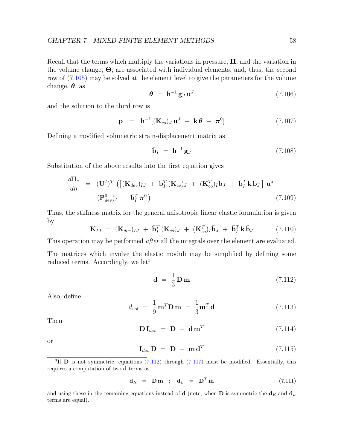Recall that the terms which multiply the variations in pressure,  $\Pi$ , and the variation in the volume change, Θ, are associated with individual elements, and, thus, the second row of [\(7.105\)](#page-61-1) may be solved at the element level to give the parameters for the volume change,  $\theta$ , as

$$
\boldsymbol{\theta} = \mathbf{h}^{-1} \mathbf{g}_J \mathbf{u}^J \tag{7.106}
$$

and the solution to the third row is

$$
\mathbf{p} = \mathbf{h}^{-1}[(\mathbf{K}_{co})_J \mathbf{u}^J + \mathbf{k}\boldsymbol{\theta} - \boldsymbol{\pi}^0]
$$
(7.107)

Defining a modified volumetric strain-displacement matrix as

$$
\bar{\mathbf{b}}_I = \mathbf{h}^{-1} \mathbf{g}_J \tag{7.108}
$$

Substitution of the above results into the first equation gives

$$
\frac{d\Pi_e}{d\eta} = (\mathbf{U}^I)^T \left( \left[ (\mathbf{K}_{dev})_{IJ} + \bar{\mathbf{b}}_I^T (\mathbf{K}_{co})_J + (\mathbf{K}_{co}^T)_I \bar{\mathbf{b}}_J + \bar{\mathbf{b}}_I^T \mathbf{k} \bar{\mathbf{b}}_J \right] \mathbf{u}^J - (\mathbf{P}_{dev}^0)_I - \bar{\mathbf{b}}_I^T \boldsymbol{\pi}^0 \right)
$$
\n(7.109)

Thus, the stiffness matrix for the general anisotropic linear elastic formulation is given by

$$
\mathbf{K}_{IJ} = (\mathbf{K}_{dev})_{IJ} + \bar{\mathbf{b}}_I^T (\mathbf{K}_{co})_J + (\mathbf{K}_{co}^T)_I \bar{\mathbf{b}}_J + \bar{\mathbf{b}}_I^T \mathbf{k} \bar{\mathbf{b}}_J \qquad (7.110)
$$

This operation may be performed *after* all the integrals over the element are evaluated.

The matrices which involve the elastic moduli may be simplified by defining some reduced terms. Accordingly, we let<sup>[3](#page-62-0)</sup>

<span id="page-62-1"></span>
$$
\mathbf{d} = \frac{1}{3} \mathbf{D} \mathbf{m} \tag{7.112}
$$

Also, define

$$
d_{vol} = \frac{1}{9} \mathbf{m}^T \mathbf{D} \mathbf{m} = \frac{1}{3} \mathbf{m}^T \mathbf{d} \qquad (7.113)
$$

Then

$$
\mathbf{D}\,\mathbf{I}_{dev} = \mathbf{D} - \mathbf{d}\,\mathbf{m}^T \tag{7.114}
$$

or

$$
\mathbf{I}_{dev}\,\mathbf{D} = \mathbf{D} - \mathbf{m}\,\mathbf{d}^T \tag{7.115}
$$

<span id="page-62-0"></span><sup>3</sup>If **D** is not symmetric, equations  $(7.112)$  through  $(7.117)$  must be modified. Essentially, this requires a computation of two d terms as

$$
\mathbf{d}_R = \mathbf{Dm} \quad ; \quad \mathbf{d}_L = \mathbf{D}^T \mathbf{m} \tag{7.111}
$$

and using these in the remaining equations instead of **d** (note, when **D** is symmetric the  $\mathbf{d}_R$  and  $\mathbf{d}_L$ terms are equal).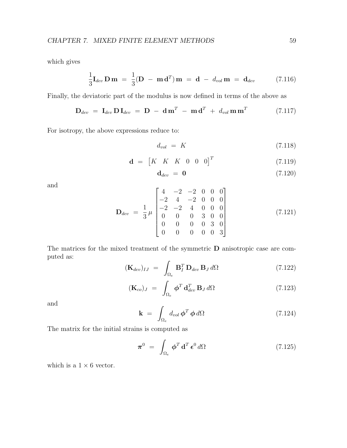which gives

$$
\frac{1}{3}\mathbf{I}_{dev}\mathbf{D}\mathbf{m} = \frac{1}{3}(\mathbf{D} - \mathbf{m}\mathbf{d}^T)\mathbf{m} = \mathbf{d} - d_{vol}\mathbf{m} = \mathbf{d}_{dev}
$$
 (7.116)

Finally, the deviatoric part of the modulus is now defined in terms of the above as

<span id="page-63-0"></span>
$$
\mathbf{D}_{dev} = \mathbf{I}_{dev} \mathbf{D} \mathbf{I}_{dev} = \mathbf{D} - \mathbf{d} \mathbf{m}^T - \mathbf{m} \mathbf{d}^T + d_{vol} \mathbf{m} \mathbf{m}^T
$$
 (7.117)

For isotropy, the above expressions reduce to:

$$
d_{vol} = K \tag{7.118}
$$

$$
\mathbf{d} = \begin{bmatrix} K & K & K & 0 & 0 & 0 \end{bmatrix}^T \tag{7.119}
$$

$$
\mathbf{d}_{dev} = \mathbf{0} \tag{7.120}
$$

and

$$
\mathbf{D}_{dev} = \frac{1}{3} \mu \begin{bmatrix} 4 & -2 & -2 & 0 & 0 & 0 \\ -2 & 4 & -2 & 0 & 0 & 0 \\ -2 & -2 & 4 & 0 & 0 & 0 \\ 0 & 0 & 0 & 3 & 0 & 0 \\ 0 & 0 & 0 & 0 & 3 & 0 \\ 0 & 0 & 0 & 0 & 0 & 3 \end{bmatrix}
$$
(7.121)

The matrices for the mixed treatment of the symmetric D anisotropic case are computed as:

$$
(\mathbf{K}_{dev})_{IJ} = \int_{\Omega_e} \mathbf{B}_I^T \mathbf{D}_{dev} \mathbf{B}_J d\Omega \qquad (7.122)
$$

$$
(\mathbf{K}_{co})_{J} = \int_{\Omega_{e}} \boldsymbol{\phi}^{T} \mathbf{d}_{dev}^{T} \mathbf{B}_{J} d\Omega \qquad (7.123)
$$

and

$$
\mathbf{k} = \int_{\Omega_e} d_{vol} \, \boldsymbol{\phi}^T \, \boldsymbol{\phi} \, d\Omega \tag{7.124}
$$

The matrix for the initial strains is computed as

$$
\boldsymbol{\pi}^0 = \int_{\Omega_e} \boldsymbol{\phi}^T \mathbf{d}^T \boldsymbol{\epsilon}^0 d\Omega \qquad (7.125)
$$

which is a  $1 \times 6$  vector.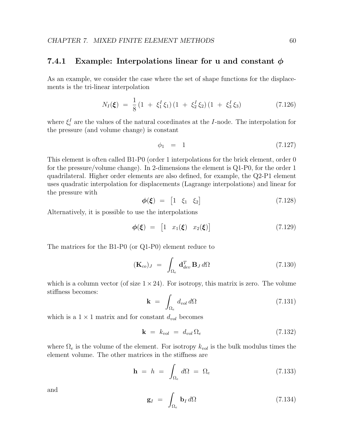#### 7.4.1 Example: Interpolations linear for u and constant  $\phi$

As an example, we consider the case where the set of shape functions for the displacements is the tri-linear interpolation

$$
N_I(\xi) = \frac{1}{8} \left( 1 + \xi_1^I \xi_1 \right) \left( 1 + \xi_2^I \xi_2 \right) \left( 1 + \xi_3^I \xi_3 \right) \tag{7.126}
$$

where  $\xi_i^I$  are the values of the natural coordinates at the *I*-node. The interpolation for the pressure (and volume change) is constant

$$
\phi_1 = 1 \tag{7.127}
$$

This element is often called B1-P0 (order 1 interpolations for the brick element, order 0 for the pressure/volume change). In 2-dimensions the element is Q1-P0, for the order 1 quadrilateral. Higher order elements are also defined, for example, the Q2-P1 element uses quadratic interpolation for displacements (Lagrange interpolations) and linear for the pressure with

$$
\phi(\xi) = \begin{bmatrix} 1 & \xi_1 & \xi_2 \end{bmatrix} \tag{7.128}
$$

Alternatively, it is possible to use the interpolations

$$
\phi(\xi) = \begin{bmatrix} 1 & x_1(\xi) & x_2(\xi) \end{bmatrix} \tag{7.129}
$$

The matrices for the B1-P0 (or Q1-P0) element reduce to

$$
(\mathbf{K}_{co})_{J} = \int_{\Omega_{e}} \mathbf{d}_{dev}^{T} \, \mathbf{B}_{J} \, d\Omega \tag{7.130}
$$

which is a column vector (of size  $1 \times 24$ ). For isotropy, this matrix is zero. The volume stiffness becomes:

$$
\mathbf{k} = \int_{\Omega_e} d_{vol} \, d\Omega \tag{7.131}
$$

which is a  $1 \times 1$  matrix and for constant  $d_{vol}$  becomes

$$
\mathbf{k} = k_{vol} = d_{vol} \, \Omega_e \tag{7.132}
$$

where  $\Omega_e$  is the volume of the element. For isotropy  $k_{vol}$  is the bulk modulus times the element volume. The other matrices in the stiffness are

$$
\mathbf{h} = h = \int_{\Omega_e} d\Omega = \Omega_e \tag{7.133}
$$

and

$$
\mathbf{g}_I = \int_{\Omega_e} \mathbf{b}_I \, d\Omega \tag{7.134}
$$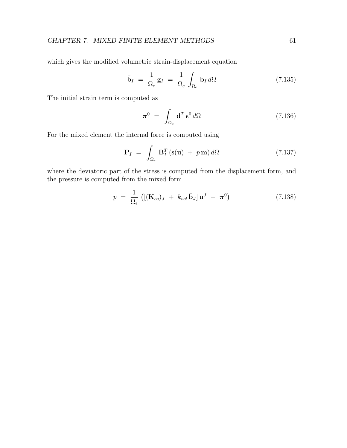which gives the modified volumetric strain-displacement equation

$$
\bar{\mathbf{b}}_I = \frac{1}{\Omega_e} \mathbf{g}_I = \frac{1}{\Omega_e} \int_{\Omega_e} \mathbf{b}_I d\Omega \qquad (7.135)
$$

The initial strain term is computed as

$$
\boldsymbol{\pi}^0 = \int_{\Omega_e} \mathbf{d}^T \boldsymbol{\epsilon}^0 d\Omega \qquad (7.136)
$$

For the mixed element the internal force is computed using

$$
\mathbf{P}_I = \int_{\Omega_e} \mathbf{B}_I^T (\mathbf{s}(\mathbf{u}) + p \mathbf{m}) \, d\Omega \tag{7.137}
$$

where the deviatoric part of the stress is computed from the displacement form, and the pressure is computed from the mixed form

$$
p = \frac{1}{\Omega_e} \left( \left[ (\mathbf{K}_{co})_J + k_{vol} \bar{\mathbf{b}}_J \right] \mathbf{u}^J - \boldsymbol{\pi}^0 \right) \tag{7.138}
$$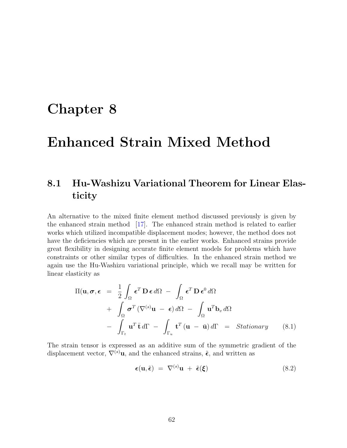## Chapter 8

# Enhanced Strain Mixed Method

## 8.1 Hu-Washizu Variational Theorem for Linear Elasticity

An alternative to the mixed finite element method discussed previously is given by the enhanced strain method [\[17\]](#page-131-0). The enhanced strain method is related to earlier works which utilized incompatible displacement modes; however, the method does not have the deficiencies which are present in the earlier works. Enhanced strains provide great flexibility in designing accurate finite element models for problems which have constraints or other similar types of difficulties. In the enhanced strain method we again use the Hu-Washizu variational principle, which we recall may be written for linear elasticity as

$$
\Pi(\mathbf{u}, \boldsymbol{\sigma}, \boldsymbol{\epsilon}) = \frac{1}{2} \int_{\Omega} \boldsymbol{\epsilon}^{T} \mathbf{D} \boldsymbol{\epsilon} d\Omega - \int_{\Omega} \boldsymbol{\epsilon}^{T} \mathbf{D} \boldsymbol{\epsilon}^{0} d\Omega \n+ \int_{\Omega} \boldsymbol{\sigma}^{T} (\nabla^{(s)} \mathbf{u} - \boldsymbol{\epsilon}) d\Omega - \int_{\Omega} \mathbf{u}^{T} \mathbf{b}_{v} d\Omega \n- \int_{\Gamma_{t}} \mathbf{u}^{T} \bar{\mathbf{t}} d\Gamma - \int_{\Gamma_{u}} \mathbf{t}^{T} (\mathbf{u} - \bar{\mathbf{u}}) d\Gamma = Stationary
$$
\n(8.1)

The strain tensor is expressed as an additive sum of the symmetric gradient of the displacement vector,  $\nabla^{(s)}$ **u**, and the enhanced strains,  $\tilde{\epsilon}$ , and written as

<span id="page-66-0"></span>
$$
\epsilon(\mathbf{u}, \tilde{\epsilon}) = \nabla^{(s)} \mathbf{u} + \tilde{\epsilon}(\xi) \tag{8.2}
$$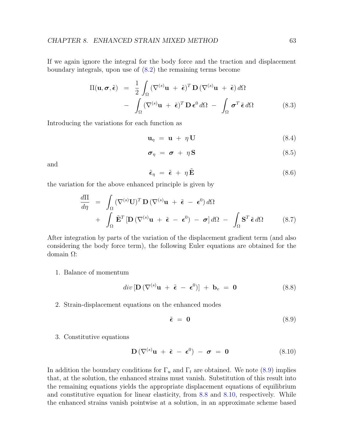If we again ignore the integral for the body force and the traction and displacement boundary integrals, upon use of [\(8.2\)](#page-66-0) the remaining terms become

$$
\Pi(\mathbf{u}, \boldsymbol{\sigma}, \tilde{\boldsymbol{\epsilon}}) = \frac{1}{2} \int_{\Omega} (\nabla^{(s)} \mathbf{u} + \tilde{\boldsymbol{\epsilon}})^{T} \mathbf{D} (\nabla^{(s)} \mathbf{u} + \tilde{\boldsymbol{\epsilon}}) d\Omega \n- \int_{\Omega} (\nabla^{(s)} \mathbf{u} + \tilde{\boldsymbol{\epsilon}})^{T} \mathbf{D} \boldsymbol{\epsilon}^{0} d\Omega - \int_{\Omega} \boldsymbol{\sigma}^{T} \tilde{\boldsymbol{\epsilon}} d\Omega
$$
\n(8.3)

Introducing the variations for each function as

$$
\mathbf{u}_{\eta} = \mathbf{u} + \eta \mathbf{U} \tag{8.4}
$$

$$
\boldsymbol{\sigma}_{\eta} = \boldsymbol{\sigma} + \eta \mathbf{S} \tag{8.5}
$$

and

$$
\tilde{\epsilon}_{\eta} = \tilde{\epsilon} + \eta \tilde{\mathbf{E}} \tag{8.6}
$$

the variation for the above enhanced principle is given by

<span id="page-67-3"></span>
$$
\frac{d\Pi}{d\eta} = \int_{\Omega} (\nabla^{(s)} \mathbf{U})^T \mathbf{D} (\nabla^{(s)} \mathbf{u} + \tilde{\boldsymbol{\epsilon}} - \boldsymbol{\epsilon}^0) d\Omega \n+ \int_{\Omega} \tilde{\mathbf{E}}^T [\mathbf{D} (\nabla^{(s)} \mathbf{u} + \tilde{\boldsymbol{\epsilon}} - \boldsymbol{\epsilon}^0) - \boldsymbol{\sigma}] d\Omega - \int_{\Omega} \mathbf{S}^T \tilde{\boldsymbol{\epsilon}} d\Omega
$$
\n(8.7)

After integration by parts of the variation of the displacement gradient term (and also considering the body force term), the following Euler equations are obtained for the domain Ω:

1. Balance of momentum

<span id="page-67-1"></span>
$$
div\left[\mathbf{D}\left(\nabla^{(s)}\mathbf{u} + \tilde{\boldsymbol{\epsilon}} - \boldsymbol{\epsilon}^0\right)\right] + \mathbf{b}_v = \mathbf{0}
$$
\n(8.8)

2. Strain-displacement equations on the enhanced modes

<span id="page-67-0"></span>
$$
\tilde{\epsilon} = 0 \tag{8.9}
$$

3. Constitutive equations

<span id="page-67-2"></span>
$$
\mathbf{D}(\nabla^{(s)}\mathbf{u} + \tilde{\boldsymbol{\epsilon}} - \boldsymbol{\epsilon}^0) - \boldsymbol{\sigma} = \mathbf{0} \tag{8.10}
$$

In addition the boundary conditions for  $\Gamma_u$  and  $\Gamma_t$  are obtained. We note [\(8.9\)](#page-67-0) implies that, at the solution, the enhanced strains must vanish. Substitution of this result into the remaining equations yields the appropriate displacement equations of equilibrium and constitutive equation for linear elasticity, from [8.8](#page-67-1) and [8.10,](#page-67-2) respectively. While the enhanced strains vanish pointwise at a solution, in an approximate scheme based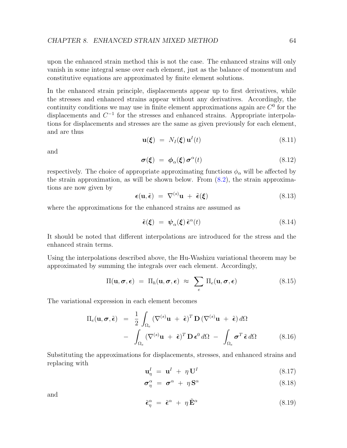upon the enhanced strain method this is not the case. The enhanced strains will only vanish in some integral sense over each element, just as the balance of momentum and constitutive equations are approximated by finite element solutions.

In the enhanced strain principle, displacements appear up to first derivatives, while the stresses and enhanced strains appear without any derivatives. Accordingly, the continuity conditions we may use in finite element approximations again are  $C^0$  for the displacements and  $C^{-1}$  for the stresses and enhanced strains. Appropriate interpolations for displacements and stresses are the same as given previously for each element, and are thus

$$
\mathbf{u}(\boldsymbol{\xi}) = N_I(\boldsymbol{\xi}) \mathbf{u}^I(t) \tag{8.11}
$$

and

$$
\boldsymbol{\sigma}(\boldsymbol{\xi}) = \boldsymbol{\phi}_{\alpha}(\boldsymbol{\xi}) \boldsymbol{\sigma}^{\alpha}(t) \tag{8.12}
$$

respectively. The choice of appropriate approximating functions  $\phi_{\alpha}$  will be affected by the strain approximation, as will be shown below. From  $(8.2)$ , the strain approximations are now given by

$$
\boldsymbol{\epsilon}(\mathbf{u}, \tilde{\boldsymbol{\epsilon}}) = \nabla^{(s)} \mathbf{u} + \tilde{\boldsymbol{\epsilon}}(\boldsymbol{\xi}) \tag{8.13}
$$

where the approximations for the enhanced strains are assumed as

$$
\tilde{\epsilon}(\xi) = \psi_{\alpha}(\xi) \tilde{\epsilon}^{\alpha}(t) \tag{8.14}
$$

It should be noted that different interpolations are introduced for the stress and the enhanced strain terms.

Using the interpolations described above, the Hu-Washizu variational theorem may be approximated by summing the integrals over each element. Accordingly,

$$
\Pi(\mathbf{u},\boldsymbol{\sigma},\boldsymbol{\epsilon}) = \Pi_h(\mathbf{u},\boldsymbol{\sigma},\boldsymbol{\epsilon}) \approx \sum_e \Pi_e(\mathbf{u},\boldsymbol{\sigma},\boldsymbol{\epsilon})
$$
\n(8.15)

The variational expression in each element becomes

$$
\Pi_e(\mathbf{u}, \boldsymbol{\sigma}, \tilde{\boldsymbol{\epsilon}}) = \frac{1}{2} \int_{\Omega_e} (\nabla^{(s)} \mathbf{u} + \tilde{\boldsymbol{\epsilon}})^T \mathbf{D} (\nabla^{(s)} \mathbf{u} + \tilde{\boldsymbol{\epsilon}}) d\Omega \n- \int_{\Omega_e} (\nabla^{(s)} \mathbf{u} + \tilde{\boldsymbol{\epsilon}})^T \mathbf{D} \boldsymbol{\epsilon}^0 d\Omega - \int_{\Omega_e} \boldsymbol{\sigma}^T \tilde{\boldsymbol{\epsilon}} d\Omega
$$
\n(8.16)

Substituting the approximations for displacements, stresses, and enhanced strains and replacing with

$$
\mathbf{u}_{\eta}^{I} = \mathbf{u}^{I} + \eta \mathbf{U}^{I} \tag{8.17}
$$

$$
\sigma_{\eta}^{\alpha} = \sigma^{\alpha} + \eta \mathbf{S}^{\alpha} \tag{8.18}
$$

and

$$
\tilde{\epsilon}_{\eta}^{\alpha} = \tilde{\epsilon}^{\alpha} + \eta \tilde{\mathbf{E}}^{\alpha} \tag{8.19}
$$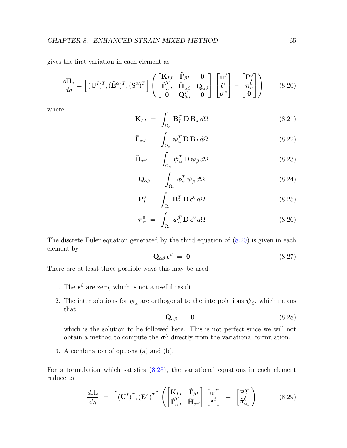gives the first variation in each element as

<span id="page-69-0"></span>
$$
\frac{d\Pi_e}{d\eta} = \left[ (\mathbf{U}^I)^T, (\tilde{\mathbf{E}}^{\alpha})^T, (\mathbf{S}^{\alpha})^T \right] \left( \begin{bmatrix} \mathbf{K}_{IJ} & \tilde{\mathbf{\Gamma}}_{\beta I} & \mathbf{0} \\ \tilde{\mathbf{\Gamma}}_{\alpha J}^T & \tilde{\mathbf{H}}_{\alpha \beta} & \mathbf{Q}_{\alpha \beta} \\ \mathbf{0} & \mathbf{Q}_{\beta \alpha}^T & \mathbf{0} \end{bmatrix} \begin{bmatrix} \mathbf{u}^J \\ \tilde{\boldsymbol{\epsilon}}^{\beta} \\ \boldsymbol{\sigma}^{\beta} \end{bmatrix} - \begin{bmatrix} \mathbf{P}_I^0 \\ \tilde{\boldsymbol{\pi}}_{\alpha}^0 \\ \mathbf{0} \end{bmatrix} \right)
$$
(8.20)

where

$$
\mathbf{K}_{IJ} = \int_{\Omega_e} \mathbf{B}_I^T \mathbf{D} \mathbf{B}_J d\Omega \qquad (8.21)
$$

$$
\tilde{\mathbf{\Gamma}}_{\alpha J} = \int_{\Omega_e} \boldsymbol{\psi}_{\alpha}^T \mathbf{D} \mathbf{B}_J d\Omega \qquad (8.22)
$$

$$
\tilde{\mathbf{H}}_{\alpha\beta} = \int_{\Omega_e} \boldsymbol{\psi}_{\alpha}^T \mathbf{D} \boldsymbol{\psi}_{\beta} d\Omega \qquad (8.23)
$$

$$
\mathbf{Q}_{\alpha\beta} = \int_{\Omega_e} \boldsymbol{\phi}_{\alpha}^T \boldsymbol{\psi}_{\beta} d\Omega \qquad (8.24)
$$

$$
\mathbf{P}_I^0 = \int_{\Omega_e} \mathbf{B}_I^T \, \mathbf{D} \, \boldsymbol{\epsilon}^0 \, d\Omega \tag{8.25}
$$

$$
\tilde{\boldsymbol{\pi}}_{\alpha}^{0} = \int_{\Omega_{e}} \boldsymbol{\psi}_{\alpha}^{T} \mathbf{D} \boldsymbol{\epsilon}^{0} d\Omega \qquad (8.26)
$$

The discrete Euler equation generated by the third equation of [\(8.20\)](#page-69-0) is given in each element by

$$
\mathbf{Q}_{\alpha\beta} \,\boldsymbol{\epsilon}^{\beta} = \mathbf{0} \tag{8.27}
$$

There are at least three possible ways this may be used:

- 1. The  $\epsilon^{\beta}$  are zero, which is not a useful result.
- 2. The interpolations for  $\phi_{\alpha}$  are orthogonal to the interpolations  $\psi_{\beta}$ , which means that

<span id="page-69-1"></span>
$$
\mathbf{Q}_{\alpha\beta} = \mathbf{0} \tag{8.28}
$$

which is the solution to be followed here. This is not perfect since we will not obtain a method to compute the  $\sigma^{\beta}$  directly from the variational formulation.

3. A combination of options (a) and (b).

For a formulation which satisfies  $(8.28)$ , the variational equations in each element reduce to

<span id="page-69-2"></span>
$$
\frac{d\Pi_e}{d\eta} = \left[ (\mathbf{U}^I)^T, (\tilde{\mathbf{E}}^{\alpha})^T \right] \left( \begin{bmatrix} \mathbf{K}_{IJ} & \tilde{\mathbf{\Gamma}}_{\beta I} \\ \tilde{\mathbf{\Gamma}}_{\alpha J}^T & \tilde{\mathbf{H}}_{\alpha \beta} \end{bmatrix} \begin{bmatrix} \mathbf{u}^J \\ \tilde{\boldsymbol{\epsilon}}^{\beta} \end{bmatrix} - \begin{bmatrix} \mathbf{P}_I^0 \\ \tilde{\boldsymbol{\pi}}_{\alpha}^0 \end{bmatrix} \right) \tag{8.29}
$$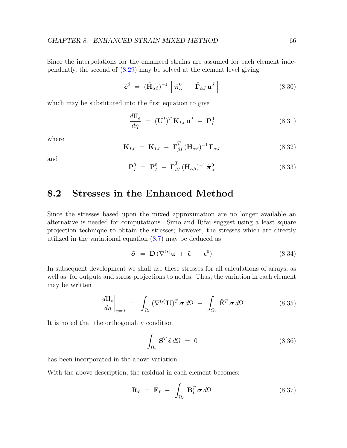Since the interpolations for the enhanced strains are assumed for each element independently, the second of [\(8.29\)](#page-69-2) may be solved at the element level giving

$$
\tilde{\boldsymbol{\epsilon}}^{\beta} = (\tilde{\mathbf{H}}_{\alpha\beta})^{-1} \left[ \tilde{\boldsymbol{\pi}}_{\alpha}^{0} - \tilde{\mathbf{\Gamma}}_{\alpha J} \mathbf{u}^{J} \right]
$$
(8.30)

which may be substituted into the first equation to give

$$
\frac{d\Pi_e}{d\eta} = (\mathbf{U}^I)^T \tilde{\mathbf{K}}_{IJ} \mathbf{u}^J - \tilde{\mathbf{P}}_I^0 \qquad (8.31)
$$

where

$$
\tilde{\mathbf{K}}_{IJ} = \mathbf{K}_{IJ} - \tilde{\mathbf{\Gamma}}_{\beta I}^T (\tilde{\mathbf{H}}_{\alpha\beta})^{-1} \tilde{\mathbf{\Gamma}}_{\alpha J} \tag{8.32}
$$

and

$$
\tilde{\mathbf{P}}_I^0 = \mathbf{P}_I^0 - \tilde{\mathbf{\Gamma}}_{\beta I}^T (\tilde{\mathbf{H}}_{\alpha\beta})^{-1} \tilde{\boldsymbol{\pi}}_{\alpha}^0 \tag{8.33}
$$

#### 8.2 Stresses in the Enhanced Method

Since the stresses based upon the mixed approximation are no longer available an alternative is needed for computations. Simo and Rifai suggest using a least square projection technique to obtain the stresses; however, the stresses which are directly utilized in the variational equation [\(8.7\)](#page-67-3) may be deduced as

$$
\tilde{\boldsymbol{\sigma}} = \mathbf{D} \left( \nabla^{(s)} \mathbf{u} + \tilde{\boldsymbol{\epsilon}} - \boldsymbol{\epsilon}^0 \right) \tag{8.34}
$$

In subsequent development we shall use these stresses for all calculations of arrays, as well as, for outputs and stress projections to nodes. Thus, the variation in each element may be written

$$
\left. \frac{d\Pi_e}{d\eta} \right|_{\eta=0} = \int_{\Omega_e} (\nabla^{(s)} \mathbf{U})^T \, \tilde{\boldsymbol{\sigma}} \, d\Omega \ + \ \int_{\Omega_e} \tilde{\mathbf{E}}^T \, \tilde{\boldsymbol{\sigma}} \, d\Omega \tag{8.35}
$$

It is noted that the orthogonality condition

$$
\int_{\Omega_e} \mathbf{S}^T \tilde{\boldsymbol{\epsilon}} \, d\Omega = 0 \tag{8.36}
$$

has been incorporated in the above variation.

With the above description, the residual in each element becomes:

$$
\mathbf{R}_I = \mathbf{F}_I - \int_{\Omega_e} \mathbf{B}_I^T \tilde{\boldsymbol{\sigma}} \, d\Omega \tag{8.37}
$$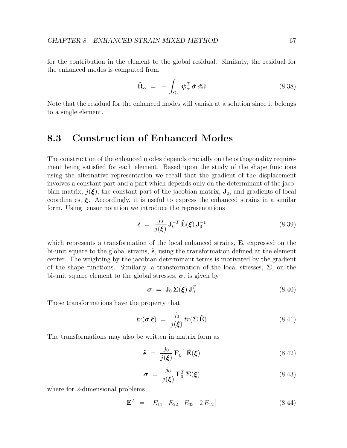for the contribution in the element to the global residual. Similarly, the residual for the enhanced modes is computed from

$$
\tilde{\mathbf{R}}_{\alpha} = -\int_{\Omega_e} \boldsymbol{\psi}_{\alpha}^T \tilde{\boldsymbol{\sigma}} d\Omega \qquad (8.38)
$$

Note that the residual for the enhanced modes will vanish at a solution since it belongs to a single element.

#### 8.3 Construction of Enhanced Modes

The construction of the enhanced modes depends crucially on the orthogonality requirement being satisfied for each element. Based upon the study of the shape functions using the alternative representation we recall that the gradient of the displacement involves a constant part and a part which depends only on the determinant of the jacobian matrix,  $j(\xi)$ , the constant part of the jacobian matrix,  $J_0$ , and gradients of local coordinates,  $\xi$ . Accordingly, it is useful to express the enhanced strains in a similar form. Using tensor notation we introduce the representations

$$
\tilde{\boldsymbol{\epsilon}} = \frac{j_0}{j(\boldsymbol{\xi})} \mathbf{J}_0^{-T} \tilde{\mathbf{E}}(\boldsymbol{\xi}) \mathbf{J}_0^{-1}
$$
\n(8.39)

which represents a transformation of the local enhanced strains,  $E$ , expressed on the bi-unit square to the global strains,  $\tilde{\epsilon}$ , using the transformation defined at the element center. The weighting by the jacobian determinant terms is motivated by the gradient of the shape functions. Similarly, a transformation of the local stresses,  $\Sigma$ , on the bi-unit square element to the global stresses,  $\sigma$ , is given by

$$
\boldsymbol{\sigma} = \mathbf{J}_0 \, \boldsymbol{\Sigma}(\boldsymbol{\xi}) \, \mathbf{J}_0^T \tag{8.40}
$$

These transformations have the property that

$$
tr(\boldsymbol{\sigma}\,\tilde{\boldsymbol{\epsilon}}) = \frac{j_0}{j(\boldsymbol{\xi})}tr(\boldsymbol{\Sigma}\,\tilde{\mathbf{E}})
$$
\n(8.41)

The transformations may also be written in matrix form as

$$
\tilde{\epsilon} = \frac{j_0}{j(\xi)} \mathbf{F}_0^{-1} \tilde{\mathbf{E}}(\xi)
$$
\n(8.42)

$$
\boldsymbol{\sigma} = \frac{j_0}{j(\boldsymbol{\xi})} \mathbf{F}_0^T \boldsymbol{\Sigma}(\boldsymbol{\xi}) \tag{8.43}
$$

where for 2-dimensional problems

$$
\tilde{\mathbf{E}}^T = \begin{bmatrix} \tilde{E}_{11} & \tilde{E}_{22} & \tilde{E}_{33} & 2 \tilde{E}_{12} \end{bmatrix} \tag{8.44}
$$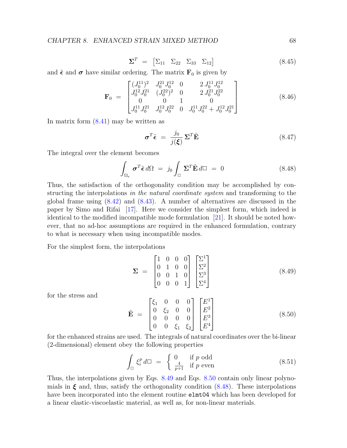$$
\Sigma^T = \begin{bmatrix} \Sigma_{11} & \Sigma_{22} & \Sigma_{33} & \Sigma_{12} \end{bmatrix} \tag{8.45}
$$

and  $\tilde{\epsilon}$  and  $\sigma$  have similar ordering. The matrix  $\mathbf{F}_0$  is given by

$$
\mathbf{F}_0 = \begin{bmatrix} (J_0^{11})^2 & J_0^{21} J_0^{12} & 0 & 2 J_0^{11} J_0^{12} \\ J_0^{12} J_0^{21} & (J_0^{22})^2 & 0 & 2 J_0^{21} J_0^{22} \\ 0 & 0 & 1 & 0 \\ J_0^{11} J_0^{21} & J_0^{12} J_0^{22} & 0 & J_0^{11} J_0^{22} + J_0^{12} J_0^{21} \end{bmatrix}
$$
(8.46)

In matrix form  $(8.41)$  may be written as

$$
\boldsymbol{\sigma}^T \tilde{\boldsymbol{\epsilon}} = \frac{j_0}{j(\boldsymbol{\xi})} \boldsymbol{\Sigma}^T \tilde{\mathbf{E}} \tag{8.47}
$$

The integral over the element becomes

<span id="page-72-2"></span>
$$
\int_{\Omega_e} \sigma^T \tilde{\boldsymbol{\epsilon}} d\Omega = j_0 \int_{\square} \boldsymbol{\Sigma}^T \tilde{\mathbf{E}} d\square = 0 \qquad (8.48)
$$

Thus, the satisfaction of the orthogonality condition may be accomplished by constructing the interpolations in the natural coordinate system and transforming to the global frame using [\(8.42\)](#page-71-1) and [\(8.43\)](#page-71-2). A number of alternatives are discussed in the paper by Simo and Rifai [\[17\]](#page-131-0). Here we consider the simplest form, which indeed is identical to the modified incompatible mode formulation [\[21\]](#page-131-1). It should be noted however, that no ad-hoc assumptions are required in the enhanced formulation, contrary to what is necessary when using incompatible modes.

For the simplest form, the interpolations

<span id="page-72-0"></span>
$$
\Sigma = \begin{bmatrix} 1 & 0 & 0 & 0 \\ 0 & 1 & 0 & 0 \\ 0 & 0 & 1 & 0 \\ 0 & 0 & 0 & 1 \end{bmatrix} \begin{bmatrix} \Sigma^1 \\ \Sigma^2 \\ \Sigma^3 \\ \Sigma^4 \end{bmatrix}
$$
(8.49)

for the stress and

<span id="page-72-1"></span>
$$
\tilde{\mathbf{E}} = \begin{bmatrix} \xi_1 & 0 & 0 & 0 \\ 0 & \xi_2 & 0 & 0 \\ 0 & 0 & 0 & 0 \\ 0 & 0 & \xi_1 & \xi_2 \end{bmatrix} \begin{bmatrix} E^1 \\ E^2 \\ E^3 \\ E^4 \end{bmatrix}
$$
 (8.50)

for the enhanced strains are used. The integrals of natural coordinates over the bi-linear (2-dimensional) element obey the following properties

$$
\int_{\square} \xi_i^p d\square = \begin{cases} 0 & \text{if } p \text{ odd} \\ \frac{4}{p+1} & \text{if } p \text{ even} \end{cases}
$$
 (8.51)

Thus, the interpolations given by Eqs. [8.49](#page-72-0) and Eqs. [8.50](#page-72-1) contain only linear polynomials in  $\xi$  and, thus, satisfy the orthogonality condition [\(8.48\)](#page-72-2). These interpolations have been incorporated into the element routine elmt04 which has been developed for a linear elastic-viscoelastic material, as well as, for non-linear materials.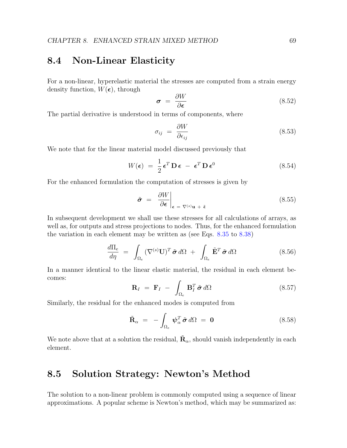#### 8.4 Non-Linear Elasticity

For a non-linear, hyperelastic material the stresses are computed from a strain energy density function,  $W(\epsilon)$ , through

$$
\sigma = \frac{\partial W}{\partial \epsilon} \tag{8.52}
$$

The partial derivative is understood in terms of components, where

$$
\sigma_{ij} = \frac{\partial W}{\partial \epsilon_{ij}} \tag{8.53}
$$

We note that for the linear material model discussed previously that

$$
W(\epsilon) = \frac{1}{2} \epsilon^T \mathbf{D} \epsilon - \epsilon^T \mathbf{D} \epsilon^0
$$
 (8.54)

For the enhanced formulation the computation of stresses is given by

$$
\tilde{\boldsymbol{\sigma}} = \left. \frac{\partial W}{\partial \boldsymbol{\epsilon}} \right|_{\boldsymbol{\epsilon} = \nabla^{(s)} \mathbf{u} + \tilde{\boldsymbol{\epsilon}}} \tag{8.55}
$$

In subsequent development we shall use these stresses for all calculations of arrays, as well as, for outputs and stress projections to nodes. Thus, for the enhanced formulation the variation in each element may be written as (see Eqs. [8.35](#page-70-0) to [8.38\)](#page-71-3)

$$
\frac{d\Pi_e}{d\eta} = \int_{\Omega_e} (\nabla^{(s)} \mathbf{U})^T \, \tilde{\boldsymbol{\sigma}} \, d\Omega \ + \ \int_{\Omega_e} \tilde{\mathbf{E}}^T \, \tilde{\boldsymbol{\sigma}} \, d\Omega \tag{8.56}
$$

In a manner identical to the linear elastic material, the residual in each element becomes:

<span id="page-73-0"></span>
$$
\mathbf{R}_I = \mathbf{F}_I - \int_{\Omega_e} \mathbf{B}_I^T \tilde{\boldsymbol{\sigma}} d\Omega \qquad (8.57)
$$

Similarly, the residual for the enhanced modes is computed from

<span id="page-73-1"></span>
$$
\tilde{\mathbf{R}}_{\alpha} = -\int_{\Omega_e} \boldsymbol{\psi}_{\alpha}^T \tilde{\boldsymbol{\sigma}} d\Omega = \mathbf{0}
$$
\n(8.58)

We note above that at a solution the residual,  $\tilde{\mathbf{R}}_{\alpha}$ , should vanish independently in each element.

#### 8.5 Solution Strategy: Newton's Method

The solution to a non-linear problem is commonly computed using a sequence of linear approximations. A popular scheme is Newton's method, which may be summarized as: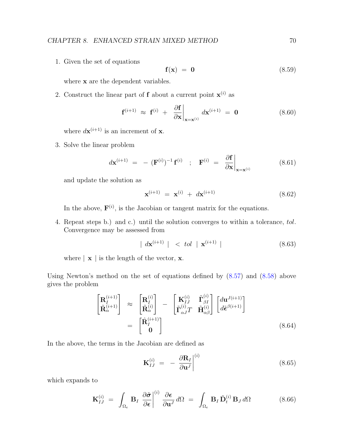1. Given the set of equations

$$
\mathbf{f}(\mathbf{x}) = \mathbf{0} \tag{8.59}
$$

where  ${\bf x}$  are the dependent variables.

2. Construct the linear part of **f** about a current point  $\mathbf{x}^{(i)}$  as

$$
\mathbf{f}^{(i+1)} \approx \mathbf{f}^{(i)} + \left. \frac{\partial \mathbf{f}}{\partial \mathbf{x}} \right|_{\mathbf{x} = \mathbf{x}^{(i)}} d\mathbf{x}^{(i+1)} = \mathbf{0}
$$
\n(8.60)

where  $d\mathbf{x}^{(i+1)}$  is an increment of **x**.

3. Solve the linear problem

$$
d\mathbf{x}^{(i+1)} = -(\mathbf{F}^{(i)})^{-1} \mathbf{f}^{(i)} \quad ; \quad \mathbf{F}^{(i)} = \left. \frac{\partial \mathbf{f}}{\partial \mathbf{x}} \right|_{\mathbf{x} = \mathbf{x}^{(i)}} \tag{8.61}
$$

and update the solution as

$$
\mathbf{x}^{(i+1)} = \mathbf{x}^{(i)} + d\mathbf{x}^{(i+1)} \tag{8.62}
$$

In the above,  $F^{(i)}$ , is the Jacobian or tangent matrix for the equations.

4. Repeat steps b.) and c.) until the solution converges to within a tolerance, tol. Convergence may be assessed from

$$
|d\mathbf{x}^{(i+1)}| < tol \mid \mathbf{x}^{(i+1)}|
$$
\n
$$
(8.63)
$$

where  $|\mathbf{x}|$  is the length of the vector, **x**.

Using Newton's method on the set of equations defined by [\(8.57\)](#page-73-0) and [\(8.58\)](#page-73-1) above gives the problem

<span id="page-74-0"></span>
$$
\begin{bmatrix}\n\mathbf{R}_{I}^{(i+1)} \\
\tilde{\mathbf{R}}_{\alpha}^{(i+1)}\n\end{bmatrix} \approx \begin{bmatrix}\n\mathbf{R}_{I}^{(i)} \\
\tilde{\mathbf{R}}_{\alpha}^{(i)}\n\end{bmatrix} - \begin{bmatrix}\n\mathbf{K}_{IJ}^{(i)} & \tilde{\mathbf{\Gamma}}_{\beta I}^{(i)} \\
\tilde{\mathbf{\Gamma}}_{\alpha J}^{(i)}T & \tilde{\mathbf{H}}_{\alpha\beta}^{(i)}\n\end{bmatrix} \begin{bmatrix}\nd\mathbf{u}^{J(i+1)} \\
d\tilde{\boldsymbol{\epsilon}}^{\beta(i+1)}\n\end{bmatrix}
$$
\n
$$
= \begin{bmatrix}\n\hat{\mathbf{R}}_{I}^{(i+1)} \\
\mathbf{0}\n\end{bmatrix}
$$
\n(8.64)

In the above, the terms in the Jacobian are defined as

$$
\mathbf{K}_{IJ}^{(i)} = -\left. \frac{\partial \mathbf{R}_I}{\partial \mathbf{u}^J} \right|^{(i)} \tag{8.65}
$$

which expands to

$$
\mathbf{K}_{IJ}^{(i)} = \int_{\Omega_e} \mathbf{B}_I \left. \frac{\partial \tilde{\boldsymbol{\sigma}}}{\partial \boldsymbol{\epsilon}} \right|^{(i)} \frac{\partial \boldsymbol{\epsilon}}{\partial \mathbf{u}^J} d\Omega = \int_{\Omega_e} \mathbf{B}_I \tilde{\mathbf{D}}_t^{(i)} \mathbf{B}_J d\Omega \tag{8.66}
$$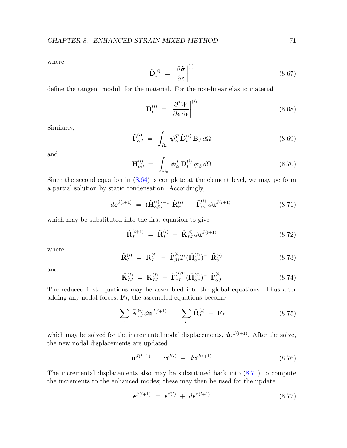where

$$
\tilde{\mathbf{D}}_t^{(i)} = \left. \frac{\partial \tilde{\boldsymbol{\sigma}}}{\partial \boldsymbol{\epsilon}} \right|^{(i)} \tag{8.67}
$$

define the tangent moduli for the material. For the non-linear elastic material

$$
\tilde{\mathbf{D}}_t^{(i)} = \left. \frac{\partial^2 W}{\partial \boldsymbol{\epsilon} \, \partial \boldsymbol{\epsilon}} \right|^{(i)} \tag{8.68}
$$

Similarly,

$$
\tilde{\mathbf{\Gamma}}_{\alpha J}^{(i)} = \int_{\Omega_e} \boldsymbol{\psi}_{\alpha}^T \tilde{\mathbf{D}}_t^{(i)} \mathbf{B}_J d\Omega \qquad (8.69)
$$

and

$$
\tilde{\mathbf{H}}_{\alpha\beta}^{(i)} = \int_{\Omega_e} \boldsymbol{\psi}_{\alpha}^T \tilde{\mathbf{D}}_t^{(i)} \boldsymbol{\psi}_{\beta} d\Omega \qquad (8.70)
$$

Since the second equation in [\(8.64\)](#page-74-0) is complete at the element level, we may perform a partial solution by static condensation. Accordingly,

<span id="page-75-0"></span>
$$
d\tilde{\boldsymbol{\epsilon}}^{\beta(i+1)} = (\tilde{\mathbf{H}}_{\alpha\beta}^{(i)})^{-1} [\tilde{\mathbf{R}}_{\alpha}^{(i)} - \tilde{\mathbf{\Gamma}}_{\alpha J}^{(i)} d\mathbf{u}^{J(i+1)}]
$$
(8.71)

which may be substituted into the first equation to give

<span id="page-75-1"></span>
$$
\hat{\mathbf{R}}_I^{(i+1)} = \tilde{\mathbf{R}}_I^{(i)} - \tilde{\mathbf{K}}_{IJ}^{(i)} d\mathbf{u}^{J(i+1)}
$$
(8.72)

where

$$
\tilde{\mathbf{R}}_I^{(i)} = \mathbf{R}_I^{(i)} - \tilde{\mathbf{\Gamma}}_{\beta I}^{(i)} T (\tilde{\mathbf{H}}_{\alpha\beta}^{(i)})^{-1} \tilde{\mathbf{R}}_{\alpha}^{(i)}
$$
\n(8.73)

and

$$
\tilde{\mathbf{K}}_{IJ}^{(i)} = \mathbf{K}_{IJ}^{(i)} - \tilde{\mathbf{\Gamma}}_{\beta I}^{(i)T} (\tilde{\mathbf{H}}_{\alpha\beta}^{(i)})^{-1} \tilde{\mathbf{\Gamma}}_{\alpha J}^{(i)}
$$
\n(8.74)

The reduced first equations may be assembled into the global equations. Thus after adding any nodal forces,  $\mathbf{F}_I$ , the assembled equations become

<span id="page-75-2"></span>
$$
\sum_{e} \tilde{\mathbf{K}}_{IJ}^{(i)} d\mathbf{u}^{J(i+1)} = \sum_{e} \tilde{\mathbf{R}}_{I}^{(i)} + \mathbf{F}_{I}
$$
 (8.75)

which may be solved for the incremental nodal displacements,  $d\mathbf{u}^{J(i+1)}$ . After the solve, the new nodal displacements are updated

$$
\mathbf{u}^{J(i+1)} = \mathbf{u}^{J(i)} + d\mathbf{u}^{J(i+1)}
$$
(8.76)

The incremental displacements also may be substituted back into [\(8.71\)](#page-75-0) to compute the increments to the enhanced modes; these may then be used for the update

$$
\tilde{\epsilon}^{\beta(i+1)} = \tilde{\epsilon}^{\beta(i)} + d\tilde{\epsilon}^{\beta(i+1)} \tag{8.77}
$$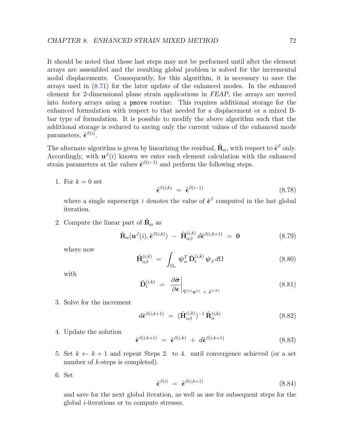It should be noted that these last steps may not be performed until after the element arrays are assembled and the resulting global problem is solved for the incremental nodal displacements. Consequently, for this algorithm, it is necessary to save the arrays used in [\(8.71\)](#page-75-0) for the later update of the enhanced modes. In the enhanced element for 2-dimensional plane strain applications in FEAP, the arrays are moved into history arrays using a pmove routine. This requires additional storage for the enhanced formulation with respect to that needed for a displacement or a mixed Bbar type of formulation. It is possible to modify the above algorithm such that the additional storage is reduced to saving only the current values of the enhanced mode parameters,  $\tilde{\epsilon}^{\beta(i)}$ .

The alternate algorithm is given by linearizing the residual,  $\tilde{\mathbf{R}}_{\alpha}$ , with respect to  $\tilde{\boldsymbol{\epsilon}}^{\beta}$  only. Accordingly, with  $\mathbf{u}^{J}(i)$  known we enter each element calculation with the enhanced strain parameters at the values  $\tilde{\epsilon}^{\beta(i-1)}$  and perform the following steps.

1. For  $k = 0$  set

$$
\tilde{\epsilon}^{\beta(i,k)} = \tilde{\epsilon}^{\beta(i-1)} \tag{8.78}
$$

where a single superscript i denotes the value of  $\tilde{\epsilon}^{\beta}$  computed in the last global iteration.

2. Compute the linear part of  $\tilde{\mathbf{R}}_{\alpha}$  as

$$
\tilde{\mathbf{R}}_{\alpha}(\mathbf{u}^{J}(i), \tilde{\boldsymbol{\epsilon}}^{\beta(i,k)}) - \tilde{\mathbf{H}}_{\alpha\beta}^{(i,k)} d\tilde{\boldsymbol{\epsilon}}^{\beta(i,k+1)} = \mathbf{0}
$$
\n(8.79)

where now

$$
\tilde{\mathbf{H}}_{\alpha\beta}^{(i,k)} = \int_{\Omega_e} \boldsymbol{\psi}_{\alpha}^T \tilde{\mathbf{D}}_t^{(i,k)} \boldsymbol{\psi}_{\beta} d\Omega \qquad (8.80)
$$

with

$$
\tilde{\mathbf{D}}_t^{(i,k)} = \left. \frac{\partial \tilde{\boldsymbol{\sigma}}}{\partial \boldsymbol{\epsilon}} \right|_{\nabla^{(s)} \mathbf{u}^{(i)} + \tilde{\boldsymbol{\epsilon}}^{(i,k)}}
$$
\n(8.81)

3. Solve for the increment

$$
d\tilde{\epsilon}^{\beta(i,k+1)} = (\tilde{\mathbf{H}}_{\alpha\beta}^{(i,k)})^{-1} \tilde{\mathbf{R}}_{\alpha}^{(i,k)}
$$
(8.82)

4. Update the solution

$$
\tilde{\epsilon}^{\beta(i,k+1)} = \tilde{\epsilon}^{\beta(i,k)} + d\tilde{\epsilon}^{\beta(i,k+1)}
$$
\n(8.83)

- 5. Set  $k \leftarrow k + 1$  and repeat Steps 2. to 4. until convergence achieved (or a set number of *k*-steps is completed).
- 6. Set

$$
\tilde{\epsilon}^{\beta(i)} = \tilde{\epsilon}^{\beta(i,k+1)} \tag{8.84}
$$

and save for the next global iteration, as well as use for subsequent steps for the global i-iterations or to compute stresses.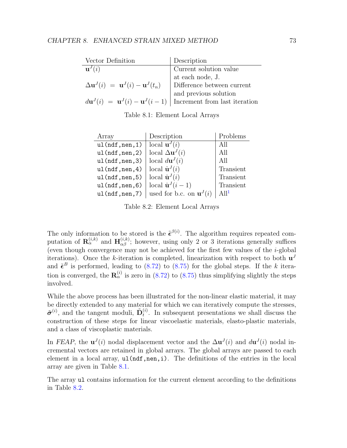| Vector Definition                                                      | Description                                                                                                           |
|------------------------------------------------------------------------|-----------------------------------------------------------------------------------------------------------------------|
| $\mathbf{u}^{J}(i)$                                                    | Current solution value                                                                                                |
|                                                                        | at each node, J.                                                                                                      |
| $\Delta \mathbf{u}^{J}(i) = \mathbf{u}^{J}(i) - \mathbf{u}^{J}(t_{n})$ | Difference between current                                                                                            |
|                                                                        |                                                                                                                       |
|                                                                        | $d\mathbf{u}^{J}(i) = \mathbf{u}^{J}(i) - \mathbf{u}^{J}(i-1)$ and previous solution<br>Increment from last iteration |
|                                                                        |                                                                                                                       |

<span id="page-77-0"></span>Table 8.1: Element Local Arrays

| Array         | Description                          | Problems         |
|---------------|--------------------------------------|------------------|
| ul(ndf,nen,1) | local $\mathbf{u}^{J}(i)$            | All              |
| ul(ndf,nen,2) | local $\Delta \mathbf{u}^{J}(i)$     | All              |
| ul(ndf,nen,3) | local $d\mathbf{u}^{J}(i)$           | All              |
| ul(ndf,nen,4) | local $\dot{\mathbf{u}}^{J}(i)$      | Transient        |
| ul(ndf,nen,5) | local $\dot{\mathbf{u}}^{J}(i)$      | Transient        |
| ul(ndf,nen,6) | local $\dot{\mathbf{u}}^{J}(i-1)$    | Transient        |
| ul(ndf,nen,7) | used for b.c. on $\mathbf{u}^{J}(i)$ | Al1 <sup>L</sup> |

<span id="page-77-1"></span>Table 8.2: Element Local Arrays

The only information to be stored is the  $\tilde{\epsilon}^{\beta(i)}$ . The algorithm requires repeated computation of  $\mathbf{R}_{\alpha}^{(i,k)}$  and  $\mathbf{H}_{\alpha\beta}^{(i,k)}$ ; however, using only 2 or 3 iterations generally suffices (even though convergence may not be achieved for the first few values of the  $i$ -global iterations). Once the k-iteration is completed, linearization with respect to both  $\mathbf{u}^{J}$ and  $\tilde{\epsilon}^B$  is performed, leading to [\(8.72\)](#page-75-1) to [\(8.75\)](#page-75-2) for the global steps. If the k iteration is converged, the  $\mathbf{R}_{\alpha}^{(i)}$  is zero in [\(8.72\)](#page-75-1) to [\(8.75\)](#page-75-2) thus simplifying slightly the steps involved.

While the above process has been illustrated for the non-linear elastic material, it may be directly extended to any material for which we can iteratively compute the stresses,  $\tilde{\sigma}^{(i)}$ , and the tangent moduli,  $\tilde{\mathbf{D}}_t^{(i)}$  $t^{(i)}$ . In subsequent presentations we shall discuss the construction of these steps for linear viscoelastic materials, elasto-plastic materials, and a class of viscoplastic materials.

In FEAP, the  $u^{J}(i)$  nodal displacement vector and the  $\Delta u^{J}(i)$  and  $d u^{J}(i)$  nodal incremental vectors are retained in global arrays. The global arrays are passed to each element in a local array,  $ul(ndf,nen,i)$ . The definitions of the entries in the local array are given in Table [8.1.](#page-77-0)

The array ul contains information for the current element according to the definitions in Table [8.2.](#page-77-1)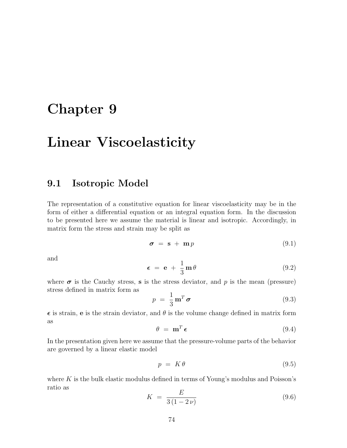### Chapter 9

## Linear Viscoelasticity

### 9.1 Isotropic Model

The representation of a constitutive equation for linear viscoelasticity may be in the form of either a differential equation or an integral equation form. In the discussion to be presented here we assume the material is linear and isotropic. Accordingly, in matrix form the stress and strain may be split as

$$
\sigma = \mathbf{s} + \mathbf{m}p \tag{9.1}
$$

and

$$
\epsilon = e + \frac{1}{3} m \theta \tag{9.2}
$$

where  $\sigma$  is the Cauchy stress, s is the stress deviator, and p is the mean (pressure) stress defined in matrix form as

$$
p = \frac{1}{3} \mathbf{m}^T \boldsymbol{\sigma} \tag{9.3}
$$

 $\epsilon$  is strain, e is the strain deviator, and  $\theta$  is the volume change defined in matrix form as

$$
\theta = \mathbf{m}^T \boldsymbol{\epsilon} \tag{9.4}
$$

In the presentation given here we assume that the pressure-volume parts of the behavior are governed by a linear elastic model

$$
p = K\theta \tag{9.5}
$$

where  $K$  is the bulk elastic modulus defined in terms of Young's modulus and Poisson's ratio as

$$
K = \frac{E}{3(1 - 2\nu)}\tag{9.6}
$$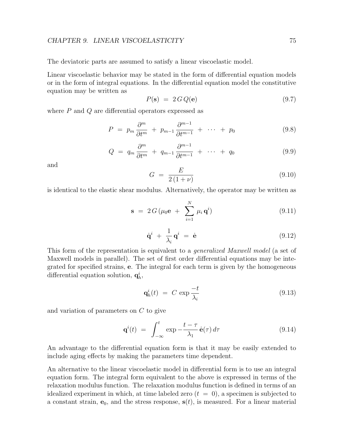#### CHAPTER 9. LINEAR VISCOELASTICITY 75

The deviatoric parts are assumed to satisfy a linear viscoelastic model.

Linear viscoelastic behavior may be stated in the form of differential equation models or in the form of integral equations. In the differential equation model the constitutive equation may be written as

$$
P(\mathbf{s}) = 2 \, G \, Q(\mathbf{e}) \tag{9.7}
$$

where  $P$  and  $Q$  are differential operators expressed as

$$
P = p_m \frac{\partial^m}{\partial t^m} + p_{m-1} \frac{\partial^{m-1}}{\partial t^{m-1}} + \cdots + p_0 \tag{9.8}
$$

$$
Q = q_m \frac{\partial^m}{\partial t^m} + q_{m-1} \frac{\partial^{m-1}}{\partial t^{m-1}} + \cdots + q_0 \qquad (9.9)
$$

and

$$
G = \frac{E}{2(1+\nu)}\tag{9.10}
$$

is identical to the elastic shear modulus. Alternatively, the operator may be written as

$$
\mathbf{s} = 2 G \left( \mu_0 \mathbf{e} + \sum_{i=1}^{N} \mu_i \mathbf{q}^i \right) \tag{9.11}
$$

$$
\dot{\mathbf{q}}^i + \frac{1}{\lambda_i} \mathbf{q}^i = \dot{\mathbf{e}} \tag{9.12}
$$

This form of the representation is equivalent to a *generalized Maxwell model* (a set of Maxwell models in parallel). The set of first order differential equations may be integrated for specified strains, e. The integral for each term is given by the homogeneous differential equation solution,  $q_h^i$ ,

$$
\mathbf{q}_h^i(t) = C \exp \frac{-t}{\lambda_i} \tag{9.13}
$$

and variation of parameters on C to give

$$
\mathbf{q}^{i}(t) = \int_{-\infty}^{t} \exp{-\frac{t-\tau}{\lambda_{1}}}\,\dot{\mathbf{e}}(\tau)\,d\tau \tag{9.14}
$$

An advantage to the differential equation form is that it may be easily extended to include aging effects by making the parameters time dependent.

An alternative to the linear viscoelastic model in differential form is to use an integral equation form. The integral form equivalent to the above is expressed in terms of the relaxation modulus function. The relaxation modulus function is defined in terms of an idealized experiment in which, at time labeled zero  $(t = 0)$ , a specimen is subjected to a constant strain,  $e_0$ , and the stress response,  $s(t)$ , is measured. For a linear material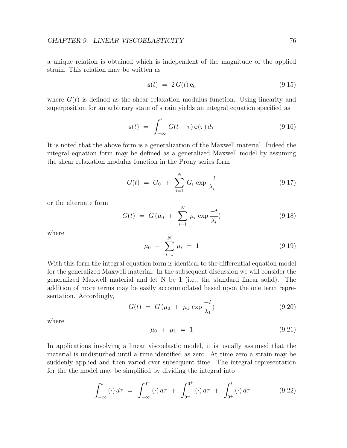a unique relation is obtained which is independent of the magnitude of the applied strain. This relation may be written as

$$
\mathbf{s}(t) = 2 G(t) \mathbf{e}_0 \tag{9.15}
$$

where  $G(t)$  is defined as the shear relaxation modulus function. Using linearity and superposition for an arbitrary state of strain yields an integral equation specified as

<span id="page-80-0"></span>
$$
\mathbf{s}(t) = \int_{-\infty}^{t} G(t - \tau) \dot{\mathbf{e}}(\tau) d\tau \qquad (9.16)
$$

It is noted that the above form is a generalization of the Maxwell material. Indeed the integral equation form may be defined as a generalized Maxwell model by assuming the shear relaxation modulus function in the Prony series form

$$
G(t) = G_0 + \sum_{i=1}^{N} G_i \exp \frac{-t}{\lambda_i}
$$
 (9.17)

or the alternate form

$$
G(t) = G(\mu_0 + \sum_{i=1}^{N} \mu_i \exp \frac{-t}{\lambda_i})
$$
\n(9.18)

where

$$
\mu_0 + \sum_{i=1}^{N} \mu_i = 1 \tag{9.19}
$$

With this form the integral equation form is identical to the differential equation model for the generalized Maxwell material. In the subsequent discussion we will consider the generalized Maxwell material and let N be 1 (i.e., the standard linear solid). The addition of more terms may be easily accommodated based upon the one term representation. Accordingly,

<span id="page-80-1"></span>
$$
G(t) = G(\mu_0 + \mu_1 \exp{\frac{-t}{\lambda_1}}) \tag{9.20}
$$

where

$$
\mu_0 + \mu_1 = 1 \tag{9.21}
$$

In applications involving a linear viscoelastic model, it is usually assumed that the material is undisturbed until a time identified as zero. At time zero a strain may be suddenly applied and then varied over subsequent time. The integral representation for the the model may be simplified by dividing the integral into

$$
\int_{-\infty}^{t} (\cdot) d\tau = \int_{-\infty}^{0^{-}} (\cdot) d\tau + \int_{0^{-}}^{0^{+}} (\cdot) d\tau + \int_{0^{+}}^{t} (\cdot) d\tau \qquad (9.22)
$$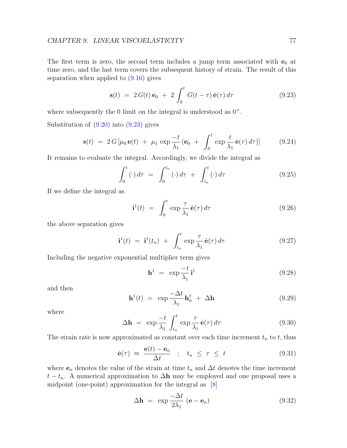#### CHAPTER 9. LINEAR VISCOELASTICITY 77

The first term is zero, the second term includes a jump term associated with  $e_0$  at time zero, and the last term covers the subsequent history of strain. The result of this separation when applied to  $(9.16)$  gives

<span id="page-81-0"></span>
$$
\mathbf{s}(t) = 2 G(t) \mathbf{e}_0 + 2 \int_0^t G(t - \tau) \dot{\mathbf{e}}(\tau) d\tau \qquad (9.23)
$$

where subsequently the 0 limit on the integral is understood as  $0^+$ .

Substitution of  $(9.20)$  into  $(9.23)$  gives

$$
\mathbf{s}(t) = 2 G \left[ \mu_0 \mathbf{e}(t) + \mu_1 \exp \frac{-t}{\lambda_1} \left( \mathbf{e}_0 + \int_0^t \exp \frac{t}{\lambda_1} \dot{\mathbf{e}}(\tau) d\tau \right) \right]
$$
(9.24)

It remains to evaluate the integral. Accordingly, we divide the integral as

$$
\int_0^t (\cdot) d\tau = \int_0^{t_n} (\cdot) d\tau + \int_{t_n}^t (\cdot) d\tau \tag{9.25}
$$

If we define the integral as

$$
\mathbf{i}^1(t) = \int_0^t \exp \frac{\tau}{\lambda_1} \dot{\mathbf{e}}(\tau) d\tau \tag{9.26}
$$

the above separation gives

$$
\mathbf{i}^1(t) = \mathbf{i}^1(t_n) + \int_{t_n}^t \exp \frac{\tau}{\lambda_1} \dot{\mathbf{e}}(\tau) d\tau \qquad (9.27)
$$

Including the negative exponential multiplier term gives

$$
\mathbf{h}^1 = \exp\frac{-t}{\lambda_1}\mathbf{i}^1 \tag{9.28}
$$

and then

$$
\mathbf{h}^{1}(t) = \exp \frac{-\Delta t}{\lambda_{1}} \mathbf{h}_{n}^{1} + \Delta \mathbf{h}
$$
 (9.29)

where

$$
\Delta \mathbf{h} = \exp \frac{-t}{\lambda_1} \int_{t_n}^t \exp \frac{\tau}{\lambda_1} \dot{\mathbf{e}}(\tau) d\tau \tag{9.30}
$$

The strain rate is now approximated as constant over each time increment  $t_n$  to  $t$ , thus

$$
\dot{\mathbf{e}}(\tau) \approx \frac{\mathbf{e}(t) - \mathbf{e}_n}{\Delta t} \quad ; \quad t_n \le \tau \le t \tag{9.31}
$$

where  $e_n$  denotes the value of the strain at time  $t_n$  and  $\Delta t$  denotes the time increment  $t - t_n$ . A numerical approximation to  $\Delta h$  may be employed and one proposal uses a midpoint (one-point) approximation for the integral as [\[8\]](#page-130-0)

$$
\Delta \mathbf{h} = \exp \frac{-\Delta t}{2\lambda_1} \left( \mathbf{e} - \mathbf{e}_n \right) \tag{9.32}
$$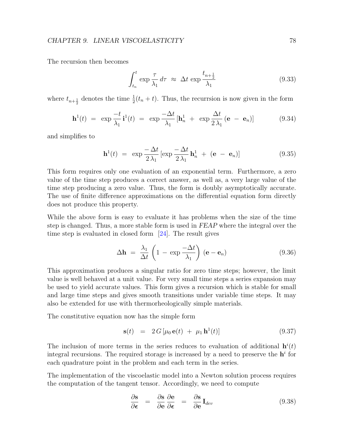The recursion then becomes

$$
\int_{t_n}^t \exp \frac{\tau}{\lambda_1} d\tau \approx \Delta t \exp \frac{t_{n+\frac{1}{2}}}{\lambda_1}
$$
\n(9.33)

where  $t_{n+\frac{1}{2}}$  denotes the time  $\frac{1}{2}(t_n + t)$ . Thus, the recurrsion is now given in the form

$$
\mathbf{h}^{1}(t) = \exp \frac{-t}{\lambda_{1}} \mathbf{i}^{1}(t) = \exp \frac{-\Delta t}{\lambda_{1}} [\mathbf{h}_{n}^{1} + \exp \frac{\Delta t}{2 \lambda_{1}} (\mathbf{e} - \mathbf{e}_{n})] \quad (9.34)
$$

and simplifies to

$$
\mathbf{h}^{1}(t) = \exp \frac{-\Delta t}{2\lambda_{1}} \left[ \exp \frac{-\Delta t}{2\lambda_{1}} \mathbf{h}_{n}^{1} + (\mathbf{e} - \mathbf{e}_{n}) \right]
$$
(9.35)

This form requires only one evaluation of an exponential term. Furthermore, a zero value of the time step produces a correct answer, as well as, a very large value of the time step producing a zero value. Thus, the form is doubly asymptotically accurate. The use of finite difference approximations on the differential equation form directly does not produce this property.

While the above form is easy to evaluate it has problems when the size of the time step is changed. Thus, a more stable form is used in FEAP where the integral over the time step is evaluated in closed form [\[24\]](#page-132-0). The result gives

$$
\Delta \mathbf{h} = \frac{\lambda_1}{\Delta t} \left( 1 - \exp \frac{-\Delta t}{\lambda_1} \right) (\mathbf{e} - \mathbf{e}_n)
$$
 (9.36)

This approximation produces a singular ratio for zero time steps; however, the limit value is well behaved at a unit value. For very small time steps a series expansion may be used to yield accurate values. This form gives a recursion which is stable for small and large time steps and gives smooth transitions under variable time steps. It may also be extended for use with thermorheologically simple materials.

The constitutive equation now has the simple form

$$
\mathbf{s}(t) = 2 G \left[ \mu_0 \, \mathbf{e}(t) + \mu_1 \, \mathbf{h}^1(t) \right] \tag{9.37}
$$

The inclusion of more terms in the series reduces to evaluation of additional  $h^{i}(t)$ integral recursions. The required storage is increased by a need to preserve the  $h^i$  for each quadrature point in the problem and each term in the series.

The implementation of the viscoelastic model into a Newton solution process requires the computation of the tangent tensor. Accordingly, we need to compute

$$
\frac{\partial \mathbf{s}}{\partial \boldsymbol{\epsilon}} = \frac{\partial \mathbf{s}}{\partial \mathbf{e}} \frac{\partial \mathbf{e}}{\partial \boldsymbol{\epsilon}} = \frac{\partial \mathbf{s}}{\partial \mathbf{e}} \mathbf{I}_{dev} \tag{9.38}
$$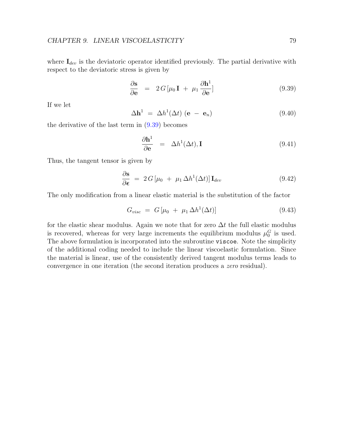where  $I_{dev}$  is the deviatoric operator identified previously. The partial derivative with respect to the deviatoric stress is given by

<span id="page-83-0"></span>
$$
\frac{\partial \mathbf{s}}{\partial \mathbf{e}} = 2G[\mu_0 \mathbf{I} + \mu_1 \frac{\partial \mathbf{h}^1}{\partial \mathbf{e}}]
$$
(9.39)

If we let

$$
\Delta \mathbf{h}^1 = \Delta h^1(\Delta t) \left( \mathbf{e} - \mathbf{e}_n \right) \tag{9.40}
$$

the derivative of the last term in [\(9.39\)](#page-83-0) becomes

$$
\frac{\partial \mathbf{h}^1}{\partial \mathbf{e}} = \Delta h^1(\Delta t), \mathbf{I}
$$
 (9.41)

Thus, the tangent tensor is given by

$$
\frac{\partial \mathbf{s}}{\partial \boldsymbol{\epsilon}} = 2 G \left[ \mu_0 + \mu_1 \Delta h^1(\Delta t) \right] \mathbf{I}_{dev} \tag{9.42}
$$

The only modification from a linear elastic material is the substitution of the factor

$$
G_{visc} = G\left[\mu_0 + \mu_1 \Delta h^1(\Delta t)\right] \tag{9.43}
$$

for the elastic shear modulus. Again we note that for zero  $\Delta t$  the full elastic modulus is recovered, whereas for very large increments the equilibrium modulus  $\mu_0^G$  is used. The above formulation is incorporated into the subroutine viscoe. Note the simplicity of the additional coding needed to include the linear viscoelastic formulation. Since the material is linear, use of the consistently derived tangent modulus terms leads to convergence in one iteration (the second iteration produces a zero residual).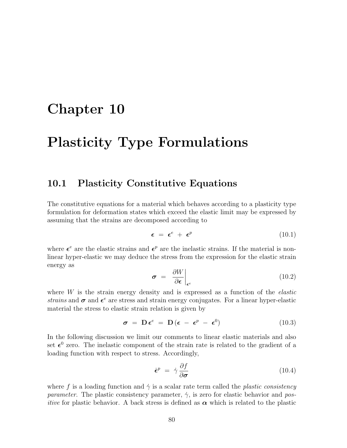### Chapter 10

## Plasticity Type Formulations

#### 10.1 Plasticity Constitutive Equations

The constitutive equations for a material which behaves according to a plasticity type formulation for deformation states which exceed the elastic limit may be expressed by assuming that the strains are decomposed according to

$$
\epsilon = \epsilon^e + \epsilon^p \tag{10.1}
$$

where  $\epsilon^e$  are the elastic strains and  $\epsilon^p$  are the inelastic strains. If the material is nonlinear hyper-elastic we may deduce the stress from the expression for the elastic strain energy as

$$
\boldsymbol{\sigma} = \left. \frac{\partial W}{\partial \boldsymbol{\epsilon}} \right|_{\boldsymbol{\epsilon}^e} \tag{10.2}
$$

where  $W$  is the strain energy density and is expressed as a function of the *elastic* strains and  $\sigma$  and  $\epsilon^e$  are stress and strain energy conjugates. For a linear hyper-elastic material the stress to elastic strain relation is given by

<span id="page-84-1"></span>
$$
\boldsymbol{\sigma} = \mathbf{D} \boldsymbol{\epsilon}^e = \mathbf{D} (\boldsymbol{\epsilon} - \boldsymbol{\epsilon}^p - \boldsymbol{\epsilon}^0) \tag{10.3}
$$

In the following discussion we limit our comments to linear elastic materials and also set  $\epsilon^0$  zero. The inelastic component of the strain rate is related to the gradient of a loading function with respect to stress. Accordingly,

<span id="page-84-0"></span>
$$
\dot{\epsilon}^p = \dot{\gamma} \frac{\partial f}{\partial \sigma} \tag{10.4}
$$

where f is a loading function and  $\dot{\gamma}$  is a scalar rate term called the *plastic consistency* parameter. The plastic consistency parameter,  $\dot{\gamma}$ , is zero for elastic behavior and pos*itive* for plastic behavior. A back stress is defined as  $\alpha$  which is related to the plastic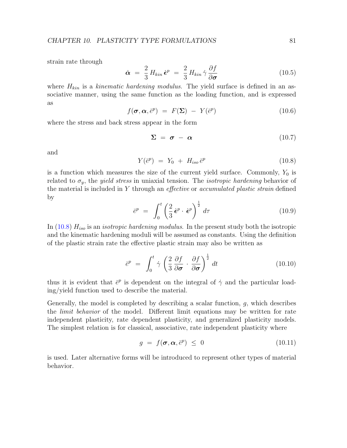strain rate through

$$
\dot{\boldsymbol{\alpha}} = \frac{2}{3} H_{kin} \dot{\boldsymbol{\epsilon}}^p = \frac{2}{3} H_{kin} \dot{\gamma} \frac{\partial f}{\partial \boldsymbol{\sigma}}
$$
(10.5)

where  $H_{kin}$  is a kinematic hardening modulus. The yield surface is defined in an associative manner, using the same function as the loading function, and is expressed as

<span id="page-85-2"></span>
$$
f(\boldsymbol{\sigma}, \boldsymbol{\alpha}, \bar{e}^p) = F(\boldsymbol{\Sigma}) - Y(\bar{e}^p) \tag{10.6}
$$

where the stress and back stress appear in the form

$$
\Sigma = \sigma - \alpha \tag{10.7}
$$

and

<span id="page-85-0"></span>
$$
Y(\bar{e}^p) = Y_0 + H_{iso} \bar{e}^p \tag{10.8}
$$

is a function which measures the size of the current yield surface. Commonly,  $Y_0$  is related to  $\sigma_y$ , the *yield stress* in uniaxial tension. The *isotropic hardening* behavior of the material is included in Y through an *effective* or *accumulated plastic strain* defined by

$$
\bar{e}^p = \int_0^t \left(\frac{2}{3}\,\dot{\boldsymbol{\epsilon}}^p \cdot \dot{\boldsymbol{\epsilon}}^p\right)^{\frac{1}{2}}d\tau \tag{10.9}
$$

In [\(10.8\)](#page-85-0)  $H_{iso}$  is an *isotropic hardening modulus*. In the present study both the isotropic and the kinematic hardening moduli will be assumed as constants. Using the definition of the plastic strain rate the effective plastic strain may also be written as

$$
\bar{e}^p = \int_0^t \dot{\gamma} \left( \frac{2}{3} \frac{\partial f}{\partial \sigma} \cdot \frac{\partial f}{\partial \sigma} \right)^{\frac{1}{2}} dt \qquad (10.10)
$$

thus it is evident that  $\bar{e}^p$  is dependent on the integral of  $\dot{\gamma}$  and the particular loading/yield function used to describe the material.

Generally, the model is completed by describing a scalar function,  $g$ , which describes the *limit behavior* of the model. Different limit equations may be written for rate independent plasticity, rate dependent plasticity, and generalized plasticity models. The simplest relation is for classical, associative, rate independent plasticity where

<span id="page-85-1"></span>
$$
g = f(\boldsymbol{\sigma}, \boldsymbol{\alpha}, \bar{e}^p) \le 0 \tag{10.11}
$$

is used. Later alternative forms will be introduced to represent other types of material behavior.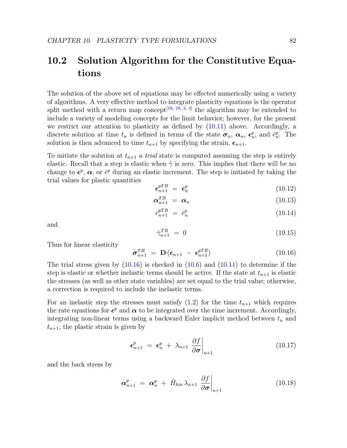### 10.2 Solution Algorithm for the Constitutive Equations

The solution of the above set of equations may be effected numerically using a variety of algorithms. A very effective method to integrate plasticity equations is the operator split method with a return map concept<sup>[\[18,](#page-131-2) [19,](#page-131-3) [3,](#page-130-1) [4\]](#page-130-2)</sup> the algorithm may be extended to include a variety of modeling concepts for the limit behavior; however, for the present we restrict our attention to plasticity as defined by  $(10.11)$  above. Accordingly, a discrete solution at time  $t_n$  is defined in terms of the state  $\sigma_n$ ,  $\alpha_n$ ,  $\epsilon_n^p$ , and  $\bar{e}_n^p$ . The solution is then advanced to time  $t_{n+1}$  by specifying the strain,  $\epsilon_{n+1}$ .

To initiate the solution at  $t_{n+1}$  a *trial* state is computed assuming the step is entirely elastic. Recall that a step is elastic when  $\dot{\gamma}$  is zero. This implies that there will be no change to  $\epsilon^p$ ,  $\alpha$ , or  $\bar{\epsilon}^p$  during an elastic increment. The step is initiated by taking the trial values for plastic quantities

$$
\boldsymbol{\epsilon}_{n+1}^{pTR} = \boldsymbol{\epsilon}_n^p \tag{10.12}
$$

$$
\boldsymbol{\alpha}_{n+1}^{TR} = \boldsymbol{\alpha}_n \tag{10.13}
$$

$$
\bar{e}_{n+1}^{pTR} = \bar{e}_n^p \tag{10.14}
$$

and

$$
\dot{\gamma}_{n+1}^{TR} = 0 \tag{10.15}
$$

Thus for linear elasticity

<span id="page-86-0"></span>
$$
\boldsymbol{\sigma}_{n+1}^{TR} = \mathbf{D} \left( \boldsymbol{\epsilon}_{n+1} - \boldsymbol{\epsilon}_{n+1}^{pTR} \right) \tag{10.16}
$$

The trial stress given by  $(10.16)$  is checked in  $(10.6)$  and  $(10.11)$  to determine if the step is elastic or whether inelastic terms should be active. If the state at  $t_{n+1}$  is elastic the stresses (as well as other state variables) are set equal to the trial value; otherwise, a correction is required to include the inelastic terms.

For an inelastic step the stresses must satisfy  $(1.2)$  for the time  $t_{n+1}$  which requires the rate equations for  $\epsilon^p$  and  $\alpha$  to be integrated over the time increment. Accordingly, integrating non-linear terms using a backward Euler implicit method between  $t_n$  and  $t_{n+1}$ , the plastic strain is given by

$$
\epsilon_{n+1}^p = \epsilon_n^p + \lambda_{n+1} \left. \frac{\partial f}{\partial \sigma} \right|_{n+1} \tag{10.17}
$$

and the back stress by

<span id="page-86-1"></span>
$$
\boldsymbol{\alpha}_{n+1}^p = \boldsymbol{\alpha}_n^p + \hat{H}_{kin} \lambda_{n+1} \left. \frac{\partial f}{\partial \boldsymbol{\sigma}} \right|_{n+1} \tag{10.18}
$$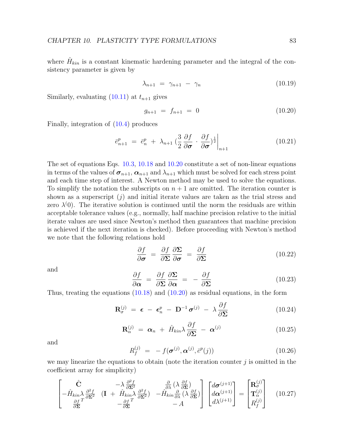where  $\hat{H}_{kin}$  is a constant kinematic hardening parameter and the integral of the consistency parameter is given by

$$
\lambda_{n+1} = \gamma_{n+1} - \gamma_n \tag{10.19}
$$

Similarly, evaluating  $(10.11)$  at  $t_{n+1}$  gives

<span id="page-87-0"></span>
$$
g_{n+1} = f_{n+1} = 0 \tag{10.20}
$$

Finally, integration of [\(10.4\)](#page-84-0) produces

$$
\bar{e}_{n+1}^p = \bar{e}_n^p + \lambda_{n+1} \left( \frac{3}{2} \frac{\partial f}{\partial \sigma} \cdot \frac{\partial f}{\partial \sigma} \right) \Big|_{n+1}
$$
\n(10.21)

The set of equations Eqs. [10.3,](#page-84-1) [10.18](#page-86-1) and [10.20](#page-87-0) constitute a set of non-linear equations in terms of the values of  $\sigma_{n+1}$ ,  $\alpha_{n+1}$  and  $\lambda_{n+1}$  which must be solved for each stress point and each time step of interest. A Newton method may be used to solve the equations. To simplify the notation the subscripts on  $n + 1$  are omitted. The iteration counter is shown as a superscript  $(j)$  and initial iterate values are taken as the trial stress and zero  $\lambda^{(0)}$ . The iterative solution is continued until the norm the residuals are within acceptable tolerance values (e.g., normally, half machine precision relative to the initial iterate values are used since Newton's method then guarantees that machine precision is achieved if the next iteration is checked). Before proceeding with Newton's method we note that the following relations hold

$$
\frac{\partial f}{\partial \sigma} = \frac{\partial f}{\partial \Sigma} \frac{\partial \Sigma}{\partial \sigma} = \frac{\partial f}{\partial \Sigma}
$$
 (10.22)

and

$$
\frac{\partial f}{\partial \alpha} = \frac{\partial f}{\partial \Sigma} \frac{\partial \Sigma}{\partial \alpha} = -\frac{\partial f}{\partial \Sigma} \tag{10.23}
$$

Thus, treating the equations [\(10.18\)](#page-86-1) and [\(10.20\)](#page-87-0) as residual equations, in the form

$$
\mathbf{R}_{\sigma}^{(j)} = \boldsymbol{\epsilon} - \boldsymbol{\epsilon}_n^p - \mathbf{D}^{-1} \boldsymbol{\sigma}^{(j)} - \lambda \frac{\partial f}{\partial \boldsymbol{\Sigma}}
$$
(10.24)

$$
\mathbf{R}_{\alpha}^{(j)} = \boldsymbol{\alpha}_n + \hat{H}_{kin} \lambda \frac{\partial f}{\partial \boldsymbol{\Sigma}} - \boldsymbol{\alpha}^{(j)} \qquad (10.25)
$$

and

$$
R_f^{(j)} = -f(\boldsymbol{\sigma}^{(j)}, \boldsymbol{\alpha}^{(j)}, \bar{e}^p(j))
$$
 (10.26)

we may linearize the equations to obtain (note the iteration counter  $j$  is omitted in the coefficient array for simplicity)

<span id="page-87-1"></span>
$$
\begin{bmatrix}\n\hat{\mathbf{C}} & -\lambda \frac{\partial^2 f}{\partial \Sigma^2} & \frac{\partial}{\partial \lambda} (\lambda \frac{\partial f}{\partial \Sigma}) \\
-\hat{H}_{kin} \lambda \frac{\partial^2 f}{\partial \Sigma^2} & (\mathbf{I} + \hat{H}_{kin} \lambda \frac{\partial^2 f}{\partial \Sigma^2}) & -\hat{H}_{kin} \frac{\partial}{\partial \lambda} (\lambda \frac{\partial f}{\partial \Sigma}) \\
-\frac{\partial f}{\partial \Sigma}^T & -\frac{\partial f}{\partial \Sigma}^T & -A\n\end{bmatrix}\n\begin{bmatrix}\nd\sigma^{(j+1)} \\
d\alpha^{(j+1)} \\
d\lambda^{(j+1)}\n\end{bmatrix} = \n\begin{bmatrix}\n\mathbf{R}_{\sigma}^{(j)} \\
\mathbf{T}_{\alpha}^{(j)} \\
R_{f}^{(j)}\n\end{bmatrix}
$$
\n(10.27)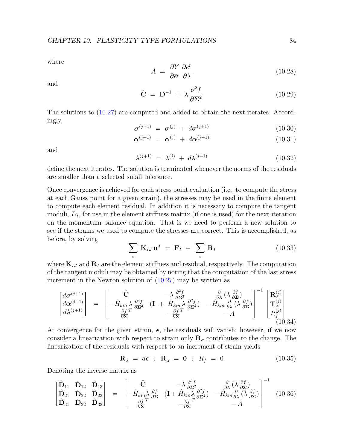where

$$
A = \frac{\partial Y}{\partial \bar{e}^p} \frac{\partial \bar{e}^p}{\partial \lambda} \tag{10.28}
$$

and

$$
\hat{\mathbf{C}} = \mathbf{D}^{-1} + \lambda \frac{\partial^2 f}{\partial \mathbf{\Sigma}^2}
$$
 (10.29)

The solutions to [\(10.27\)](#page-87-1) are computed and added to obtain the next iterates. Accordingly,

$$
\boldsymbol{\sigma}^{(j+1)} = \boldsymbol{\sigma}^{(j)} + d\boldsymbol{\sigma}^{(j+1)}
$$
\n(10.30)

$$
\boldsymbol{\alpha}^{(j+1)} = \boldsymbol{\alpha}^{(j)} + d\boldsymbol{\alpha}^{(j+1)} \tag{10.31}
$$

and

$$
\lambda^{(j+1)} = \lambda^{(j)} + d\lambda^{(j+1)} \tag{10.32}
$$

define the next iterates. The solution is terminated whenever the norms of the residuals are smaller than a selected small tolerance.

Once convergence is achieved for each stress point evaluation (i.e., to compute the stress at each Gauss point for a given strain), the stresses may be used in the finite element to compute each element residual. In addition it is necessary to compute the tangent moduli,  $D_t$ , for use in the element stiffness matrix (if one is used) for the next iteration on the momentum balance equation. That is we need to perform a new solution to see if the strains we used to compute the stresses are correct. This is accomplished, as before, by solving

$$
\sum_{e} \mathbf{K}_{IJ} \mathbf{u}^{J} = \mathbf{F}_I + \sum_{e} \mathbf{R}_I
$$
 (10.33)

where  $K_{IJ}$  and  $R_I$  are the element stiffness and residual, respectively. The computation of the tangent moduli may be obtained by noting that the computation of the last stress increment in the Newton solution of [\(10.27\)](#page-87-1) may be written as

$$
\begin{bmatrix}\nd\boldsymbol{\sigma}^{(j+1)} \\
d\boldsymbol{\alpha}^{(j+1)} \\
d\lambda^{(j+1)}\n\end{bmatrix} = \begin{bmatrix}\n\hat{C} & -\lambda \frac{\partial^2 f}{\partial \Sigma^2} & \frac{\partial}{\partial \lambda} (\lambda \frac{\partial f}{\partial \Sigma}) \\
-\hat{H}_{kin} \lambda \frac{\partial^2 f}{\partial \Sigma^2} & (\mathbf{I} + \hat{H}_{kin} \lambda \frac{\partial^2 f}{\partial \Sigma^2}) & -\hat{H}_{kin} \frac{\partial}{\partial \lambda} (\lambda \frac{\partial f}{\partial \Sigma}) \\
-\frac{\partial f}{\partial \Sigma}^T & -A\n\end{bmatrix}^{-1} \begin{bmatrix}\n\mathbf{R}_{\sigma}^{(j)} \\
\mathbf{T}_{\alpha}^{(j)} \\
R_{f}^{(j)}\n\end{bmatrix}
$$
\n(10.34)

At convergence for the given strain,  $\epsilon$ , the residuals will vanish; however, if we now consider a linearization with respect to strain only  $\mathbf{R}_{\sigma}$  contributes to the change. The linearization of the residuals with respect to an increment of strain yields

$$
\mathbf{R}_{\sigma} = d\boldsymbol{\epsilon} \; ; \; \mathbf{R}_{\alpha} = \mathbf{0} \; ; \; R_{f} = 0 \tag{10.35}
$$

Denoting the inverse matrix as

$$
\begin{bmatrix}\n\hat{\mathbf{D}}_{11} & \hat{\mathbf{D}}_{12} & \hat{\mathbf{D}}_{13} \\
\hat{\mathbf{D}}_{21} & \hat{\mathbf{D}}_{22} & \hat{\mathbf{D}}_{23} \\
\hat{\mathbf{D}}_{31} & \hat{\mathbf{D}}_{32} & \hat{\mathbf{D}}_{33}\n\end{bmatrix} = \begin{bmatrix}\n\hat{\mathbf{C}} & -\lambda \frac{\partial^2 f}{\partial \mathbf{\Sigma}^2} & \frac{\partial}{\partial \lambda} (\lambda \frac{\partial f}{\partial \mathbf{\Sigma}}) \\
-\hat{H}_{kin} \lambda \frac{\partial f}{\partial \mathbf{\Sigma}} & (\mathbf{I} + \hat{H}_{kin} \lambda \frac{\partial^2 f}{\partial \mathbf{\Sigma}^2}) & -\hat{H}_{kin} \frac{\partial}{\partial \lambda} (\lambda \frac{\partial f}{\partial \mathbf{\Sigma}}) \\
-\frac{\partial f}{\partial \mathbf{\Sigma}} & -A\n\end{bmatrix}^{-1}
$$
\n(10.36)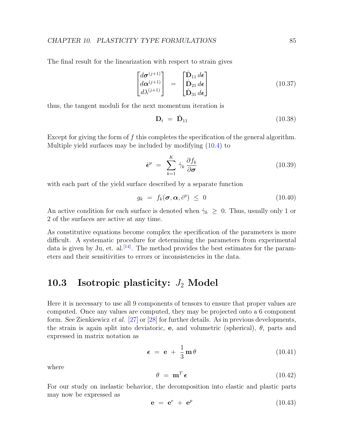The final result for the linearization with respect to strain gives

$$
\begin{bmatrix}\nd\boldsymbol{\sigma}^{(j+1)} \\
d\boldsymbol{\alpha}^{(j+1)} \\
d\lambda^{(j+1)}\n\end{bmatrix} = \begin{bmatrix}\n\hat{\mathbf{D}}_{11} d\boldsymbol{\epsilon} \\
\hat{\mathbf{D}}_{21} d\boldsymbol{\epsilon} \\
\hat{\mathbf{D}}_{31} d\boldsymbol{\epsilon}\n\end{bmatrix}
$$
\n(10.37)

thus, the tangent moduli for the next momentum iteration is

$$
\mathbf{D}_t = \hat{\mathbf{D}}_{11} \tag{10.38}
$$

Except for giving the form of f this completes the specification of the general algorithm. Multiple yield surfaces may be included by modifying [\(10.4\)](#page-84-0) to

$$
\dot{\boldsymbol{\epsilon}}^p = \sum_{k=1}^K \dot{\gamma}_k \frac{\partial f_k}{\partial \boldsymbol{\sigma}}
$$
(10.39)

with each part of the yield surface described by a separate function

$$
g_k = f_k(\boldsymbol{\sigma}, \boldsymbol{\alpha}, \bar{e}^p) \leq 0 \tag{10.40}
$$

An active condition for each surface is denoted when  $\dot{\gamma}_k \geq 0$ . Thus, usually only 1 or 2 of the surfaces are active at any time.

As constitutive equations become complex the specification of the parameters is more difficult. A systematic procedure for determining the parameters from experimental data is given by Ju, et. al.<sup>[\[14\]](#page-131-4)</sup>. The method provides the best estimates for the parameters and their sensitivities to errors or inconsistencies in the data.

#### <span id="page-89-0"></span>10.3 Isotropic plasticity:  $J_2$  Model

Here it is necessary to use all 9 components of tensors to ensure that proper values are computed. Once any values are computed, they may be projected onto a 6 component form. See Zienkiewicz et al. [\[27\]](#page-132-1) or [\[28\]](#page-132-2) for further details. As in previous developments, the strain is again split into deviatoric, e, and volumetric (spherical),  $\theta$ , parts and expressed in matrix notation as

$$
\epsilon = e + \frac{1}{3} m \theta \qquad (10.41)
$$

where

$$
\theta = \mathbf{m}^T \boldsymbol{\epsilon} \tag{10.42}
$$

For our study on inelastic behavior, the decomposition into elastic and plastic parts may now be expressed as

$$
\mathbf{e} = \mathbf{e}^e + \mathbf{e}^p \tag{10.43}
$$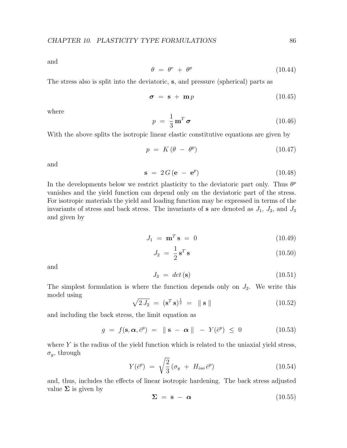and

$$
\theta = \theta^e + \theta^p \tag{10.44}
$$

The stress also is split into the deviatoric, s, and pressure (spherical) parts as

$$
\sigma = \mathbf{s} + \mathbf{m}p \tag{10.45}
$$

where

$$
p = \frac{1}{3} \mathbf{m}^T \boldsymbol{\sigma} \tag{10.46}
$$

With the above splits the isotropic linear elastic constitutive equations are given by

$$
p = K(\theta - \theta^p) \tag{10.47}
$$

and

$$
\mathbf{s} = 2G(\mathbf{e} - \mathbf{e}^p) \tag{10.48}
$$

In the developments below we restrict plasticity to the deviatoric part only. Thus  $\theta^p$ vanishes and the yield function can depend only on the deviatoric part of the stress. For isotropic materials the yield and loading function may be expressed in terms of the invariants of stress and back stress. The invariants of **s** are denoted as  $J_1$ ,  $J_2$ , and  $J_3$ and given by

$$
J_1 = \mathbf{m}^T \mathbf{s} = 0 \tag{10.49}
$$

$$
J_2 = \frac{1}{2} \mathbf{s}^T \mathbf{s} \tag{10.50}
$$

and

$$
J_3 = det(\mathbf{s}) \tag{10.51}
$$

The simplest formulation is where the function depends only on  $J_2$ . We write this model using

$$
\sqrt{2 J_2} = (\mathbf{s}^T \mathbf{s})^{\frac{1}{2}} = \|\mathbf{s}\| \tag{10.52}
$$

and including the back stress, the limit equation as

$$
g = f(\mathbf{s}, \boldsymbol{\alpha}, \bar{e}^p) = \|\mathbf{s} - \boldsymbol{\alpha}\| - Y(\bar{e}^p) \le 0 \tag{10.53}
$$

where  $Y$  is the radius of the yield function which is related to the uniaxial yield stress,  $\sigma_y$ , through

$$
Y(\bar{e}^p) = \sqrt{\frac{2}{3}} (\sigma_y + H_{iso} \bar{e}^p)
$$
 (10.54)

and, thus, includes the effects of linear isotropic hardening. The back stress adjusted value  $\Sigma$  is given by

$$
\Sigma = \mathbf{s} - \alpha \tag{10.55}
$$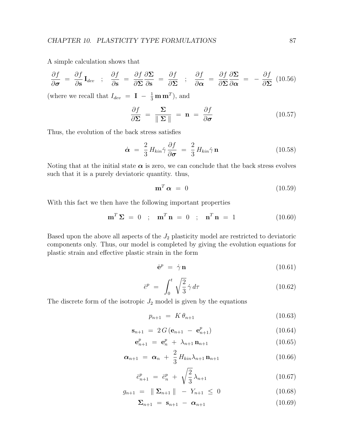A simple calculation shows that

$$
\frac{\partial f}{\partial \sigma} = \frac{\partial f}{\partial s} I_{dev} \quad ; \quad \frac{\partial f}{\partial s} = \frac{\partial f}{\partial s} \frac{\partial \Sigma}{\partial s} = \frac{\partial f}{\partial s} \quad ; \quad \frac{\partial f}{\partial \alpha} = \frac{\partial f}{\partial s} \frac{\partial \Sigma}{\partial \alpha} = -\frac{\partial f}{\partial s} \quad (10.56)
$$

(where we recall that  $I_{dev} = \mathbf{I} - \frac{1}{3} \mathbf{m} \mathbf{m}^T$ ), and

$$
\frac{\partial f}{\partial \Sigma} = \frac{\Sigma}{\|\Sigma\|} = \mathbf{n} = \frac{\partial f}{\partial \sigma}
$$
 (10.57)

Thus, the evolution of the back stress satisfies

$$
\dot{\boldsymbol{\alpha}} = \frac{2}{3} H_{kin} \dot{\gamma} \frac{\partial f}{\partial \boldsymbol{\sigma}} = \frac{2}{3} H_{kin} \dot{\gamma} \mathbf{n}
$$
 (10.58)

Noting that at the initial state  $\alpha$  is zero, we can conclude that the back stress evolves such that it is a purely deviatoric quantity. thus,

$$
\mathbf{m}^T \, \boldsymbol{\alpha} \ = \ 0 \tag{10.59}
$$

With this fact we then have the following important properties

$$
\mathbf{m}^T \mathbf{\Sigma} = 0 \quad ; \quad \mathbf{m}^T \mathbf{n} = 0 \quad ; \quad \mathbf{n}^T \mathbf{n} = 1 \tag{10.60}
$$

Based upon the above all aspects of the  $J_2$  plasticity model are restricted to deviatoric components only. Thus, our model is completed by giving the evolution equations for plastic strain and effective plastic strain in the form

$$
\dot{\mathbf{e}}^p = \dot{\gamma} \mathbf{n} \tag{10.61}
$$

$$
\bar{e}^p = \int_0^t \sqrt{\frac{2}{3}} \dot{\gamma} d\tau \tag{10.62}
$$

The discrete form of the isotropic  $J_2$  model is given by the equations

<span id="page-91-4"></span>
$$
p_{n+1} = K \theta_{n+1} \tag{10.63}
$$

<span id="page-91-1"></span>
$$
\mathbf{s}_{n+1} = 2G(\mathbf{e}_{n+1} - \mathbf{e}_{n+1}^p) \tag{10.64}
$$

<span id="page-91-0"></span>
$$
\mathbf{e}_{n+1}^p = \mathbf{e}_n^p + \lambda_{n+1} \mathbf{n}_{n+1} \tag{10.65}
$$

<span id="page-91-2"></span>
$$
\boldsymbol{\alpha}_{n+1} = \boldsymbol{\alpha}_n + \frac{2}{3} H_{kin} \lambda_{n+1} \mathbf{n}_{n+1} \tag{10.66}
$$

<span id="page-91-5"></span>
$$
\bar{e}_{n+1}^p = \bar{e}_n^p + \sqrt{\frac{2}{3}} \lambda_{n+1} \tag{10.67}
$$

<span id="page-91-3"></span>
$$
g_{n+1} = \|\Sigma_{n+1}\| - Y_{n+1} \le 0 \tag{10.68}
$$

<span id="page-91-6"></span>
$$
\Sigma_{n+1} = \mathbf{s}_{n+1} - \boldsymbol{\alpha}_{n+1} \tag{10.69}
$$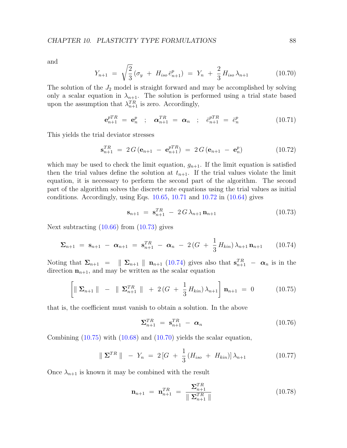and

<span id="page-92-5"></span>
$$
Y_{n+1} = \sqrt{\frac{2}{3}} \left( \sigma_y + H_{iso} \bar{e}_{n+1}^p \right) = Y_n + \frac{2}{3} H_{iso} \lambda_{n+1} \tag{10.70}
$$

The solution of the  $J_2$  model is straight forward and may be accomplished by solving only a scalar equation in  $\lambda_{n+1}$ . The solution is performed using a trial state based upon the assumption that  $\lambda_{n+1}^{TR}$  is zero. Accordingly,

<span id="page-92-0"></span>
$$
\mathbf{e}_{n+1}^{pTR} = \mathbf{e}_n^p \quad ; \quad \mathbf{\alpha}_{n+1}^{TR} = \mathbf{\alpha}_n \quad ; \quad \bar{e}_{n+1}^{pTR} = \bar{e}_n^p \tag{10.71}
$$

This yields the trial deviator stresses

<span id="page-92-1"></span>
$$
\mathbf{s}_{n+1}^{TR} = 2 G (\mathbf{e}_{n+1} - \mathbf{e}_{n+1}^{pTR}) = 2 G (\mathbf{e}_{n+1} - \mathbf{e}_n^{p}) \qquad (10.72)
$$

which may be used to check the limit equation,  $g_{n+1}$ . If the limit equation is satisfied then the trial values define the solution at  $t_{n+1}$ . If the trial values violate the limit equation, it is necessary to perform the second part of the algorithm. The second part of the algorithm solves the discrete rate equations using the trial values as initial conditions. Accordingly, using Eqs.  $10.65$ ,  $10.71$  and  $10.72$  in  $(10.64)$  gives

<span id="page-92-2"></span>
$$
\mathbf{s}_{n+1} = \mathbf{s}_{n+1}^{TR} - 2G\lambda_{n+1}\mathbf{n}_{n+1} \tag{10.73}
$$

Next subtracting [\(10.66\)](#page-91-2) from [\(10.73\)](#page-92-2) gives

<span id="page-92-3"></span>
$$
\Sigma_{n+1} = \mathbf{s}_{n+1} - \boldsymbol{\alpha}_{n+1} = \mathbf{s}_{n+1}^{TR} - \boldsymbol{\alpha}_n - 2(G + \frac{1}{3} H_{kin}) \lambda_{n+1} \mathbf{n}_{n+1} \qquad (10.74)
$$

Noting that  $\Sigma_{n+1} = ||\Sigma_{n+1} || \mathbf{n}_{n+1} (10.74)$  $\Sigma_{n+1} = ||\Sigma_{n+1} || \mathbf{n}_{n+1} (10.74)$  gives also that  $\mathbf{s}_{n+1}^{TR} - \alpha_n$  is in the direction  $n_{n+1}$ , and may be written as the scalar equation

<span id="page-92-4"></span>
$$
\left[ \|\mathbf{\Sigma}_{n+1}\| \ - \ \|\mathbf{\Sigma}_{n+1}^{TR}\| \ + \ 2\left(G \ + \ \frac{1}{3}H_{kin}\right)\lambda_{n+1} \right] \mathbf{n}_{n+1} \ = \ 0 \tag{10.75}
$$

that is, the coefficient must vanish to obtain a solution. In the above

$$
\Sigma_{n+1}^{TR} = \mathbf{s}_{n+1}^{TR} - \boldsymbol{\alpha}_n \tag{10.76}
$$

Combining  $(10.75)$  with  $(10.68)$  and  $(10.70)$  yields the scalar equation,

<span id="page-92-7"></span>
$$
\|\mathbf{\Sigma}^{TR}\| - Y_n = 2\left[G + \frac{1}{3}(H_{iso} + H_{kin})\right]\lambda_{n+1}
$$
 (10.77)

Once  $\lambda_{n+1}$  is known it may be combined with the result

<span id="page-92-6"></span>
$$
\mathbf{n}_{n+1} = \mathbf{n}_{n+1}^{TR} = \frac{\mathbf{\Sigma}_{n+1}^{TR}}{\parallel \mathbf{\Sigma}_{n+1}^{TR} \parallel}
$$
 (10.78)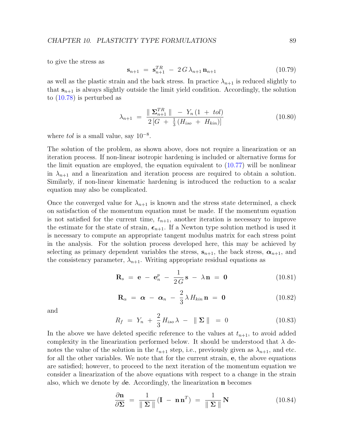to give the stress as

$$
\mathbf{s}_{n+1} = \mathbf{s}_{n+1}^{TR} - 2G\lambda_{n+1}\mathbf{n}_{n+1} \tag{10.79}
$$

as well as the plastic strain and the back stress. In practice  $\lambda_{n+1}$  is reduced slightly to that  $s_{n+1}$  is always slightly outside the limit yield condition. Accordingly, the solution to [\(10.78\)](#page-92-6) is perturbed as

<span id="page-93-2"></span>
$$
\lambda_{n+1} = \frac{\parallel \Sigma_{n+1}^{TR} \parallel - Y_n (1 + tol)}{2 \left[ G + \frac{1}{3} (H_{iso} + H_{kin}) \right]}
$$
(10.80)

where *tol* is a small value, say  $10^{-8}$ .

The solution of the problem, as shown above, does not require a linearization or an iteration process. If non-linear isotropic hardening is included or alternative forms for the limit equation are employed, the equation equivalent to [\(10.77\)](#page-92-7) will be nonlinear in  $\lambda_{n+1}$  and a linearization and iteration process are required to obtain a solution. Similarly, if non-linear kinematic hardening is introduced the reduction to a scalar equation may also be complicated.

Once the converged value for  $\lambda_{n+1}$  is known and the stress state determined, a check on satisfaction of the momentum equation must be made. If the momentum equation is not satisfied for the current time,  $t_{n+1}$ , another iteration is necessary to improve the estimate for the state of strain,  $\epsilon_{n+1}$ . If a Newton type solution method is used it is necessary to compute an appropriate tangent modulus matrix for each stress point in the analysis. For the solution process developed here, this may be achieved by selecting as primary dependent variables the stress,  $s_{n+1}$ , the back stress,  $\alpha_{n+1}$ , and the consistency parameter,  $\lambda_{n+1}$ . Writing appropriate residual equations as

<span id="page-93-0"></span>
$$
\mathbf{R}_s = \mathbf{e} - \mathbf{e}_n^p - \frac{1}{2G}\mathbf{s} - \lambda \mathbf{n} = \mathbf{0}
$$
 (10.81)

$$
\mathbf{R}_{\alpha} = \boldsymbol{\alpha} - \boldsymbol{\alpha}_n - \frac{2}{3} \lambda H_{kin} \mathbf{n} = \mathbf{0}
$$
 (10.82)

and

<span id="page-93-1"></span>
$$
R_f = Y_n + \frac{2}{3} H_{iso} \lambda - \| \Sigma \| = 0
$$
 (10.83)

In the above we have deleted specific reference to the values at  $t_{n+1}$ , to avoid added complexity in the linearization performed below. It should be understood that  $\lambda$  denotes the value of the solution in the  $t_{n+1}$  step, i.e., previously given as  $\lambda_{n+1}$ , and etc. for all the other variables. We note that for the current strain, e, the above equations are satisfied; however, to proceed to the next iteration of the momentum equation we consider a linearization of the above equations with respect to a change in the strain also, which we denote by  $de$ . Accordingly, the linearization **n** becomes

$$
\frac{\partial \mathbf{n}}{\partial \mathbf{\Sigma}} = \frac{1}{\|\mathbf{\Sigma}\|} (\mathbf{I} - \mathbf{n}\mathbf{n}^T) = \frac{1}{\|\mathbf{\Sigma}\|} \mathbf{N}
$$
(10.84)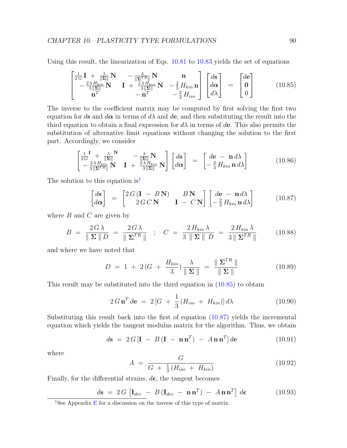Using this result, the linearization of Eqs. [10.81](#page-93-0) to [10.83](#page-93-1) yields the set of equations

<span id="page-94-1"></span>
$$
\begin{bmatrix}\n\frac{1}{2G}\mathbf{I} + \frac{\lambda}{\|\Sigma\|}\mathbf{N} & -\frac{\lambda}{\|\Sigma^{TR}\|}\mathbf{N} & \mathbf{n} \\
-\frac{2\lambda H_{kin}}{3\|\Sigma\|}\mathbf{N} & \mathbf{I} + \frac{2\lambda H_{kin}}{3\|\Sigma\|}\mathbf{N} & -\frac{2}{3}H_{kin}\mathbf{n} \\
\mathbf{n}^T & -\mathbf{n}^T & -\frac{2}{3}H_{iso}\n\end{bmatrix}\n\begin{bmatrix}\nd\mathbf{s} \\
d\alpha \\
d\lambda\n\end{bmatrix} = \begin{bmatrix}\nd\mathbf{e} \\
\mathbf{0} \\
0\n\end{bmatrix}
$$
\n(10.85)

The inverse to the coefficient matrix may be computed by first solving the first two equation for ds and  $d\alpha$  in terms of  $d\lambda$  and  $d\mathbf{e}$ , and then substituting the result into the third equation to obtain a final expression for  $d\lambda$  in terms of de. This also permits the substitution of alternative limit equations without changing the solution to the first part. Accordingly, we consider

$$
\begin{bmatrix}\n\frac{1}{2G} + \frac{\lambda}{\|\mathbf{\Sigma}\|} & -\frac{\lambda}{\|\mathbf{\Sigma}\|} \mathbf{N} \\
-\frac{2\lambda H_{kin}}{3\|\mathbf{\Sigma}^{TR}\|} \mathbf{N} & \mathbf{I} + \frac{2\lambda H_{kin}}{3\|\mathbf{\Sigma}\|} \mathbf{N}\n\end{bmatrix}\n\begin{bmatrix}\nd\mathbf{s} \\
d\mathbf{\alpha}\n\end{bmatrix} = \begin{bmatrix}\nd\mathbf{e} - \mathbf{n} \,d\lambda \\
-\frac{2}{3} H_{kin} \mathbf{n} \,d\lambda\n\end{bmatrix}
$$
\n(10.86)

The solution to this equation is<sup>[1](#page-94-0)</sup>

<span id="page-94-2"></span>
$$
\begin{bmatrix} d\mathbf{s} \\ d\mathbf{\alpha} \end{bmatrix} = \begin{bmatrix} 2G(\mathbf{I} - B\mathbf{N}) & B\mathbf{N} \\ 2G\,C\,\mathbf{N} & \mathbf{I} - C\,\mathbf{N} \end{bmatrix} \begin{bmatrix} d\mathbf{e} - \mathbf{n} \, d\lambda \\ -\frac{2}{3} H_{kin} \mathbf{n} \, d\lambda \end{bmatrix} \tag{10.87}
$$

where  $B$  and  $C$  are given by

$$
B = \frac{2G\lambda}{\|\Sigma\|D} = \frac{2G\lambda}{\|\Sigma^{TR}\|} \quad ; \quad C = \frac{2H_{kin}\lambda}{3\|\Sigma\|D} = \frac{2H_{kin}\lambda}{3\|\Sigma^{TR}\|} \tag{10.88}
$$

and where we have noted that

$$
D = 1 + 2(G + \frac{H_{kin}}{3}) \frac{\lambda}{\|\Sigma\|} = \frac{\|\Sigma^{TR}\|}{\|\Sigma\|}
$$
 (10.89)

This result may be substituted into the third equation in [\(10.85\)](#page-94-1) to obtain

$$
2G\mathbf{n}^T d\mathbf{e} = 2\left[G + \frac{1}{3}(H_{iso} + H_{kin})\right]d\lambda \qquad (10.90)
$$

Substituting this result back into the first of equation [\(10.87\)](#page-94-2) yields the incremental equation which yields the tangent modulus matrix for the algorithm. Thus, we obtain

$$
d\mathbf{s} = 2 G \left[ \mathbf{I} - B \left( \mathbf{I} - \mathbf{n} \mathbf{n}^T \right) - A \mathbf{n} \mathbf{n}^T \right] d\mathbf{e}
$$
 (10.91)

where

$$
A = \frac{G}{G + \frac{1}{3}(H_{iso} + H_{kin})}
$$
 (10.92)

Finally, for the differential strains,  $d\epsilon$ , the tangent becomes

$$
d\mathbf{s} = 2 G \left[ \mathbf{I}_{dev} - B \left( \mathbf{I}_{dev} - \mathbf{n} \mathbf{n}^T \right) - A \mathbf{n} \mathbf{n}^T \right] d\boldsymbol{\epsilon}
$$
 (10.93)

<span id="page-94-0"></span><sup>&</sup>lt;sup>1</sup>See Appendix [E](#page-151-0) for a discussion on the inverse of this type of matrix.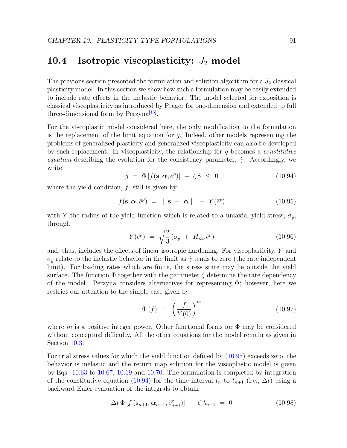#### 10.4 Isotropic viscoplasticity:  $J_2$  model

The previous section presented the formulation and solution algorithm for a  $J_2$  classical plasticity model. In this section we show how such a formulation may be easily extended to include rate effects in the inelastic behavior. The model selected for exposition is classical viscoplasticity as introduced by Prager for one-dimension and extended to full three-dimensional form by  $Perzyna^{[16]}$  $Perzyna^{[16]}$  $Perzyna^{[16]}$ .

For the viscoplastic model considered here, the only modification to the formulation is the replacement of the limit equation for  $q$ . Indeed, other models representing the problems of generalized plasticity and generalized viscoplasticity can also be developed by such replacement. In viscoplasticity, the relationship for  $g$  becomes a *constitutive* equation describing the evolution for the consistency parameter,  $\dot{\gamma}$ . Accordingly, we write

<span id="page-95-1"></span>
$$
g = \Phi[f(\mathbf{s}, \alpha, \bar{e}^p)] - \zeta \dot{\gamma} \le 0 \tag{10.94}
$$

where the yield condition,  $f$ , still is given by

<span id="page-95-0"></span>
$$
f(\mathbf{s}, \boldsymbol{\alpha}, \bar{e}^p) = \|\mathbf{s} - \boldsymbol{\alpha}\| - Y(\bar{e}^p) \tag{10.95}
$$

with Y the radius of the yield function which is related to a uniaxial yield stress,  $\sigma_y$ , through

$$
Y(\bar{e}^p) = \sqrt{\frac{2}{3}} (\sigma_y + H_{iso} \bar{e}^p)
$$
 (10.96)

and, thus, includes the effects of linear isotropic hardening. For viscoplasticity, Y and  $\sigma_y$  relate to the inelastic behavior in the limit as  $\dot{\gamma}$  tends to zero (the rate independent limit). For loading rates which are finite, the stress state may lie outside the yield surface. The function  $\Phi$  together with the parameter  $\zeta$  determine the rate dependency of the model. Perzyna considers alternatives for representing  $\Phi$ ; however, here we restrict our attention to the simple case given by

$$
\Phi\left(f\right) \ = \ \left(\frac{f}{Y(0)}\right)^m \tag{10.97}
$$

where m is a positive integer power. Other functional forms for  $\Phi$  may be considered without conceptual difficulty. All the other equations for the model remain as given in Section [10.3.](#page-89-0)

For trial stress values for which the yield function defined by [\(10.95\)](#page-95-0) exceeds zero, the behavior is inelastic and the return map solution for the viscoplastic model is given by Eqs. [10.63](#page-91-4) to [10.67,](#page-91-5) [10.69](#page-91-6) and [10.70.](#page-92-5) The formulation is completed by integration of the constitutive equation [\(10.94\)](#page-95-1) for the time interval  $t_n$  to  $t_{n+1}$  (i.e.,  $\Delta t$ ) using a backward Euler evaluation of the integrals to obtain

<span id="page-95-2"></span>
$$
\Delta t \Phi \left[ f \left( \mathbf{s}_{n+1}, \boldsymbol{\alpha}_{n+1}, \bar{e}_{n+1}^p \right) \right] - \zeta \lambda_{n+1} = 0 \tag{10.98}
$$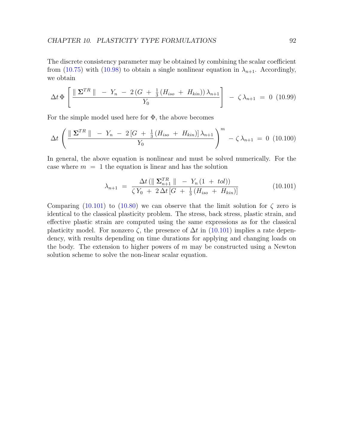The discrete consistency parameter may be obtained by combining the scalar coefficient from [\(10.75\)](#page-92-4) with [\(10.98\)](#page-95-2) to obtain a single nonlinear equation in  $\lambda_{n+1}$ . Accordingly, we obtain

$$
\Delta t \, \Phi \left[ \frac{\parallel \Sigma^{TR} \parallel -Y_n - 2(G + \frac{1}{3}(H_{iso} + H_{kin})) \lambda_{n+1}}{Y_0} \right] - \zeta \, \lambda_{n+1} = 0 \tag{10.99}
$$

For the simple model used here for  $\Phi$ , the above becomes

$$
\Delta t \left( \frac{\|\mathbf{\Sigma}^{TR}\| - Y_n - 2[G + \frac{1}{3}(H_{iso} + H_{kin})] \lambda_{n+1}}{Y_0} \right)^m - \zeta \lambda_{n+1} = 0 \quad (10.100)
$$

In general, the above equation is nonlinear and must be solved numerically. For the case where  $m = 1$  the equation is linear and has the solution

<span id="page-96-0"></span>
$$
\lambda_{n+1} = \frac{\Delta t \left( \parallel \Sigma_{n+1}^{TR} \parallel - Y_n (1 + tol) \right)}{\zeta Y_0 + 2 \Delta t \left[ G + \frac{1}{3} (H_{iso} + H_{kin}) \right]}
$$
(10.101)

Comparing  $(10.101)$  to  $(10.80)$  we can observe that the limit solution for  $\zeta$  zero is identical to the classical plasticity problem. The stress, back stress, plastic strain, and effective plastic strain are computed using the same expressions as for the classical plasticity model. For nonzero  $\zeta$ , the presence of  $\Delta t$  in [\(10.101\)](#page-96-0) implies a rate dependency, with results depending on time durations for applying and changing loads on the body. The extension to higher powers of  $m$  may be constructed using a Newton solution scheme to solve the non-linear scalar equation.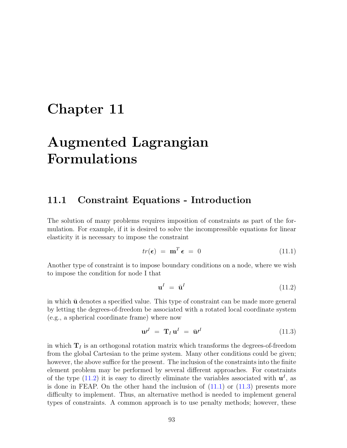## Chapter 11

# Augmented Lagrangian Formulations

#### 11.1 Constraint Equations - Introduction

The solution of many problems requires imposition of constraints as part of the formulation. For example, if it is desired to solve the incompressible equations for linear elasticity it is necessary to impose the constraint

<span id="page-97-1"></span>
$$
tr(\epsilon) = \mathbf{m}^T \epsilon = 0 \tag{11.1}
$$

Another type of constraint is to impose boundary conditions on a node, where we wish to impose the condition for node I that

<span id="page-97-0"></span>
$$
\mathbf{u}^I = \bar{\mathbf{u}}^I \tag{11.2}
$$

in which  $\bar{u}$  denotes a specified value. This type of constraint can be made more general by letting the degrees-of-freedom be associated with a rotated local coordinate system (e.g., a spherical coordinate frame) where now

<span id="page-97-2"></span>
$$
\mathbf{u}^I = \mathbf{T}_I \mathbf{u}^I = \bar{\mathbf{u}}^I \tag{11.3}
$$

in which  $T<sub>I</sub>$  is an orthogonal rotation matrix which transforms the degrees-of-freedom from the global Cartesian to the prime system. Many other conditions could be given; however, the above suffice for the present. The inclusion of the constraints into the finite element problem may be performed by several different approaches. For constraints of the type [\(11.2\)](#page-97-0) it is easy to directly eliminate the variables associated with  $\mathbf{u}^{I}$ , as is done in FEAP. On the other hand the inclusion of  $(11.1)$  or  $(11.3)$  presents more difficulty to implement. Thus, an alternative method is needed to implement general types of constraints. A common approach is to use penalty methods; however, these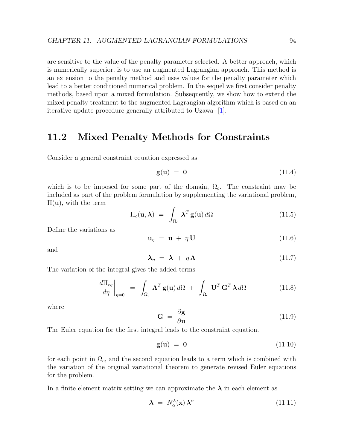are sensitive to the value of the penalty parameter selected. A better approach, which is numerically superior, is to use an augmented Lagrangian approach. This method is an extension to the penalty method and uses values for the penalty parameter which lead to a better conditioned numerical problem. In the sequel we first consider penalty methods, based upon a mixed formulation. Subsequently, we show how to extend the mixed penalty treatment to the augmented Lagrangian algorithm which is based on an iterative update procedure generally attributed to Uzawa [\[1\]](#page-130-3).

#### 11.2 Mixed Penalty Methods for Constraints

Consider a general constraint equation expressed as

$$
\mathbf{g}(\mathbf{u}) = \mathbf{0} \tag{11.4}
$$

which is to be imposed for some part of the domain,  $\Omega_c$ . The constraint may be included as part of the problem formulation by supplementing the variational problem,  $\Pi(\mathbf{u})$ , with the term

<span id="page-98-1"></span>
$$
\Pi_c(\mathbf{u}, \boldsymbol{\lambda}) = \int_{\Omega_c} \boldsymbol{\lambda}^T \mathbf{g}(\mathbf{u}) \, d\Omega \tag{11.5}
$$

Define the variations as

$$
\mathbf{u}_{\eta} = \mathbf{u} + \eta \mathbf{U} \tag{11.6}
$$

and

$$
\lambda_{\eta} = \lambda + \eta \Lambda \tag{11.7}
$$

The variation of the integral gives the added terms

<span id="page-98-0"></span>
$$
\frac{d\Pi_{c\eta}}{d\eta}\bigg|_{\eta=0} = \int_{\Omega_c} \mathbf{\Lambda}^T \mathbf{g}(\mathbf{u}) \, d\Omega + \int_{\Omega_c} \mathbf{U}^T \mathbf{G}^T \mathbf{\lambda} \, d\Omega \tag{11.8}
$$

where

$$
\mathbf{G} = \frac{\partial \mathbf{g}}{\partial \mathbf{u}} \tag{11.9}
$$

The Euler equation for the first integral leads to the constraint equation.

$$
\mathbf{g}(\mathbf{u}) = \mathbf{0} \tag{11.10}
$$

for each point in  $\Omega_c$ , and the second equation leads to a term which is combined with the variation of the original variational theorem to generate revised Euler equations for the problem.

In a finite element matrix setting we can approximate the  $\lambda$  in each element as

$$
\lambda = N_{\alpha}^{\lambda}(\mathbf{x}) \lambda^{\alpha} \tag{11.11}
$$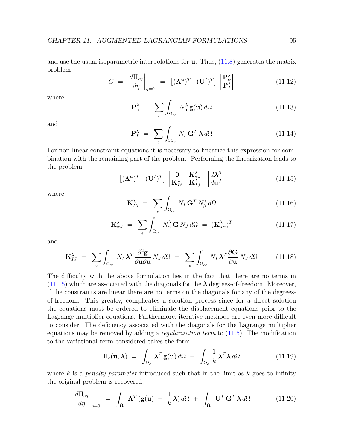and use the usual isoparametric interpolations for  $\bf{u}$ . Thus, [\(11.8\)](#page-98-0) generates the matrix problem

$$
G = \frac{d\Pi_{c\eta}}{d\eta}\bigg|_{\eta=0} = \left[ (\mathbf{\Lambda}^{\alpha})^T \quad (\mathbf{U}^I)^T \right] \begin{bmatrix} \mathbf{P}_{\alpha}^{\lambda} \\ \mathbf{P}_{I}^{\lambda} \end{bmatrix}
$$
(11.12)

where

$$
\mathbf{P}_{\alpha}^{\lambda} = \sum_{e} \int_{\Omega_{ce}} N_{\alpha}^{\lambda} \mathbf{g}(\mathbf{u}) d\Omega \qquad (11.13)
$$

and

$$
\mathbf{P}_I^{\lambda} = \sum_{e} \int_{\Omega_{ce}} N_I \mathbf{G}^T \,\lambda \, d\Omega \tag{11.14}
$$

For non-linear constraint equations it is necessary to linearize this expression for combination with the remaining part of the problem. Performing the linearization leads to the problem

<span id="page-99-0"></span>
$$
\begin{bmatrix} (\mathbf{\Lambda}^{\alpha})^T & (\mathbf{U}^I)^T \end{bmatrix} \begin{bmatrix} \mathbf{0} & \mathbf{K}_{\alpha J}^{\lambda} \\ \mathbf{K}_{I\beta}^{\lambda} & \mathbf{K}_{IJ}^{\lambda} \end{bmatrix} \begin{bmatrix} d\mathbf{\lambda}^{\beta} \\ d\mathbf{u}^J \end{bmatrix}
$$
(11.15)

where

$$
\mathbf{K}_{I\beta}^{\lambda} = \sum_{e} \int_{\Omega_{ce}} N_I \mathbf{G}^T N_{\beta}^{\lambda} d\Omega \qquad (11.16)
$$

$$
\mathbf{K}_{\alpha J}^{\lambda} = \sum_{e} \int_{\Omega_{ce}} N_{\alpha}^{\lambda} \mathbf{G} N_{J} d\Omega = (\mathbf{K}_{J\alpha}^{\lambda})^{T}
$$
(11.17)

and

$$
\mathbf{K}_{IJ}^{\lambda} = \sum_{e} \int_{\Omega_{ce}} N_I \,\lambda^T \frac{\partial^2 \mathbf{g}}{\partial \mathbf{u} \partial \mathbf{u}} N_J \, d\Omega = \sum_{e} \int_{\Omega_{ce}} N_I \,\lambda^T \frac{\partial \mathbf{G}}{\partial \mathbf{u}} N_J \, d\Omega \qquad (11.18)
$$

The difficulty with the above formulation lies in the fact that there are no terms in  $(11.15)$  which are associated with the diagonals for the  $\lambda$  degrees-of-freedom. Moreover, if the constraints are linear there are no terms on the diagonals for any of the degreesof-freedom. This greatly, complicates a solution process since for a direct solution the equations must be ordered to eliminate the displacement equations prior to the Lagrange multiplier equations. Furthermore, iterative methods are even more difficult to consider. The deficiency associated with the diagonals for the Lagrange multiplier equations may be removed by adding a *regularization term* to  $(11.5)$ . The modification to the variational term considered takes the form

$$
\Pi_c(\mathbf{u}, \boldsymbol{\lambda}) = \int_{\Omega_c} \boldsymbol{\lambda}^T \mathbf{g}(\mathbf{u}) \, d\Omega - \int_{\Omega_c} \frac{1}{k} \boldsymbol{\lambda}^T \boldsymbol{\lambda} \, d\Omega \tag{11.19}
$$

where k is a *penalty parameter* introduced such that in the limit as  $k$  goes to infinity the original problem is recovered.

<span id="page-99-1"></span>
$$
\frac{d\Pi_{c\eta}}{d\eta}\bigg|_{\eta=0} = \int_{\Omega_c} \mathbf{\Lambda}^T \left(\mathbf{g}(\mathbf{u}) - \frac{1}{k}\mathbf{\lambda}\right) d\Omega + \int_{\Omega_c} \mathbf{U}^T \mathbf{G}^T \mathbf{\lambda} d\Omega \qquad (11.20)
$$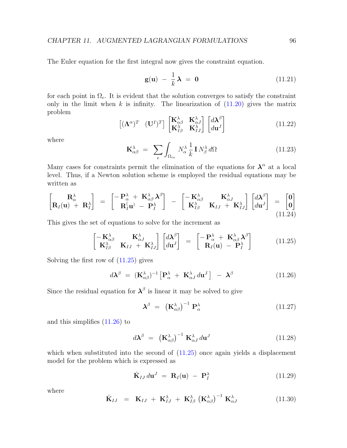The Euler equation for the first integral now gives the constraint equation.

$$
\mathbf{g}(\mathbf{u}) - \frac{1}{k}\boldsymbol{\lambda} = \mathbf{0} \tag{11.21}
$$

for each point in  $\Omega_c$ . It is evident that the solution converges to satisfy the constraint only in the limit when  $k$  is infinity. The linearization of  $(11.20)$  gives the matrix problem

$$
\begin{bmatrix}\n(\mathbf{\Lambda}^{\alpha})^T & (\mathbf{U}^I)^T\n\end{bmatrix}\n\begin{bmatrix}\n\mathbf{K}_{\alpha\beta}^{\lambda} & \mathbf{K}_{\alpha J}^{\lambda} \\
\mathbf{K}_{I\beta}^{\lambda} & \mathbf{K}_{IJ}^{\lambda}\n\end{bmatrix}\n\begin{bmatrix}\nd\mathbf{\lambda}^{\beta} \\
d\mathbf{u}^J\n\end{bmatrix}
$$
\n(11.22)

where

$$
\mathbf{K}^{\lambda}_{\alpha\beta} = \sum_{e} \int_{\Omega_{ce}} N^{\lambda}_{\alpha} \frac{1}{k} \mathbf{I} N^{\lambda}_{\beta} d\Omega \qquad (11.23)
$$

Many cases for constraints permit the elimination of the equations for  $\lambda^{\alpha}$  at a local level. Thus, if a Newton solution scheme is employed the residual equations may be written as

$$
\begin{bmatrix}\nR_{\alpha}^{\lambda} \\
R_{I}(u) + R_{I}^{\lambda}\n\end{bmatrix} = \begin{bmatrix}\n-R_{\alpha}^{\lambda} + K_{\alpha\beta}^{\lambda} \lambda^{\beta} \\
R_{I}^{(u)} - P_{I}^{\lambda}\n\end{bmatrix} - \begin{bmatrix}\n-K_{\alpha\beta}^{\lambda} & K_{\alpha J}^{\lambda} \\
K_{I\beta}^{\lambda} & K_{IJ} + K_{IJ}^{\lambda}\n\end{bmatrix} \begin{bmatrix}\nd\lambda^{\beta} \\
du^{J}\n\end{bmatrix} = \begin{bmatrix}\n0 \\
0\n\end{bmatrix}
$$
\n(11.24)

This gives the set of equations to solve for the increment as

<span id="page-100-0"></span>
$$
\begin{bmatrix}\n-\mathbf{K}_{\alpha\beta}^{\lambda} & \mathbf{K}_{\alpha J}^{\lambda} \\
\mathbf{K}_{I\beta}^{\lambda} & \mathbf{K}_{IJ} + \mathbf{K}_{IJ}^{\lambda}\n\end{bmatrix}\n\begin{bmatrix}\nd\lambda^{\beta} \\
du^{J}\n\end{bmatrix} = \begin{bmatrix}\n-\mathbf{P}_{\alpha}^{\lambda} + \mathbf{K}_{\alpha\beta}^{\lambda} \lambda^{\beta} \\
\mathbf{R}_{I}(\mathbf{u}) - \mathbf{P}_{I}^{\lambda}\n\end{bmatrix}
$$
\n(11.25)

Solving the first row of  $(11.25)$  gives

<span id="page-100-1"></span>
$$
d\boldsymbol{\lambda}^{\beta} = (\mathbf{K}^{\lambda}_{\alpha\beta})^{-1} \left[ \mathbf{P}^{\lambda}_{\alpha} + \mathbf{K}^{\lambda}_{\alpha J} d\mathbf{u}^{J} \right] - \boldsymbol{\lambda}^{\beta}
$$
 (11.26)

Since the residual equation for  $\lambda^{\beta}$  is linear it may be solved to give

$$
\boldsymbol{\lambda}^{\beta} = \left( \mathbf{K}^{\lambda}_{\alpha\beta} \right)^{-1} \mathbf{P}^{\lambda}_{\alpha} \tag{11.27}
$$

and this simplifies [\(11.26\)](#page-100-1) to

$$
d\lambda^{\beta} = \left(\mathbf{K}^{\lambda}_{\alpha\beta}\right)^{-1} \mathbf{K}^{\lambda}_{\alpha J} d\mathbf{u}^{J} \tag{11.28}
$$

which when substituted into the second of  $(11.25)$  once again yields a displacement model for the problem which is expressed as

$$
\hat{\mathbf{K}}_{IJ} d\mathbf{u}^J = \mathbf{R}_I(\mathbf{u}) - \mathbf{P}_I^{\lambda} \tag{11.29}
$$

where

<span id="page-100-2"></span>
$$
\hat{\mathbf{K}}_{IJ} = \mathbf{K}_{IJ} + \mathbf{K}_{IJ}^{\lambda} + \mathbf{K}_{I\beta}^{\lambda} (\mathbf{K}_{\alpha\beta}^{\lambda})^{-1} \mathbf{K}_{\alpha J}^{\lambda}
$$
\n(11.30)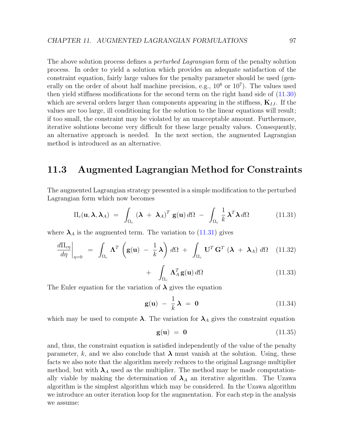The above solution process defines a *perturbed Lagrangian* form of the penalty solution process. In order to yield a solution which provides an adequate satisfaction of the constraint equation, fairly large values for the penalty parameter should be used (generally on the order of about half machine precision, e.g.,  $10^6$  or  $10^7$ ). The values used then yield stiffness modifications for the second term on the right hand side of [\(11.30\)](#page-100-2) which are several orders larger than components appearing in the stiffness,  $K_{IJ}$ . If the values are too large, ill conditioning for the solution to the linear equations will result; if too small, the constraint may be violated by an unacceptable amount. Furthermore, iterative solutions become very difficult for these large penalty values. Consequently, an alternative approach is needed. In the next section, the augmented Lagrangian method is introduced as an alternative.

#### 11.3 Augmented Lagrangian Method for Constraints

The augmented Lagrangian strategy presented is a simple modification to the perturbed Lagrangian form which now becomes

<span id="page-101-0"></span>
$$
\Pi_c(\mathbf{u}, \boldsymbol{\lambda}, \boldsymbol{\lambda}_A) = \int_{\Omega_c} (\boldsymbol{\lambda} + \boldsymbol{\lambda}_A)^T \mathbf{g}(\mathbf{u}) d\Omega - \int_{\Omega_c} \frac{1}{k} \boldsymbol{\lambda}^T \boldsymbol{\lambda} d\Omega \qquad (11.31)
$$

where  $\lambda_A$  is the augmented term. The variation to [\(11.31\)](#page-101-0) gives

$$
\frac{d\Pi_{c\eta}}{d\eta}\bigg|_{\eta=0} = \int_{\Omega_c} \mathbf{\Lambda}^T \left(\mathbf{g}(\mathbf{u}) - \frac{1}{k}\mathbf{\lambda}\right) d\Omega + \int_{\Omega_c} \mathbf{U}^T \mathbf{G}^T \left(\mathbf{\lambda} + \mathbf{\lambda}_A\right) d\Omega \quad (11.32)
$$

$$
+ \int_{\Omega_c} \Lambda_A^T \mathbf{g}(\mathbf{u}) \, d\Omega \tag{11.33}
$$

The Euler equation for the variation of  $\lambda$  gives the equation

$$
\mathbf{g}(\mathbf{u}) - \frac{1}{k}\,\boldsymbol{\lambda} = \mathbf{0} \tag{11.34}
$$

which may be used to compute  $\lambda$ . The variation for  $\lambda_A$  gives the constraint equation

$$
\mathbf{g}(\mathbf{u}) = \mathbf{0} \tag{11.35}
$$

and, thus, the constraint equation is satisfied independently of the value of the penalty parameter, k, and we also conclude that  $\lambda$  must vanish at the solution. Using, these facts we also note that the algorithm merely reduces to the original Lagrange multiplier method, but with  $\lambda_A$  used as the multiplier. The method may be made computationally viable by making the determination of  $\lambda_A$  an iterative algorithm. The Uzawa algorithm is the simplest algorithm which may be considered. In the Uzawa algorithm we introduce an outer iteration loop for the augmentation. For each step in the analysis we assume: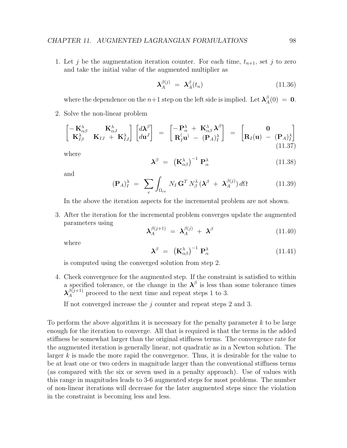1. Let j be the augmentation iteration counter. For each time,  $t_{n+1}$ , set j to zero and take the initial value of the augmented multiplier as

$$
\lambda_A^{\beta(j)} = \lambda_A^{\beta}(t_n) \tag{11.36}
$$

where the dependence on the  $n+1$  step on the left side is implied. Let  $\boldsymbol{\lambda}^{\beta}_{A}$  $A^{\beta}(0) = 0.$ 

2. Solve the non-linear problem

$$
\begin{bmatrix}\n-\mathbf{K}_{\alpha\beta}^{\lambda} & \mathbf{K}_{\alpha J}^{\lambda} \\
\mathbf{K}_{I\beta}^{\lambda} & \mathbf{K}_{IJ} + \mathbf{K}_{IJ}^{\lambda}\n\end{bmatrix}\n\begin{bmatrix}\nd\lambda^{\beta} \\
du^{J}\n\end{bmatrix} = \begin{bmatrix}\n-\mathbf{P}_{\alpha}^{\lambda} + \mathbf{K}_{\alpha\beta}^{\lambda} \lambda^{\beta} \\
\mathbf{R}_{I}^{(\mathbf{u})} - (\mathbf{P}_{A})_{I}^{\lambda}\n\end{bmatrix} = \begin{bmatrix}\n0 \\
\mathbf{R}_{I}(\mathbf{u}) - (\mathbf{P}_{A})_{I}^{\lambda}\n\end{bmatrix}
$$
\n(11.37)

where

$$
\boldsymbol{\lambda}^{\beta} = \left( \mathbf{K}^{\lambda}_{\alpha\beta} \right)^{-1} \mathbf{P}^{\lambda}_{\alpha} \tag{11.38}
$$

and

$$
(\mathbf{P}_A)^{\lambda}_{I} = \sum_{e} \int_{\Omega_{ce}} N_{I} \mathbf{G}^T N^{\lambda}_{\beta} (\boldsymbol{\lambda}^{\beta} + \boldsymbol{\lambda}^{\beta(j)}_{A}) d\Omega \qquad (11.39)
$$

In the above the iteration aspects for the incremental problem are not shown.

3. After the iteration for the incremental problem converges update the augmented parameters using

$$
\lambda_A^{\beta(j+1)} = \lambda_A^{\beta(j)} + \lambda^{\beta} \tag{11.40}
$$

where

$$
\boldsymbol{\lambda}^{\beta} = \left( \mathbf{K}^{\lambda}_{\alpha\beta} \right)^{-1} \mathbf{P}^{\lambda}_{\alpha} \tag{11.41}
$$

is computed using the converged solution from step 2.

4. Check convergence for the augmented step. If the constraint is satisfied to within a specified tolerance, or the change in the  $\lambda^{\beta}$  is less than some tolerance times  $\lambda_A^{\beta(j+1)}$  proceed to the next time and repeat steps 1 to 3.

If not converged increase the  $j$  counter and repeat steps 2 and 3.

To perform the above algorithm it is necessary for the penalty parameter  $k$  to be large enough for the iteration to converge. All that is required is that the terms in the added stiffness be somewhat larger than the original stiffness terms. The convergence rate for the augmented iteration is generally linear, not quadratic as in a Newton solution. The larger k is made the more rapid the convergence. Thus, it is desirable for the value to be at least one or two orders in magnitude larger than the conventional stiffness terms (as compared with the six or seven used in a penalty approach). Use of values with this range in magnitudes leads to 3-6 augmented steps for most problems. The number of non-linear iterations will decrease for the later augmented steps since the violation in the constraint is becoming less and less.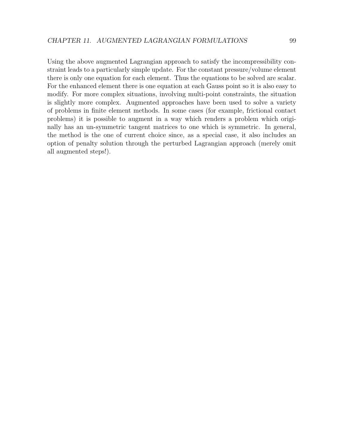Using the above augmented Lagrangian approach to satisfy the incompressibility constraint leads to a particularly simple update. For the constant pressure/volume element there is only one equation for each element. Thus the equations to be solved are scalar. For the enhanced element there is one equation at each Gauss point so it is also easy to modify. For more complex situations, involving multi-point constraints, the situation is slightly more complex. Augmented approaches have been used to solve a variety of problems in finite element methods. In some cases (for example, frictional contact problems) it is possible to augment in a way which renders a problem which originally has an un-symmetric tangent matrices to one which is symmetric. In general, the method is the one of current choice since, as a special case, it also includes an option of penalty solution through the perturbed Lagrangian approach (merely omit all augmented steps!).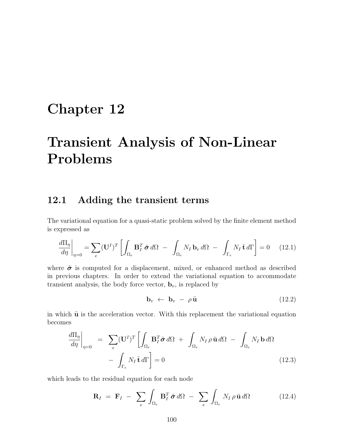### Chapter 12

# Transient Analysis of Non-Linear Problems

#### 12.1 Adding the transient terms

The variational equation for a quasi-static problem solved by the finite element method is expressed as

$$
\frac{d\Pi_{\eta}}{d\eta}\bigg|_{\eta=0} = \sum_{e} (\mathbf{U}^{I})^{T} \left[ \int_{\Omega_{e}} \mathbf{B}_{I}^{T} \tilde{\boldsymbol{\sigma}} d\Omega - \int_{\Omega_{e}} N_{I} \mathbf{b}_{v} d\Omega - \int_{\Gamma_{e}} N_{I} \bar{\mathbf{t}} d\Gamma \right] = 0 \quad (12.1)
$$

where  $\tilde{\sigma}$  is computed for a displacement, mixed, or enhanced method as described in previous chapters. In order to extend the variational equation to accommodate transient analysis, the body force vector,  $\mathbf{b}_v$ , is replaced by

$$
\mathbf{b}_v \leftarrow \mathbf{b}_v - \rho \ddot{\mathbf{u}} \tag{12.2}
$$

in which  $\ddot{\mathbf{u}}$  is the acceleration vector. With this replacement the variational equation becomes

$$
\frac{d\Pi_{\eta}}{d\eta}\bigg|_{\eta=0} = \sum_{e} (\mathbf{U}^{I})^{T} \left[ \int_{\Omega_{e}} \mathbf{B}_{I}^{T} \tilde{\boldsymbol{\sigma}} d\Omega + \int_{\Omega_{e}} N_{I} \rho \ddot{\mathbf{u}} d\Omega - \int_{\Omega_{e}} N_{I} \mathbf{b} d\Omega \right]
$$

$$
- \int_{\Gamma_{e}} N_{I} \bar{\mathbf{t}} d\Gamma \right] = 0
$$
(12.3)

which leads to the residual equation for each node

$$
\mathbf{R}_{I} = \mathbf{F}_{I} - \sum_{e} \int_{\Omega_{e}} \mathbf{B}_{I}^{T} \tilde{\boldsymbol{\sigma}} d\Omega - \sum_{e} \int_{\Omega_{e}} N_{I} \rho \ddot{\mathbf{u}} d\Omega \qquad (12.4)
$$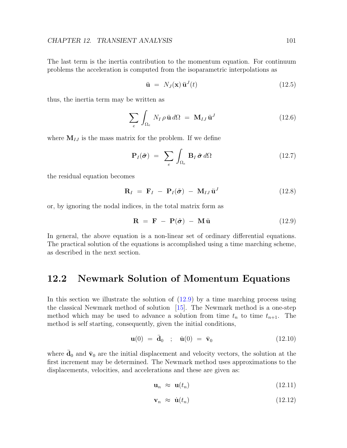The last term is the inertia contribution to the momentum equation. For continuum problems the acceleration is computed from the isoparametric interpolations as

$$
\ddot{\mathbf{u}} = N_J(\mathbf{x}) \ddot{\mathbf{u}}^J(t) \tag{12.5}
$$

thus, the inertia term may be written as

$$
\sum_{e} \int_{\Omega_e} N_I \rho \ddot{\mathbf{u}} d\Omega = \mathbf{M}_{IJ} \ddot{\mathbf{u}}^J
$$
 (12.6)

where  $M_{IJ}$  is the mass matrix for the problem. If we define

$$
\mathbf{P}_{I}(\tilde{\boldsymbol{\sigma}}) = \sum_{e} \int_{\Omega_{e}} \mathbf{B}_{I} \, \tilde{\boldsymbol{\sigma}} \, d\Omega \tag{12.7}
$$

the residual equation becomes

$$
\mathbf{R}_I = \mathbf{F}_I - \mathbf{P}_I(\tilde{\boldsymbol{\sigma}}) - \mathbf{M}_{IJ} \ddot{\mathbf{u}}^J \tag{12.8}
$$

or, by ignoring the nodal indices, in the total matrix form as

<span id="page-105-0"></span>
$$
\mathbf{R} = \mathbf{F} - \mathbf{P}(\tilde{\boldsymbol{\sigma}}) - \mathbf{M}\ddot{\mathbf{u}} \tag{12.9}
$$

In general, the above equation is a non-linear set of ordinary differential equations. The practical solution of the equations is accomplished using a time marching scheme, as described in the next section.

#### 12.2 Newmark Solution of Momentum Equations

In this section we illustrate the solution of  $(12.9)$  by a time marching process using the classical Newmark method of solution [\[15\]](#page-131-6). The Newmark method is a one-step method which may be used to advance a solution from time  $t_n$  to time  $t_{n+1}$ . The method is self starting, consequently, given the initial conditions,

$$
\mathbf{u}(0) = \bar{\mathbf{d}}_0 \quad ; \quad \dot{\mathbf{u}}(0) = \bar{\mathbf{v}}_0 \tag{12.10}
$$

where  $\bar{\mathbf{d}}_0$  and  $\bar{\mathbf{v}}_0$  are the initial displacement and velocity vectors, the solution at the first increment may be determined. The Newmark method uses approximations to the displacements, velocities, and accelerations and these are given as:

$$
\mathbf{u}_n \approx \mathbf{u}(t_n) \tag{12.11}
$$

$$
\mathbf{v}_n \approx \dot{\mathbf{u}}(t_n) \tag{12.12}
$$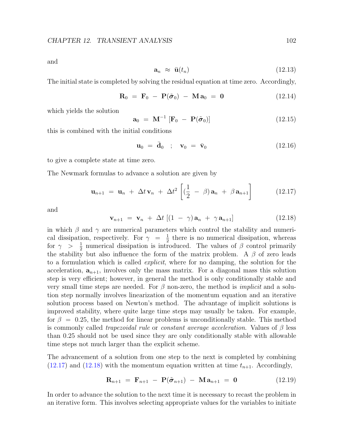and

$$
\mathbf{a}_n \approx \ddot{\mathbf{u}}(t_n) \tag{12.13}
$$

The initial state is completed by solving the residual equation at time zero. Accordingly,

$$
\mathbf{R}_0 = \mathbf{F}_0 - \mathbf{P}(\tilde{\boldsymbol{\sigma}}_0) - \mathbf{M} \mathbf{a}_0 = \mathbf{0} \tag{12.14}
$$

which yields the solution

$$
\mathbf{a}_0 = \mathbf{M}^{-1} [\mathbf{F}_0 - \mathbf{P}(\tilde{\boldsymbol{\sigma}}_0)] \tag{12.15}
$$

this is combined with the initial conditions

$$
\mathbf{u}_0 = \bar{\mathbf{d}}_0 \quad ; \quad \mathbf{v}_0 = \bar{\mathbf{v}}_0 \tag{12.16}
$$

to give a complete state at time zero.

The Newmark formulas to advance a solution are given by

<span id="page-106-0"></span>
$$
\mathbf{u}_{n+1} = \mathbf{u}_n + \Delta t \mathbf{v}_n + \Delta t^2 \left[ \left( \frac{1}{2} - \beta \right) \mathbf{a}_n + \beta \mathbf{a}_{n+1} \right] \tag{12.17}
$$

and

<span id="page-106-1"></span>
$$
\mathbf{v}_{n+1} = \mathbf{v}_n + \Delta t \left[ (1 - \gamma) \mathbf{a}_n + \gamma \mathbf{a}_{n+1} \right] \tag{12.18}
$$

in which  $\beta$  and  $\gamma$  are numerical parameters which control the stability and numerical dissipation, respectively. For  $\gamma = \frac{1}{2}$  $\frac{1}{2}$  there is no numerical dissipation, whereas for  $\gamma > \frac{1}{2}$  numerical dissipation is introduced. The values of  $\beta$  control primarily the stability but also influence the form of the matrix problem. A  $\beta$  of zero leads to a formulation which is called *explicit*, where for no damping, the solution for the acceleration,  $a_{n+1}$ , involves only the mass matrix. For a diagonal mass this solution step is very efficient; however, in general the method is only conditionally stable and very small time steps are needed. For  $\beta$  non-zero, the method is *implicit* and a solution step normally involves linearization of the momentum equation and an iterative solution process based on Newton's method. The advantage of implicit solutions is improved stability, where quite large time steps may usually be taken. For example, for  $\beta = 0.25$ , the method for linear problems is unconditionally stable. This method is commonly called *trapezoidal rule* or *constant average acceleration*. Values of  $\beta$  less than 0.25 should not be used since they are only conditionally stable with allowable time steps not much larger than the explicit scheme.

The advancement of a solution from one step to the next is completed by combining  $(12.17)$  and  $(12.18)$  with the momentum equation written at time  $t_{n+1}$ . Accordingly,

$$
\mathbf{R}_{n+1} = \mathbf{F}_{n+1} - \mathbf{P}(\tilde{\boldsymbol{\sigma}}_{n+1}) - \mathbf{M} \mathbf{a}_{n+1} = \mathbf{0} \tag{12.19}
$$

In order to advance the solution to the next time it is necessary to recast the problem in an iterative form. This involves selecting appropriate values for the variables to initiate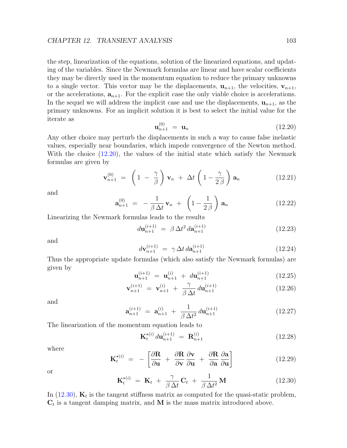the step, linearization of the equations, solution of the linearized equations, and updating of the variables. Since the Newmark formulas are linear and have scalar coefficients they may be directly used in the momentum equation to reduce the primary unknowns to a single vector. This vector may be the displacements,  $\mathbf{u}_{n+1}$ , the velocities,  $\mathbf{v}_{n+1}$ , or the accelerations,  $a_{n+1}$ . For the explicit case the only viable choice is accelerations. In the sequel we will address the implicit case and use the displacements,  $\mathbf{u}_{n+1}$ , as the primary unknowns. For an implicit solution it is best to select the initial value for the iterate as

<span id="page-107-0"></span>
$$
\mathbf{u}_{n+1}^{(0)} = \mathbf{u}_n \tag{12.20}
$$

Any other choice may perturb the displacements in such a way to cause false inelastic values, especially near boundaries, which impede convergence of the Newton method. With the choice [\(12.20\)](#page-107-0), the values of the initial state which satisfy the Newmark formulas are given by

$$
\mathbf{v}_{n+1}^{(0)} = \left(1 - \frac{\gamma}{\beta}\right)\mathbf{v}_n + \Delta t \left(1 - \frac{\gamma}{2\beta}\right)\mathbf{a}_n \tag{12.21}
$$

and

$$
\mathbf{a}_{n+1}^{(0)} = -\frac{1}{\beta \Delta t} \mathbf{v}_n + \left(1 - \frac{1}{2\beta}\right) \mathbf{a}_n \qquad (12.22)
$$

Linearizing the Newmark formulas leads to the results

$$
d\mathbf{u}_{n+1}^{(i+1)} = \beta \Delta t^2 d\mathbf{a}_{n+1}^{(i+1)}
$$
 (12.23)

and

$$
d\mathbf{v}_{n+1}^{(i+1)} = \gamma \Delta t \, d\mathbf{a}_{n+1}^{(i+1)}
$$
\n(12.24)

Thus the appropriate update formulas (which also satisfy the Newmark formulas) are given by

$$
\mathbf{u}_{n+1}^{(i+1)} = \mathbf{u}_{n+1}^{(i)} + d\mathbf{u}_{n+1}^{(i+1)}
$$
(12.25)

$$
\mathbf{v}_{n+1}^{(i+1)} = \mathbf{v}_{n+1}^{(i)} + \frac{\gamma}{\beta \Delta t} d\mathbf{u}_{n+1}^{(i+1)}
$$
(12.26)

and

$$
\mathbf{a}_{n+1}^{(i+1)} = \mathbf{a}_{n+1}^{(i)} + \frac{1}{\beta \Delta t^2} d\mathbf{u}_{n+1}^{(i+1)}
$$
(12.27)

The linearization of the momentum equation leads to

$$
\mathbf{K}_{t}^{\star(i)} d\mathbf{u}_{n+1}^{(i+1)} = \mathbf{R}_{n+1}^{(i)}
$$
 (12.28)

where

$$
\mathbf{K}_{t}^{\star(i)} = -\left[\frac{\partial \mathbf{R}}{\partial \mathbf{u}} + \frac{\partial \mathbf{R}}{\partial \mathbf{v}} \frac{\partial \mathbf{v}}{\partial \mathbf{u}} + \frac{\partial \mathbf{R}}{\partial \mathbf{a}} \frac{\partial \mathbf{a}}{\partial \mathbf{u}}\right]
$$
(12.29)

or

<span id="page-107-1"></span>
$$
\mathbf{K}_t^{\star(i)} = \mathbf{K}_t + \frac{\gamma}{\beta \Delta t} \mathbf{C}_t + \frac{1}{\beta \Delta t^2} \mathbf{M}
$$
 (12.30)

In  $(12.30)$ ,  $\mathbf{K}_t$  is the tangent stiffness matrix as computed for the quasi-static problem,  $\mathbf{C}_t$  is a tangent damping matrix, and M is the mass matrix introduced above.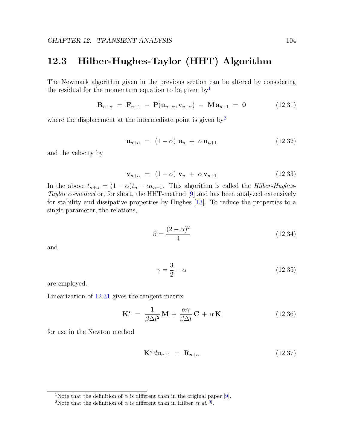#### 12.3 Hilber-Hughes-Taylor (HHT) Algorithm

The Newmark algorithm given in the previous section can be altered by considering the residual for the momentum equation to be given by  $\mathbb{I}^1$  $\mathbb{I}^1$ 

<span id="page-108-2"></span>
$$
\mathbf{R}_{n+\alpha} = \mathbf{F}_{n+1} - \mathbf{P}(\mathbf{u}_{n+\alpha}, \mathbf{v}_{n+\alpha}) - \mathbf{M} \mathbf{a}_{n+1} = \mathbf{0} \tag{12.31}
$$

where the displacement at the intermediate point is given  $by<sup>2</sup>$  $by<sup>2</sup>$  $by<sup>2</sup>$ 

$$
\mathbf{u}_{n+\alpha} = (1-\alpha)\mathbf{u}_n + \alpha \mathbf{u}_{n+1} \tag{12.32}
$$

and the velocity by

$$
\mathbf{v}_{n+\alpha} = (1-\alpha)\,\mathbf{v}_n + \alpha\,\mathbf{v}_{n+1} \tag{12.33}
$$

In the above  $t_{n+\alpha} = (1-\alpha)t_n + \alpha t_{n+1}$ . This algorithm is called the *Hilber-Hughes-*Taylor  $\alpha$ -method or, for short, the HHT-method [\[9\]](#page-130-0) and has been analyzed extensively for stability and dissipative properties by Hughes [\[13\]](#page-131-0). To reduce the properties to a single parameter, the relations,

$$
\beta = \frac{(2-\alpha)^2}{4} \tag{12.34}
$$

and

$$
\gamma = \frac{3}{2} - \alpha \tag{12.35}
$$

are employed.

Linearization of [12.31](#page-108-2) gives the tangent matrix

$$
\mathbf{K}^{\star} = \frac{1}{\beta \Delta t^2} \mathbf{M} + \frac{\alpha \gamma}{\beta \Delta t} \mathbf{C} + \alpha \mathbf{K}
$$
 (12.36)

for use in the Newton method

$$
\mathbf{K}^{\star} d\mathbf{u}_{n+1} = \mathbf{R}_{n+\alpha} \tag{12.37}
$$

<span id="page-108-0"></span><sup>&</sup>lt;sup>1</sup>Note that the definition of  $\alpha$  is different than in the original paper [\[9\]](#page-130-0).

<span id="page-108-1"></span><sup>&</sup>lt;sup>2</sup>Note that the definition of  $\alpha$  is different than in Hilber *et al.*<sup>[\[9\]](#page-130-0)</sup>.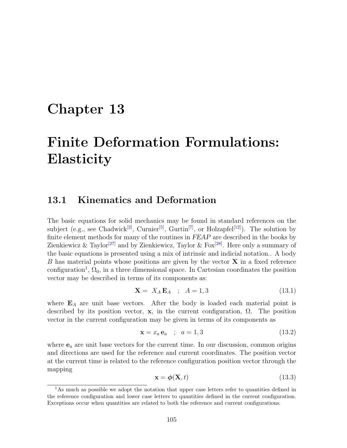### Chapter 13

# Finite Deformation Formulations: **Elasticity**

#### 13.1 Kinematics and Deformation

The basic equations for solid mechanics may be found in standard references on the subject (e.g., see Chadwick<sup>[\[2\]](#page-130-1)</sup>, Curnier<sup>[\[5\]](#page-130-2)</sup>, Gurtin<sup>[\[7\]](#page-130-3)</sup>, or Holzapfel<sup>[\[12\]](#page-131-1)</sup>). The solution by finite element methods for many of the routines in FEAP are described in the books by Zienkiewicz  $\&$  Taylor<sup>[\[27\]](#page-132-0)</sup> and by Zienkiewicz, Taylor  $\&$  Fox<sup>[\[28\]](#page-132-1)</sup>. Here only a summary of the basic equations is presented using a mix of intrinsic and indicial notation.. A body B has material points whose positions are given by the vector  $X$  in a fixed reference configuration<sup>[1](#page-109-0)</sup>,  $\Omega_0$ , in a three dimensional space. In Cartesian coordinates the position vector may be described in terms of its components as:

$$
\mathbf{X} = X_A \mathbf{E}_A \quad ; \quad A = 1,3 \tag{13.1}
$$

where  $E_A$  are unit base vectors. After the body is loaded each material point is described by its position vector,  $\bf{x}$ , in the current configuration,  $\Omega$ . The position vector in the current configuration may be given in terms of its components as

$$
\mathbf{x} = x_a \mathbf{e}_a \quad ; \quad a = 1,3 \tag{13.2}
$$

where  $e_a$  are unit base vectors for the current time. In our discussion, common origins and directions are used for the reference and current coordinates. The position vector at the current time is related to the reference configuration position vector through the mapping

$$
\mathbf{x} = \boldsymbol{\phi}(\mathbf{X}, t) \tag{13.3}
$$

<span id="page-109-0"></span><sup>&</sup>lt;sup>1</sup>As much as possible we adopt the notation that upper case letters refer to quantities defined in the reference configuration and lower case letters to quantities defined in the current configuration. Exceptions occur when quantities are related to both the reference and current configurations.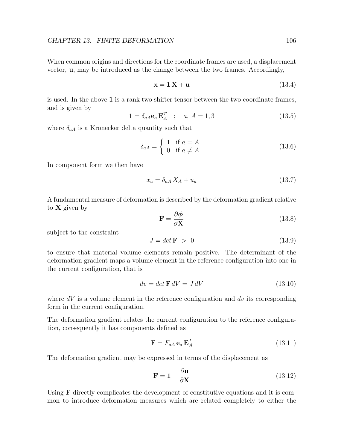When common origins and directions for the coordinate frames are used, a displacement vector, u, may be introduced as the change between the two frames. Accordingly,

$$
\mathbf{x} = \mathbf{1}\,\mathbf{X} + \mathbf{u} \tag{13.4}
$$

is used. In the above 1 is a rank two shifter tensor between the two coordinate frames, and is given by

$$
\mathbf{1} = \delta_{aA}\mathbf{e}_a \mathbf{E}_A^T \quad ; \quad a, A = 1,3 \tag{13.5}
$$

where  $\delta_{a}$  is a Kronecker delta quantity such that

$$
\delta_{aA} = \begin{cases} 1 & \text{if } a = A \\ 0 & \text{if } a \neq A \end{cases}
$$
 (13.6)

In component form we then have

$$
x_a = \delta_{aA} X_A + u_a \tag{13.7}
$$

A fundamental measure of deformation is described by the deformation gradient relative to  $X$  given by

$$
\mathbf{F} = \frac{\partial \phi}{\partial \mathbf{X}} \tag{13.8}
$$

subject to the constraint

$$
J = \det \mathbf{F} > 0 \tag{13.9}
$$

to ensure that material volume elements remain positive. The determinant of the deformation gradient maps a volume element in the reference configuration into one in the current configuration, that is

$$
dv = det \mathbf{F} dV = J dV \tag{13.10}
$$

where  $dV$  is a volume element in the reference configuration and  $dv$  its corresponding form in the current configuration.

The deformation gradient relates the current configuration to the reference configuration, consequently it has components defined as

$$
\mathbf{F} = F_{aA} \mathbf{e}_a \mathbf{E}_A^T \tag{13.11}
$$

The deformation gradient may be expressed in terms of the displacement as

$$
\mathbf{F} = \mathbf{1} + \frac{\partial \mathbf{u}}{\partial \mathbf{X}} \tag{13.12}
$$

Using **F** directly complicates the development of constitutive equations and it is common to introduce deformation measures which are related completely to either the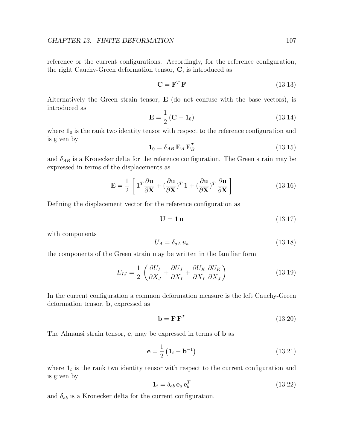reference or the current configurations. Accordingly, for the reference configuration, the right Cauchy-Green deformation tensor, C, is introduced as

$$
\mathbf{C} = \mathbf{F}^T \mathbf{F} \tag{13.13}
$$

Alternatively the Green strain tensor,  $E$  (do not confuse with the base vectors), is introduced as

$$
\mathbf{E} = \frac{1}{2} \left( \mathbf{C} - \mathbf{1}_0 \right) \tag{13.14}
$$

where  $\mathbf{1}_0$  is the rank two identity tensor with respect to the reference configuration and is given by

$$
\mathbf{1}_0 = \delta_{AB} \mathbf{E}_A \mathbf{E}_B^T \tag{13.15}
$$

and  $\delta_{AB}$  is a Kronecker delta for the reference configuration. The Green strain may be expressed in terms of the displacements as

$$
\mathbf{E} = \frac{1}{2} \left[ \mathbf{1}^T \frac{\partial \mathbf{u}}{\partial \mathbf{X}} + \left( \frac{\partial \mathbf{u}}{\partial \mathbf{X}} \right)^T \mathbf{1} + \left( \frac{\partial \mathbf{u}}{\partial \mathbf{X}} \right)^T \frac{\partial \mathbf{u}}{\partial \mathbf{X}} \right]
$$
(13.16)

Defining the displacement vector for the reference configuration as

$$
\mathbf{U} = \mathbf{1}\,\mathbf{u} \tag{13.17}
$$

with components

$$
U_A = \delta_{aA} u_a \tag{13.18}
$$

the components of the Green strain may be written in the familiar form

$$
E_{IJ} = \frac{1}{2} \left( \frac{\partial U_I}{\partial X_J} + \frac{\partial U_J}{\partial X_I} + \frac{\partial U_K}{\partial X_I} \frac{\partial U_K}{\partial X_J} \right) \tag{13.19}
$$

In the current configuration a common deformation measure is the left Cauchy-Green deformation tensor, b, expressed as

$$
\mathbf{b} = \mathbf{F} \, \mathbf{F}^T \tag{13.20}
$$

The Almansi strain tensor, e, may be expressed in terms of b as

$$
\mathbf{e} = \frac{1}{2} \left( \mathbf{1}_t - \mathbf{b}^{-1} \right) \tag{13.21}
$$

where  $\mathbf{1}_t$  is the rank two identity tensor with respect to the current configuration and is given by

$$
\mathbf{1}_t = \delta_{ab} \,\mathbf{e}_a \,\mathbf{e}_b^T \tag{13.22}
$$

and  $\delta_{ab}$  is a Kronecker delta for the current configuration.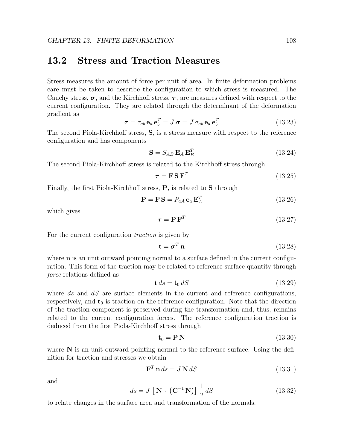#### 13.2 Stress and Traction Measures

Stress measures the amount of force per unit of area. In finite deformation problems care must be taken to describe the configuration to which stress is measured. The Cauchy stress,  $\sigma$ , and the Kirchhoff stress,  $\tau$ , are measures defined with respect to the current configuration. They are related through the determinant of the deformation gradient as

$$
\boldsymbol{\tau} = \tau_{ab} \,\mathbf{e}_a \,\mathbf{e}_b^T = J \,\boldsymbol{\sigma} = J \,\sigma_{ab} \,\mathbf{e}_a \,\mathbf{e}_b^T \tag{13.23}
$$

The second Piola-Kirchhoff stress, S, is a stress measure with respect to the reference configuration and has components

$$
\mathbf{S} = S_{AB} \, \mathbf{E}_A \, \mathbf{E}_B^T \tag{13.24}
$$

The second Piola-Kirchhoff stress is related to the Kirchhoff stress through

<span id="page-112-0"></span>
$$
\boldsymbol{\tau} = \mathbf{F} \, \mathbf{S} \, \mathbf{F}^T \tag{13.25}
$$

Finally, the first Piola-Kirchhoff stress, P, is related to S through

<span id="page-112-1"></span>
$$
\mathbf{P} = \mathbf{F} \mathbf{S} = P_{aA} \mathbf{e}_a \mathbf{E}_A^T
$$
 (13.26)

which gives

$$
\boldsymbol{\tau} = \mathbf{P} \, \mathbf{F}^T \tag{13.27}
$$

For the current configuration *traction* is given by

$$
\mathbf{t} = \boldsymbol{\sigma}^T \mathbf{n} \tag{13.28}
$$

where  **is an unit outward pointing normal to a surface defined in the current configu**ration. This form of the traction may be related to reference surface quantity through force relations defined as

$$
\mathbf{t} \, ds = \mathbf{t}_0 \, dS \tag{13.29}
$$

where  $ds$  and  $dS$  are surface elements in the current and reference configurations, respectively, and  $t_0$  is traction on the reference configuration. Note that the direction of the traction component is preserved during the transformation and, thus, remains related to the current configuration forces. The reference configuration traction is deduced from the first Piola-Kirchhoff stress through

$$
\mathbf{t}_0 = \mathbf{P} \mathbf{N} \tag{13.30}
$$

where  $N$  is an unit outward pointing normal to the reference surface. Using the definition for traction and stresses we obtain

$$
\mathbf{F}^T \mathbf{n} \, ds = J \mathbf{N} \, dS \tag{13.31}
$$

and

$$
ds = J \left[ \mathbf{N} \cdot \left( \mathbf{C}^{-1} \mathbf{N} \right) \right] \frac{1}{2} dS \tag{13.32}
$$

to relate changes in the surface area and transformation of the normals.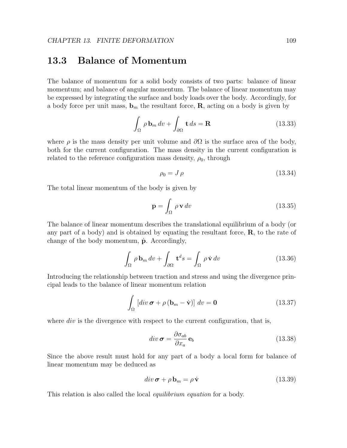#### 13.3 Balance of Momentum

The balance of momentum for a solid body consists of two parts: balance of linear momentum; and balance of angular momentum. The balance of linear momentum may be expressed by integrating the surface and body loads over the body. Accordingly, for a body force per unit mass,  $\mathbf{b}_m$  the resultant force, **R**, acting on a body is given by

$$
\int_{\Omega} \rho \mathbf{b}_{m} dv + \int_{\partial \Omega} \mathbf{t} ds = \mathbf{R}
$$
\n(13.33)

where  $\rho$  is the mass density per unit volume and  $\partial\Omega$  is the surface area of the body, both for the current configuration. The mass density in the current configuration is related to the reference configuration mass density,  $\rho_0$ , through

$$
\rho_0 = J \,\rho \tag{13.34}
$$

The total linear momentum of the body is given by

$$
\mathbf{p} = \int_{\Omega} \rho \mathbf{v} \, dv \tag{13.35}
$$

The balance of linear momentum describes the translational equilibrium of a body (or any part of a body) and is obtained by equating the resultant force,  $\bf{R}$ , to the rate of change of the body momentum,  $\dot{\mathbf{p}}$ . Accordingly,

$$
\int_{\Omega} \rho \mathbf{b}_{m} dv + \int_{\partial \Omega} \mathbf{t}^{d} s = \int_{\Omega} \rho \dot{\mathbf{v}} dv
$$
\n(13.36)

Introducing the relationship between traction and stress and using the divergence principal leads to the balance of linear momentum relation

$$
\int_{\Omega} \left[ \operatorname{div} \boldsymbol{\sigma} + \rho \left( \mathbf{b}_{m} - \dot{\mathbf{v}} \right) \right] dv = \mathbf{0}
$$
\n(13.37)

where  $div$  is the divergence with respect to the current configuration, that is,

$$
div \,\boldsymbol{\sigma} = \frac{\partial \sigma_{ab}}{\partial x_a} \,\mathbf{e}_b \tag{13.38}
$$

Since the above result must hold for any part of a body a local form for balance of linear momentum may be deduced as

$$
div \,\boldsymbol{\sigma} + \rho \,\mathbf{b}_m = \rho \,\dot{\mathbf{v}} \tag{13.39}
$$

This relation is also called the local equilibrium equation for a body.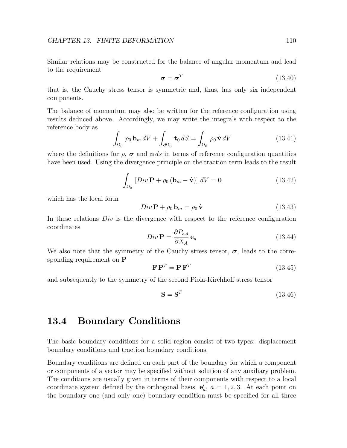Similar relations may be constructed for the balance of angular momentum and lead to the requirement

$$
\boldsymbol{\sigma} = \boldsymbol{\sigma}^T \tag{13.40}
$$

that is, the Cauchy stress tensor is symmetric and, thus, has only six independent components.

The balance of momentum may also be written for the reference configuration using results deduced above. Accordingly, we may write the integrals with respect to the reference body as

$$
\int_{\Omega_0} \rho_0 \mathbf{b}_m \, dV + \int_{\partial \Omega_0} \mathbf{t}_0 \, dS = \int_{\Omega_0} \rho_0 \, \dot{\mathbf{v}} \, dV \tag{13.41}
$$

where the definitions for  $\rho$ ,  $\sigma$  and  $\mathbf{n} ds$  in terms of reference configuration quantities have been used. Using the divergence principle on the traction term leads to the result

$$
\int_{\Omega_0} \left[ Div \, \mathbf{P} + \rho_0 \left( \mathbf{b}_m - \dot{\mathbf{v}} \right) \right] \, dV = \mathbf{0} \tag{13.42}
$$

which has the local form

$$
Div \mathbf{P} + \rho_0 \mathbf{b}_m = \rho_0 \dot{\mathbf{v}} \tag{13.43}
$$

In these relations  $Div$  is the divergence with respect to the reference configuration coordinates

$$
Div \mathbf{P} = \frac{\partial P_{aA}}{\partial X_A} \mathbf{e}_a \tag{13.44}
$$

We also note that the symmetry of the Cauchy stress tensor,  $\sigma$ , leads to the corresponding requirement on P

$$
\mathbf{F}\mathbf{P}^T = \mathbf{P}\mathbf{F}^T \tag{13.45}
$$

and subsequently to the symmetry of the second Piola-Kirchhoff stress tensor

$$
\mathbf{S} = \mathbf{S}^T \tag{13.46}
$$

#### 13.4 Boundary Conditions

The basic boundary conditions for a solid region consist of two types: displacement boundary conditions and traction boundary conditions.

Boundary conditions are defined on each part of the boundary for which a component or components of a vector may be specified without solution of any auxiliary problem. The conditions are usually given in terms of their components with respect to a local coordinate system defined by the orthogonal basis,  $e'_a$ ,  $a = 1, 2, 3$ . At each point on the boundary one (and only one) boundary condition must be specified for all three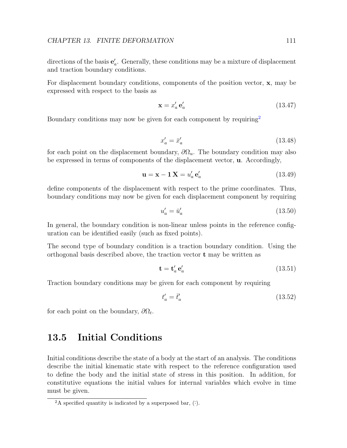directions of the basis  $\mathbf{e}'_a$ . Generally, these conditions may be a mixture of displacement and traction boundary conditions.

For displacement boundary conditions, components of the position vector, **x**, may be expressed with respect to the basis as

$$
\mathbf{x} = x_a' \mathbf{e}_a' \tag{13.47}
$$

Boundary conditions may now be given for each component by requiring<sup>[2](#page-115-0)</sup>

$$
x'_a = \bar{x}'_a \tag{13.48}
$$

for each point on the displacement boundary,  $\partial\Omega_u$ . The boundary condition may also be expressed in terms of components of the displacement vector, u. Accordingly,

$$
\mathbf{u} = \mathbf{x} - \mathbf{1}\,\mathbf{X} = u'_a \,\mathbf{e}'_a \tag{13.49}
$$

define components of the displacement with respect to the prime coordinates. Thus, boundary conditions may now be given for each displacement component by requiring

$$
u'_a = \bar{u}'_a \tag{13.50}
$$

In general, the boundary condition is non-linear unless points in the reference configuration can be identified easily (such as fixed points).

The second type of boundary condition is a traction boundary condition. Using the orthogonal basis described above, the traction vector t may be written as

$$
\mathbf{t} = \mathbf{t}'_a \,\mathbf{e}'_a \tag{13.51}
$$

Traction boundary conditions may be given for each component by requiring

$$
t'_a = \bar{t}'_a \tag{13.52}
$$

for each point on the boundary,  $\partial\Omega_t$ .

#### 13.5 Initial Conditions

Initial conditions describe the state of a body at the start of an analysis. The conditions describe the initial kinematic state with respect to the reference configuration used to define the body and the initial state of stress in this position. In addition, for constitutive equations the initial values for internal variables which evolve in time must be given.

<span id="page-115-0"></span><sup>&</sup>lt;sup>2</sup>A specified quantity is indicated by a superposed bar,  $($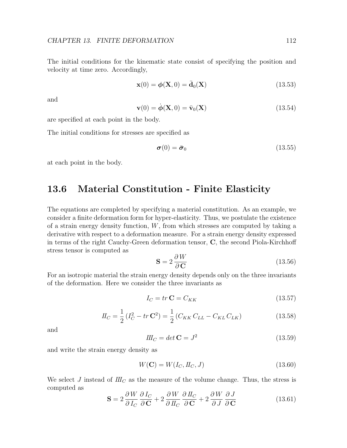The initial conditions for the kinematic state consist of specifying the position and velocity at time zero. Accordingly,

$$
\mathbf{x}(0) = \boldsymbol{\phi}(\mathbf{X}, 0) = \bar{\mathbf{d}}_0(\mathbf{X})
$$
\n(13.53)

and

$$
\mathbf{v}(0) = \dot{\boldsymbol{\phi}}(\mathbf{X}, 0) = \bar{\mathbf{v}}_0(\mathbf{X})
$$
\n(13.54)

are specified at each point in the body.

The initial conditions for stresses are specified as

$$
\boldsymbol{\sigma}(0) = \bar{\boldsymbol{\sigma}}_0 \tag{13.55}
$$

at each point in the body.

#### 13.6 Material Constitution - Finite Elasticity

The equations are completed by specifying a material constitution. As an example, we consider a finite deformation form for hyper-elasticity. Thus, we postulate the existence of a strain energy density function,  $W$ , from which stresses are computed by taking a derivative with respect to a deformation measure. For a strain energy density expressed in terms of the right Cauchy-Green deformation tensor, C, the second Piola-Kirchhoff stress tensor is computed as

<span id="page-116-0"></span>
$$
\mathbf{S} = 2 \frac{\partial W}{\partial \mathbf{C}} \tag{13.56}
$$

For an isotropic material the strain energy density depends only on the three invariants of the deformation. Here we consider the three invariants as

$$
I_C = tr \mathbf{C} = C_{KK} \tag{13.57}
$$

$$
I_C = \frac{1}{2} (I_C^2 - tr \mathbf{C}^2) = \frac{1}{2} (C_{KK} C_{LL} - C_{KL} C_{LK})
$$
(13.58)

and

$$
III_C = det \mathbf{C} = J^2 \tag{13.59}
$$

and write the strain energy density as

$$
W(\mathbf{C}) = W(I_C, I_C, J) \tag{13.60}
$$

We select J instead of  $I\!I\!I_C$  as the measure of the volume change. Thus, the stress is computed as

$$
\mathbf{S} = 2 \frac{\partial W}{\partial I_C} \frac{\partial I_C}{\partial \mathbf{C}} + 2 \frac{\partial W}{\partial I_C} \frac{\partial I_C}{\partial \mathbf{C}} + 2 \frac{\partial W}{\partial J} \frac{\partial J}{\partial \mathbf{C}}
$$
(13.61)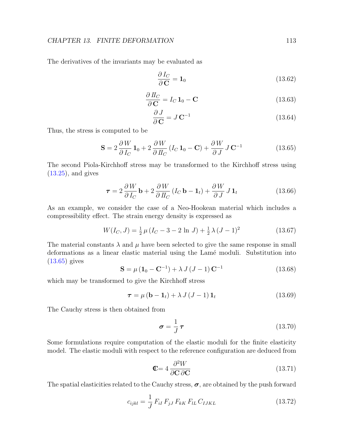#### CHAPTER 13. FINITE DEFORMATION 113

The derivatives of the invariants may be evaluated as

$$
\frac{\partial I_C}{\partial \mathbf{C}} = \mathbf{1}_0 \tag{13.62}
$$

$$
\frac{\partial I_C}{\partial \mathbf{C}} = I_C \mathbf{1}_0 - \mathbf{C}
$$
 (13.63)

$$
\frac{\partial J}{\partial \mathbf{C}} = J \mathbf{C}^{-1} \tag{13.64}
$$

Thus, the stress is computed to be

<span id="page-117-0"></span>
$$
\mathbf{S} = 2 \frac{\partial W}{\partial I_C} \mathbf{1}_0 + 2 \frac{\partial W}{\partial II_C} (I_C \mathbf{1}_0 - \mathbf{C}) + \frac{\partial W}{\partial J} J \mathbf{C}^{-1}
$$
(13.65)

The second Piola-Kirchhoff stress may be transformed to the Kirchhoff stress using  $(13.25)$ , and gives

$$
\tau = 2 \frac{\partial W}{\partial I_C} \mathbf{b} + 2 \frac{\partial W}{\partial II_C} (I_C \mathbf{b} - \mathbf{1}_t) + \frac{\partial W}{\partial J} J \mathbf{1}_t
$$
(13.66)

As an example, we consider the case of a Neo-Hookean material which includes a compressibility effect. The strain energy density is expressed as

$$
W(I_C, J) = \frac{1}{2}\,\mu\,(I_C - 3 - 2\,\ln\,J) + \frac{1}{2}\,\lambda\,(J - 1)^2\tag{13.67}
$$

The material constants  $\lambda$  and  $\mu$  have been selected to give the same response in small deformations as a linear elastic material using the Lamé moduli. Substitution into [\(13.65\)](#page-117-0) gives

$$
\mathbf{S} = \mu \left( \mathbf{1}_0 - \mathbf{C}^{-1} \right) + \lambda J \left( J - 1 \right) \mathbf{C}^{-1} \tag{13.68}
$$

which may be transformed to give the Kirchhoff stress

$$
\boldsymbol{\tau} = \mu \left( \mathbf{b} - \mathbf{1}_t \right) + \lambda J \left( J - 1 \right) \mathbf{1}_t \tag{13.69}
$$

The Cauchy stress is then obtained from

$$
\sigma = \frac{1}{J}\,\tau\tag{13.70}
$$

Some formulations require computation of the elastic moduli for the finite elasticity model. The elastic moduli with respect to the reference configuration are deduced from

$$
\mathbf{C} = 4 \frac{\partial^2 W}{\partial \mathbf{C} \, \partial \mathbf{C}} \tag{13.71}
$$

The spatial elasticities related to the Cauchy stress,  $\sigma$ , are obtained by the push forward

$$
c_{ijkl} = \frac{1}{J} F_{iI} F_{jJ} F_{kK} F_{lL} C_{IJKL}
$$
 (13.72)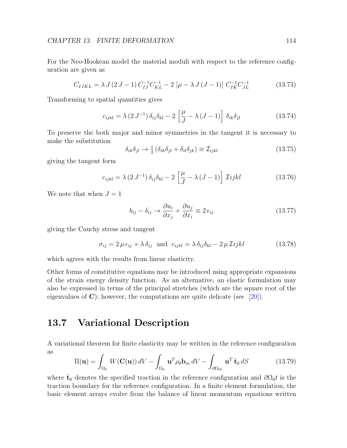For the Neo-Hookean model the material moduli with respect to the reference configuration are given as

$$
C_{IJKL} = \lambda J (2 J - 1) C_{IJ}^{-1} C_{KL}^{-1} - 2 \left[ \mu - \lambda J (J - 1) \right] C_{IK}^{-1} C_{JL}^{-1}
$$
 (13.73)

Transforming to spatial quantities gives

$$
c_{ijkl} = \lambda (2 J^{-1}) \delta_{ij} \delta_{kl} - 2 \left[ \frac{\mu}{J} - \lambda (J - 1) \right] \delta_{ik} \delta_{jl}
$$
 (13.74)

To preserve the both major and minor symmetries in the tangent it is necessary to make the substitution

$$
\delta_{ik}\delta_{jl} \to \frac{1}{2} \left( \delta_{ik}\delta_{jl} + \delta_{il}\delta_{jk} \right) \equiv \mathcal{I}_{ijkl} \tag{13.75}
$$

giving the tangent form

$$
c_{ijkl} = \lambda (2 J^{-1}) \delta_{ij} \delta_{kl} - 2 \left[ \frac{\mu}{J} - \lambda (J - 1) \right] \mathcal{I} ijkl \qquad (13.76)
$$

We note that when  $J=1$ 

$$
b_{ij} - \delta_{ij} \rightarrow \frac{\partial u_i}{\partial x_j} + \frac{\partial u_j}{\partial x_i} \equiv 2 \epsilon_{ij}
$$
 (13.77)

giving the Cauchy stress and tangent

$$
\sigma_{ij} = 2 \,\mu \,\epsilon_{ij} + \lambda \,\delta_{ij} \quad \text{and} \quad c_{ijkl} = \lambda \,\delta_{ij}\delta_{kl} - 2 \,\mu \,\mathcal{I}ijkl \tag{13.78}
$$

which agrees with the results from linear elasticity.

Other forms of constitutive equations may be introduced using appropriate expansions of the strain energy density function. As an alternative, an elastic formulation may also be expressed in terms of the principal stretches (which are the square root of the eigenvalues of  $\mathbf{C}$ ); however, the computations are quite delicate (see [\[20\]](#page-131-2)).

#### 13.7 Variational Description

A variational theorem for finite elasticity may be written in the reference configuration as

<span id="page-118-0"></span>
$$
\Pi(\mathbf{u}) = \int_{\Omega_0} W(\mathbf{C}(\mathbf{u})) dV - \int_{\Omega_0} \mathbf{u}^T \rho_0 \mathbf{b}_m dV - \int_{\partial \Omega_{0t}} \mathbf{u}^T \bar{\mathbf{t}}_0 dS \qquad (13.79)
$$

where  $\bar{t}_0$  denotes the specified traction in the reference configuration and  $\partial\Omega_0 t$  is the traction boundary for the reference configuration. In a finite element formulation, the basic element arrays evolve from the balance of linear momentum equations written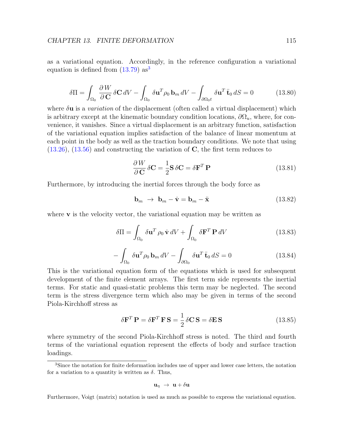as a variational equation. Accordingly, in the reference configuration a variational equation is defined from  $(13.79)$  $(13.79)$  $(13.79)$  as<sup>3</sup>

$$
\delta \Pi = \int_{\Omega_0} \frac{\partial W}{\partial \mathbf{C}} \delta \mathbf{C} \, dV - \int_{\Omega_0} \delta \mathbf{u}^T \rho_0 \, \mathbf{b}_m \, dV - \int_{\partial \Omega_0 t} \delta \mathbf{u}^T \, \bar{\mathbf{t}}_0 \, dS = 0 \tag{13.80}
$$

where  $\delta$ **u** is a variation of the displacement (often called a virtual displacement) which is arbitrary except at the kinematic boundary condition locations,  $\partial\Omega_u$ , where, for convenience, it vanishes. Since a virtual displacement is an arbitrary function, satisfaction of the variational equation implies satisfaction of the balance of linear momentum at each point in the body as well as the traction boundary conditions. We note that using  $(13.26)$ ,  $(13.56)$  and constructing the variation of C, the first term reduces to

$$
\frac{\partial W}{\partial \mathbf{C}} \delta \mathbf{C} = \frac{1}{2} \mathbf{S} \delta \mathbf{C} = \delta \mathbf{F}^T \mathbf{P}
$$
 (13.81)

Furthermore, by introducing the inertial forces through the body force as

$$
\mathbf{b}_m \ \rightarrow \ \mathbf{b}_m - \dot{\mathbf{v}} = \mathbf{b}_m - \ddot{\mathbf{x}} \tag{13.82}
$$

where  $\bf{v}$  is the velocity vector, the variational equation may be written as

$$
\delta \Pi = \int_{\Omega_0} \delta \mathbf{u}^T \, \rho_0 \, \dot{\mathbf{v}} \, dV + \int_{\Omega_0} \delta \mathbf{F}^T \, \mathbf{P} \, dV \tag{13.83}
$$

$$
-\int_{\Omega_0} \delta \mathbf{u}^T \rho_0 \, \mathbf{b}_m \, dV - \int_{\partial \Omega_0} \delta \mathbf{u}^T \, \mathbf{\bar{t}}_0 \, dS = 0 \tag{13.84}
$$

This is the variational equation form of the equations which is used for subsequent development of the finite element arrays. The first term side represents the inertial terms. For static and quasi-static problems this term may be neglected. The second term is the stress divergence term which also may be given in terms of the second Piola-Kirchhoff stress as

$$
\delta \mathbf{F}^T \mathbf{P} = \delta \mathbf{F}^T \mathbf{F} \mathbf{S} = \frac{1}{2} \delta \mathbf{C} \mathbf{S} = \delta \mathbf{E} \mathbf{S}
$$
 (13.85)

where symmetry of the second Piola-Kirchhoff stress is noted. The third and fourth terms of the variational equation represent the effects of body and surface traction loadings.

$$
\mathbf{u}_{\eta} \ \rightarrow \ \mathbf{u} + \delta \mathbf{u}
$$

Furthermore, Voigt (matrix) notation is used as much as possible to express the variational equation.

<span id="page-119-0"></span><sup>&</sup>lt;sup>3</sup>Since the notation for finite deformation includes use of upper and lower case letters, the notation for a variation to a quantity is written as  $\delta$ . Thus,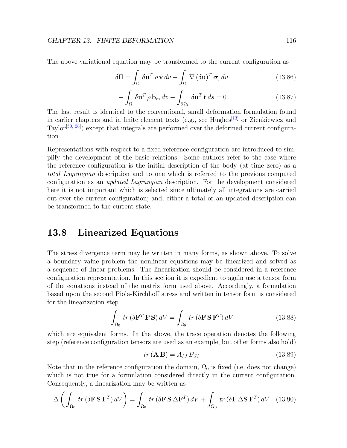The above variational equation may be transformed to the current configuration as

$$
\delta \Pi = \int_{\Omega} \delta \mathbf{u}^T \rho \dot{\mathbf{v}} \, dv + \int_{\Omega} \nabla (\delta \mathbf{u})^T \, \boldsymbol{\sigma} \, dv \qquad (13.86)
$$

$$
-\int_{\Omega} \delta \mathbf{u}^{T} \rho \mathbf{b}_{m} dv - \int_{\partial \Omega_{t}} \delta \mathbf{u}^{T} \bar{\mathbf{t}} ds = 0
$$
 (13.87)

The last result is identical to the conventional, small deformation formulation found in earlier chapters and in finite element texts (e.g., see Hughes<sup>[\[13\]](#page-131-0)</sup> or Zienkiewicz and Taylor<sup>[\[30,](#page-132-2) [28\]](#page-132-1)</sup>) except that integrals are performed over the deformed current configuration.

Representations with respect to a fixed reference configuration are introduced to simplify the development of the basic relations. Some authors refer to the case where the reference configuration is the initial description of the body (at time zero) as a total Lagrangian description and to one which is referred to the previous computed configuration as an updated Lagrangian description. For the development considered here it is not important which is selected since ultimately all integrations are carried out over the current configuration; and, either a total or an updated description can be transformed to the current state.

#### 13.8 Linearized Equations

The stress divergence term may be written in many forms, as shown above. To solve a boundary value problem the nonlinear equations may be linearized and solved as a sequence of linear problems. The linearization should be considered in a reference configuration representation. In this section it is expedient to again use a tensor form of the equations instead of the matrix form used above. Accordingly, a formulation based upon the second Piola-Kirchhoff stress and written in tensor form is considered for the linearization step.

$$
\int_{\Omega_0} tr \left( \delta \mathbf{F}^T \mathbf{F} \mathbf{S} \right) dV = \int_{\Omega_0} tr \left( \delta \mathbf{F} \mathbf{S} \mathbf{F}^T \right) dV \tag{13.88}
$$

which are equivalent forms. In the above, the trace operation denotes the following step (reference configuration tensors are used as an example, but other forms also hold)

$$
tr\left(\mathbf{A}\,\mathbf{B}\right) = A_{IJ}\,B_{JI}\tag{13.89}
$$

Note that in the reference configuration the domain,  $\Omega_0$  is fixed (i.e, does not change) which is not true for a formulation considered directly in the current configuration. Consequently, a linearization may be written as

$$
\Delta \left( \int_{\Omega_0} tr \left( \delta \mathbf{F} \, \mathbf{S} \, \mathbf{F}^T \right) dV \right) = \int_{\Omega_0} tr \left( \delta \mathbf{F} \, \mathbf{S} \, \Delta \mathbf{F}^T \right) dV + \int_{\Omega_0} tr \left( \delta \mathbf{F} \, \Delta \mathbf{S} \, \mathbf{F}^T \right) dV \tag{13.90}
$$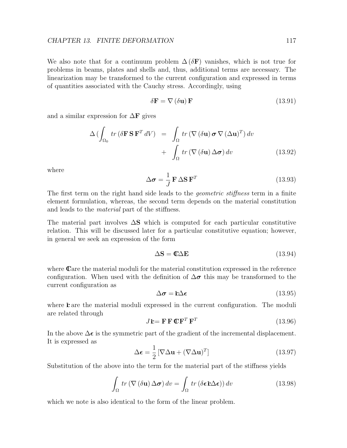We also note that for a continuum problem  $\Delta(\delta F)$  vanishes, which is not true for problems in beams, plates and shells and, thus, additional terms are necessary. The linearization may be transformed to the current configuration and expressed in terms of quantities associated with the Cauchy stress. Accordingly, using

$$
\delta \mathbf{F} = \nabla \left( \delta \mathbf{u} \right) \mathbf{F} \tag{13.91}
$$

and a similar expression for  $\Delta F$  gives

$$
\Delta \left( \int_{\Omega_0} tr \left( \delta \mathbf{F} \, \mathbf{S} \, \mathbf{F}^T \, dV \right) \right) = \int_{\Omega} tr \left( \nabla \left( \delta \mathbf{u} \right) \boldsymbol{\sigma} \nabla \left( \Delta \mathbf{u} \right)^T \right) dv \n+ \int_{\Omega} tr \left( \nabla \left( \delta \mathbf{u} \right) \Delta \boldsymbol{\sigma} \right) dv
$$
\n(13.92)

where

$$
\Delta \boldsymbol{\sigma} = \frac{1}{J} \mathbf{F} \Delta \mathbf{S} \mathbf{F}^T
$$
 (13.93)

The first term on the right hand side leads to the *geometric stiffness* term in a finite element formulation, whereas, the second term depends on the material constitution and leads to the material part of the stiffness.

The material part involves  $\Delta S$  which is computed for each particular constitutive relation. This will be discussed later for a particular constitutive equation; however, in general we seek an expression of the form

$$
\Delta S = C \Delta E \tag{13.94}
$$

where  $\mathbf{C}$  are the material moduli for the material constitution expressed in the reference configuration. When used with the definition of  $\Delta \sigma$  this may be transformed to the current configuration as

$$
\Delta \boldsymbol{\sigma} = \mathbf{E} \Delta \boldsymbol{\epsilon} \tag{13.95}
$$

where  $E$  are the material moduli expressed in the current configuration. The moduli are related through

$$
J\mathbf{E} = \mathbf{F} \mathbf{F} \mathbf{C} \mathbf{F}^T \mathbf{F}^T
$$
 (13.96)

In the above  $\Delta \epsilon$  is the symmetric part of the gradient of the incremental displacement. It is expressed as

$$
\Delta \epsilon = \frac{1}{2} \left[ \nabla \Delta \mathbf{u} + (\nabla \Delta \mathbf{u})^T \right]
$$
 (13.97)

Substitution of the above into the term for the material part of the stiffness yields

$$
\int_{\Omega} tr \left( \nabla \left( \delta \mathbf{u} \right) \Delta \boldsymbol{\sigma} \right) dv = \int_{\Omega} tr \left( \delta \boldsymbol{\epsilon} \mathbf{k} \Delta \boldsymbol{\epsilon} \right) dv \qquad (13.98)
$$

which we note is also identical to the form of the linear problem.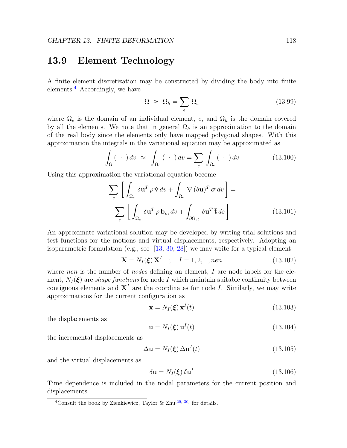#### 13.9 Element Technology

A finite element discretization may be constructed by dividing the body into finite elements.[4](#page-122-0) Accordingly, we have

$$
\Omega \approx \Omega_h = \sum_e \Omega_e \tag{13.99}
$$

where  $\Omega_e$  is the domain of an individual element, e, and  $\Omega_h$  is the domain covered by all the elements. We note that in general  $\Omega_h$  is an approximation to the domain of the real body since the elements only have mapped polygonal shapes. With this approximation the integrals in the variational equation may be approximated as

$$
\int_{\Omega} (\cdot) dv \approx \int_{\Omega_h} (\cdot) dv = \sum_{e} \int_{\Omega_e} (\cdot) dv \qquad (13.100)
$$

Using this approximation the variational equation become

$$
\sum_{e} \left[ \int_{\Omega_e} \delta \mathbf{u}^T \rho \dot{\mathbf{v}} \, dv + \int_{\Omega_e} \nabla (\delta \mathbf{u})^T \, \boldsymbol{\sigma} \, dv \right] =
$$
\n
$$
\sum_{e} \left[ \int_{\Omega_e} \delta \mathbf{u}^T \rho \mathbf{b}_m \, dv + \int_{\partial \Omega_{et}} \delta \mathbf{u}^T \bar{\mathbf{t}} \, ds \right]
$$
\n(13.101)

An approximate variational solution may be developed by writing trial solutions and test functions for the motions and virtual displacements, respectively. Adopting an isoparametric formulation (e.g., see [\[13,](#page-131-0) [30,](#page-132-2) [28\]](#page-132-1)) we may write for a typical element

$$
\mathbf{X} = N_I(\boldsymbol{\xi}) \mathbf{X}^I \quad ; \quad I = 1, 2, \quad , \text{nen} \tag{13.102}
$$

where nen is the number of nodes defining an element,  $I$  are node labels for the element,  $N_I(\xi)$  are *shape functions* for node I which maintain suitable continuity between contiguous elements and  $X<sup>I</sup>$  are the coordinates for node I. Similarly, we may write approximations for the current configuration as

$$
\mathbf{x} = N_I(\xi) \mathbf{x}^I(t) \tag{13.103}
$$

the displacements as

$$
\mathbf{u} = N_I(\xi) \mathbf{u}^I(t) \tag{13.104}
$$

the incremental displacements as

$$
\Delta \mathbf{u} = N_I(\xi) \, \Delta \mathbf{u}^I(t) \tag{13.105}
$$

and the virtual displacements as

$$
\delta \mathbf{u} = N_I(\boldsymbol{\xi}) \, \delta \mathbf{u}^I \tag{13.106}
$$

Time dependence is included in the nodal parameters for the current position and displacements.

<span id="page-122-0"></span><sup>&</sup>lt;sup>4</sup>Consult the book by Zienkiewicz, Taylor & Zhu<sup>[\[29,](#page-132-3) [30\]](#page-132-2)</sup> for details.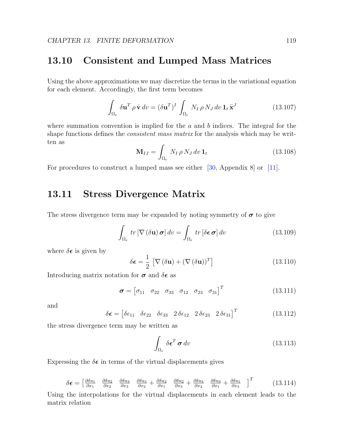#### 13.10 Consistent and Lumped Mass Matrices

Using the above approximations we may discretize the terms in the variational equation for each element. Accordingly, the first term becomes

$$
\int_{\Omega_e} \delta \mathbf{u}^T \rho \dot{\mathbf{v}} \, dv = (\delta \mathbf{u}^T)^I \int_{\Omega_e} N_I \, \rho \, N_J \, dv \, \mathbf{1}_t \ddot{\mathbf{x}}^J \tag{13.107}
$$

where summation convention is implied for the  $a$  and  $b$  indices. The integral for the shape functions defines the *consistent mass matrix* for the analysis which may be written as

$$
\mathbf{M}_{IJ} = \int_{\Omega_e} N_I \, \rho \, N_J \, dv \, \mathbf{1}_t \tag{13.108}
$$

For procedures to construct a lumped mass see either [\[30,](#page-132-2) Appendix 8] or [\[11\]](#page-130-4).

#### 13.11 Stress Divergence Matrix

The stress divergence term may be expanded by noting symmetry of  $\sigma$  to give

$$
\int_{\Omega_e} tr \left[ \nabla \left( \delta \mathbf{u} \right) \boldsymbol{\sigma} \right] dv = \int_{\Omega_e} tr \left[ \delta \boldsymbol{\epsilon} \, \boldsymbol{\sigma} \right] dv \tag{13.109}
$$

where  $\delta \epsilon$  is given by

$$
\delta \boldsymbol{\epsilon} = \frac{1}{2} \left[ \nabla (\delta \mathbf{u}) + (\nabla (\delta \mathbf{u}))^T \right]
$$
 (13.110)

Introducing matrix notation for  $\sigma$  and  $\delta \epsilon$  as

$$
\boldsymbol{\sigma} = \begin{bmatrix} \sigma_{11} & \sigma_{22} & \sigma_{33} & \sigma_{12} & \sigma_{23} & \sigma_{31} \end{bmatrix}^T \tag{13.111}
$$

and

$$
\delta \epsilon = \begin{bmatrix} \delta \epsilon_{11} & \delta \epsilon_{22} & \delta \epsilon_{33} & 2 \delta \epsilon_{12} & 2 \delta \epsilon_{23} & 2 \delta \epsilon_{31} \end{bmatrix}^T \tag{13.112}
$$

the stress divergence term may be written as

$$
\int_{\Omega_e} \delta \boldsymbol{\epsilon}^T \boldsymbol{\sigma} \, dv \tag{13.113}
$$

Expressing the  $\delta \epsilon$  in terms of the virtual displacements gives

$$
\delta \epsilon = \begin{bmatrix} \frac{\partial \delta u_1}{\partial x_1} & \frac{\partial \delta u_2}{\partial x_2} & \frac{\partial \delta u_3}{\partial x_3} & \frac{\partial \delta u_1}{\partial x_2} + \frac{\partial \delta u_2}{\partial x_1} & \frac{\partial \delta u_2}{\partial x_3} + \frac{\partial \delta u_3}{\partial x_2} & \frac{\partial \delta u_3}{\partial x_1} + \frac{\partial \delta u_1}{\partial x_3} \end{bmatrix}^T
$$
(13.114)

Using the interpolations for the virtual displacements in each element leads to the matrix relation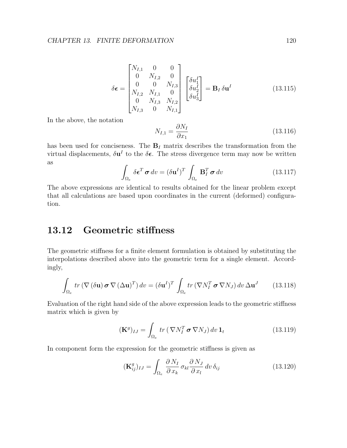$$
\delta \epsilon = \begin{bmatrix} N_{I,1} & 0 & 0 \\ 0 & N_{I,2} & 0 \\ 0 & 0 & N_{I,3} \\ N_{I,2} & N_{I,1} & 0 \\ 0 & N_{I,3} & N_{I,2} \\ N_{I,3} & 0 & N_{I,1} \end{bmatrix} \begin{bmatrix} \delta u_1^I \\ \delta u_2^I \\ \delta u_3^I \end{bmatrix} = \mathbf{B}_I \, \delta \mathbf{u}^I
$$
 (13.115)

In the above, the notation

$$
N_{I,1} = \frac{\partial N_I}{\partial x_1} \tag{13.116}
$$

has been used for conciseness. The  $B<sub>I</sub>$  matrix describes the transformation from the virtual displacements,  $\delta \mathbf{u}^I$  to the  $\delta \epsilon$ . The stress divergence term may now be written as

$$
\int_{\Omega_e} \delta \boldsymbol{\epsilon}^T \boldsymbol{\sigma} \, dv = (\delta \mathbf{u}^I)^T \int_{\Omega_e} \mathbf{B}_I^T \boldsymbol{\sigma} \, dv \qquad (13.117)
$$

The above expressions are identical to results obtained for the linear problem except that all calculations are based upon coordinates in the current (deformed) configuration.

#### 13.12 Geometric stiffness

The geometric stiffness for a finite element formulation is obtained by substituting the interpolations described above into the geometric term for a single element. Accordingly,

$$
\int_{\Omega_e} tr \left( \nabla \left( \delta \mathbf{u} \right) \boldsymbol{\sigma} \nabla \left( \Delta \mathbf{u} \right)^T \right) dv = \left( \delta \mathbf{u}^I \right)^T \int_{\Omega_e} tr \left( \nabla N_I^T \boldsymbol{\sigma} \nabla N_J \right) dv \, \Delta \mathbf{u}^J \tag{13.118}
$$

Evaluation of the right hand side of the above expression leads to the geometric stiffness matrix which is given by

$$
(\mathbf{K}^{g})_{IJ} = \int_{\Omega_e} tr \left( \nabla N_I^T \boldsymbol{\sigma} \nabla N_J \right) dv \, \mathbf{1}_t \tag{13.119}
$$

In component form the expression for the geometric stiffness is given as

$$
(\mathbf{K}_{ij}^g)_{IJ} = \int_{\Omega_e} \frac{\partial N_I}{\partial x_k} \sigma_{kl} \frac{\partial N_J}{\partial x_l} dv \,\delta_{ij}
$$
(13.120)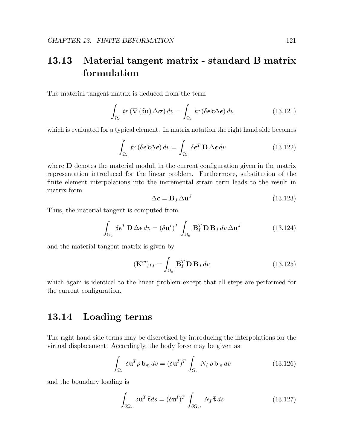### 13.13 Material tangent matrix - standard B matrix formulation

The material tangent matrix is deduced from the term

$$
\int_{\Omega_e} tr \left( \nabla \left( \delta \mathbf{u} \right) \Delta \boldsymbol{\sigma} \right) dv = \int_{\Omega_e} tr \left( \delta \boldsymbol{\epsilon} \mathbf{k} \Delta \boldsymbol{\epsilon} \right) dv \tag{13.121}
$$

which is evaluated for a typical element. In matrix notation the right hand side becomes

$$
\int_{\Omega_e} tr \left( \delta \boldsymbol{\epsilon} \mathbf{E} \Delta \boldsymbol{\epsilon} \right) dv = \int_{\Omega_e} \delta \boldsymbol{\epsilon}^T \mathbf{D} \Delta \boldsymbol{\epsilon} dv \qquad (13.122)
$$

where **D** denotes the material moduli in the current configuration given in the matrix representation introduced for the linear problem. Furthermore, substitution of the finite element interpolations into the incremental strain term leads to the result in matrix form

$$
\Delta \epsilon = \mathbf{B}_J \, \Delta \mathbf{u}^J \tag{13.123}
$$

Thus, the material tangent is computed from

$$
\int_{\Omega_e} \delta \boldsymbol{\epsilon}^T \mathbf{D} \Delta \boldsymbol{\epsilon} \, dv = (\delta \mathbf{u}^I)^T \int_{\Omega_e} \mathbf{B}_I^T \mathbf{D} \mathbf{B}_J \, dv \, \Delta \mathbf{u}^J \tag{13.124}
$$

and the material tangent matrix is given by

$$
(\mathbf{K}^m)_{IJ} = \int_{\Omega_e} \mathbf{B}_I^T \mathbf{D} \mathbf{B}_J \, dv \tag{13.125}
$$

which again is identical to the linear problem except that all steps are performed for the current configuration.

#### 13.14 Loading terms

The right hand side terms may be discretized by introducing the interpolations for the virtual displacement. Accordingly, the body force may be given as

$$
\int_{\Omega_e} \delta \mathbf{u}^T \rho \, \mathbf{b}_m \, dv = (\delta \mathbf{u}^I)^T \int_{\Omega_e} N_I \, \rho \, \mathbf{b}_m \, dv \tag{13.126}
$$

and the boundary loading is

$$
\int_{\partial\Omega_e} \delta \mathbf{u}^T \bar{\mathbf{t}} ds = (\delta \mathbf{u}^I)^T \int_{\partial\Omega_{et}} N_I \bar{\mathbf{t}} ds
$$
\n(13.127)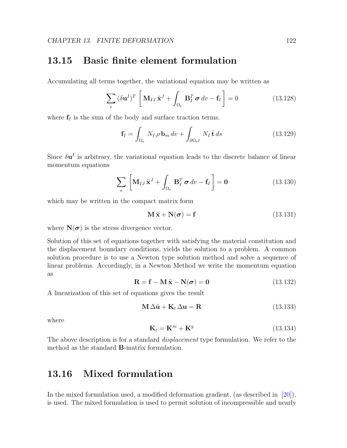#### 13.15 Basic finite element formulation

Accumulating all terms together, the variational equation may be written as

$$
\sum_{e} (\delta \mathbf{u}^{I})^{T} \left[ \mathbf{M}_{IJ} \ddot{\mathbf{x}}^{J} + \int_{\Omega_{e}} \mathbf{B}_{I}^{T} \boldsymbol{\sigma} dv - \mathbf{f}_{I} \right] = 0 \qquad (13.128)
$$

where  $f_I$  is the sum of the body and surface traction terms.

$$
\mathbf{f}_I = \int_{\Omega_e} N_I \, \rho \, \mathbf{b}_m \, dv + \int_{\partial \Omega_e t} N_I \, \mathbf{\bar{t}} \, ds \tag{13.129}
$$

Since  $\delta \mathbf{u}^{I}$  is arbitrary, the variational equation leads to the discrete balance of linear momentum equations

$$
\sum_{e} \left[ \mathbf{M}_{IJ} \ddot{\mathbf{x}}^J + \int_{\Omega_e} \mathbf{B}_I^T \boldsymbol{\sigma} \, dv - \mathbf{f}_I \right] = \mathbf{0} \tag{13.130}
$$

which may be written in the compact matrix form

$$
\mathbf{M}\ddot{\mathbf{x}} + \mathbf{N}(\boldsymbol{\sigma}) = \mathbf{f} \tag{13.131}
$$

where  $N(\sigma)$  is the stress divergence vector.

Solution of this set of equations together with satisfying the material constitution and the displacement boundary conditions, yields the solution to a problem. A common solution procedure is to use a Newton type solution method and solve a sequence of linear problems. Accordingly, in a Newton Method we write the momentum equation as

$$
\mathbf{R} = \mathbf{f} - \mathbf{M}\ddot{\mathbf{x}} - \mathbf{N}(\boldsymbol{\sigma}) = \mathbf{0}
$$
 (13.132)

A linearization of this set of equations gives the result

$$
\mathbf{M} \Delta \ddot{\mathbf{u}} + \mathbf{K}_t \Delta \mathbf{u} = \mathbf{R} \tag{13.133}
$$

where

$$
\mathbf{K}_t = \mathbf{K}^m + \mathbf{K}^g \tag{13.134}
$$

The above description is for a standard *displacement* type formulation. We refer to the method as the standard B-matrix formulation.

#### 13.16 Mixed formulation

In the mixed formulation used, a modified deformation gradient, (as described in [\[20\]](#page-131-2)), is used. The mixed formulation is used to permit solution of incompressible and nearly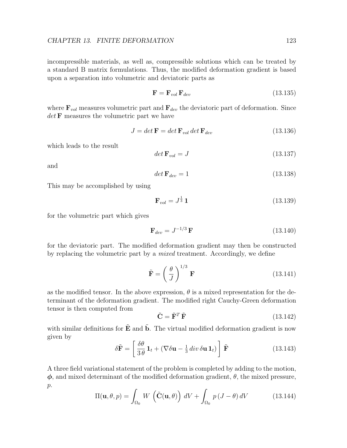incompressible materials, as well as, compressible solutions which can be treated by a standard B matrix formulations. Thus, the modified deformation gradient is based upon a separation into volumetric and deviatoric parts as

$$
\mathbf{F} = \mathbf{F}_{vol} \, \mathbf{F}_{dev} \tag{13.135}
$$

where  $\mathbf{F}_{vol}$  measures volumetric part and  $\mathbf{F}_{dev}$  the deviatoric part of deformation. Since  $det$ **F** measures the volumetric part we have

$$
J = det \mathbf{F} = det \mathbf{F}_{vol} det \mathbf{F}_{dev}
$$
 (13.136)

which leads to the result

$$
\det \mathbf{F}_{vol} = J \tag{13.137}
$$

and

$$
\det \mathbf{F}_{dev} = 1\tag{13.138}
$$

This may be accomplished by using

$$
\mathbf{F}_{vol} = J^{\frac{1}{3}} \mathbf{1} \tag{13.139}
$$

for the volumetric part which gives

$$
\mathbf{F}_{dev} = J^{-1/3} \mathbf{F} \tag{13.140}
$$

for the deviatoric part. The modified deformation gradient may then be constructed by replacing the volumetric part by a mixed treatment. Accordingly, we define

$$
\tilde{\mathbf{F}} = \left(\frac{\theta}{J}\right)^{1/3} \mathbf{F} \tag{13.141}
$$

as the modified tensor. In the above expression,  $\theta$  is a mixed representation for the determinant of the deformation gradient. The modified right Cauchy-Green deformation tensor is then computed from

$$
\tilde{\mathbf{C}} = \tilde{\mathbf{F}}^T \tilde{\mathbf{F}} \tag{13.142}
$$

with similar definitions for  $\tilde{E}$  and  $\tilde{b}$ . The virtual modified deformation gradient is now given by

$$
\delta \tilde{\mathbf{F}} = \left[ \frac{\delta \theta}{3 \theta} \mathbf{1}_t + (\nabla \delta \mathbf{u} - \frac{1}{3} \operatorname{div} \delta \mathbf{u} \mathbf{1}_t) \right] \tilde{\mathbf{F}} \tag{13.143}
$$

A three field variational statement of the problem is completed by adding to the motion,  $\phi$ , and mixed determinant of the modified deformation gradient,  $\theta$ , the mixed pressure,  $p$ .

$$
\Pi(\mathbf{u}, \theta, p) = \int_{\Omega_0} W \left( \tilde{\mathbf{C}}(\mathbf{u}, \theta) \right) dV + \int_{\Omega_0} p (J - \theta) dV \qquad (13.144)
$$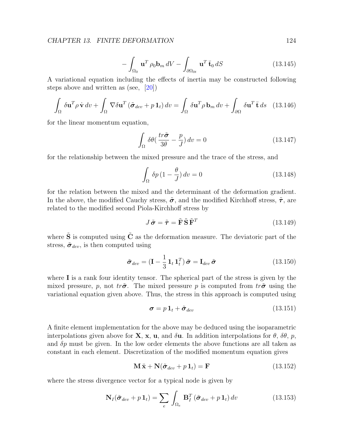$$
-\int_{\Omega_0} \mathbf{u}^T \rho_0 \mathbf{b}_m \, dV - \int_{\partial \Omega_{0t}} \mathbf{u}^T \bar{\mathbf{t}}_0 \, dS \tag{13.145}
$$

A variational equation including the effects of inertia may be constructed following steps above and written as (see, [\[20\]](#page-131-2))

$$
\int_{\Omega} \delta \mathbf{u}^{T} \rho \dot{\mathbf{v}} \, dv + \int_{\Omega} \nabla \delta \mathbf{u}^{T} \left( \tilde{\boldsymbol{\sigma}}_{dev} + p \, \mathbf{1}_{t} \right) dv = \int_{\Omega} \delta \mathbf{u}^{T} \rho \, \mathbf{b}_{m} \, dv + \int_{\partial \Omega} \delta \mathbf{u}^{T} \, \mathbf{\bar{t}} \, ds \quad (13.146)
$$

for the linear momentum equation,

$$
\int_{\Omega} \delta\theta \left(\frac{tr\tilde{\sigma}}{3\theta} - \frac{p}{J}\right) dv = 0 \tag{13.147}
$$

for the relationship between the mixed pressure and the trace of the stress, and

$$
\int_{\Omega} \delta p \left( 1 - \frac{\theta}{J} \right) dv = 0 \tag{13.148}
$$

for the relation between the mixed and the determinant of the deformation gradient. In the above, the modified Cauchy stress,  $\tilde{\sigma}$ , and the modified Kirchhoff stress,  $\tilde{\tau}$ , are related to the modified second Piola-Kirchhoff stress by

$$
J\tilde{\boldsymbol{\sigma}} = \tilde{\boldsymbol{\tau}} = \tilde{\mathbf{F}} \tilde{\mathbf{S}} \tilde{\mathbf{F}}^T
$$
 (13.149)

where  $\tilde{\mathbf{S}}$  is computed using  $\tilde{\mathbf{C}}$  as the deformation measure. The deviatoric part of the stress,  $\tilde{\sigma}_{dev}$ , is then computed using

$$
\tilde{\boldsymbol{\sigma}}_{dev} = (\mathbf{I} - \frac{1}{3} \mathbf{1}_t \mathbf{1}_t^T) \tilde{\boldsymbol{\sigma}} = \mathbf{I}_{dev} \tilde{\boldsymbol{\sigma}}
$$
\n(13.150)

where  $\bf{I}$  is a rank four identity tensor. The spherical part of the stress is given by the mixed pressure, p, not tr $\tilde{\sigma}$ . The mixed pressure p is computed from tr $\tilde{\sigma}$  using the variational equation given above. Thus, the stress in this approach is computed using

$$
\boldsymbol{\sigma} = p \, \mathbf{1}_t + \tilde{\boldsymbol{\sigma}}_{dev} \tag{13.151}
$$

A finite element implementation for the above may be deduced using the isoparametric interpolations given above for **X**, **x**, **u**, and  $\delta$ **u**. In addition interpolations for  $\theta$ ,  $\delta\theta$ , p, and  $\delta p$  must be given. In the low order elements the above functions are all taken as constant in each element. Discretization of the modified momentum equation gives

$$
\mathbf{M}\ddot{\mathbf{x}} + \mathbf{N}(\tilde{\boldsymbol{\sigma}}_{dev} + p\mathbf{1}_t) = \mathbf{F}
$$
\n(13.152)

where the stress divergence vector for a typical node is given by

$$
\mathbf{N}_{I}(\tilde{\boldsymbol{\sigma}}_{dev} + p \mathbf{1}_{t}) = \sum_{e} \int_{\Omega_{e}} \mathbf{B}_{I}^{T} (\tilde{\boldsymbol{\sigma}}_{dev} + p \mathbf{1}_{t}) dv \qquad (13.153)
$$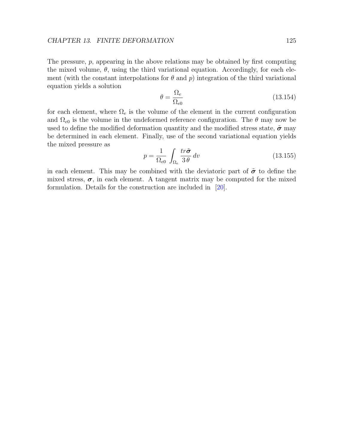The pressure,  $p$ , appearing in the above relations may be obtained by first computing the mixed volume,  $\theta$ , using the third variational equation. Accordingly, for each element (with the constant interpolations for  $\theta$  and  $p$ ) integration of the third variational equation yields a solution

$$
\theta = \frac{\Omega_e}{\Omega_{e0}}\tag{13.154}
$$

for each element, where  $\Omega_e$  is the volume of the element in the current configuration and  $\Omega_{e0}$  is the volume in the undeformed reference configuration. The  $\theta$  may now be used to define the modified deformation quantity and the modified stress state,  $\tilde{\sigma}$  may be determined in each element. Finally, use of the second variational equation yields the mixed pressure as

$$
p = \frac{1}{\Omega_{e0}} \int_{\Omega_e} \frac{tr\tilde{\sigma}}{3\theta} dv
$$
 (13.155)

in each element. This may be combined with the deviatoric part of  $\tilde{\sigma}$  to define the mixed stress,  $\sigma$ , in each element. A tangent matrix may be computed for the mixed formulation. Details for the construction are included in [\[20\]](#page-131-2).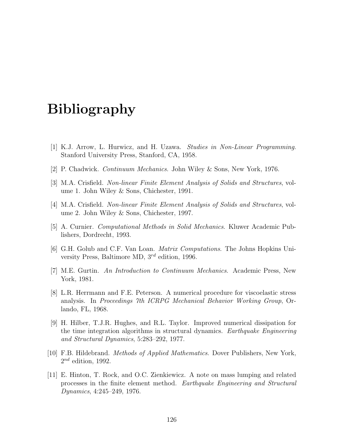### Bibliography

- [1] K.J. Arrow, L. Hurwicz, and H. Uzawa. Studies in Non-Linear Programming. Stanford University Press, Stanford, CA, 1958.
- <span id="page-130-1"></span>[2] P. Chadwick. Continuum Mechanics. John Wiley & Sons, New York, 1976.
- [3] M.A. Crisfield. Non-linear Finite Element Analysis of Solids and Structures, volume 1. John Wiley & Sons, Chichester, 1991.
- [4] M.A. Crisfield. Non-linear Finite Element Analysis of Solids and Structures, volume 2. John Wiley & Sons, Chichester, 1997.
- <span id="page-130-2"></span>[5] A. Curnier. Computational Methods in Solid Mechanics. Kluwer Academic Publishers, Dordrecht, 1993.
- [6] G.H. Golub and C.F. Van Loan. Matrix Computations. The Johns Hopkins University Press, Baltimore MD, 3rd edition, 1996.
- <span id="page-130-3"></span>[7] M.E. Gurtin. An Introduction to Continuum Mechanics. Academic Press, New York, 1981.
- [8] L.R. Herrmann and F.E. Peterson. A numerical procedure for viscoelastic stress analysis. In Proceedings 7th ICRPG Mechanical Behavior Working Group, Orlando, FL, 1968.
- <span id="page-130-0"></span>[9] H. Hilber, T.J.R. Hughes, and R.L. Taylor. Improved numerical dissipation for the time integration algorithms in structural dynamics. Earthquake Engineering and Structural Dynamics, 5:283–292, 1977.
- [10] F.B. Hildebrand. Methods of Applied Mathematics. Dover Publishers, New York,  $2^{nd}$  edition, 1992.
- <span id="page-130-4"></span>[11] E. Hinton, T. Rock, and O.C. Zienkiewicz. A note on mass lumping and related processes in the finite element method. Earthquake Engineering and Structural Dynamics, 4:245–249, 1976.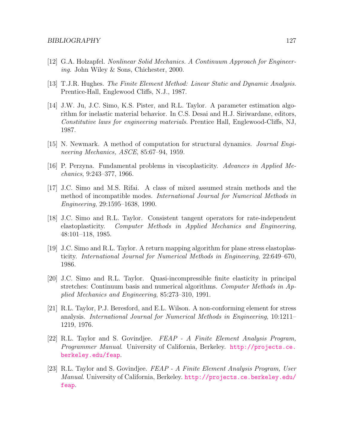- <span id="page-131-1"></span>[12] G.A. Holzapfel. Nonlinear Solid Mechanics. A Continuum Approach for Engineering. John Wiley & Sons, Chichester, 2000.
- <span id="page-131-0"></span>[13] T.J.R. Hughes. The Finite Element Method: Linear Static and Dynamic Analysis. Prentice-Hall, Englewood Cliffs, N.J., 1987.
- [14] J.W. Ju, J.C. Simo, K.S. Pister, and R.L. Taylor. A parameter estimation algorithm for inelastic material behavior. In C.S. Desai and H.J. Siriwardane, editors, Constitutive laws for engineering materials. Prentice Hall, Englewood-Cliffs, NJ, 1987.
- [15] N. Newmark. A method of computation for structural dynamics. Journal Engineering Mechanics, ASCE, 85:67–94, 1959.
- [16] P. Perzyna. Fundamental problems in viscoplasticity. Advances in Applied Mechanics, 9:243–377, 1966.
- [17] J.C. Simo and M.S. Rifai. A class of mixed assumed strain methods and the method of incompatible modes. International Journal for Numerical Methods in Engineering, 29:1595–1638, 1990.
- [18] J.C. Simo and R.L. Taylor. Consistent tangent operators for rate-independent elastoplasticity. Computer Methods in Applied Mechanics and Engineering, 48:101–118, 1985.
- [19] J.C. Simo and R.L. Taylor. A return mapping algorithm for plane stress elastoplasticity. International Journal for Numerical Methods in Engineering, 22:649–670, 1986.
- <span id="page-131-2"></span>[20] J.C. Simo and R.L. Taylor. Quasi-incompressible finite elasticity in principal stretches: Continuum basis and numerical algorithms. Computer Methods in Applied Mechanics and Engineering, 85:273–310, 1991.
- [21] R.L. Taylor, P.J. Beresford, and E.L. Wilson. A non-conforming element for stress analysis. International Journal for Numerical Methods in Engineering, 10:1211– 1219, 1976.
- [22] R.L. Taylor and S. Govindjee. FEAP A Finite Element Analysis Program, Programmer Manual. University of California, Berkeley. [http://projects.ce.](http://projects.ce.berkeley.edu/feap) [berkeley.edu/feap](http://projects.ce.berkeley.edu/feap).
- [23] R.L. Taylor and S. Govindjee. FEAP A Finite Element Analysis Program, User Manual. University of California, Berkeley. [http://projects.ce.berkeley.edu/](http://projects.ce.berkeley.edu/feap) [feap](http://projects.ce.berkeley.edu/feap).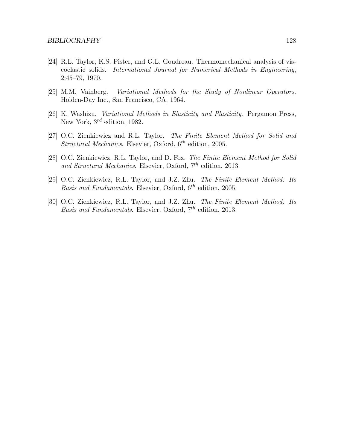- [24] R.L. Taylor, K.S. Pister, and G.L. Goudreau. Thermomechanical analysis of viscoelastic solids. International Journal for Numerical Methods in Engineering, 2:45–79, 1970.
- [25] M.M. Vainberg. Variational Methods for the Study of Nonlinear Operators. Holden-Day Inc., San Francisco, CA, 1964.
- [26] K. Washizu. Variational Methods in Elasticity and Plasticity. Pergamon Press, New York,  $3^{rd}$  edition, 1982.
- <span id="page-132-0"></span>[27] O.C. Zienkiewicz and R.L. Taylor. The Finite Element Method for Solid and Structural Mechanics. Elsevier, Oxford,  $6^{th}$  edition, 2005.
- <span id="page-132-1"></span>[28] O.C. Zienkiewicz, R.L. Taylor, and D. Fox. The Finite Element Method for Solid and Structural Mechanics. Elsevier, Oxford,  $7<sup>th</sup>$  edition, 2013.
- <span id="page-132-3"></span>[29] O.C. Zienkiewicz, R.L. Taylor, and J.Z. Zhu. The Finite Element Method: Its Basis and Fundamentals. Elsevier, Oxford,  $6^{th}$  edition, 2005.
- <span id="page-132-2"></span>[30] O.C. Zienkiewicz, R.L. Taylor, and J.Z. Zhu. The Finite Element Method: Its Basis and Fundamentals. Elsevier, Oxford,  $7<sup>th</sup>$  edition, 2013.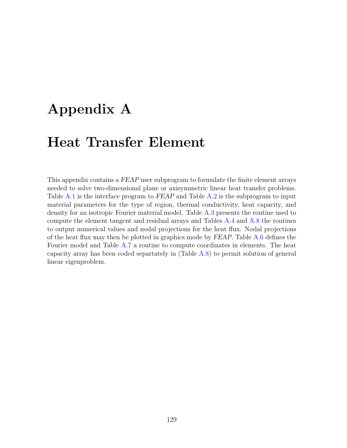## Appendix A

### Heat Transfer Element

This appendix contains a FEAP user subprogram to formulate the finite element arrays needed to solve two-dimensional plane or axisymmetric linear heat transfer problems. Table [A.1](#page-134-0) is the interface program to FEAP and Table [A.2](#page-135-0) is the subprogram to input material parameters for the type of region, thermal conductivity, heat capacity, and density for an isotropic Fourier material model. Table [A.3](#page-136-0) presents the routine used to compute the element tangent and residual arrays and Tables [A.4](#page-137-0) and [A.8](#page-140-0) the routines to output numerical values and nodal projections for the heat flux. Nodal projections of the heat flux may then be plotted in graphics mode by FEAP. Table [A.6](#page-139-0) defines the Fourier model and Table [A.7](#page-139-1) a routine to compute coordinates in elements. The heat capacity array has been coded separtately in (Table [A.8\)](#page-140-0) to permit solution of general linear eigenproblem.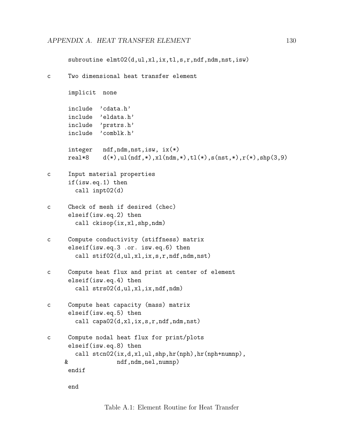```
subroutine elmt02(d,ul,xl,ix,tl,s,r,ndf,ndm,nst,isw)
c Two dimensional heat transfer element
     implicit none
     include 'cdata.h'
     include 'eldata.h'
     include 'prstrs.h'
     include 'comblk.h'
     integer ndf,ndm,nst,isw, ix(*)
     real*8 d(*),ul(ndf,*),xl(ndm,*),tl(*),s(nst,*),r(*),shp(3,9)
c Input material properties
     if(isw.eq.1) then
       call inpt02(d)
c Check of mesh if desired (chec)
     elseif(isw.eq.2) then
       call ckisop(ix,xl,shp,ndm)
c Compute conductivity (stiffness) matrix
     elseif(isw.eq.3 .or. isw.eq.6) then
       call stif02(d,ul,xl,ix,s,r,ndf,ndm,nst)
c Compute heat flux and print at center of element
     elseif(isw.eq.4) then
       call strs02(d,ul,xl,ix,ndf,ndm)
c Compute heat capacity (mass) matrix
     elseif(isw.eq.5) then
       call capa02(d,xl,ix,s,r,ndf,ndm,nst)
c Compute nodal heat flux for print/plots
     elseif(isw.eq.8) then
       call stcn02(ix,d,xl,ul,shp,hr(nph),hr(nph+numnp),
    & ndf,ndm,nel,numnp)
     endif
```
<span id="page-134-0"></span>end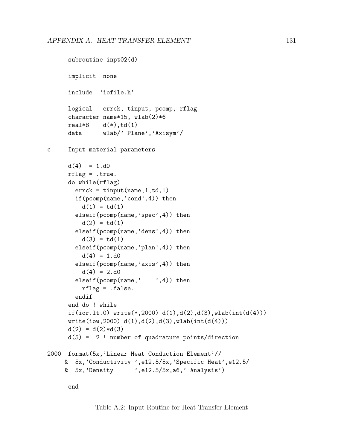```
subroutine inpt02(d)
      implicit none
      include 'iofile.h'
      logical errck, tinput, pcomp, rflag
      character name*15, wlab(2)*6
     real*8 d(*), td(1)data wlab/' Plane','Axisym'/
c Input material parameters
      d(4) = 1.d0rflag = .true.
      do while(rflag)
       errck = tinput(name,1,td,1)
       if(pcomp(name,'cond',4)) then
         d(1) = td(1)elseif(pcomp(name,'spec',4)) then
         d(2) = td(1)elseif(pcomp(name,'dens',4)) then
         d(3) = td(1)elseif(pcomp(name,'plan',4)) then
         d(4) = 1.d0elseif(pcomp(name,'axis',4)) then
         d(4) = 2. d0elseif(pcomp(name,',4)) then
         rflag = .false.
       endif
      end do ! while
      if(ior.lt.0) write(*,2000) d(1),d(2),d(3),wlab(int(d(4)))
     write(iow, 2000) d(1), d(2), d(3), wlab(int(d(4))))d(2) = d(2)*d(3)d(5) = 2 ! number of quadrature points/direction
2000 format(5x,'Linear Heat Conduction Element'//
    & 5x,'Conductivity ',e12.5/5x,'Specific Heat',e12.5/
    & 5x,'Density ',e12.5/5x,a6,' Analysis')
```
<span id="page-135-0"></span>end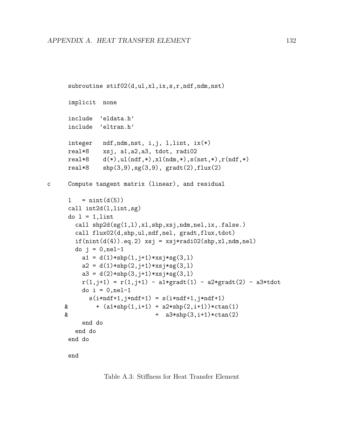```
subroutine stif02(d,ul,xl,ix,s,r,ndf,ndm,nst)
      implicit none
      include 'eldata.h'
      include 'eltran.h'
      integer ndf,ndm,nst, i,j, l,lint, ix(*)
      real*8 xsj, a1,a2,a3, tdot, radi02
      real*8 d(*),ul(ndf,*),xl(ndm,*),s(nst,*),r(ndf,*)
      real*8 shp(3,9),sg(3,9), gradt(2),flux(2)
c Compute tangent matrix (linear), and residual
      1 = \text{nint}(d(5))call int2d(l,lint,sg)
      do 1 = 1,lint
        call shp2d(sg(1,l),xl,shp,xsj,ndm,nel,ix,.false.)
        call flux02(d,shp,ul,ndf,nel, gradt,flux,tdot)
        if(int(d(4)).eq.2) xsj = xsj*radio2(shp,x1,ndm,nel)do j = 0, nel-1
          a1 = d(1) * shp(1, j+1) * xsj * sg(3, l)a2 = d(1) * shp(2, j+1) * xsj * sg(3, l)a3 = d(2) * shp(3, j+1) * xsj * sg(3, l)r(1,j+1) = r(1,j+1) - a1*gradt(1) - a2*gradt(2) - a3*tdotdo i = 0, nel-1
            s(i*ndf+1,j*ndf+1) = s(i*ndf+1,j*ndf+1)\& + (\text{a1} * \text{shp}(1, \text{i}+1) + \text{a2} * \text{shp}(2, \text{i}+1)) * \text{ctan}(1)\& + a3*shp(3,i+1)*ctan(2)end do
        end do
      end do
      end
```
<span id="page-136-0"></span>Table A.3: Stiffness for Heat Transfer Element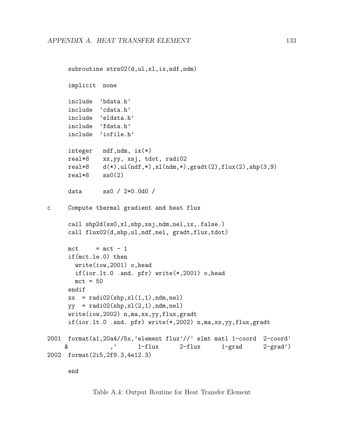```
subroutine strs02(d,ul,xl,ix,ndf,ndm)
      implicit none
      include 'bdata.h'
      include 'cdata.h'
      include 'eldata.h'
      include 'fdata.h'
      include 'iofile.h'
      integer ndf,ndm, ix(*)
     real*8 xx,yy, xsj, tdot, radi02
     real*8 d(*),ul(ndf,*),xl(ndm,*),gradt(2),flux(2),shp(3,9)
     real*8 ss0(2)
      data ss0 / 2*0.0d0 /
c Compute thermal gradient and heat flux
      call shp2d(ss0,xl,shp,xsj,ndm,nel,ix,.false.)
      call flux02(d,shp,ul,ndf,nel, gradt,flux,tdot)
     mct = mct - 1if(mct.le.0) then
       write(iow,2001) o,head
       if(ior.lt.0 .and. pfr) write(*,2001) o,head
       mct = 50endif
     xx = rad102(shp,x1(1,1),ndm,nel)yy = \text{radio2}(\text{shp}, \text{xl}(2, 1), \text{ndm}, \text{nel})write(iow,2002) n,ma,xx,yy,flux,gradt
      if(ior.lt.0 .and. pfr) write(*,2002) n,ma,xx,yy,flux,gradt
2001 format(a1,20a4//5x,'element flux'//' elmt matl 1-coord 2-coord'
    & ,' 1-flux 2-flux 1-grad 2-grad')
2002 format(2i5,2f9.3,4e12.3)
      end
```
<span id="page-137-0"></span>Table A.4: Output Routine for Heat Transfer Element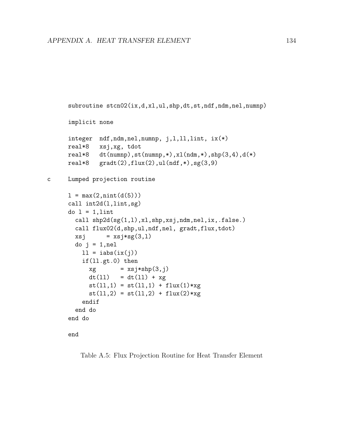```
subroutine stcn02(ix,d,xl,ul,shp,dt,st,ndf,ndm,nel,numnp)
     implicit none
     integer ndf,ndm,nel,numnp, j,l,ll,lint, ix(*)
     real*8 xsj,xg, tdot
     real*8 dt(numnp),st(numnp,*),xl(ndm,*),shp(3,4),d(*)
     real*8 gradt(2),flux(2),ul(ndf,*),sg(3,9)c Lumped projection routine
     1 = max(2, nint(d(5)))call int2d(l,lint,sg)
     do l = 1, lint
       call shp2d(sg(1,l),xl,shp,xsj,ndm,nel,ix,.false.)
       call flux02(d,shp,ul,ndf,nel, gradt,flux,tdot)
       xsj = xsj*sg(3,1)do j = 1,nel
         11 = iabs(ix(j))if(ll.gt.0) then
           xg = xsj * shp(3,j)dt(11) = dt(11) + xgst(11,1) = st(11,1) + flux(1)*xgst(11,2) = st(11,2) + flux(2)*xgendif
       end do
     end do
```

```
end
```
Table A.5: Flux Projection Routine for Heat Transfer Element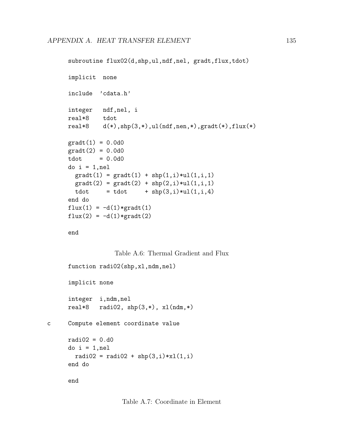```
subroutine flux02(d,shp,ul,ndf,nel, gradt,flux,tdot)
implicit none
include 'cdata.h'
integer ndf,nel, i
real*8 tdot
real*8 d(*),shp(3,*),ul(ndf,nen,*),gradt(*),flux(*)
gradt(1) = 0.0d0gradt(2) = 0.0d0tdot = 0.0d0do i = 1,nel
  gradt(1) = gradt(1) + shp(1,i)*ul(1,i,1)gradt(2) = gradt(2) + shp(2,i)*ul(1,i,1)tdot = tdot + \text{shp}(3,i)*\text{ul}(1,i,4)end do
flux(1) = -d(1)*gradt(1)flux(2) = -d(1)*gradt(2)
```
end

<span id="page-139-1"></span><span id="page-139-0"></span>Table A.6: Thermal Gradient and Flux

```
function radi02(shp,xl,ndm,nel)
      implicit none
      integer i,ndm,nel
      real*8 radi02, \text{shp}(3,*), \text{xl}(ndm,*)c Compute element coordinate value
      radi02 = 0.d0do i = 1, nel
        radio2 = radio2 + shp(3,i)*x1(1,i)end do
      end
```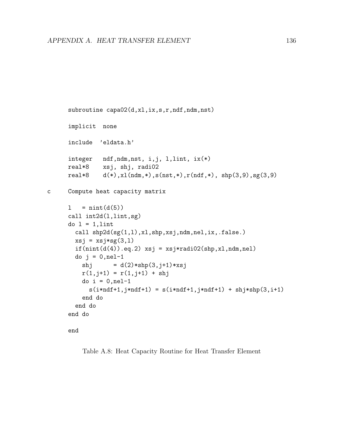```
subroutine capa02(d,xl,ix,s,r,ndf,ndm,nst)
      implicit none
      include 'eldata.h'
      integer ndf,ndm,nst, i,j, l,lint, ix(*)
     real*8 xsj, shj, radi02
     real*8 d(*),xl(ndm,*),s(nst,*),r(ndf,*), shp(3,9),sg(3,9)
c Compute heat capacity matrix
      1 = \text{nint}(d(5))call int2d(l,lint,sg)
      do 1 = 1,lint
       call shp2d(sg(1,l),xl,shp,xsj,ndm,nel,ix,.false.)
       xsj = xsj*sg(3,1)if(int(d(4)).eq.2) xsj = xsj*radio2(shp,x1,ndm,nel)do j = 0,nel-1
          shj = d(2) * shp(3, j+1) * xsjr(1,j+1) = r(1,j+1) + shjdo i = 0, nel-1
            s(i*ndf+1, j*ndf+1) = s(i*ndf+1, j*ndf+1) + shj*shp(3, i+1)end do
        end do
      end do
```
end

<span id="page-140-0"></span>Table A.8: Heat Capacity Routine for Heat Transfer Element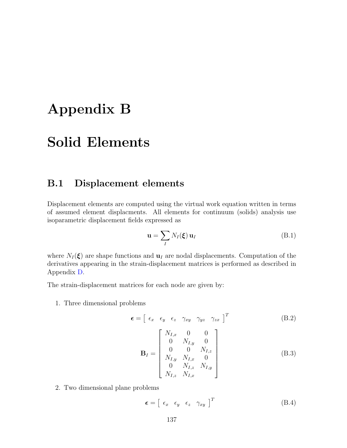## Appendix B

### Solid Elements

#### B.1 Displacement elements

Displacement elements are computed using the virtual work equation written in terms of assumed element displacments. All elements for continuum (solids) analysis use isoparametric displacement fields expressed as

$$
\mathbf{u} = \sum_{I} N_{I}(\boldsymbol{\xi}) \, \mathbf{u}_{I} \tag{B.1}
$$

where  $N_I(\xi)$  are shape functions and  $\mathbf{u}_I$  are nodal displacements. Computation of the derivatives appearing in the strain-displacement matrices is performed as described in Appendix [D.](#page-145-0)

The strain-displacement matrices for each node are given by:

1. Three dimensional problems

$$
\boldsymbol{\epsilon} = \begin{bmatrix} \epsilon_x & \epsilon_y & \epsilon_z & \gamma_{xy} & \gamma_{yz} & \gamma_{zx} \end{bmatrix}^T
$$
 (B.2)

$$
\mathbf{B}_{I} = \begin{bmatrix} N_{I,x} & 0 & 0 \\ 0 & N_{I,y} & 0 \\ 0 & 0 & N_{I,z} \\ N_{I,y} & N_{I,x} & 0 \\ 0 & N_{I,z} & N_{I,y} \\ N_{I,z} & N_{I,x} \end{bmatrix}
$$
(B.3)

2. Two dimensional plane problems

$$
\boldsymbol{\epsilon} = \begin{bmatrix} \epsilon_x & \epsilon_y & \epsilon_z & \gamma_{xy} \end{bmatrix}^T \tag{B.4}
$$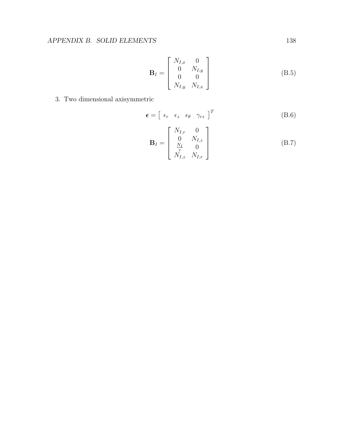$$
\mathbf{B}_{I} = \begin{bmatrix} N_{I,x} & 0 \\ 0 & N_{I,y} \\ 0 & 0 \\ N_{I,y} & N_{I,x} \end{bmatrix}
$$
 (B.5)

3. Two dimensional axisymmetric

$$
\boldsymbol{\epsilon} = \begin{bmatrix} \epsilon_r & \epsilon_z & \epsilon_\theta & \gamma_{rz} \end{bmatrix}^T \tag{B.6}
$$

$$
\mathbf{B}_{I} = \begin{bmatrix} N_{I,r} & 0\\ 0 & N_{I,z} \\ \frac{N_{I}}{r} & 0 \\ N_{I,z} & N_{I,r} \end{bmatrix}
$$
 (B.7)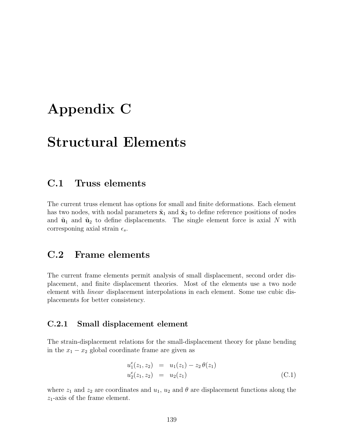### Appendix C

### Structural Elements

#### C.1 Truss elements

The current truss element has options for small and finite deformations. Each element has two nodes, with nodal parameters  $\tilde{\mathbf{x}}_1$  and  $\tilde{\mathbf{x}}_2$  to define reference positions of nodes and  $\tilde{\mathbf{u}}_1$  and  $\tilde{\mathbf{u}}_2$  to define displacements. The single element force is axial N with corresponing axial strain  $\epsilon_s$ .

#### C.2 Frame elements

The current frame elements permit analysis of small displacement, second order displacement, and finite displacement theories. Most of the elements use a two node element with linear displacement interpolations in each element. Some use cubic displacements for better consistency.

#### C.2.1 Small displacement element

The strain-displacement relations for the small-displacement theory for plane bending in the  $x_1 - x_2$  global coordinate frame are given as

$$
u_1^e(z_1, z_2) = u_1(z_1) - z_2 \theta(z_1)
$$
  
\n
$$
u_2^e(z_1, z_2) = u_2(z_1)
$$
\n(C.1)

where  $z_1$  and  $z_2$  are coordinates and  $u_1$ ,  $u_2$  and  $\theta$  are displacement functions along the  $z_1$ -axis of the frame element.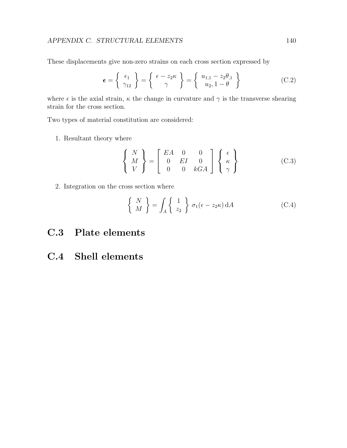These displacements give non-zero strains on each cross section expressed by

$$
\epsilon = \left\{ \begin{array}{c} \epsilon_1 \\ \gamma_{12} \end{array} \right\} = \left\{ \begin{array}{c} \epsilon - z_2 \kappa \\ \gamma \end{array} \right\} = \left\{ \begin{array}{c} u_{1,1} - z_2 \theta_{,1} \\ u_2, 1 - \theta \end{array} \right\} \tag{C.2}
$$

where  $\epsilon$  is the axial strain,  $\kappa$  the change in curvature and  $\gamma$  is the transverse shearing strain for the cross section.

Two types of material constitution are considered:

1. Resultant theory where

$$
\left\{\begin{array}{c} N \\ M \\ V \end{array}\right\} = \left\{\begin{array}{ccc} EA & 0 & 0 \\ 0 & EI & 0 \\ 0 & 0 & kGA \end{array}\right\} \left\{\begin{array}{c} \epsilon \\ \kappa \\ \gamma \end{array}\right\} \tag{C.3}
$$

2. Integration on the cross section where

$$
\left\{\begin{array}{c}N\\M\end{array}\right\} = \int_A \left\{\begin{array}{c}1\\z_2\end{array}\right\} \sigma_1(\epsilon - z_2 \kappa) \, dA \tag{C.4}
$$

- C.3 Plate elements
- C.4 Shell elements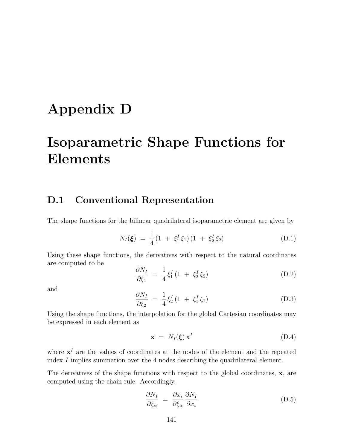# Appendix D

# Isoparametric Shape Functions for Elements

#### D.1 Conventional Representation

The shape functions for the bilinear quadrilateral isoparametric element are given by

<span id="page-145-0"></span>
$$
N_I(\xi) = \frac{1}{4} (1 + \xi_1^I \xi_1) (1 + \xi_2^I \xi_2)
$$
 (D.1)

Using these shape functions, the derivatives with respect to the natural coordinates are computed to be

$$
\frac{\partial N_I}{\partial \xi_1} = \frac{1}{4} \xi_1^I (1 + \xi_2^I \xi_2)
$$
 (D.2)

and

$$
\frac{\partial N_I}{\partial \xi_2} = \frac{1}{4} \xi_2^I (1 + \xi_1^I \xi_1) \tag{D.3}
$$

Using the shape functions, the interpolation for the global Cartesian coordinates may be expressed in each element as

$$
\mathbf{x} = N_I(\xi) \mathbf{x}^I \tag{D.4}
$$

where  $x<sup>I</sup>$  are the values of coordinates at the nodes of the element and the repeated index I implies summation over the 4 nodes describing the quadrilateral element.

The derivatives of the shape functions with respect to the global coordinates, x, are computed using the chain rule. Accordingly,

$$
\frac{\partial N_I}{\partial \xi_{\alpha}} = \frac{\partial x_i}{\partial \xi_{\alpha}} \frac{\partial N_I}{\partial x_i} \tag{D.5}
$$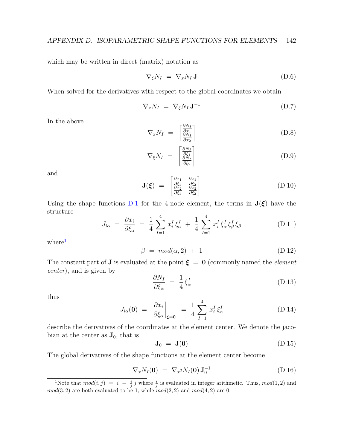which may be written in direct (matrix) notation as

$$
\nabla_{\xi} N_I = \nabla_x N_I \mathbf{J} \tag{D.6}
$$

When solved for the derivatives with respect to the global coordinates we obtain

$$
\nabla_x N_I = \nabla_{\xi} N_I \mathbf{J}^{-1} \tag{D.7}
$$

In the above

$$
\nabla_x N_I = \begin{bmatrix} \frac{\partial N_I}{\partial x_1} \\ \frac{\partial N_I}{\partial x_2} \end{bmatrix} \tag{D.8}
$$

$$
\nabla_{\xi} N_I = \begin{bmatrix} \frac{\partial N_I}{\partial \xi_1} \\ \frac{\partial N_I}{\partial \xi_2} \end{bmatrix} \tag{D.9}
$$

and

$$
\mathbf{J}(\boldsymbol{\xi}) = \begin{bmatrix} \frac{\partial x_1}{\partial \xi_1} & \frac{\partial x_1}{\partial \xi_2} \\ \frac{\partial x_2}{\partial \xi_1} & \frac{\partial x_2}{\partial \xi_2} \end{bmatrix}
$$
 (D.10)

Using the shape functions [D.1](#page-145-0) for the 4-node element, the terms in  $J(\xi)$  have the structure

$$
J_{i\alpha} = \frac{\partial x_i}{\partial \xi_{\alpha}} = \frac{1}{4} \sum_{I=1}^{4} x_i^I \xi_{\alpha}^I + \frac{1}{4} \sum_{I=1}^{4} x_i^I \xi_{\alpha}^I \xi_{\beta}^I \xi_{\beta}
$$
(D.11)

where<sup>[1](#page-146-0)</sup>

$$
\beta = mod(\alpha, 2) + 1 \tag{D.12}
$$

The constant part of **J** is evaluated at the point  $\xi = 0$  (commonly named the *element* center), and is given by

$$
\frac{\partial N_I}{\partial \xi_{\alpha}} = \frac{1}{4} \xi_{\alpha}^I \tag{D.13}
$$

thus

$$
J_{i\alpha}(\mathbf{0}) = \left. \frac{\partial x_i}{\partial \xi_{\alpha}} \right|_{\xi=0} = \frac{1}{4} \sum_{I=1}^{4} x_i^I \xi_{\alpha}^I \tag{D.14}
$$

describe the derivatives of the coordinates at the element center. We denote the jacobian at the center as  $J_0$ , that is

$$
\mathbf{J}_0 = \mathbf{J}(\mathbf{0}) \tag{D.15}
$$

The global derivatives of the shape functions at the element center become

$$
\nabla_x N_I(\mathbf{0}) = \nabla_x i N_I(\mathbf{0}) \mathbf{J}_0^{-1} \tag{D.16}
$$

<span id="page-146-0"></span><sup>&</sup>lt;sup>1</sup>Note that  $mod(i, j) = i - \frac{i}{j} j$  where  $\frac{i}{j}$  is evaluated in integer arithmetic. Thus,  $mod(1, 2)$  and  $mod(3, 2)$  are both evaluated to be 1, while  $mod(2, 2)$  and  $mod(4, 2)$  are 0.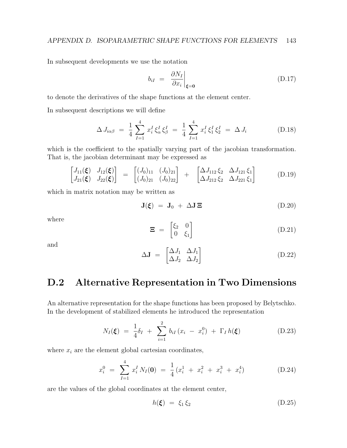In subsequent developments we use the notation

$$
b_{iI} = \left. \frac{\partial N_I}{\partial x_i} \right|_{\xi=0} \tag{D.17}
$$

to denote the derivatives of the shape functions at the element center.

In subsequent descriptions we will define

$$
\Delta J_{i\alpha\beta} = \frac{1}{4} \sum_{I=1}^{4} x_i^I \xi_{\alpha}^I \xi_{\beta}^I = \frac{1}{4} \sum_{I=1}^{4} x_i^I \xi_1^I \xi_2^I = \Delta J_i
$$
 (D.18)

which is the coefficient to the spatially varying part of the jacobian transformation. That is, the jacobian determinant may be expressed as

$$
\begin{bmatrix} J_{11}(\xi) & J_{12}(\xi) \\ J_{21}(\xi) & J_{22}(\xi) \end{bmatrix} = \begin{bmatrix} (J_0)_{11} & (J_0)_{21} \\ (J_0)_{21} & (J_0)_{22} \end{bmatrix} + \begin{bmatrix} \Delta J_{112} \xi_2 & \Delta J_{121} \xi_1 \\ \Delta J_{212} \xi_2 & \Delta J_{221} \xi_1 \end{bmatrix}
$$
(D.19)

which in matrix notation may be written as

$$
\mathbf{J}(\boldsymbol{\xi}) = \mathbf{J}_0 + \Delta \mathbf{J} \boldsymbol{\Xi} \tag{D.20}
$$

where

$$
\mathbf{\Xi} = \begin{bmatrix} \xi_2 & 0 \\ 0 & \xi_1 \end{bmatrix} \tag{D.21}
$$

and

$$
\Delta \mathbf{J} = \begin{bmatrix} \Delta J_1 & \Delta J_1 \\ \Delta J_2 & \Delta J_2 \end{bmatrix} \tag{D.22}
$$

#### D.2 Alternative Representation in Two Dimensions

An alternative representation for the shape functions has been proposed by Belytschko. In the development of stabilized elements he introduced the representation

$$
N_I(\xi) = \frac{1}{4}\delta_I + \sum_{i=1}^2 b_{iI} (x_i - x_i^0) + \Gamma_I h(\xi)
$$
 (D.23)

where  $x_i$  are the element global cartesian coordinates,

$$
x_i^0 = \sum_{I=1}^4 x_i^I N_I(\mathbf{0}) = \frac{1}{4} (x_i^1 + x_i^2 + x_i^3 + x_i^4) \tag{D.24}
$$

are the values of the global coordinates at the element center,

$$
h(\xi) = \xi_1 \xi_2 \tag{D.25}
$$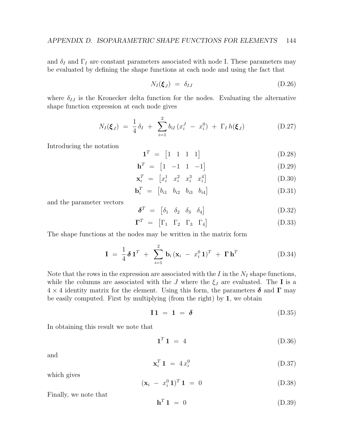and  $\delta_I$  and  $\Gamma_I$  are constant parameters associated with node I. These parameters may be evaluated by defining the shape functions at each node and using the fact that

$$
N_I(\boldsymbol{\xi}_J) = \delta_{IJ} \tag{D.26}
$$

where  $\delta_{IJ}$  is the Kronecker delta function for the nodes. Evaluating the alternative shape function expression at each node gives

$$
N_I(\xi_J) = \frac{1}{4} \delta_I + \sum_{i=1}^2 b_{iI} (x_i^J - x_i^0) + \Gamma_I h(\xi_J)
$$
 (D.27)

Introducing the notation

$$
\mathbf{1}^T = [1 \ 1 \ 1 \ 1] \tag{D.28}
$$

$$
\mathbf{h}^T = \begin{bmatrix} 1 & -1 & 1 & -1 \end{bmatrix} \tag{D.29}
$$

$$
\mathbf{x}_i^T = \begin{bmatrix} x_i^1 & x_i^2 & x_i^3 & x_i^4 \end{bmatrix} \tag{D.30}
$$

$$
\mathbf{b}_i^T = \begin{bmatrix} b_{i1} & b_{i2} & b_{i3} & b_{i4} \end{bmatrix} \tag{D.31}
$$

and the parameter vectors

$$
\delta^T = \begin{bmatrix} \delta_1 & \delta_2 & \delta_3 & \delta_4 \end{bmatrix} \tag{D.32}
$$

$$
\mathbf{\Gamma}^T = \begin{bmatrix} \Gamma_1 & \Gamma_2 & \Gamma_3 & \Gamma_4 \end{bmatrix} \tag{D.33}
$$

The shape functions at the nodes may be written in the matrix form

$$
\mathbf{I} = \frac{1}{4} \delta \mathbf{1}^T + \sum_{i=1}^2 \mathbf{b}_i (\mathbf{x}_i - x_i^0 \mathbf{1})^T + \mathbf{\Gamma} \mathbf{h}^T
$$
 (D.34)

Note that the rows in the expression are associated with the  $I$  in the  $N_I$  shape functions, while the columns are associated with the J where the  $\xi_J$  are evaluated. The I is a  $4 \times 4$  identity matrix for the element. Using this form, the parameters  $\delta$  and  $\Gamma$  may be easily computed. First by multiplying (from the right) by 1, we obtain

$$
\mathbf{I1} = \mathbf{1} = \mathbf{\delta} \tag{D.35}
$$

In obtaining this result we note that

$$
\mathbf{1}^T \mathbf{1} = 4 \tag{D.36}
$$

and

$$
\mathbf{x}_i^T \mathbf{1} = 4 \, x_i^0 \tag{D.37}
$$

which gives

$$
(\mathbf{x}_i - x_i^0 \mathbf{1})^T \mathbf{1} = 0 \tag{D.38}
$$

Finally, we note that

$$
\mathbf{h}^T \mathbf{1} = 0 \tag{D.39}
$$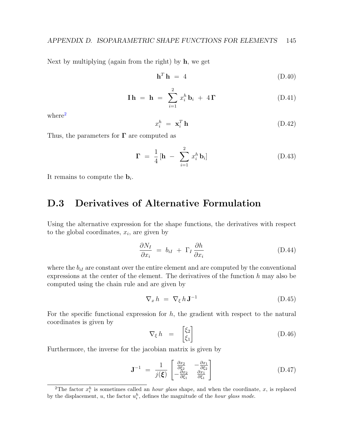Next by multiplying (again from the right) by  $h$ , we get

$$
\mathbf{h}^T \mathbf{h} = 4 \tag{D.40}
$$

$$
\mathbf{I}\,\mathbf{h} = \mathbf{h} = \sum_{i=1}^{2} x_i^h \mathbf{b}_i + 4\,\mathbf{\Gamma} \tag{D.41}
$$

where<sup>[2](#page-149-0)</sup>

$$
x_i^h = \mathbf{x}_i^T \mathbf{h} \tag{D.42}
$$

Thus, the parameters for  $\Gamma$  are computed as

$$
\mathbf{\Gamma} = \frac{1}{4} \left[ \mathbf{h} - \sum_{i=1}^{2} x_i^h \, \mathbf{b}_i \right] \tag{D.43}
$$

It remains to compute the  $\mathbf{b}_i$ .

#### D.3 Derivatives of Alternative Formulation

Using the alternative expression for the shape functions, the derivatives with respect to the global coordinates,  $x_i$ , are given by

$$
\frac{\partial N_I}{\partial x_i} = b_{iI} + \Gamma_I \frac{\partial h}{\partial x_i} \tag{D.44}
$$

where the  $b_{iI}$  are constant over the entire element and are computed by the conventional expressions at the center of the element. The derivatives of the function  $h$  may also be computed using the chain rule and are given by

$$
\nabla_x h = \nabla_{\xi} h \mathbf{J}^{-1} \tag{D.45}
$$

For the specific functional expression for  $h$ , the gradient with respect to the natural coordinates is given by

$$
\nabla_{\xi} h = \begin{bmatrix} \xi_2 \\ \xi_1 \end{bmatrix} \tag{D.46}
$$

Furthermore, the inverse for the jacobian matrix is given by

$$
\mathbf{J}^{-1} = \frac{1}{j(\boldsymbol{\xi})} \begin{bmatrix} \frac{\partial x_2}{\partial \xi_2} & -\frac{\partial x_1}{\partial \xi_2} \\ -\frac{\partial x_2}{\partial \xi_1} & \frac{\partial x_1}{\partial \xi_1} \end{bmatrix}
$$
(D.47)

<span id="page-149-0"></span><sup>&</sup>lt;sup>2</sup>The factor  $x_i^h$  is sometimes called an *hour glass* shape, and when the coordinate, x, is replaced by the displacement, u, the factor  $u_i^h$ , defines the magnitude of the *hour glass mode*.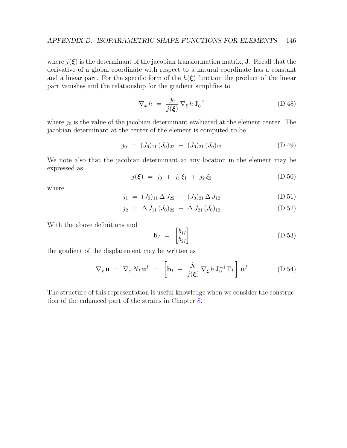where  $j(\xi)$  is the determinant of the jacobian transformation matrix, **J**. Recall that the derivative of a global coordinate with respect to a natural coordinate has a constant and a linear part. For the specific form of the  $h(\xi)$  function the product of the linear part vanishes and the relationship for the gradient simplifies to

$$
\nabla_x h = \frac{j_0}{j(\xi)} \nabla_{\xi} h \mathbf{J}_0^{-1} \tag{D.48}
$$

where  $j_0$  is the value of the jacobian determinant evaluated at the element center. The jacobian determinant at the center of the element is computed to be

$$
j_0 = (J_0)_{11} (J_0)_{22} - (J_0)_{21} (J_0)_{12}
$$
 (D.49)

We note also that the jacobian determinant at any location in the element may be expressed as

$$
j(\xi) = j_0 + j_1 \xi_1 + j_2 \xi_2 \tag{D.50}
$$

where

$$
j_1 = (J_0)_{11} \Delta J_{22} - (J_0)_{21} \Delta J_{12} \tag{D.51}
$$

$$
j_2 = \Delta J_{11} (J_0)_{22} - \Delta J_{21} (J_0)_{12} \tag{D.52}
$$

With the above definitions and

$$
\mathbf{b}_I = \begin{bmatrix} b_{1I} \\ b_{2I} \end{bmatrix} \tag{D.53}
$$

the gradient of the displacement may be written as

$$
\nabla_x \mathbf{u} = \nabla_x N_I \mathbf{u}^I = \left[ \mathbf{b}_I + \frac{j_0}{j(\xi)} \nabla_{\xi} h \mathbf{J}_0^{-1} \Gamma_I \right] \mathbf{u}^I \qquad (D.54)
$$

The structure of this representation is useful knowledge when we consider the construction of the enhanced part of the strains in Chapter [8.](#page-66-0)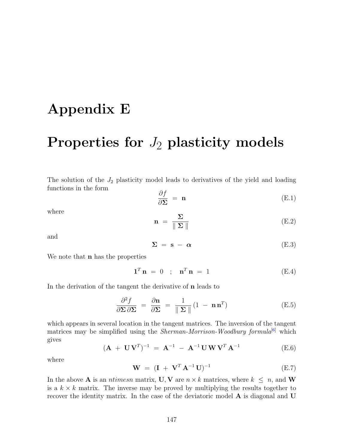## Appendix E

# Properties for  $J_2$  plasticity models

The solution of the  $J_2$  plasticity model leads to derivatives of the yield and loading functions in the form

$$
\frac{\partial f}{\partial \Sigma} = \mathbf{n} \tag{E.1}
$$

where

$$
\mathbf{n} = \frac{\Sigma}{\|\Sigma\|} \tag{E.2}
$$

and

$$
\Sigma = \mathbf{s} - \alpha \tag{E.3}
$$

We note that **n** has the properties

$$
\mathbf{1}^T \mathbf{n} = 0 \quad ; \quad \mathbf{n}^T \mathbf{n} = 1 \tag{E.4}
$$

In the derivation of the tangent the derivative of n leads to

$$
\frac{\partial^2 f}{\partial \Sigma \partial \Sigma} = \frac{\partial \mathbf{n}}{\partial \Sigma} = \frac{1}{\|\Sigma\|} (1 - \mathbf{n} \mathbf{n}^T) \tag{E.5}
$$

which appears in several location in the tangent matrices. The inversion of the tangent matrices may be simplified using the *Sherman-Morrison-Woodbury formula*<sup>[\[6\]](#page-130-0)</sup> which gives

$$
(\mathbf{A} + \mathbf{U}\mathbf{V}^T)^{-1} = \mathbf{A}^{-1} - \mathbf{A}^{-1}\mathbf{U}\mathbf{W}\mathbf{V}^T\mathbf{A}^{-1}
$$
 (E.6)

where

$$
W = (I + V^T A^{-1} U)^{-1}
$$
 (E.7)

In the above **A** is an *ntimesn* matrix, **U**, **V** are  $n \times k$  matrices, where  $k \leq n$ , and **W** is a  $k \times k$  matrix. The inverse may be proved by multiplying the results together to recover the identity matrix. In the case of the deviatoric model **A** is diagonal and **U**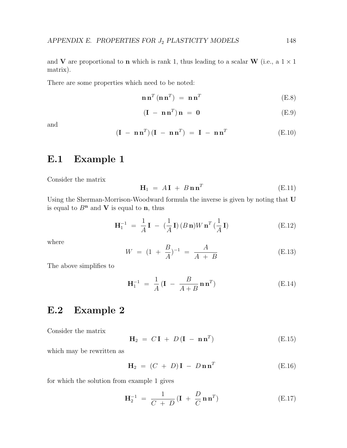and V are proportional to **n** which is rank 1, thus leading to a scalar W (i.e., a  $1 \times 1$ ) matrix).

There are some properties which need to be noted:

$$
\mathbf{n}\,\mathbf{n}^{T}\left(\mathbf{n}\,\mathbf{n}^{T}\right) = \mathbf{n}\,\mathbf{n}^{T} \tag{E.8}
$$

$$
(\mathbf{I} - \mathbf{n}\mathbf{n}^T)\mathbf{n} = \mathbf{0}
$$
 (E.9)

and

$$
(\mathbf{I} - \mathbf{n}\mathbf{n}^T)(\mathbf{I} - \mathbf{n}\mathbf{n}^T) = \mathbf{I} - \mathbf{n}\mathbf{n}^T
$$
 (E.10)

#### E.1 Example 1

Consider the matrix

$$
\mathbf{H}_1 = A\mathbf{I} + B\mathbf{n}\mathbf{n}^T
$$
 (E.11)

Using the Sherman-Morrison-Woodward formula the inverse is given by noting that U is equal to  $B<sup>n</sup>$  and **V** is equal to **n**, thus

$$
\mathbf{H}_1^{-1} = \frac{1}{A}\mathbf{I} - \left(\frac{1}{A}\mathbf{I}\right)(B\,\mathbf{n})W\,\mathbf{n}^T\left(\frac{1}{A}\mathbf{I}\right) \tag{E.12}
$$

where

$$
W = (1 + \frac{B}{A})^{-1} = \frac{A}{A + B}
$$
 (E.13)

The above simplifies to

$$
\mathbf{H}_1^{-1} = \frac{1}{A} (\mathbf{I} - \frac{B}{A+B} \mathbf{n} \mathbf{n}^T) \tag{E.14}
$$

#### E.2 Example 2

Consider the matrix

$$
\mathbf{H}_2 = C\mathbf{I} + D(\mathbf{I} - \mathbf{n}\mathbf{n}^T) \tag{E.15}
$$

which may be rewritten as

$$
\mathbf{H}_2 = (C + D)\mathbf{I} - D\mathbf{n}\mathbf{n}^T
$$
 (E.16)

for which the solution from example 1 gives

$$
\mathbf{H}_2^{-1} = \frac{1}{C+D} (\mathbf{I} + \frac{D}{C} \mathbf{n} \mathbf{n}^T)
$$
 (E.17)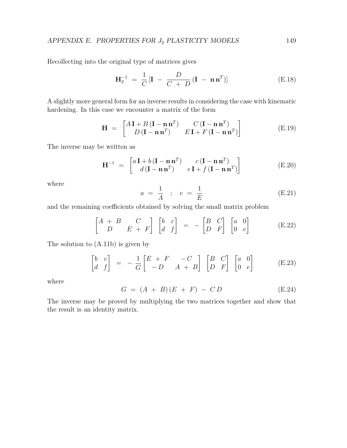Recollecting into the original type of matrices gives

$$
\mathbf{H}_2^{-1} = \frac{1}{C} \left[ \mathbf{I} - \frac{D}{C+D} \left( \mathbf{I} - \mathbf{n} \mathbf{n}^T \right) \right]
$$
 (E.18)

A slightly more general form for an inverse results in considering the case with kinematic hardening. In this case we encounter a matrix of the form

$$
\mathbf{H} = \begin{bmatrix} A\mathbf{I} + B\left(\mathbf{I} - \mathbf{n}\mathbf{n}^{T}\right) & C\left(\mathbf{I} - \mathbf{n}\mathbf{n}^{T}\right) \\ D\left(\mathbf{I} - \mathbf{n}\mathbf{n}^{T}\right) & E\mathbf{I} + F\left(\mathbf{I} - \mathbf{n}\mathbf{n}^{T}\right) \end{bmatrix}
$$
(E.19)

The inverse may be written as

$$
\mathbf{H}^{-1} = \begin{bmatrix} a\,\mathbf{I} + b\,(\mathbf{I} - \mathbf{n}\,\mathbf{n}^T) & c\,(\mathbf{I} - \mathbf{n}\,\mathbf{n}^T) \\ d\,(\mathbf{I} - \mathbf{n}\,\mathbf{n}^T) & e\,\mathbf{I} + f\,(\mathbf{I} - \mathbf{n}\,\mathbf{n}^T) \end{bmatrix} \tag{E.20}
$$

where

$$
a = \frac{1}{A}
$$
;  $e = \frac{1}{E}$  (E.21)

and the remaining coefficients obtained by solving the small matrix problem

$$
\begin{bmatrix} A+B & C \\ D & E+F \end{bmatrix} \begin{bmatrix} b & c \\ d & f \end{bmatrix} = - \begin{bmatrix} B & C \\ D & F \end{bmatrix} \begin{bmatrix} a & 0 \\ 0 & e \end{bmatrix}
$$
 (E.22)

The solution to (A.11b) is given by

$$
\begin{bmatrix} b & c \\ d & f \end{bmatrix} = -\frac{1}{G} \begin{bmatrix} E + F & -C \\ -D & A + B \end{bmatrix} \begin{bmatrix} B & C \\ D & F \end{bmatrix} \begin{bmatrix} a & 0 \\ 0 & e \end{bmatrix}
$$
 (E.23)

where

$$
G = (A + B)(E + F) - CD \tag{E.24}
$$

The inverse may be proved by multiplying the two matrices together and show that the result is an identity matrix.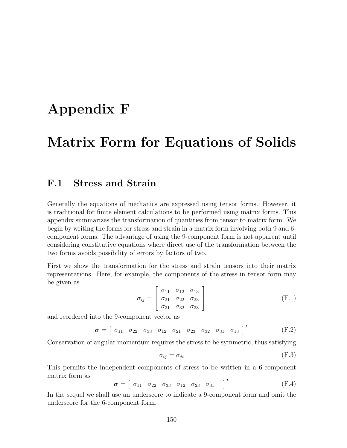### Appendix F

### Matrix Form for Equations of Solids

#### F.1 Stress and Strain

Generally the equations of mechanics are expressed using tensor forms. However, it is traditional for finite element calculations to be performed using matrix forms. This appendix summarizes the transformation of quantities from tensor to matrix form. We begin by writing the forms for stress and strain in a matrix form involving both 9 and 6 component forms. The advantage of using the 9-component form is not apparent until considering constitutive equations where direct use of the transformation between the two forms avoids possibility of errors by factors of two.

First we show the transformation for the stress and strain tensors into their matrix representations. Here, for example, the components of the stress in tensor form may be given as

$$
\sigma_{ij} = \begin{bmatrix} \sigma_{11} & \sigma_{12} & \sigma_{13} \\ \sigma_{21} & \sigma_{22} & \sigma_{23} \\ \sigma_{31} & \sigma_{32} & \sigma_{33} \end{bmatrix}
$$
 (F.1)

and reordered into the 9-component vector as

$$
\underline{\sigma} = [\begin{array}{cccccc} \sigma_{11} & \sigma_{22} & \sigma_{33} & \sigma_{12} & \sigma_{21} & \sigma_{23} & \sigma_{32} & \sigma_{31} & \sigma_{13} \end{array}]^{T} (F.2)
$$

Conservation of angular momentum requires the stress to be symmetric, thus satisfying

$$
\sigma_{ij} = \sigma_{ji} \tag{F.3}
$$

This permits the independent components of stress to be written in a 6-component matrix form as

$$
\boldsymbol{\sigma} = \left[ \begin{array}{cccc} \sigma_{11} & \sigma_{22} & \sigma_{33} & \sigma_{12} & \sigma_{23} & \sigma_{31} \end{array} \right]^T \tag{F.4}
$$

In the sequel we shall use an underscore to indicate a 9-component form and omit the underscore for the 6-component form.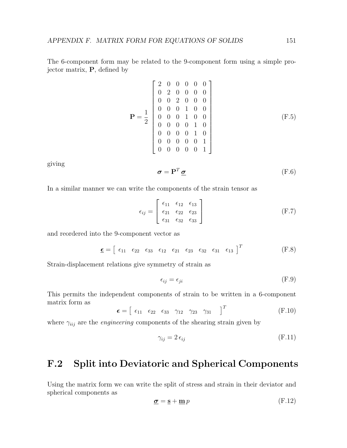The 6-component form may be related to the 9-component form using a simple projector matrix, P, defined by

$$
\mathbf{P} = \frac{1}{2} \begin{bmatrix} 2 & 0 & 0 & 0 & 0 & 0 \\ 0 & 2 & 0 & 0 & 0 & 0 \\ 0 & 0 & 2 & 0 & 0 & 0 \\ 0 & 0 & 0 & 1 & 0 & 0 \\ 0 & 0 & 0 & 1 & 0 & 0 \\ 0 & 0 & 0 & 0 & 1 & 0 \\ 0 & 0 & 0 & 0 & 0 & 1 \\ 0 & 0 & 0 & 0 & 0 & 1 \end{bmatrix}
$$
 (F.5)

giving

$$
\boldsymbol{\sigma} = \mathbf{P}^T \, \boldsymbol{\underline{\sigma}} \tag{F.6}
$$

In a similar manner we can write the components of the strain tensor as

$$
\epsilon_{ij} = \begin{bmatrix} \epsilon_{11} & \epsilon_{12} & \epsilon_{13} \\ \epsilon_{21} & \epsilon_{22} & \epsilon_{23} \\ \epsilon_{31} & \epsilon_{32} & \epsilon_{33} \end{bmatrix}
$$
 (F.7)

and reordered into the 9-component vector as

$$
\underline{\epsilon} = \begin{bmatrix} \epsilon_{11} & \epsilon_{22} & \epsilon_{33} & \epsilon_{12} & \epsilon_{21} & \epsilon_{23} & \epsilon_{32} & \epsilon_{31} & \epsilon_{13} \end{bmatrix}^T
$$
 (F.8)

Strain-displacement relations give symmetry of strain as

$$
\epsilon_{ij} = \epsilon_{ji} \tag{F.9}
$$

This permits the independent components of strain to be written in a 6-component matrix form as

$$
\boldsymbol{\epsilon} = \begin{bmatrix} \epsilon_{11} & \epsilon_{22} & \epsilon_{33} & \gamma_{12} & \gamma_{23} & \gamma_{31} \end{bmatrix}^T \tag{F.10}
$$

where  $\gamma_{iij}$  are the *engineering* components of the shearing strain given by

$$
\gamma_{ij} = 2 \,\epsilon_{ij} \tag{F.11}
$$

#### F.2 Split into Deviatoric and Spherical Components

Using the matrix form we can write the split of stress and strain in their deviator and spherical components as

$$
\underline{\boldsymbol{\sigma}} = \underline{\mathbf{s}} + \underline{\mathbf{m}} \, p \tag{F.12}
$$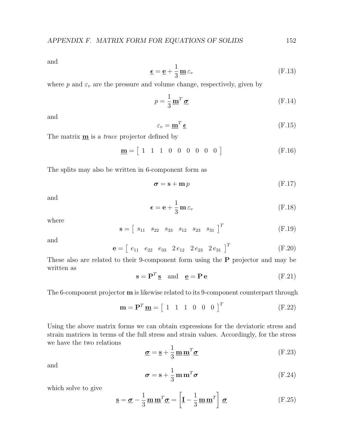and

$$
\underline{\epsilon} = \underline{\mathbf{e}} + \frac{1}{3} \underline{\mathbf{m}} \varepsilon_v \tag{F.13}
$$

where p and  $\varepsilon_v$  are the pressure and volume change, respectively, given by

$$
p = \frac{1}{3} \mathbf{m}^T \mathbf{\sigma}
$$
 (F.14)

and

$$
\varepsilon_v = \mathbf{m}^T \mathbf{\underline{\epsilon}} \tag{F.15}
$$

The matrix  $\underline{\mathbf{m}}$  is a *trace* projector defined by

$$
\mathbf{m} = [1 \ 1 \ 1 \ 0 \ 0 \ 0 \ 0 \ 0 \ 0 \ 0 \tag{F.16}
$$

The splits may also be written in 6-component form as

$$
\sigma = \mathbf{s} + \mathbf{m} p \tag{F.17}
$$

and

$$
\boldsymbol{\epsilon} = \mathbf{e} + \frac{1}{3} \mathbf{m} \, \varepsilon_v \tag{F.18}
$$

where

$$
\mathbf{s} = \begin{bmatrix} s_{11} & s_{22} & s_{33} & s_{12} & s_{23} & s_{31} \end{bmatrix}^T \tag{F.19}
$$

and

$$
\mathbf{e} = \begin{bmatrix} e_{11} & e_{22} & e_{33} & 2e_{12} & 2e_{23} & 2e_{31} \end{bmatrix}^T
$$
 (F.20)

These also are related to their 9-component form using the P projector and may be written as

$$
\mathbf{s} = \mathbf{P}^T \mathbf{s} \quad \text{and} \quad \mathbf{e} = \mathbf{P} \mathbf{e} \tag{F.21}
$$

The 6-component projector m is likewise related to its 9-component counterpart through

<span id="page-156-0"></span>
$$
\mathbf{m} = \mathbf{P}^T \underline{\mathbf{m}} = \begin{bmatrix} 1 & 1 & 1 & 0 & 0 & 0 \end{bmatrix}^T
$$
 (F.22)

Using the above matrix forms we can obtain expressions for the deviatoric stress and strain matrices in terms of the full stress and strain values. Accordingly, for the stress we have the two relations

$$
\underline{\boldsymbol{\sigma}} = \underline{\mathbf{s}} + \frac{1}{3} \underline{\mathbf{m}} \underline{\mathbf{m}}^T \underline{\boldsymbol{\sigma}} \tag{F.23}
$$

and

$$
\boldsymbol{\sigma} = \mathbf{s} + \frac{1}{3} \mathbf{m} \mathbf{m}^T \boldsymbol{\sigma}
$$
 (F.24)

which solve to give

$$
\underline{\mathbf{s}} = \underline{\boldsymbol{\sigma}} - \frac{1}{3} \underline{\mathbf{m}} \underline{\mathbf{m}}^T \underline{\boldsymbol{\sigma}} = \left[ \underline{\mathbf{I}} - \frac{1}{3} \underline{\mathbf{m}} \underline{\mathbf{m}}^T \right] \underline{\boldsymbol{\sigma}} \tag{F.25}
$$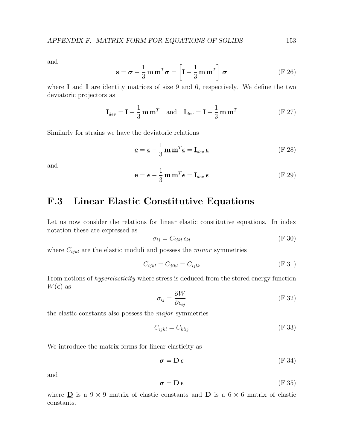and

$$
\mathbf{s} = \boldsymbol{\sigma} - \frac{1}{3} \mathbf{m} \mathbf{m}^T \boldsymbol{\sigma} = \left[ \mathbf{I} - \frac{1}{3} \mathbf{m} \mathbf{m}^T \right] \boldsymbol{\sigma}
$$
 (F.26)

where  $I$  and  $I$  are identity matrices of size 9 and 6, respectively. We define the two deviatoric projectors as

$$
\underline{\mathbf{I}}_{dev} = \underline{\mathbf{I}} - \frac{1}{3} \underline{\mathbf{m}} \underline{\mathbf{m}}^T \quad \text{and} \quad \mathbf{I}_{dev} = \mathbf{I} - \frac{1}{3} \mathbf{m} \mathbf{m}^T \tag{F.27}
$$

Similarly for strains we have the deviatoric relations

$$
\mathbf{e} = \mathbf{\epsilon} - \frac{1}{3} \mathbf{m} \mathbf{m}^T \mathbf{\epsilon} = \mathbf{I}_{dev} \mathbf{\epsilon}
$$
 (F.28)

and

$$
\mathbf{e} = \boldsymbol{\epsilon} - \frac{1}{3} \mathbf{m} \mathbf{m}^T \boldsymbol{\epsilon} = \mathbf{I}_{dev} \boldsymbol{\epsilon}
$$
 (F.29)

### F.3 Linear Elastic Constitutive Equations

Let us now consider the relations for linear elastic constitutive equations. In index notation these are expressed as

$$
\sigma_{ij} = C_{ijkl} \,\epsilon_{kl} \tag{F.30}
$$

where  $C_{ijkl}$  are the elastic moduli and possess the *minor* symmetries

$$
C_{ijkl} = C_{jikl} = C_{ijlk} \tag{F.31}
$$

From notions of *hyperelasticity* where stress is deduced from the stored energy function  $W(\epsilon)$  as

$$
\sigma_{ij} = \frac{\partial W}{\partial \epsilon_{ij}} \tag{F.32}
$$

the elastic constants also possess the major symmetries

$$
C_{ijkl} = C_{klij} \tag{F.33}
$$

We introduce the matrix forms for linear elasticity as

$$
\underline{\boldsymbol{\sigma}} = \underline{\mathbf{D}} \underline{\boldsymbol{\epsilon}} \tag{F.34}
$$

and

$$
\boldsymbol{\sigma} = \mathbf{D} \,\boldsymbol{\epsilon} \tag{F.35}
$$

where  $\underline{\mathbf{D}}$  is a 9 × 9 matrix of elastic constants and  $\underline{\mathbf{D}}$  is a 6 × 6 matrix of elastic constants.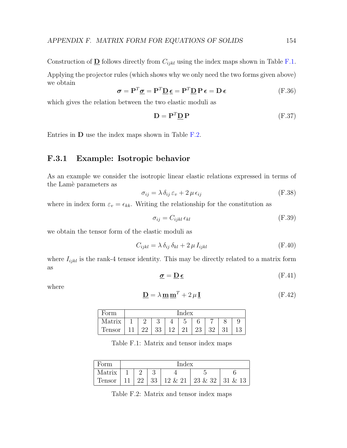Construction of  $\underline{\mathbf{D}}$  follows directly from  $C_{ijkl}$  using the index maps shown in Table [F.1.](#page-158-0) Applying the projector rules (which shows why we only need the two forms given above) we obtain

$$
\boldsymbol{\sigma} = \mathbf{P}^T \underline{\boldsymbol{\sigma}} = \mathbf{P}^T \underline{\mathbf{D}} \,\boldsymbol{\epsilon} = \mathbf{P}^T \underline{\mathbf{D}} \,\mathbf{P} \,\boldsymbol{\epsilon} = \mathbf{D} \,\boldsymbol{\epsilon}
$$
\n(F.36)

which gives the relation between the two elastic moduli as

<span id="page-158-2"></span>
$$
\mathbf{D} = \mathbf{P}^T \mathbf{D} \mathbf{P} \tag{F.37}
$$

Entries in D use the index maps shown in Table [F.2.](#page-158-1)

#### F.3.1 Example: Isotropic behavior

As an example we consider the isotropic linear elastic relations expressed in terms of the Lamer parameters as

<span id="page-158-3"></span>
$$
\sigma_{ij} = \lambda \, \delta_{ij} \, \varepsilon_v + 2 \, \mu \, \epsilon_{ij} \tag{F.38}
$$

where in index form  $\varepsilon_v = \epsilon_{kk}$ . Writing the relationship for the constitution as

$$
\sigma_{ij} = C_{ijkl} \,\epsilon_{kl} \tag{F.39}
$$

we obtain the tensor form of the elastic moduli as

$$
C_{ijkl} = \lambda \, \delta_{ij} \, \delta_{kl} + 2 \, \mu \, I_{ijkl} \tag{F.40}
$$

where  $I_{ijkl}$  is the rank-4 tensor identity. This may be directly related to a matrix form as

$$
\underline{\boldsymbol{\sigma}} = \underline{\mathbf{D}} \,\underline{\boldsymbol{\epsilon}} \tag{F.41}
$$

where

$$
\mathbf{D} = \lambda \mathbf{m} \mathbf{m}^T + 2\mu \mathbf{I}
$$
 (F.42)

| orm    | $_{\rm Index}$ |    |    |    |    |    |    |  |  |  |
|--------|----------------|----|----|----|----|----|----|--|--|--|
| Matrix |                |    | ാ  |    | 口  |    |    |  |  |  |
| Tensor | 11             | 22 | 33 | 12 | 21 | 23 | 32 |  |  |  |

<span id="page-158-0"></span>Table F.1: Matrix and tensor index maps

| Form          | Index |               |  |  |                                                                |  |  |  |  |
|---------------|-------|---------------|--|--|----------------------------------------------------------------|--|--|--|--|
| Matrix        |       | $\mathcal{D}$ |  |  |                                                                |  |  |  |  |
| <b>Tensor</b> |       |               |  |  | $11 \mid 22 \mid 33 \mid 12 \& 21 \mid 23 \& 32 \mid 31 \& 13$ |  |  |  |  |

<span id="page-158-1"></span>Table F.2: Matrix and tensor index maps